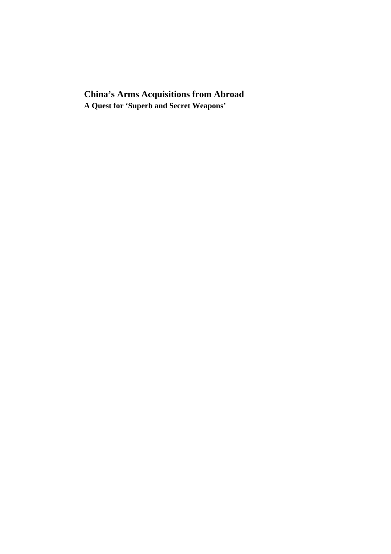# **China's Arms Acquisitions from Abroad A Quest for 'Superb and Secret Weapons'**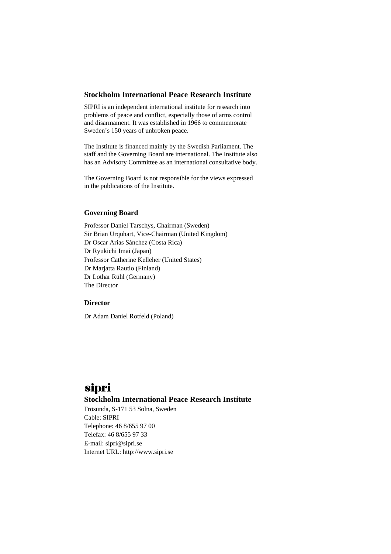### **Stockholm International Peace Research Institute**

SIPRI is an independent international institute for research into problems of peace and conflict, especially those of arms control and disarmament. It was established in 1966 to commemorate Sweden's 150 years of unbroken peace.

The Institute is financed mainly by the Swedish Parliament. The staff and the Governing Board are international. The Institute also has an Advisory Committee as an international consultative body.

The Governing Board is not responsible for the views expressed in the publications of the Institute.

#### **Governing Board**

Professor Daniel Tarschys, Chairman (Sweden) Sir Brian Urquhart, Vice-Chairman (United Kingdom) Dr Oscar Arias Sánchez (Costa Rica) Dr Ryukichi Imai (Japan) Professor Catherine Kelleher (United States) Dr Marjatta Rautio (Finland) Dr Lothar Rühl (Germany) The Director

#### **Director**

Dr Adam Daniel Rotfeld (Poland)

# sipri **Stockholm International Peace Research Institute**

Frösunda, S-171 53 Solna, Sweden Cable: SIPRI Telephone: 46 8/655 97 00 Telefax: 46 8/655 97 33 E-mail: sipri@sipri.se Internet URL: http://www.sipri.se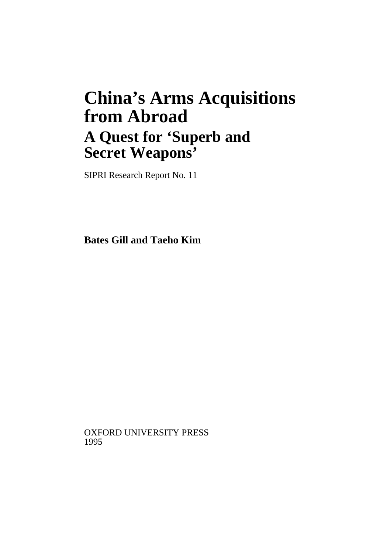# **China's Arms Acquisitions from Abroad A Quest for 'Superb and Secret Weapons'**

SIPRI Research Report No. 11

**Bates Gill and Taeho Kim**

OXFORD UNIVERSITY PRESS 1995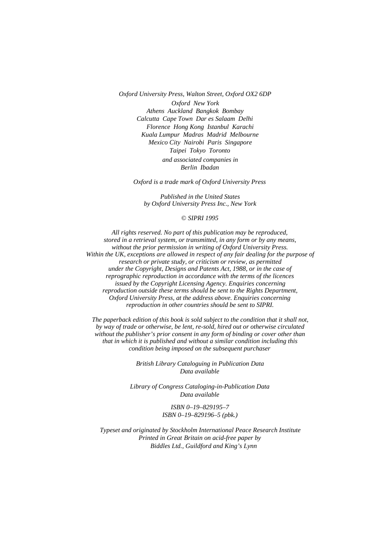*Oxford University Press, Walton Street, Oxford OX2 6DP Oxford New York Athens Auckland Bangkok Bombay Calcutta Cape Town Dar es Salaam Delhi Florence Hong Kong Istanbul Karachi Kuala Lumpur Madras Madrid Melbourne Mexico City Nairobi Paris Singapore Taipei Tokyo Toronto and associated companies in Berlin Ibadan*

*Oxford is a trade mark of Oxford University Press*

*Published in the United States by Oxford University Press Inc., New York*

© *SIPRI 1995*

*All rights reserved. No part of this publication may be reproduced, stored in a retrieval system, or transmitted, in any form or by any means, without the prior permission in writing of Oxford University Press. Within the UK, exceptions are allowed in respect of any fair dealing for the purpose of research or private study, or criticism or review, as permitted under the Copyright, Designs and Patents Act, 1988, or in the case of reprographic reproduction in accordance with the terms of the licences issued by the Copyright Licensing Agency. Enquiries concerning reproduction outside these terms should be sent to the Rights Department, Oxford University Press, at the address above. Enquiries concerning reproduction in other countries should be sent to SIPRI.*

*The paperback edition of this book is sold subject to the condition that it shall not, by way of trade or otherwise, be lent, re-sold, hired out or otherwise circulated without the publisher's prior consent in any form of binding or cover other than that in which it is published and without a similar condition including this condition being imposed on the subsequent purchaser*

> *British Library Cataloguing in Publication Data Data available*

*Library of Congress Cataloging-in-Publication Data Data available*

> *ISBN 0–19–829195–7 ISBN 0–19–829196–5 (pbk.)*

*Typeset and originated by Stockholm International Peace Research Institute Printed in Great Britain on acid-free paper by Biddles Ltd., Guildford and King's Lynn*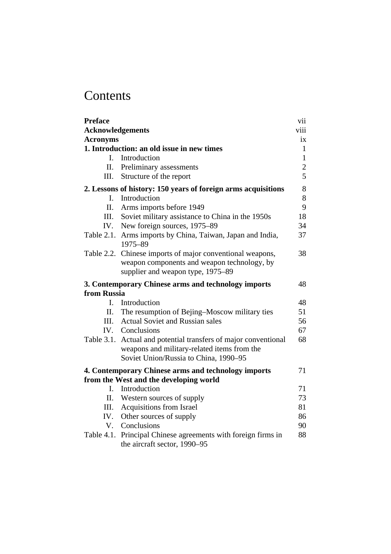# **Contents**

| <b>Preface</b>          |                                                                                                                                                         | vii            |
|-------------------------|---------------------------------------------------------------------------------------------------------------------------------------------------------|----------------|
| <b>Acknowledgements</b> |                                                                                                                                                         | viii           |
| <b>Acronyms</b>         |                                                                                                                                                         | ix             |
|                         | 1. Introduction: an old issue in new times                                                                                                              | $\mathbf{1}$   |
| I.                      | Introduction                                                                                                                                            | $\mathbf{1}$   |
| Π.                      | Preliminary assessments                                                                                                                                 | $\overline{c}$ |
| Ш.                      | Structure of the report                                                                                                                                 | 5              |
|                         | 2. Lessons of history: 150 years of foreign arms acquisitions                                                                                           | $8\,$          |
| I.                      | Introduction                                                                                                                                            | 8              |
| II.                     | Arms imports before 1949                                                                                                                                | 9              |
| III.                    | Soviet military assistance to China in the 1950s                                                                                                        | 18             |
|                         | IV. New foreign sources, 1975–89                                                                                                                        | 34             |
|                         | Table 2.1. Arms imports by China, Taiwan, Japan and India,<br>1975-89                                                                                   | 37             |
|                         | Table 2.2. Chinese imports of major conventional weapons,<br>weapon components and weapon technology, by<br>supplier and weapon type, 1975–89           | 38             |
|                         | 3. Contemporary Chinese arms and technology imports                                                                                                     | 48             |
| from Russia             |                                                                                                                                                         |                |
| I.                      | Introduction                                                                                                                                            | 48             |
| II.                     | The resumption of Bejing–Moscow military ties                                                                                                           | 51             |
| III.                    | <b>Actual Soviet and Russian sales</b>                                                                                                                  | 56             |
| IV.                     | Conclusions                                                                                                                                             | 67             |
|                         | Table 3.1. Actual and potential transfers of major conventional<br>weapons and military-related items from the<br>Soviet Union/Russia to China, 1990-95 | 68             |
|                         | 4. Contemporary Chinese arms and technology imports                                                                                                     | 71             |
|                         | from the West and the developing world                                                                                                                  |                |
| L.                      | Introduction                                                                                                                                            | 71             |
| Π.                      | Western sources of supply                                                                                                                               | 73             |
| Ш.                      | Acquisitions from Israel                                                                                                                                | 81             |
|                         | IV. Other sources of supply                                                                                                                             | 86             |
|                         | V. Conclusions                                                                                                                                          | 90             |
|                         | Table 4.1. Principal Chinese agreements with foreign firms in<br>the aircraft sector, 1990-95                                                           | 88             |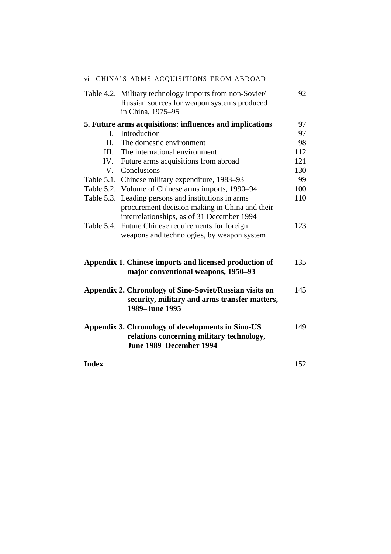|              | Table 4.2. Military technology imports from non-Soviet/<br>Russian sources for weapon systems produced<br>in China, 1975-95 | 92  |
|--------------|-----------------------------------------------------------------------------------------------------------------------------|-----|
|              | 5. Future arms acquisitions: influences and implications                                                                    | 97  |
| I.           | Introduction                                                                                                                | 97  |
|              | II. The domestic environment                                                                                                | 98  |
|              | III. The international environment                                                                                          | 112 |
|              | IV. Future arms acquisitions from abroad                                                                                    | 121 |
|              | V. Conclusions                                                                                                              | 130 |
|              | Table 5.1. Chinese military expenditure, 1983–93                                                                            | 99  |
|              | Table 5.2. Volume of Chinese arms imports, 1990–94                                                                          | 100 |
|              | Table 5.3. Leading persons and institutions in arms                                                                         | 110 |
|              | procurement decision making in China and their                                                                              |     |
|              | interrelationships, as of 31 December 1994                                                                                  |     |
|              | Table 5.4. Future Chinese requirements for foreign                                                                          | 123 |
|              | weapons and technologies, by weapon system                                                                                  |     |
|              | Appendix 1. Chinese imports and licensed production of<br>major conventional weapons, 1950-93                               | 135 |
|              | Appendix 2. Chronology of Sino-Soviet/Russian visits on<br>security, military and arms transfer matters,<br>1989-June 1995  | 145 |
|              | Appendix 3. Chronology of developments in Sino-US<br>relations concerning military technology,<br>June 1989–December 1994   | 149 |
| <b>Index</b> |                                                                                                                             | 152 |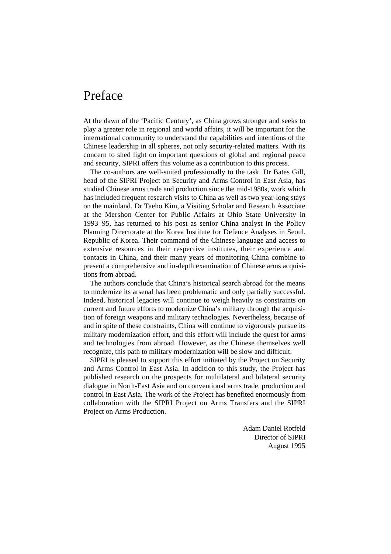# <span id="page-6-0"></span>Preface

At the dawn of the 'Pacific Century', as China grows stronger and seeks to play a greater role in regional and world affairs, it will be important for the international community to understand the capabilities and intentions of the Chinese leadership in all spheres, not only security-related matters. With its concern to shed light on important questions of global and regional peace and security, SIPRI offers this volume as a contribution to this process.

The co-authors are well-suited professionally to the task. Dr Bates Gill, head of the SIPRI Project on Security and Arms Control in East Asia, has studied Chinese arms trade and production since the mid-1980s, work which has included frequent research visits to China as well as two year-long stays on the mainland. Dr Taeho Kim, a Visiting Scholar and Research Associate at the Mershon Center for Public Affairs at Ohio State University in 1993–95, has returned to his post as senior China analyst in the Policy Planning Directorate at the Korea Institute for Defence Analyses in Seoul, Republic of Korea. Their command of the Chinese language and access to extensive resources in their respective institutes, their experience and contacts in China, and their many years of monitoring China combine to present a comprehensive and in-depth examination of Chinese arms acquisitions from abroad.

The authors conclude that China's historical search abroad for the means to modernize its arsenal has been problematic and only partially successful. Indeed, historical legacies will continue to weigh heavily as constraints on current and future efforts to modernize China's military through the acquisition of foreign weapons and military technologies. Nevertheless, because of and in spite of these constraints, China will continue to vigorously pursue its military modernization effort, and this effort will include the quest for arms and technologies from abroad. However, as the Chinese themselves well recognize, this path to military modernization will be slow and difficult.

SIPRI is pleased to support this effort initiated by the Project on Security and Arms Control in East Asia. In addition to this study, the Project has published research on the prospects for multilateral and bilateral security dialogue in North-East Asia and on conventional arms trade, production and control in East Asia. The work of the Project has benefited enormously from collaboration with the SIPRI Project on Arms Transfers and the SIPRI Project on Arms Production.

> Adam Daniel Rotfeld Director of SIPRI August 1995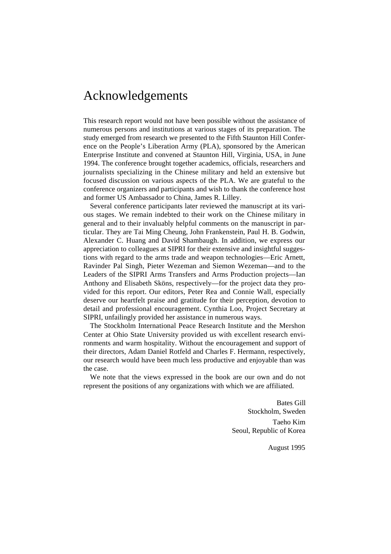# <span id="page-7-0"></span>Acknowledgements

This research report would not have been possible without the assistance of numerous persons and institutions at various stages of its preparation. The study emerged from research we presented to the Fifth Staunton Hill Conference on the People's Liberation Army (PLA), sponsored by the American Enterprise Institute and convened at Staunton Hill, Virginia, USA, in June 1994. The conference brought together academics, officials, researchers and journalists specializing in the Chinese military and held an extensive but focused discussion on various aspects of the PLA. We are grateful to the conference organizers and participants and wish to thank the conference host and former US Ambassador to China, James R. Lilley.

Several conference participants later reviewed the manuscript at its various stages. We remain indebted to their work on the Chinese military in general and to their invaluably helpful comments on the manuscript in particular. They are Tai Ming Cheung, John Frankenstein, Paul H. B. Godwin, Alexander C. Huang and David Shambaugh. In addition, we express our appreciation to colleagues at SIPRI for their extensive and insightful suggestions with regard to the arms trade and weapon technologies—Eric Arnett, Ravinder Pal Singh, Pieter Wezeman and Siemon Wezeman—and to the Leaders of the SIPRI Arms Transfers and Arms Production projects—Ian Anthony and Elisabeth Sköns, respectively—for the project data they provided for this report. Our editors, Peter Rea and Connie Wall, especially deserve our heartfelt praise and gratitude for their perception, devotion to detail and professional encouragement. Cynthia Loo, Project Secretary at SIPRI, unfailingly provided her assistance in numerous ways.

The Stockholm International Peace Research Institute and the Mershon Center at Ohio State University provided us with excellent research environments and warm hospitality. Without the encouragement and support of their directors, Adam Daniel Rotfeld and Charles F. Hermann, respectively, our research would have been much less productive and enjoyable than was the case.

We note that the views expressed in the book are our own and do not represent the positions of any organizations with which we are affiliated.

> Bates Gill Stockholm, Sweden Taeho Kim Seoul, Republic of Korea

> > August 1995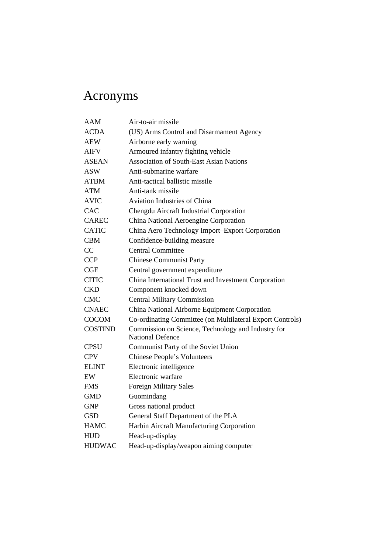# <span id="page-8-0"></span>Acronyms

| AAM            | Air-to-air missile                                                            |
|----------------|-------------------------------------------------------------------------------|
| <b>ACDA</b>    | (US) Arms Control and Disarmament Agency                                      |
| <b>AEW</b>     | Airborne early warning                                                        |
| <b>AIFV</b>    | Armoured infantry fighting vehicle                                            |
| <b>ASEAN</b>   | <b>Association of South-East Asian Nations</b>                                |
| <b>ASW</b>     | Anti-submarine warfare                                                        |
| ATBM           | Anti-tactical ballistic missile                                               |
| <b>ATM</b>     | Anti-tank missile                                                             |
| <b>AVIC</b>    | <b>Aviation Industries of China</b>                                           |
| CAC            | Chengdu Aircraft Industrial Corporation                                       |
| <b>CAREC</b>   | China National Aeroengine Corporation                                         |
| <b>CATIC</b>   | China Aero Technology Import-Export Corporation                               |
| CBM            | Confidence-building measure                                                   |
| CC             | <b>Central Committee</b>                                                      |
| <b>CCP</b>     | <b>Chinese Communist Party</b>                                                |
| CGE            | Central government expenditure                                                |
| <b>CITIC</b>   | China International Trust and Investment Corporation                          |
| <b>CKD</b>     | Component knocked down                                                        |
| <b>CMC</b>     | <b>Central Military Commission</b>                                            |
| <b>CNAEC</b>   | China National Airborne Equipment Corporation                                 |
| <b>COCOM</b>   | Co-ordinating Committee (on Multilateral Export Controls)                     |
| <b>COSTIND</b> | Commission on Science, Technology and Industry for<br><b>National Defence</b> |
| CPSU           | Communist Party of the Soviet Union                                           |
| <b>CPV</b>     | Chinese People's Volunteers                                                   |
| <b>ELINT</b>   | Electronic intelligence                                                       |
| EW             | Electronic warfare                                                            |
| <b>FMS</b>     | <b>Foreign Military Sales</b>                                                 |
| GMD            | Guomindang                                                                    |
| <b>GNP</b>     | Gross national product                                                        |
| GSD            | General Staff Department of the PLA                                           |
| <b>HAMC</b>    | Harbin Aircraft Manufacturing Corporation                                     |
| <b>HUD</b>     | Head-up-display                                                               |
| <b>HUDWAC</b>  | Head-up-display/weapon aiming computer                                        |
|                |                                                                               |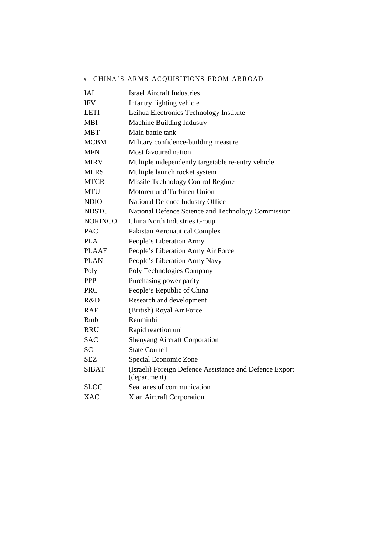# x CHINA'S ARMS ACQUISITIONS FROM ABROAD

| IAI            | <b>Israel Aircraft Industries</b>                                       |
|----------------|-------------------------------------------------------------------------|
| <b>IFV</b>     | Infantry fighting vehicle                                               |
| <b>LETI</b>    | Leihua Electronics Technology Institute                                 |
| <b>MBI</b>     | Machine Building Industry                                               |
| MBT            | Main battle tank                                                        |
| <b>MCBM</b>    | Military confidence-building measure                                    |
| <b>MFN</b>     | Most favoured nation                                                    |
| <b>MIRV</b>    | Multiple independently targetable re-entry vehicle                      |
| <b>MLRS</b>    | Multiple launch rocket system                                           |
| <b>MTCR</b>    | Missile Technology Control Regime                                       |
| MTU            | Motoren und Turbinen Union                                              |
| <b>NDIO</b>    | National Defence Industry Office                                        |
| <b>NDSTC</b>   | National Defence Science and Technology Commission                      |
| <b>NORINCO</b> | China North Industries Group                                            |
| <b>PAC</b>     | <b>Pakistan Aeronautical Complex</b>                                    |
| <b>PLA</b>     | People's Liberation Army                                                |
| <b>PLAAF</b>   | People's Liberation Army Air Force                                      |
| <b>PLAN</b>    | People's Liberation Army Navy                                           |
| Poly           | Poly Technologies Company                                               |
| <b>PPP</b>     | Purchasing power parity                                                 |
| <b>PRC</b>     | People's Republic of China                                              |
| R&D            | Research and development                                                |
| <b>RAF</b>     | (British) Royal Air Force                                               |
| Rmb            | Renminhi                                                                |
| <b>RRU</b>     | Rapid reaction unit                                                     |
| <b>SAC</b>     | <b>Shenyang Aircraft Corporation</b>                                    |
| <b>SC</b>      | <b>State Council</b>                                                    |
| <b>SEZ</b>     | Special Economic Zone                                                   |
| <b>SIBAT</b>   | (Israeli) Foreign Defence Assistance and Defence Export<br>(department) |
| <b>SLOC</b>    | Sea lanes of communication                                              |
| <b>XAC</b>     | Xian Aircraft Corporation                                               |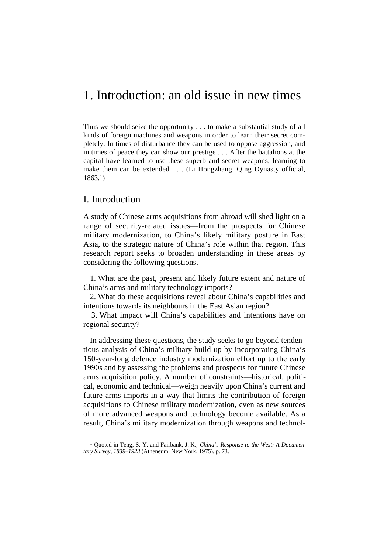# <span id="page-10-0"></span>1. Introduction: an old issue in new times

Thus we should seize the opportunity . . . to make a substantial study of all kinds of foreign machines and weapons in order to learn their secret completely. In times of disturbance they can be used to oppose aggression, and in times of peace they can show our prestige . . . After the battalions at the capital have learned to use these superb and secret weapons, learning to make them can be extended . . . (Li Hongzhang, Qing Dynasty official, 1863.1)

## I. Introduction

A study of Chinese arms acquisitions from abroad will shed light on a range of security-related issues—from the prospects for Chinese military modernization, to China's likely military posture in East Asia, to the strategic nature of China's role within that region. This research report seeks to broaden understanding in these areas by considering the following questions.

1. What are the past, present and likely future extent and nature of China's arms and military technology imports?

2. What do these acquisitions reveal about China's capabilities and intentions towards its neighbours in the East Asian region?

3. What impact will China's capabilities and intentions have on regional security?

In addressing these questions, the study seeks to go beyond tendentious analysis of China's military build-up by incorporating China's 150-year-long defence industry modernization effort up to the early 1990s and by assessing the problems and prospects for future Chinese arms acquisition policy. A number of constraints—historical, political, economic and technical—weigh heavily upon China's current and future arms imports in a way that limits the contribution of foreign acquisitions to Chinese military modernization, even as new sources of more advanced weapons and technology become available. As a result, China's military modernization through weapons and technol-

<sup>1</sup> Quoted in Teng, S.-Y. and Fairbank, J. K., *China's Response to the West: A Documentary Survey, 1839–1923* (Atheneum: New York, 1975), p. 73.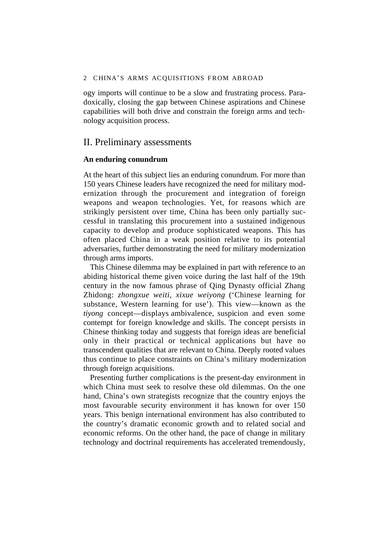<span id="page-11-0"></span>ogy imports will continue to be a slow and frustrating process. Paradoxically, closing the gap between Chinese aspirations and Chinese capabilities will both drive and constrain the foreign arms and technology acquisition process.

# II. Preliminary assessments

### **An enduring conundrum**

At the heart of this subject lies an enduring conundrum. For more than 150 years Chinese leaders have recognized the need for military modernization through the procurement and integration of foreign weapons and weapon technologies. Yet, for reasons which are strikingly persistent over time, China has been only partially successful in translating this procurement into a sustained indigenous capacity to develop and produce sophisticated weapons. This has often placed China in a weak position relative to its potential adversaries, further demonstrating the need for military modernization through arms imports.

This Chinese dilemma may be explained in part with reference to an abiding historical theme given voice during the last half of the 19th century in the now famous phrase of Qing Dynasty official Zhang Zhidong: *zhongxue weiti, xixue weiyong* ('Chinese learning for substance, Western learning for use'). This view—known as the *tiyong* concept—displays ambivalence, suspicion and even some contempt for foreign knowledge and skills. The concept persists in Chinese thinking today and suggests that foreign ideas are beneficial only in their practical or technical applications but have no transcendent qualities that are relevant to China. Deeply rooted values thus continue to place constraints on China's military modernization through foreign acquisitions.

Presenting further complications is the present-day environment in which China must seek to resolve these old dilemmas. On the one hand, China's own strategists recognize that the country enjoys the most favourable security environment it has known for over 150 years. This benign international environment has also contributed to the country's dramatic economic growth and to related social and economic reforms. On the other hand, the pace of change in military technology and doctrinal requirements has accelerated tremendously,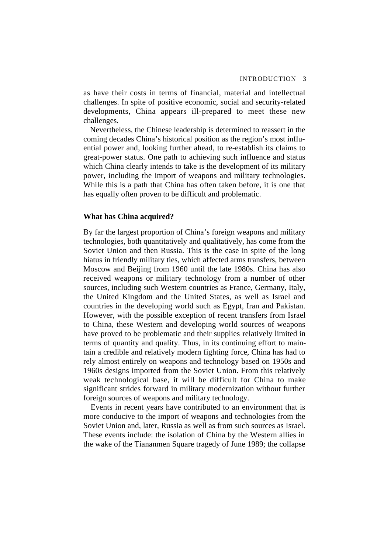as have their costs in terms of financial, material and intellectual challenges. In spite of positive economic, social and security-related developments, China appears ill-prepared to meet these new challenges.

Nevertheless, the Chinese leadership is determined to reassert in the coming decades China's historical position as the region's most influential power and, looking further ahead, to re-establish its claims to great-power status. One path to achieving such influence and status which China clearly intends to take is the development of its military power, including the import of weapons and military technologies. While this is a path that China has often taken before, it is one that has equally often proven to be difficult and problematic.

### **What has China acquired?**

By far the largest proportion of China's foreign weapons and military technologies, both quantitatively and qualitatively, has come from the Soviet Union and then Russia. This is the case in spite of the long hiatus in friendly military ties, which affected arms transfers, between Moscow and Beijing from 1960 until the late 1980s. China has also received weapons or military technology from a number of other sources, including such Western countries as France, Germany, Italy, the United Kingdom and the United States, as well as Israel and countries in the developing world such as Egypt, Iran and Pakistan. However, with the possible exception of recent transfers from Israel to China, these Western and developing world sources of weapons have proved to be problematic and their supplies relatively limited in terms of quantity and quality. Thus, in its continuing effort to maintain a credible and relatively modern fighting force, China has had to rely almost entirely on weapons and technology based on 1950s and 1960s designs imported from the Soviet Union. From this relatively weak technological base, it will be difficult for China to make significant strides forward in military modernization without further foreign sources of weapons and military technology.

Events in recent years have contributed to an environment that is more conducive to the import of weapons and technologies from the Soviet Union and, later, Russia as well as from such sources as Israel. These events include: the isolation of China by the Western allies in the wake of the Tiananmen Square tragedy of June 1989; the collapse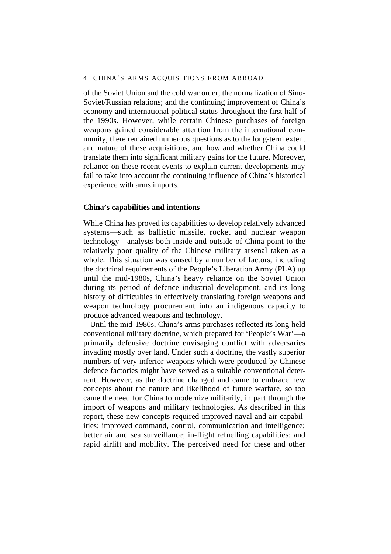of the Soviet Union and the cold war order; the normalization of Sino-Soviet/Russian relations; and the continuing improvement of China's economy and international political status throughout the first half of the 1990s. However, while certain Chinese purchases of foreign weapons gained considerable attention from the international community, there remained numerous questions as to the long-term extent and nature of these acquisitions, and how and whether China could translate them into significant military gains for the future. Moreover, reliance on these recent events to explain current developments may fail to take into account the continuing influence of China's historical experience with arms imports.

### **China's capabilities and intentions**

While China has proved its capabilities to develop relatively advanced systems—such as ballistic missile, rocket and nuclear weapon technology—analysts both inside and outside of China point to the relatively poor quality of the Chinese military arsenal taken as a whole. This situation was caused by a number of factors, including the doctrinal requirements of the People's Liberation Army (PLA) up until the mid-1980s, China's heavy reliance on the Soviet Union during its period of defence industrial development, and its long history of difficulties in effectively translating foreign weapons and weapon technology procurement into an indigenous capacity to produce advanced weapons and technology.

Until the mid-1980s, China's arms purchases reflected its long-held conventional military doctrine, which prepared for 'People's War'—a primarily defensive doctrine envisaging conflict with adversaries invading mostly over land. Under such a doctrine, the vastly superior numbers of very inferior weapons which were produced by Chinese defence factories might have served as a suitable conventional deterrent. However, as the doctrine changed and came to embrace new concepts about the nature and likelihood of future warfare, so too came the need for China to modernize militarily, in part through the import of weapons and military technologies. As described in this report, these new concepts required improved naval and air capabilities; improved command, control, communication and intelligence; better air and sea surveillance; in-flight refuelling capabilities; and rapid airlift and mobility. The perceived need for these and other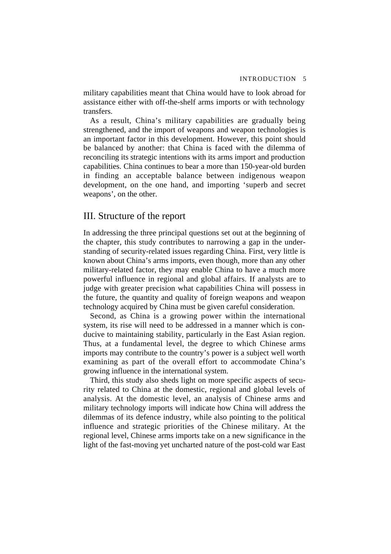<span id="page-14-0"></span>military capabilities meant that China would have to look abroad for assistance either with off-the-shelf arms imports or with technology transfers.

As a result, China's military capabilities are gradually being strengthened, and the import of weapons and weapon technologies is an important factor in this development. However, this point should be balanced by another: that China is faced with the dilemma of reconciling its strategic intentions with its arms import and production capabilities. China continues to bear a more than 150-year-old burden in finding an acceptable balance between indigenous weapon development, on the one hand, and importing 'superb and secret weapons', on the other.

# III. Structure of the report

In addressing the three principal questions set out at the beginning of the chapter, this study contributes to narrowing a gap in the understanding of security-related issues regarding China. First, very little is known about China's arms imports, even though, more than any other military-related factor, they may enable China to have a much more powerful influence in regional and global affairs. If analysts are to judge with greater precision what capabilities China will possess in the future, the quantity and quality of foreign weapons and weapon technology acquired by China must be given careful consideration.

Second, as China is a growing power within the international system, its rise will need to be addressed in a manner which is conducive to maintaining stability, particularly in the East Asian region. Thus, at a fundamental level, the degree to which Chinese arms imports may contribute to the country's power is a subject well worth examining as part of the overall effort to accommodate China's growing influence in the international system.

Third, this study also sheds light on more specific aspects of security related to China at the domestic, regional and global levels of analysis. At the domestic level, an analysis of Chinese arms and military technology imports will indicate how China will address the dilemmas of its defence industry, while also pointing to the political influence and strategic priorities of the Chinese military. At the regional level, Chinese arms imports take on a new significance in the light of the fast-moving yet uncharted nature of the post-cold war East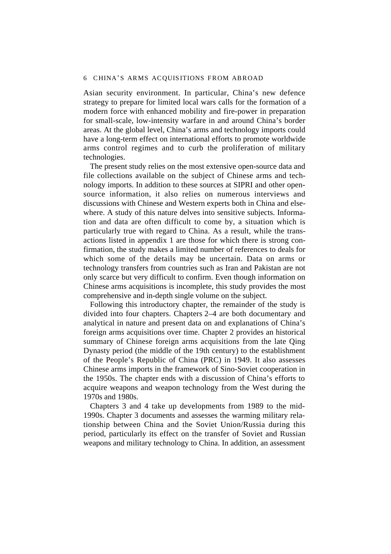Asian security environment. In particular, China's new defence strategy to prepare for limited local wars calls for the formation of a modern force with enhanced mobility and fire-power in preparation for small-scale, low-intensity warfare in and around China's border areas. At the global level, China's arms and technology imports could have a long-term effect on international efforts to promote worldwide arms control regimes and to curb the proliferation of military technologies.

The present study relies on the most extensive open-source data and file collections available on the subject of Chinese arms and technology imports. In addition to these sources at SIPRI and other opensource information, it also relies on numerous interviews and discussions with Chinese and Western experts both in China and elsewhere. A study of this nature delves into sensitive subjects. Information and data are often difficult to come by, a situation which is particularly true with regard to China. As a result, while the transactions listed in appendix 1 are those for which there is strong confirmation, the study makes a limited number of references to deals for which some of the details may be uncertain. Data on arms or technology transfers from countries such as Iran and Pakistan are not only scarce but very difficult to confirm. Even though information on Chinese arms acquisitions is incomplete, this study provides the most comprehensive and in-depth single volume on the subject.

Following this introductory chapter, the remainder of the study is divided into four chapters. Chapters 2–4 are both documentary and analytical in nature and present data on and explanations of China's foreign arms acquisitions over time. Chapter 2 provides an historical summary of Chinese foreign arms acquisitions from the late Qing Dynasty period (the middle of the 19th century) to the establishment of the People's Republic of China (PRC) in 1949. It also assesses Chinese arms imports in the framework of Sino-Soviet cooperation in the 1950s. The chapter ends with a discussion of China's efforts to acquire weapons and weapon technology from the West during the 1970s and 1980s.

Chapters 3 and 4 take up developments from 1989 to the mid-1990s. Chapter 3 documents and assesses the warming military relationship between China and the Soviet Union/Russia during this period, particularly its effect on the transfer of Soviet and Russian weapons and military technology to China. In addition, an assessment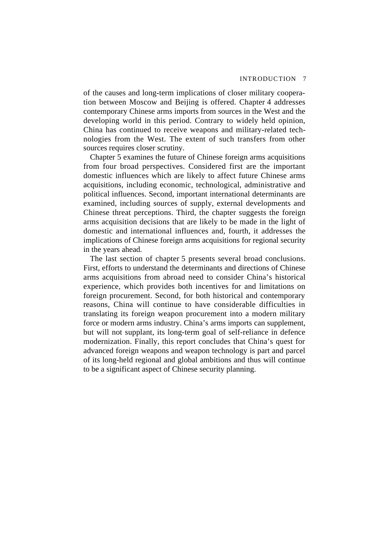of the causes and long-term implications of closer military cooperation between Moscow and Beijing is offered. Chapter 4 addresses contemporary Chinese arms imports from sources in the West and the developing world in this period. Contrary to widely held opinion, China has continued to receive weapons and military-related technologies from the West. The extent of such transfers from other sources requires closer scrutiny.

Chapter 5 examines the future of Chinese foreign arms acquisitions from four broad perspectives. Considered first are the important domestic influences which are likely to affect future Chinese arms acquisitions, including economic, technological, administrative and political influences. Second, important international determinants are examined, including sources of supply, external developments and Chinese threat perceptions. Third, the chapter suggests the foreign arms acquisition decisions that are likely to be made in the light of domestic and international influences and, fourth, it addresses the implications of Chinese foreign arms acquisitions for regional security in the years ahead.

The last section of chapter 5 presents several broad conclusions. First, efforts to understand the determinants and directions of Chinese arms acquisitions from abroad need to consider China's historical experience, which provides both incentives for and limitations on foreign procurement. Second, for both historical and contemporary reasons, China will continue to have considerable difficulties in translating its foreign weapon procurement into a modern military force or modern arms industry. China's arms imports can supplement, but will not supplant, its long-term goal of self-reliance in defence modernization. Finally, this report concludes that China's quest for advanced foreign weapons and weapon technology is part and parcel of its long-held regional and global ambitions and thus will continue to be a significant aspect of Chinese security planning.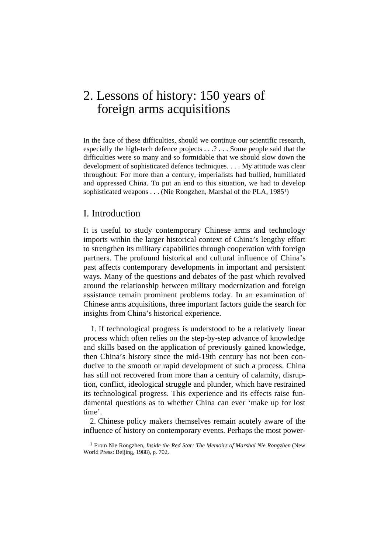# <span id="page-17-0"></span>2. Lessons of history: 150 years of foreign arms acquisitions

In the face of these difficulties, should we continue our scientific research, especially the high-tech defence projects . . .? . . . Some people said that the difficulties were so many and so formidable that we should slow down the development of sophisticated defence techniques. . . . My attitude was clear throughout: For more than a century, imperialists had bullied, humiliated and oppressed China. To put an end to this situation, we had to develop sophisticated weapons . . . (Nie Rongzhen, Marshal of the PLA, 1985<sup>1</sup>)

### I. Introduction

It is useful to study contemporary Chinese arms and technology imports within the larger historical context of China's lengthy effort to strengthen its military capabilities through cooperation with foreign partners. The profound historical and cultural influence of China's past affects contemporary developments in important and persistent ways. Many of the questions and debates of the past which revolved around the relationship between military modernization and foreign assistance remain prominent problems today. In an examination of Chinese arms acquisitions, three important factors guide the search for insights from China's historical experience.

1. If technological progress is understood to be a relatively linear process which often relies on the step-by-step advance of knowledge and skills based on the application of previously gained knowledge, then China's history since the mid-19th century has not been conducive to the smooth or rapid development of such a process. China has still not recovered from more than a century of calamity, disruption, conflict, ideological struggle and plunder, which have restrained its technological progress. This experience and its effects raise fundamental questions as to whether China can ever 'make up for lost time'.

2. Chinese policy makers themselves remain acutely aware of the influence of history on contemporary events. Perhaps the most power-

1 From Nie Rongzhen, *Inside the Red Star: The Memoirs of Marshal Nie Rongzhen* (New World Press: Beijing, 1988), p. 702.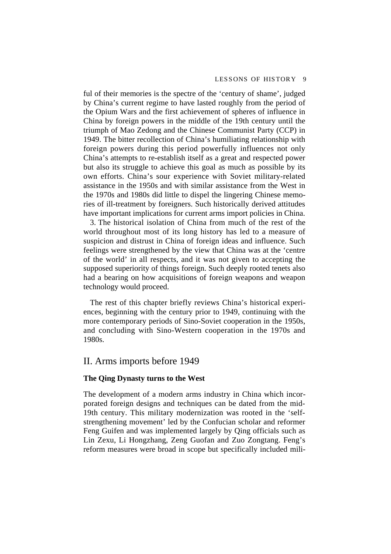<span id="page-18-0"></span>ful of their memories is the spectre of the 'century of shame', judged by China's current regime to have lasted roughly from the period of the Opium Wars and the first achievement of spheres of influence in China by foreign powers in the middle of the 19th century until the triumph of Mao Zedong and the Chinese Communist Party (CCP) in 1949. The bitter recollection of China's humiliating relationship with foreign powers during this period powerfully influences not only China's attempts to re-establish itself as a great and respected power but also its struggle to achieve this goal as much as possible by its own efforts. China's sour experience with Soviet military-related assistance in the 1950s and with similar assistance from the West in the 1970s and 1980s did little to dispel the lingering Chinese memories of ill-treatment by foreigners. Such historically derived attitudes have important implications for current arms import policies in China.

3. The historical isolation of China from much of the rest of the world throughout most of its long history has led to a measure of suspicion and distrust in China of foreign ideas and influence. Such feelings were strengthened by the view that China was at the 'centre of the world' in all respects, and it was not given to accepting the supposed superiority of things foreign. Such deeply rooted tenets also had a bearing on how acquisitions of foreign weapons and weapon technology would proceed.

The rest of this chapter briefly reviews China's historical experiences, beginning with the century prior to 1949, continuing with the more contemporary periods of Sino-Soviet cooperation in the 1950s, and concluding with Sino-Western cooperation in the 1970s and 1980s.

### II. Arms imports before 1949

#### **The Qing Dynasty turns to the West**

The development of a modern arms industry in China which incorporated foreign designs and techniques can be dated from the mid-19th century. This military modernization was rooted in the 'selfstrengthening movement' led by the Confucian scholar and reformer Feng Guifen and was implemented largely by Qing officials such as Lin Zexu, Li Hongzhang, Zeng Guofan and Zuo Zongtang. Feng's reform measures were broad in scope but specifically included mili-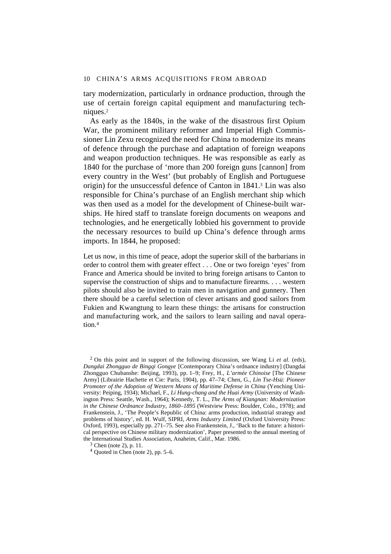tary modernization, particularly in ordnance production, through the use of certain foreign capital equipment and manufacturing techniques.2

As early as the 1840s, in the wake of the disastrous first Opium War, the prominent military reformer and Imperial High Commissioner Lin Zexu recognized the need for China to modernize its means of defence through the purchase and adaptation of foreign weapons and weapon production techniques. He was responsible as early as 1840 for the purchase of 'more than 200 foreign guns [cannon] from every country in the West' (but probably of English and Portuguese origin) for the unsuccessful defence of Canton in 1841.3 Lin was also responsible for China's purchase of an English merchant ship which was then used as a model for the development of Chinese-built warships. He hired staff to translate foreign documents on weapons and technologies, and he energetically lobbied his government to provide the necessary resources to build up China's defence through arms imports. In 1844, he proposed:

Let us now, in this time of peace, adopt the superior skill of the barbarians in order to control them with greater effect . . . One or two foreign 'eyes' from France and America should be invited to bring foreign artisans to Canton to supervise the construction of ships and to manufacture firearms. . . . western pilots should also be invited to train men in navigation and gunnery. Then there should be a careful selection of clever artisans and good sailors from Fukien and Kwangtung to learn these things: the artisans for construction and manufacturing work, and the sailors to learn sailing and naval operation $4$ 

2 On this point and in support of the following discussion, see Wang Li *et al.* (eds), *Dangdai Zhongguo de Bingqi Gongye* [Contemporary China's ordnance industry] (Dangdai Zhongguo Chubanshe: Beijing, 1993), pp. 1–9; Frey, H., *L'armée Chinoise* [The Chinese Army] (Librairie Hachette et Cie: Paris, 1904), pp. 47–74; Chen, G., *Lin Tse-Hsü: Pioneer Promoter of the Adoption of Western Means of Maritime Defense in China (Yenching Uni*versity: Peiping, 1934); Michael, F., *Li Hung-chang and the Huai Army* (University of Washington Press: Seattle, Wash., 1964); Kennedy, T. L., *The Arms of Kiangnan: Modernization in the Chinese Ordnance Industry, 1860–1895* (Westview Press: Boulder, Colo., 1978); and Frankenstein, J., 'The People's Republic of China: arms production, industrial strategy and problems of history', ed. H. Wulf, SIPRI, *Arms Industry Limited* (Oxford University Press: Oxford, 1993), especially pp. 271–75. See also Frankenstein, J., 'Back to the future: a historical perspective on Chinese military modernization', Paper presented to the annual meeting of the International Studies Association, Anaheim, Calif., Mar. 1986.

 $3$  Chen (note 2), p. 11.

 $4$  Quoted in Chen (note 2), pp. 5–6.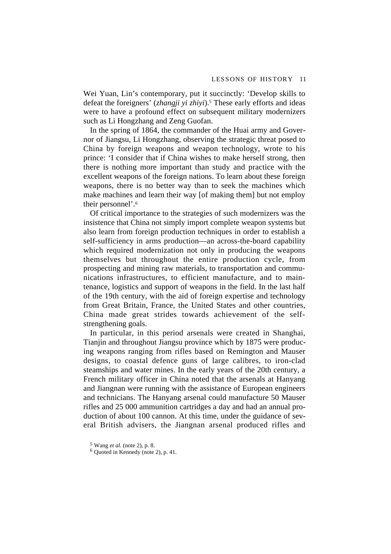Wei Yuan, Lin's contemporary, put it succinctly: 'Develop skills to defeat the foreigners' (*zhangji yi zhiyi*).<sup>5</sup> These early efforts and ideas were to have a profound effect on subsequent military modernizers such as Li Hongzhang and Zeng Guofan.

In the spring of 1864, the commander of the Huai army and Governor of Jiangsu, Li Hongzhang, observing the strategic threat posed to China by foreign weapons and weapon technology, wrote to his prince: 'I consider that if China wishes to make herself strong, then there is nothing more important than study and practice with the excellent weapons of the foreign nations. To learn about these foreign weapons, there is no better way than to seek the machines which make machines and learn their way [of making them] but not employ their personnel'.6

Of critical importance to the strategies of such modernizers was the insistence that China not simply import complete weapon systems but also learn from foreign production techniques in order to establish a self-sufficiency in arms production—an across-the-board capability which required modernization not only in producing the weapons themselves but throughout the entire production cycle, from prospecting and mining raw materials, to transportation and communications infrastructures, to efficient manufacture, and to maintenance, logistics and support of weapons in the field. In the last half of the 19th century, with the aid of foreign expertise and technology from Great Britain, France, the United States and other countries, China made great strides towards achievement of the selfstrengthening goals.

In particular, in this period arsenals were created in Shanghai, Tianjin and throughout Jiangsu province which by 1875 were producing weapons ranging from rifles based on Remington and Mauser designs, to coastal defence guns of large calibres, to iron-clad steamships and water mines. In the early years of the 20th century, a French military officer in China noted that the arsenals at Hanyang and Jiangnan were running with the assistance of European engineers and technicians. The Hanyang arsenal could manufacture 50 Mauser rifles and 25 000 ammunition cartridges a day and had an annual production of about 100 cannon. At this time, under the guidance of several British advisers, the Jiangnan arsenal produced rifles and

<sup>5</sup> Wang *et al.* (note 2), p. 8.

<sup>6</sup> Quoted in Kennedy (note 2), p. 41.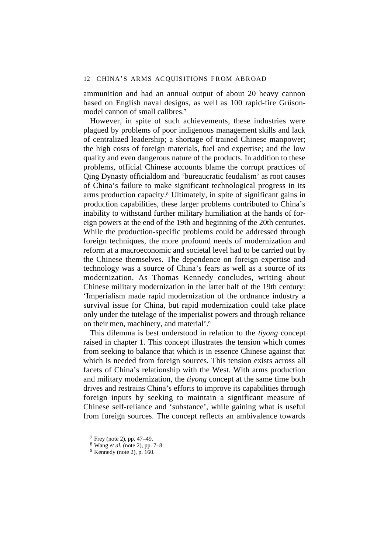ammunition and had an annual output of about 20 heavy cannon based on English naval designs, as well as 100 rapid-fire Grüsonmodel cannon of small calibres.7

However, in spite of such achievements, these industries were plagued by problems of poor indigenous management skills and lack of centralized leadership; a shortage of trained Chinese manpower; the high costs of foreign materials, fuel and expertise; and the low quality and even dangerous nature of the products. In addition to these problems, official Chinese accounts blame the corrupt practices of Qing Dynasty officialdom and 'bureaucratic feudalism' as root causes of China's failure to make significant technological progress in its arms production capacity.8 Ultimately, in spite of significant gains in production capabilities, these larger problems contributed to China's inability to withstand further military humiliation at the hands of foreign powers at the end of the 19th and beginning of the 20th centuries. While the production-specific problems could be addressed through foreign techniques, the more profound needs of modernization and reform at a macroeconomic and societal level had to be carried out by the Chinese themselves. The dependence on foreign expertise and technology was a source of China's fears as well as a source of its modernization. As Thomas Kennedy concludes, writing about Chinese military modernization in the latter half of the 19th century: 'Imperialism made rapid modernization of the ordnance industry a survival issue for China, but rapid modernization could take place only under the tutelage of the imperialist powers and through reliance on their men, machinery, and material'.9

This dilemma is best understood in relation to the *tiyong* concept raised in chapter 1. This concept illustrates the tension which comes from seeking to balance that which is in essence Chinese against that which is needed from foreign sources. This tension exists across all facets of China's relationship with the West. With arms production and military modernization, the *tiyong* concept at the same time both drives and restrains China's efforts to improve its capabilities through foreign inputs by seeking to maintain a significant measure of Chinese self-reliance and 'substance', while gaining what is useful from foreign sources. The concept reflects an ambivalence towards

<sup>7</sup> Frey (note 2), pp. 47–49.

<sup>8</sup> Wang *et al.* (note 2), pp. 7–8.

 $9$  Kennedy (note 2), p. 160.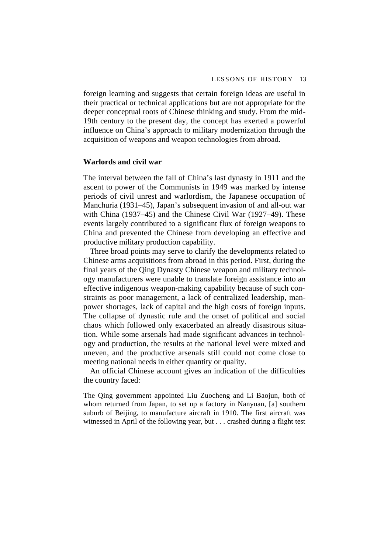foreign learning and suggests that certain foreign ideas are useful in their practical or technical applications but are not appropriate for the deeper conceptual roots of Chinese thinking and study. From the mid-19th century to the present day, the concept has exerted a powerful influence on China's approach to military modernization through the acquisition of weapons and weapon technologies from abroad.

#### **Warlords and civil war**

The interval between the fall of China's last dynasty in 1911 and the ascent to power of the Communists in 1949 was marked by intense periods of civil unrest and warlordism, the Japanese occupation of Manchuria (1931–45), Japan's subsequent invasion of and all-out war with China (1937–45) and the Chinese Civil War (1927–49). These events largely contributed to a significant flux of foreign weapons to China and prevented the Chinese from developing an effective and productive military production capability.

Three broad points may serve to clarify the developments related to Chinese arms acquisitions from abroad in this period. First, during the final years of the Qing Dynasty Chinese weapon and military technology manufacturers were unable to translate foreign assistance into an effective indigenous weapon-making capability because of such constraints as poor management, a lack of centralized leadership, manpower shortages, lack of capital and the high costs of foreign inputs. The collapse of dynastic rule and the onset of political and social chaos which followed only exacerbated an already disastrous situation. While some arsenals had made significant advances in technology and production, the results at the national level were mixed and uneven, and the productive arsenals still could not come close to meeting national needs in either quantity or quality.

An official Chinese account gives an indication of the difficulties the country faced:

The Qing government appointed Liu Zuocheng and Li Baojun, both of whom returned from Japan, to set up a factory in Nanyuan, [a] southern suburb of Beijing, to manufacture aircraft in 1910. The first aircraft was witnessed in April of the following year, but . . . crashed during a flight test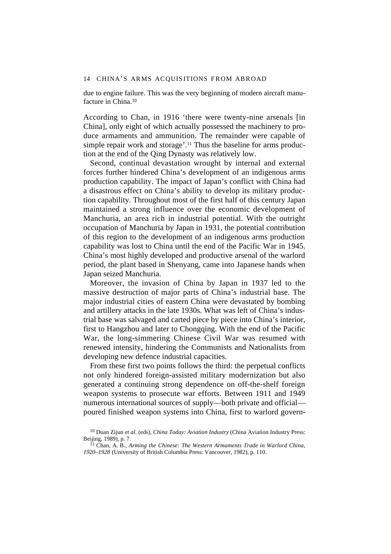due to engine failure. This was the very beginning of modern aircraft manufacture in China.10

According to Chan, in 1916 'there were twenty-nine arsenals [in China], only eight of which actually possessed the machinery to produce armaments and ammunition. The remainder were capable of simple repair work and storage'.11 Thus the baseline for arms production at the end of the Qing Dynasty was relatively low.

Second, continual devastation wrought by internal and external forces further hindered China's development of an indigenous arms production capability. The impact of Japan's conflict with China had a disastrous effect on China's ability to develop its military production capability. Throughout most of the first half of this century Japan maintained a strong influence over the economic development of Manchuria, an area rich in industrial potential. With the outright occupation of Manchuria by Japan in 1931, the potential contribution of this region to the development of an indigenous arms production capability was lost to China until the end of the Pacific War in 1945. China's most highly developed and productive arsenal of the warlord period, the plant based in Shenyang, came into Japanese hands when Japan seized Manchuria.

Moreover, the invasion of China by Japan in 1937 led to the massive destruction of major parts of China's industrial base. The major industrial cities of eastern China were devastated by bombing and artillery attacks in the late 1930s. What was left of China's industrial base was salvaged and carted piece by piece into China's interior, first to Hangzhou and later to Chongqing. With the end of the Pacific War, the long-simmering Chinese Civil War was resumed with renewed intensity, hindering the Communists and Nationalists from developing new defence industrial capacities.

From these first two points follows the third: the perpetual conflicts not only hindered foreign-assisted military modernization but also generated a continuing strong dependence on off-the-shelf foreign weapon systems to prosecute war efforts. Between 1911 and 1949 numerous international sources of supply—both private and official poured finished weapon systems into China, first to warlord govern-

<sup>10</sup> Duan Zijun *et al*. (eds), *China Today: Aviation Industry* (China Aviation Industry Press: Beijing, 1989), p. 7.

<sup>11</sup> Chan, A. B., *Arming the Chinese: The Western Armaments Trade in Warlord China, 1920–1928* (University of British Columbia Press: Vancouver, 1982), p. 110.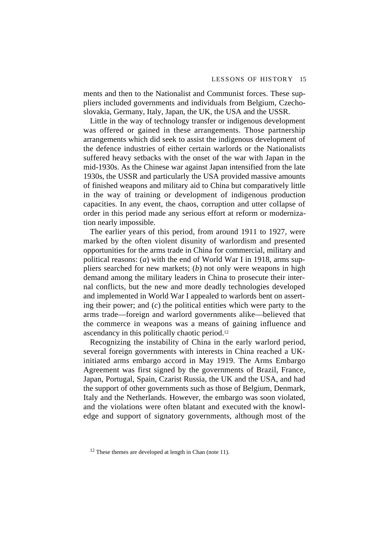ments and then to the Nationalist and Communist forces. These suppliers included governments and individuals from Belgium, Czechoslovakia, Germany, Italy, Japan, the UK, the USA and the USSR.

Little in the way of technology transfer or indigenous development was offered or gained in these arrangements. Those partnership arrangements which did seek to assist the indigenous development of the defence industries of either certain warlords or the Nationalists suffered heavy setbacks with the onset of the war with Japan in the mid-1930s. As the Chinese war against Japan intensified from the late 1930s, the USSR and particularly the USA provided massive amounts of finished weapons and military aid to China but comparatively little in the way of training or development of indigenous production capacities. In any event, the chaos, corruption and utter collapse of order in this period made any serious effort at reform or modernization nearly impossible.

The earlier years of this period, from around 1911 to 1927, were marked by the often violent disunity of warlordism and presented opportunities for the arms trade in China for commercial, military and political reasons: (*a*) with the end of World War I in 1918, arms suppliers searched for new markets; (*b*) not only were weapons in high demand among the military leaders in China to prosecute their internal conflicts, but the new and more deadly technologies developed and implemented in World War I appealed to warlords bent on asserting their power; and  $(c)$  the political entities which were party to the arms trade—foreign and warlord governments alike—believed that the commerce in weapons was a means of gaining influence and ascendancy in this politically chaotic period.12

Recognizing the instability of China in the early warlord period, several foreign governments with interests in China reached a UKinitiated arms embargo accord in May 1919. The Arms Embargo Agreement was first signed by the governments of Brazil, France, Japan, Portugal, Spain, Czarist Russia, the UK and the USA, and had the support of other governments such as those of Belgium, Denmark, Italy and the Netherlands. However, the embargo was soon violated, and the violations were often blatant and executed with the knowledge and support of signatory governments, although most of the

 $12$  These themes are developed at length in Chan (note 11).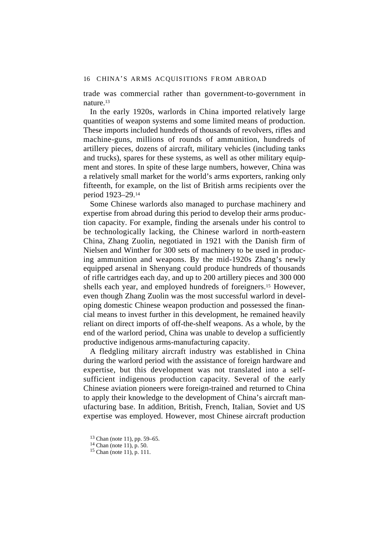#### 16 CHINA'S ARMS ACQUISITIONS FROM ABROAD

trade was commercial rather than government-to-government in nature.13

In the early 1920s, warlords in China imported relatively large quantities of weapon systems and some limited means of production. These imports included hundreds of thousands of revolvers, rifles and machine-guns, millions of rounds of ammunition, hundreds of artillery pieces, dozens of aircraft, military vehicles (including tanks and trucks), spares for these systems, as well as other military equipment and stores. In spite of these large numbers, however, China was a relatively small market for the world's arms exporters, ranking only fifteenth, for example, on the list of British arms recipients over the period 1923–29.14

Some Chinese warlords also managed to purchase machinery and expertise from abroad during this period to develop their arms production capacity. For example, finding the arsenals under his control to be technologically lacking, the Chinese warlord in north-eastern China, Zhang Zuolin, negotiated in 1921 with the Danish firm of Nielsen and Winther for 300 sets of machinery to be used in producing ammunition and weapons. By the mid-1920s Zhang's newly equipped arsenal in Shenyang could produce hundreds of thousands of rifle cartridges each day, and up to 200 artillery pieces and 300 000 shells each year, and employed hundreds of foreigners.15 However, even though Zhang Zuolin was the most successful warlord in developing domestic Chinese weapon production and possessed the financial means to invest further in this development, he remained heavily reliant on direct imports of off-the-shelf weapons. As a whole, by the end of the warlord period, China was unable to develop a sufficiently productive indigenous arms-manufacturing capacity.

A fledgling military aircraft industry was established in China during the warlord period with the assistance of foreign hardware and expertise, but this development was not translated into a selfsufficient indigenous production capacity. Several of the early Chinese aviation pioneers were foreign-trained and returned to China to apply their knowledge to the development of China's aircraft manufacturing base. In addition, British, French, Italian, Soviet and US expertise was employed. However, most Chinese aircraft production

<sup>13</sup> Chan (note 11), pp. 59–65.

<sup>14</sup> Chan (note 11), p. 50.

 $15$  Chan (note 11), p. 111.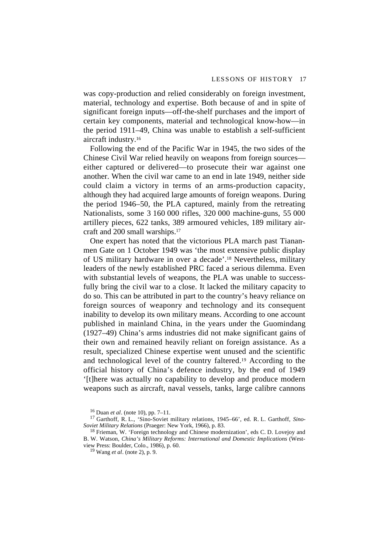was copy-production and relied considerably on foreign investment, material, technology and expertise. Both because of and in spite of significant foreign inputs—off-the-shelf purchases and the import of certain key components, material and technological know-how—in the period 1911–49, China was unable to establish a self-sufficient aircraft industry.16

Following the end of the Pacific War in 1945, the two sides of the Chinese Civil War relied heavily on weapons from foreign sources either captured or delivered—to prosecute their war against one another. When the civil war came to an end in late 1949, neither side could claim a victory in terms of an arms-production capacity, although they had acquired large amounts of foreign weapons. During the period 1946–50, the PLA captured, mainly from the retreating Nationalists, some 3 160 000 rifles, 320 000 machine-guns, 55 000 artillery pieces, 622 tanks, 389 armoured vehicles, 189 military aircraft and 200 small warships.17

One expert has noted that the victorious PLA march past Tiananmen Gate on 1 October 1949 was 'the most extensive public display of US military hardware in over a decade'.18 Nevertheless, military leaders of the newly established PRC faced a serious dilemma. Even with substantial levels of weapons, the PLA was unable to successfully bring the civil war to a close. It lacked the military capacity to do so. This can be attributed in part to the country's heavy reliance on foreign sources of weaponry and technology and its consequent inability to develop its own military means. According to one account published in mainland China, in the years under the Guomindang (1927–49) China's arms industries did not make significant gains of their own and remained heavily reliant on foreign assistance. As a result, specialized Chinese expertise went unused and the scientific and technological level of the country faltered.19 According to the official history of China's defence industry, by the end of 1949 '[t]here was actually no capability to develop and produce modern weapons such as aircraft, naval vessels, tanks, large calibre cannons

<sup>16</sup> Duan *et al*. (note 10), pp. 7–11.

<sup>17</sup> Garthoff, R. L., 'Sino-Soviet military relations, 1945–66', ed. R. L. Garthoff, *Sino-Soviet Military Relations* (Praeger: New York, 1966), p. 83.

<sup>18</sup> Frieman, W. 'Foreign technology and Chinese modernization', eds C. D. Lovejoy and B. W. Watson, *China's Military Reforms: International and Domestic Implications* (Westview Press: Boulder, Colo., 1986), p. 60.

<sup>19</sup> Wang *et al*. (note 2), p. 9.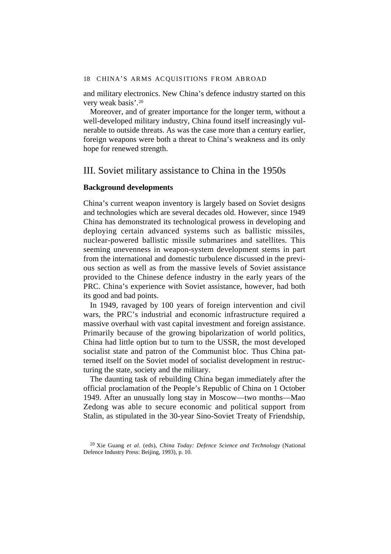<span id="page-27-0"></span>and military electronics. New China's defence industry started on this very weak basis'.20

Moreover, and of greater importance for the longer term, without a well-developed military industry, China found itself increasingly vulnerable to outside threats. As was the case more than a century earlier, foreign weapons were both a threat to China's weakness and its only hope for renewed strength.

## III. Soviet military assistance to China in the 1950s

#### **Background developments**

China's current weapon inventory is largely based on Soviet designs and technologies which are several decades old. However, since 1949 China has demonstrated its technological prowess in developing and deploying certain advanced systems such as ballistic missiles, nuclear-powered ballistic missile submarines and satellites. This seeming unevenness in weapon-system development stems in part from the international and domestic turbulence discussed in the previous section as well as from the massive levels of Soviet assistance provided to the Chinese defence industry in the early years of the PRC. China's experience with Soviet assistance, however, had both its good and bad points.

In 1949, ravaged by 100 years of foreign intervention and civil wars, the PRC's industrial and economic infrastructure required a massive overhaul with vast capital investment and foreign assistance. Primarily because of the growing bipolarization of world politics, China had little option but to turn to the USSR, the most developed socialist state and patron of the Communist bloc. Thus China patterned itself on the Soviet model of socialist development in restructuring the state, society and the military.

The daunting task of rebuilding China began immediately after the official proclamation of the People's Republic of China on 1 October 1949. After an unusually long stay in Moscow—two months—Mao Zedong was able to secure economic and political support from Stalin, as stipulated in the 30-year Sino-Soviet Treaty of Friendship,

<sup>20</sup> Xie Guang *et al*. (eds), *China Today: Defence Science and Technology* (National Defence Industry Press: Beijing, 1993), p. 10.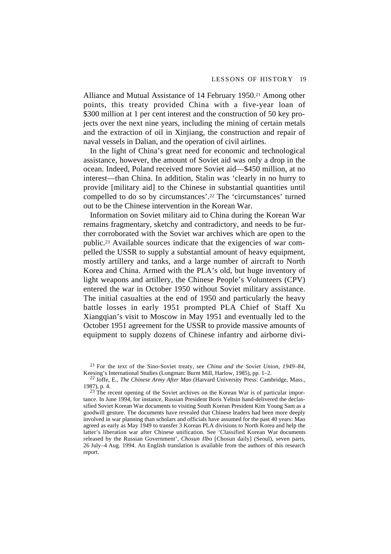Alliance and Mutual Assistance of 14 February 1950.21 Among other points, this treaty provided China with a five-year loan of \$300 million at 1 per cent interest and the construction of 50 key projects over the next nine years, including the mining of certain metals and the extraction of oil in Xinjiang, the construction and repair of naval vessels in Dalian, and the operation of civil airlines.

In the light of China's great need for economic and technological assistance, however, the amount of Soviet aid was only a drop in the ocean. Indeed, Poland received more Soviet aid—\$450 million, at no interest—than China. In addition, Stalin was 'clearly in no hurry to provide [military aid] to the Chinese in substantial quantities until compelled to do so by circumstances'.22 The 'circumstances' turned out to be the Chinese intervention in the Korean War.

Information on Soviet military aid to China during the Korean War remains fragmentary, sketchy and contradictory, and needs to be further corroborated with the Soviet war archives which are open to the public.23 Available sources indicate that the exigencies of war compelled the USSR to supply a substantial amount of heavy equipment, mostly artillery and tanks, and a large number of aircraft to North Korea and China. Armed with the PLA's old, but huge inventory of light weapons and artillery, the Chinese People's Volunteers (CPV) entered the war in October 1950 without Soviet military assistance. The initial casualties at the end of 1950 and particularly the heavy battle losses in early 1951 prompted PLA Chief of Staff Xu Xiangqian's visit to Moscow in May 1951 and eventually led to the October 1951 agreement for the USSR to provide massive amounts of equipment to supply dozens of Chinese infantry and airborne divi-

21 For the text of the Sino-Soviet treaty, see *China and the Soviet Union, 1949–84*, Keesing's International Studies (Longman: Burnt Mill, Harlow, 1985), pp. 1–2.

22 Joffe, E., *The Chinese Army After Mao* (Harvard University Press: Cambridge, Mass., 1987), p. 4.

 $23$  The recent opening of the Soviet archives on the Korean War is of particular importance. In June 1994, for instance, Russian President Boris Yeltsin hand-delivered the declassified Soviet Korean War documents to visiting South Korean President Kim Young Sam as a goodwill gesture. The documents have revealed that Chinese leaders had been more deeply involved in war planning than scholars and officials have assumed for the past 40 years: Mao agreed as early as May 1949 to transfer 3 Korean PLA divisions to North Korea and help the latter's liberation war after Chinese unification. See 'Classified Korean War documents released by the Russian Government', *Chosun Ilbo* [Chosun daily] (Seoul), seven parts, 26 July–4 Aug. 1994. An English translation is available from the authors of this research report.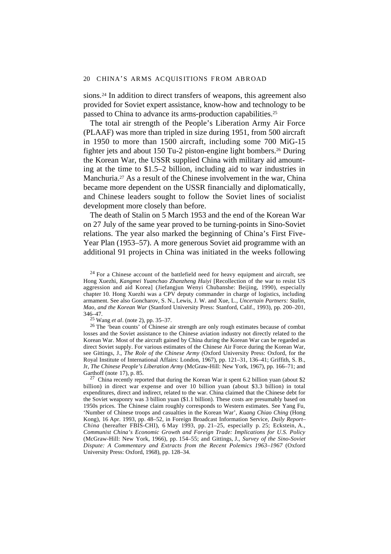sions.24 In addition to direct transfers of weapons, this agreement also provided for Soviet expert assistance, know-how and technology to be passed to China to advance its arms-production capabilities.25

The total air strength of the People's Liberation Army Air Force (PLAAF) was more than tripled in size during 1951, from 500 aircraft in 1950 to more than 1500 aircraft, including some 700 MiG-15 fighter jets and about 150 Tu-2 piston-engine light bombers.<sup>26</sup> During the Korean War, the USSR supplied China with military aid amounting at the time to \$1.5–2 billion, including aid to war industries in Manchuria.27 As a result of the Chinese involvement in the war, China became more dependent on the USSR financially and diplomatically, and Chinese leaders sought to follow the Soviet lines of socialist development more closely than before.

The death of Stalin on 5 March 1953 and the end of the Korean War on 27 July of the same year proved to be turning-points in Sino-Soviet relations. The year also marked the beginning of China's First Five-Year Plan (1953–57). A more generous Soviet aid programme with an additional 91 projects in China was initiated in the weeks following

 $24$  For a Chinese account of the battlefield need for heavy equipment and aircraft, see Hong Xuezhi, *Kangmei Yuanchao Zhanzheng Huiyi* [Recollection of the war to resist US aggression and aid Korea] (Jiefangjun Wenyi Chubanshe: Beijing, 1990), especially chapter 10. Hong Xuezhi was a CPV deputy commander in charge of logistics, including armament. See also Goncharov, S. N., Lewis, J. W. and Xue, L., *Uncertain Partners: Stalin, Mao, and the Korean War* (Stanford University Press: Stanford, Calif., 1993), pp. 200–201, 346–47.

25 Wang *et al*. (note 2), pp. 35–37.

<sup>26</sup> The 'bean counts' of Chinese air strength are only rough estimates because of combat losses and the Soviet assistance to the Chinese aviation industry not directly related to the Korean War. Most of the aircraft gained by China during the Korean War can be regarded as direct Soviet supply. For various estimates of the Chinese Air Force during the Korean War, see Gittings, J., *The Role of the Chinese Army* (Oxford University Press: Oxford, for the Royal Institute of International Affairs: London, 1967), pp. 121–31, 136–41; Griffith, S. B., Jr, *The Chinese People's Liberation Army* (McGraw-Hill: New York, 1967), pp. 166–71; and Garthoff (note 17), p. 85.

<sup>27</sup> China recently reported that during the Korean War it spent 6.2 billion yuan (about \$2) billion) in direct war expense and over 10 billion yuan (about \$3.3 billion) in total expenditures, direct and indirect, related to the war. China claimed that the Chinese debt for the Soviet weaponry was 3 billion yuan (\$1.1 billion). These costs are presumably based on 1950s prices. The Chinese claim roughly corresponds to Western estimates. See Yang Fu, 'Number of Chinese troops and casualties in the Korean War', *Kuang Chiao Ching* (Hong Kong), 16 Apr. 1993, pp. 48–52, in Foreign Broadcast Information Service, *Daily Report– China* (hereafter FBIS-CHI), 6 May 1993, pp. 21–25, especially p. 25; Eckstein, A., *Communist China's Economic Growth and Foreign Trade: Implications for U.S. Policy* (McGraw-Hill: New York, 1966), pp. 154–55; and Gittings, J., *Survey of the Sino-Soviet Dispute: A Commentary and Extracts from the Recent Polemics 1963–1967* (Oxford University Press: Oxford, 1968), pp. 128–34.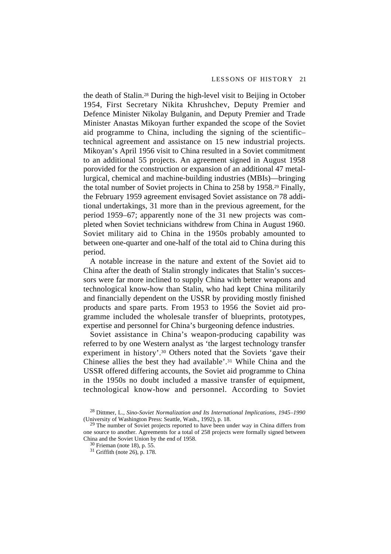the death of Stalin.28 During the high-level visit to Beijing in October 1954, First Secretary Nikita Khrushchev, Deputy Premier and Defence Minister Nikolay Bulganin, and Deputy Premier and Trade Minister Anastas Mikoyan further expanded the scope of the Soviet aid programme to China, including the signing of the scientific– technical agreement and assistance on 15 new industrial projects. Mikoyan's April 1956 visit to China resulted in a Soviet commitment to an additional 55 projects. An agreement signed in August 1958 porovided for the construction or expansion of an additional 47 metallurgical, chemical and machine-building industries (MBIs)—bringing the total number of Soviet projects in China to 258 by 1958.29 Finally, the February 1959 agreement envisaged Soviet assistance on 78 additional undertakings, 31 more than in the previous agreement, for the period 1959–67; apparently none of the 31 new projects was completed when Soviet technicians withdrew from China in August 1960. Soviet military aid to China in the 1950s probably amounted to between one-quarter and one-half of the total aid to China during this period.

A notable increase in the nature and extent of the Soviet aid to China after the death of Stalin strongly indicates that Stalin's successors were far more inclined to supply China with better weapons and technological know-how than Stalin, who had kept China militarily and financially dependent on the USSR by providing mostly finished products and spare parts. From 1953 to 1956 the Soviet aid programme included the wholesale transfer of blueprints, prototypes, expertise and personnel for China's burgeoning defence industries.

Soviet assistance in China's weapon-producing capability was referred to by one Western analyst as 'the largest technology transfer experiment in history'.30 Others noted that the Soviets 'gave their Chinese allies the best they had available'.31 While China and the USSR offered differing accounts, the Soviet aid programme to China in the 1950s no doubt included a massive transfer of equipment, technological know-how and personnel. According to Soviet

<sup>28</sup> Dittmer, L., *Sino-Soviet Normalization and Its International Implications, 1945–1990* (University of Washington Press: Seattle, Wash., 1992), p. 18.

 $29$  The number of Soviet projects reported to have been under way in China differs from one source to another. Agreements for a total of 258 projects were formally signed between China and the Soviet Union by the end of 1958.

<sup>30</sup> Frieman (note 18), p. 55.

 $31$  Griffith (note 26), p. 178.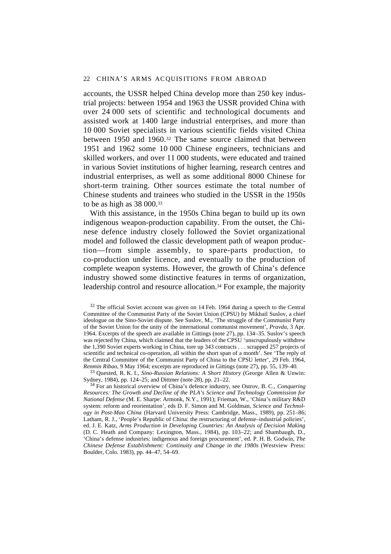accounts, the USSR helped China develop more than 250 key industrial projects: between 1954 and 1963 the USSR provided China with over 24 000 sets of scientific and technological documents and assisted work at 1400 large industrial enterprises, and more than 10 000 Soviet specialists in various scientific fields visited China between 1950 and 1960.32 The same source claimed that between 1951 and 1962 some 10 000 Chinese engineers, technicians and skilled workers, and over 11 000 students, were educated and trained in various Soviet institutions of higher learning, research centres and industrial enterprises, as well as some additional 8000 Chinese for short-term training. Other sources estimate the total number of Chinese students and trainees who studied in the USSR in the 1950s to be as high as  $38\,000$ .<sup>33</sup>

With this assistance, in the 1950s China began to build up its own indigenous weapon-production capability. From the outset, the Chinese defence industry closely followed the Soviet organizational model and followed the classic development path of weapon production—from simple assembly, to spare-parts production, to co-production under licence, and eventually to the production of complete weapon systems. However, the growth of China's defence industry showed some distinctive features in terms of organization, leadership control and resource allocation.<sup>34</sup> For example, the majority

 $32$  The official Soviet account was given on 14 Feb. 1964 during a speech to the Central Committee of the Communist Party of the Soviet Union (CPSU) by Mikhail Suslov, a chief ideologue on the Sino-Soviet dispute. See Suslov, M., 'The struggle of the Communist Party of the Soviet Union for the unity of the international communist movement', *Pravda*, 3 Apr. 1964. Excerpts of the speech are available in Gittings (note 27), pp. 134–35. Suslov's speech was rejected by China, which claimed that the leaders of the CPSU 'unscrupulously withdrew the 1,390 Soviet experts working in China, tore up 343 contracts . . . scrapped 257 projects of scientific and technical co-operation, all within the short span of a month'. See 'The reply of the Central Committee of the Communist Party of China to the CPSU letter', 29 Feb. 1964, *Renmin Ribao*, 9 May 1964; excerpts are reproduced in Gittings (note 27), pp. 55, 139–40.

33 Quested, R. K. I., *Sino-Russian Relations: A Short History* (George Allen & Unwin: Sydney, 1984), pp. 124–25; and Dittmer (note 28), pp. 21–22.

34 For an historical overview of China's defence industry, see Ostrov, B. C., *Conquering Resources: The Growth and Decline of the PLA's Science and Technology Commission for National Defense* (M. E. Sharpe: Armonk, N.Y., 1991); Frieman, W., 'China's military R&D system: reform and reorientation', eds D. F. Simon and M. Goldman, *Science and Technology in Post-Mao China* (Harvard University Press: Cambridge, Mass., 1989), pp. 251–86; Latham, R. J., 'People's Republic of China: the restructuring of defense–industrial policies', ed. J. E. Katz, *Arms Production in Developing Countries: An Analysis of Decision Making* (D. C. Heath and Company: Lexington, Mass., 1984), pp. 103–22; and Shambaugh, D., 'China's defense industries: indigenous and foreign procurement', ed. P. H. B. Godwin, *The Chinese Defense Establishment: Continuity and Change in the 1980s (Westview Press:* Boulder, Colo. 1983), pp. 44–47, 54–69.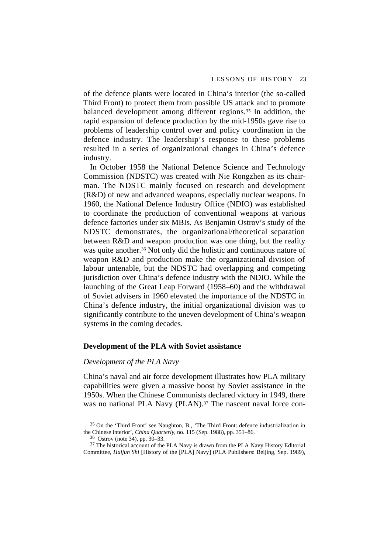of the defence plants were located in China's interior (the so-called Third Front) to protect them from possible US attack and to promote balanced development among different regions.35 In addition, the rapid expansion of defence production by the mid-1950s gave rise to problems of leadership control over and policy coordination in the defence industry. The leadership's response to these problems resulted in a series of organizational changes in China's defence industry.

In October 1958 the National Defence Science and Technology Commission (NDSTC) was created with Nie Rongzhen as its chairman. The NDSTC mainly focused on research and development (R&D) of new and advanced weapons, especially nuclear weapons. In 1960, the National Defence Industry Office (NDIO) was established to coordinate the production of conventional weapons at various defence factories under six MBIs. As Benjamin Ostrov's study of the NDSTC demonstrates, the organizational/theoretical separation between R&D and weapon production was one thing, but the reality was quite another.36 Not only did the holistic and continuous nature of weapon R&D and production make the organizational division of labour untenable, but the NDSTC had overlapping and competing jurisdiction over China's defence industry with the NDIO. While the launching of the Great Leap Forward (1958–60) and the withdrawal of Soviet advisers in 1960 elevated the importance of the NDSTC in China's defence industry, the initial organizational division was to significantly contribute to the uneven development of China's weapon systems in the coming decades.

#### **Development of the PLA with Soviet assistance**

#### *Development of the PLA Navy*

China's naval and air force development illustrates how PLA military capabilities were given a massive boost by Soviet assistance in the 1950s. When the Chinese Communists declared victory in 1949, there was no national PLA Navy (PLAN).<sup>37</sup> The nascent naval force con-

<sup>35</sup> On the 'Third Front' see Naughton, B., 'The Third Front: defence industrialization in the Chinese interior', *China Quarterly*, no. 115 (Sep. 1988), pp. 351–86.

<sup>36</sup> Ostrov (note 34), pp. 30–33.

 $37$  The historical account of the PLA Navy is drawn from the PLA Navy History Editorial Committee, *Haijun Shi* [History of the [PLA] Navy] (PLA Publishers: Beijing, Sep. 1989),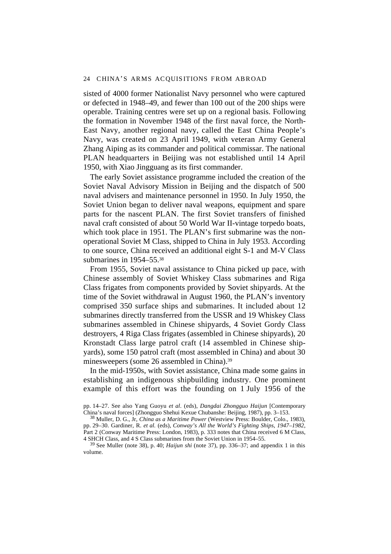sisted of 4000 former Nationalist Navy personnel who were captured or defected in 1948–49, and fewer than 100 out of the 200 ships were operable. Training centres were set up on a regional basis. Following the formation in November 1948 of the first naval force, the North-East Navy, another regional navy, called the East China People's Navy, was created on 23 April 1949, with veteran Army General Zhang Aiping as its commander and political commissar. The national PLAN headquarters in Beijing was not established until 14 April 1950, with Xiao Jingguang as its first commander.

The early Soviet assistance programme included the creation of the Soviet Naval Advisory Mission in Beijing and the dispatch of 500 naval advisers and maintenance personnel in 1950. In July 1950, the Soviet Union began to deliver naval weapons, equipment and spare parts for the nascent PLAN. The first Soviet transfers of finished naval craft consisted of about 50 World War II-vintage torpedo boats, which took place in 1951. The PLAN's first submarine was the nonoperational Soviet M Class, shipped to China in July 1953. According to one source, China received an additional eight S-1 and M-V Class submarines in 1954–55.38

From 1955, Soviet naval assistance to China picked up pace, with Chinese assembly of Soviet Whiskey Class submarines and Riga Class frigates from components provided by Soviet shipyards. At the time of the Soviet withdrawal in August 1960, the PLAN's inventory comprised 350 surface ships and submarines. It included about 12 submarines directly transferred from the USSR and 19 Whiskey Class submarines assembled in Chinese shipyards, 4 Soviet Gordy Class destroyers, 4 Riga Class frigates (assembled in Chinese shipyards), 20 Kronstadt Class large patrol craft (14 assembled in Chinese shipyards), some 150 patrol craft (most assembled in China) and about 30 minesweepers (some 26 assembled in China).39

In the mid-1950s, with Soviet assistance, China made some gains in establishing an indigenous shipbuilding industry. One prominent example of this effort was the founding on 1 July 1956 of the

39 See Muller (note 38), p. 40; *Haijun shi* (note 37), pp. 336–37; and appendix 1 in this volume.

pp. 14–27. See also Yang Guoyu *et al*. (eds), *Dangdai Zhongguo Haijun* [Contemporary China's naval forces] (Zhongguo Shehui Kexue Chubanshe: Beijing, 1987), pp. 3–153.

<sup>38</sup> Muller, D. G., Jr, *China as a Maritime Power* (Westview Press: Boulder, Colo., 1983), pp. 29–30. Gardiner, R. *et al.* (eds), *Conway's All the World's Fighting Ships*, *1947–1982,* Part 2 (Conway Maritime Press: London, 1983), p. 333 notes that China received 6 M Class, 4 SHCH Class, and 4 S Class submarines from the Soviet Union in 1954–55.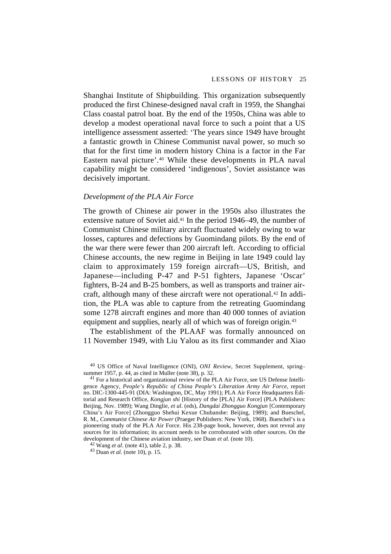Shanghai Institute of Shipbuilding. This organization subsequently produced the first Chinese-designed naval craft in 1959, the Shanghai Class coastal patrol boat. By the end of the 1950s, China was able to develop a modest operational naval force to such a point that a US intelligence assessment asserted: 'The years since 1949 have brought a fantastic growth in Chinese Communist naval power, so much so that for the first time in modern history China is a factor in the Far Eastern naval picture'.40 While these developments in PLA naval capability might be considered 'indigenous', Soviet assistance was decisively important.

#### *Development of the PLA Air Force*

The growth of Chinese air power in the 1950s also illustrates the extensive nature of Soviet aid.41 In the period 1946–49, the number of Communist Chinese military aircraft fluctuated widely owing to war losses, captures and defections by Guomindang pilots. By the end of the war there were fewer than 200 aircraft left. According to official Chinese accounts, the new regime in Beijing in late 1949 could lay claim to approximately 159 foreign aircraft—US, British, and Japanese—including P-47 and P-51 fighters, Japanese 'Oscar' fighters, B-24 and B-25 bombers, as well as transports and trainer aircraft, although many of these aircraft were not operational.<sup>42</sup> In addition, the PLA was able to capture from the retreating Guomindang some 1278 aircraft engines and more than 40 000 tonnes of aviation equipment and supplies, nearly all of which was of foreign origin.<sup>43</sup>

The establishment of the PLAAF was formally announced on 11 November 1949, with Liu Yalou as its first commander and Xiao

40 US Office of Naval Intelligence (ONI), *ONI Review*, Secret Supplement, spring– summer 1957, p. 44, as cited in Muller (note 38), p. 32.

<sup>41</sup> For a historical and organizational review of the PLA Air Force, see US Defense Intelligence Agency, *People's Republic of China People's Liberation Army Air Force*, report no. DIC-1300-445-91 (DIA: Washington, DC, May 1991); PLA Air Force Headquarters Editorial and Research Office, *Kongjun shi* [History of the [PLA] Air Force] (PLA Publishers: Beijing, Nov. 1989); Wang Dinglie, *et al*. (eds), *Dangdai Zhongguo Kongjun* [Contemporary China's Air Force] (Zhongguo Shehui Kexue Chubanshe: Beijing, 1989); and Bueschel, R. M., *Communist Chinese Air Power* (Praeger Publishers: New York, 1968). Bueschel's is a pioneering study of the PLA Air Force. His 238-page book, however, does not reveal any sources for its information; its account needs to be corroborated with other sources. On the development of the Chinese aviation industry, see Duan *et al.* (note 10).

42 Wang *et al*. (note 41), table 2, p. 38.

<sup>43</sup> Duan *et al.* (note 10), p. 15.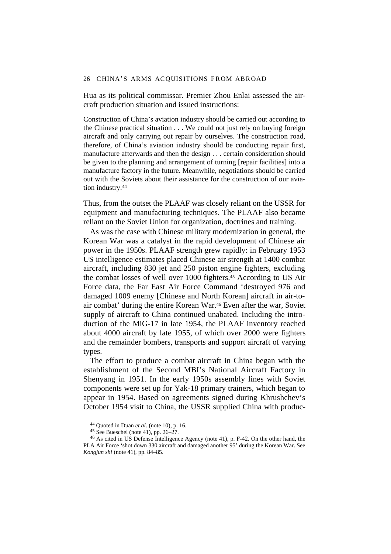Hua as its political commissar. Premier Zhou Enlai assessed the aircraft production situation and issued instructions:

Construction of China's aviation industry should be carried out according to the Chinese practical situation . . . We could not just rely on buying foreign aircraft and only carrying out repair by ourselves. The construction road, therefore, of China's aviation industry should be conducting repair first, manufacture afterwards and then the design . . . certain consideration should be given to the planning and arrangement of turning [repair facilities] into a manufacture factory in the future. Meanwhile, negotiations should be carried out with the Soviets about their assistance for the construction of our aviation industry.<sup>44</sup>

Thus, from the outset the PLAAF was closely reliant on the USSR for equipment and manufacturing techniques. The PLAAF also became reliant on the Soviet Union for organization, doctrines and training.

As was the case with Chinese military modernization in general, the Korean War was a catalyst in the rapid development of Chinese air power in the 1950s. PLAAF strength grew rapidly: in February 1953 US intelligence estimates placed Chinese air strength at 1400 combat aircraft, including 830 jet and 250 piston engine fighters, excluding the combat losses of well over 1000 fighters.45 According to US Air Force data, the Far East Air Force Command 'destroyed 976 and damaged 1009 enemy [Chinese and North Korean] aircraft in air-toair combat' during the entire Korean War.46 Even after the war, Soviet supply of aircraft to China continued unabated. Including the introduction of the MiG-17 in late 1954, the PLAAF inventory reached about 4000 aircraft by late 1955, of which over 2000 were fighters and the remainder bombers, transports and support aircraft of varying types.

The effort to produce a combat aircraft in China began with the establishment of the Second MBI's National Aircraft Factory in Shenyang in 1951. In the early 1950s assembly lines with Soviet components were set up for Yak-18 primary trainers, which began to appear in 1954. Based on agreements signed during Khrushchev's October 1954 visit to China, the USSR supplied China with produc-

<sup>44</sup> Quoted in Duan *et al*. (note 10), p. 16.

<sup>45</sup> See Bueschel (note 41), pp. 26–27.

<sup>46</sup> As cited in US Defense Intelligence Agency (note 41), p. F-42. On the other hand, the PLA Air Force 'shot down 330 aircraft and damaged another 95' during the Korean War. See *Kongjun shi* (note 41), pp. 84–85.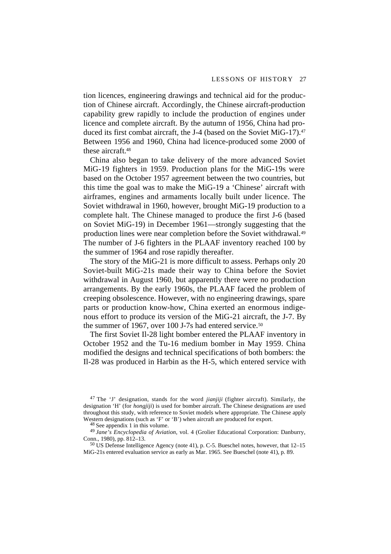tion licences, engineering drawings and technical aid for the production of Chinese aircraft. Accordingly, the Chinese aircraft-production capability grew rapidly to include the production of engines under licence and complete aircraft. By the autumn of 1956, China had produced its first combat aircraft, the J-4 (based on the Soviet MiG-17).<sup>47</sup> Between 1956 and 1960, China had licence-produced some 2000 of these aircraft.48

China also began to take delivery of the more advanced Soviet MiG-19 fighters in 1959. Production plans for the MiG-19s were based on the October 1957 agreement between the two countries, but this time the goal was to make the MiG-19 a 'Chinese' aircraft with airframes, engines and armaments locally built under licence. The Soviet withdrawal in 1960, however, brought MiG-19 production to a complete halt. The Chinese managed to produce the first J-6 (based on Soviet MiG-19) in December 1961—strongly suggesting that the production lines were near completion before the Soviet withdrawal.49 The number of J-6 fighters in the PLAAF inventory reached 100 by the summer of 1964 and rose rapidly thereafter.

The story of the MiG-21 is more difficult to assess. Perhaps only 20 Soviet-built MiG-21s made their way to China before the Soviet withdrawal in August 1960, but apparently there were no production arrangements. By the early 1960s, the PLAAF faced the problem of creeping obsolescence. However, with no engineering drawings, spare parts or production know-how, China exerted an enormous indigenous effort to produce its version of the MiG-21 aircraft, the J-7. By the summer of 1967, over 100 J-7s had entered service.<sup>50</sup>

The first Soviet Il-28 light bomber entered the PLAAF inventory in October 1952 and the Tu-16 medium bomber in May 1959. China modified the designs and technical specifications of both bombers: the Il-28 was produced in Harbin as the H-5, which entered service with

<sup>47</sup> The 'J' designation, stands for the word *jianjiji* (fighter aircraft). Similarly, the designation 'H' (for *hongjiji*) is used for bomber aircraft. The Chinese designations are used throughout this study, with reference to Soviet models where appropriate. The Chinese apply Western designations (such as 'F' or 'B') when aircraft are produced for export.

<sup>48</sup> See appendix 1 in this volume.

<sup>49</sup> *Jane's Encyclopedia of Aviation*, vol. 4 (Grolier Educational Corporation: Danburry, Conn., 1980), pp. 812–13.

50 US Defense Intelligence Agency (note 41), p. C-5. Bueschel notes, however, that 12–15 MiG-21s entered evaluation service as early as Mar. 1965. See Bueschel (note 41), p. 89.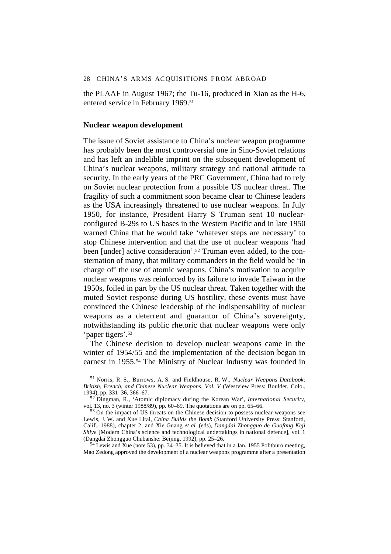the PLAAF in August 1967; the Tu-16, produced in Xian as the H-6, entered service in February 1969.<sup>51</sup>

#### **Nuclear weapon development**

The issue of Soviet assistance to China's nuclear weapon programme has probably been the most controversial one in Sino-Soviet relations and has left an indelible imprint on the subsequent development of China's nuclear weapons, military strategy and national attitude to security. In the early years of the PRC Government, China had to rely on Soviet nuclear protection from a possible US nuclear threat. The fragility of such a commitment soon became clear to Chinese leaders as the USA increasingly threatened to use nuclear weapons. In July 1950, for instance, President Harry S Truman sent 10 nuclearconfigured B-29s to US bases in the Western Pacific and in late 1950 warned China that he would take 'whatever steps are necessary' to stop Chinese intervention and that the use of nuclear weapons 'had been [under] active consideration'.<sup>52</sup> Truman even added, to the consternation of many, that military commanders in the field would be 'in charge of' the use of atomic weapons. China's motivation to acquire nuclear weapons was reinforced by its failure to invade Taiwan in the 1950s, foiled in part by the US nuclear threat. Taken together with the muted Soviet response during US hostility, these events must have convinced the Chinese leadership of the indispensability of nuclear weapons as a deterrent and guarantor of China's sovereignty, notwithstanding its public rhetoric that nuclear weapons were only 'paper tigers'.53

The Chinese decision to develop nuclear weapons came in the winter of 1954/55 and the implementation of the decision began in earnest in 1955.54 The Ministry of Nuclear Industry was founded in

51 Norris, R. S., Burrows, A. S. and Fieldhouse, R. W., *Nuclear Weapons Databook: British, French, and Chinese Nuclear Weapons, Vol. V* (Westview Press: Boulder, Colo., 1994), pp. 331–36, 366–67.

52 Dingman, R., 'Atomic diplomacy during the Korean War', *International Security*, vol. 13, no. 3 (winter 1988/89), pp. 60–69. The quotations are on pp. 65–66.

53 On the impact of US threats on the Chinese decision to possess nuclear weapons see Lewis, J. W. and Xue Litai, *China Builds the Bomb* (Stanford University Press: Stanford, Calif., 1988), chapter 2; and Xie Guang *et al.* (eds), *Dangdai Zhongguo de Guofang Keji Shiye* [Modern China's science and technological undertakings in national defence], vol. 1 (Dangdai Zhongguo Chubanshe: Beijing, 1992), pp. 25–26.

 $^{54}$  Lewis and Xue (note 53), pp. 34–35. It is believed that in a Jan. 1955 Politburo meeting, Mao Zedong approved the development of a nuclear weapons programme after a presentation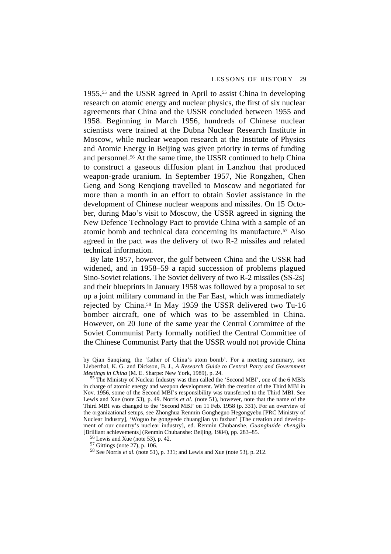1955,55 and the USSR agreed in April to assist China in developing research on atomic energy and nuclear physics, the first of six nuclear agreements that China and the USSR concluded between 1955 and 1958. Beginning in March 1956, hundreds of Chinese nuclear scientists were trained at the Dubna Nuclear Research Institute in Moscow, while nuclear weapon research at the Institute of Physics and Atomic Energy in Beijing was given priority in terms of funding and personnel.56 At the same time, the USSR continued to help China to construct a gaseous diffusion plant in Lanzhou that produced weapon-grade uranium. In September 1957, Nie Rongzhen, Chen Geng and Song Renqiong travelled to Moscow and negotiated for more than a month in an effort to obtain Soviet assistance in the development of Chinese nuclear weapons and missiles. On 15 October, during Mao's visit to Moscow, the USSR agreed in signing the New Defence Technology Pact to provide China with a sample of an atomic bomb and technical data concerning its manufacture.57 Also agreed in the pact was the delivery of two R-2 missiles and related technical information.

By late 1957, however, the gulf between China and the USSR had widened, and in 1958–59 a rapid succession of problems plagued Sino-Soviet relations. The Soviet delivery of two R-2 missiles (SS-2s) and their blueprints in January 1958 was followed by a proposal to set up a joint military command in the Far East, which was immediately rejected by China.58 In May 1959 the USSR delivered two Tu-16 bomber aircraft, one of which was to be assembled in China. However, on 20 June of the same year the Central Committee of the Soviet Communist Party formally notified the Central Committee of the Chinese Communist Party that the USSR would not provide China

by Qian Sanqiang, the 'father of China's atom bomb'. For a meeting summary, see Lieberthal, K. G. and Dickson, B. J., *A Research Guide to Central Party and Government Meetings in China* (M. E. Sharpe: New York, 1989), p. 24.

55 The Ministry of Nuclear Industry was then called the 'Second MBI', one of the 6 MBIs in charge of atomic energy and weapon development. With the creation of the Third MBI in Nov. 1956, some of the Second MBI's responsibility was transferred to the Third MBI. See Lewis and Xue (note 53), p. 49. Norris *et al.* (note 51), however, note that the name of the Third MBI was changed to the 'Second MBI' on 11 Feb. 1958 (p. 331). For an overview of the organizational setups, see Zhonghua Renmin Gongheguo Hegongyebu [PRC Ministry of Nuclear Industry], *'*Woguo he gongyede chuangjian yu fazhan' [The creation and development of our country's nuclear industry], ed. Renmin Chubanshe, *Guanghuide chengjiu* [Brilliant achievements] (Renmin Chubanshe: Beijing, 1984), pp. 283–85.

56 Lewis and Xue (note 53), p. 42.

57 Gittings (note 27), p. 106.

58 See Norris *et al.* (note 51), p. 331; and Lewis and Xue (note 53), p. 212.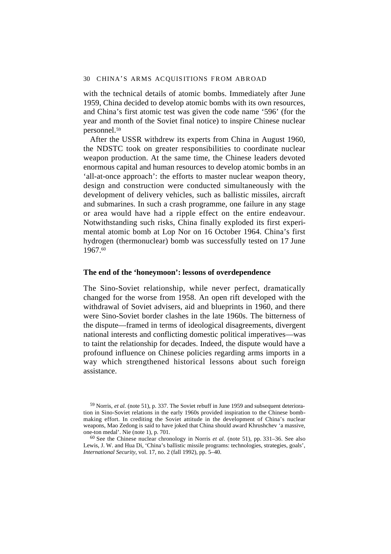with the technical details of atomic bombs. Immediately after June 1959, China decided to develop atomic bombs with its own resources, and China's first atomic test was given the code name '596' (for the year and month of the Soviet final notice) to inspire Chinese nuclear personnel.59

After the USSR withdrew its experts from China in August 1960, the NDSTC took on greater responsibilities to coordinate nuclear weapon production. At the same time, the Chinese leaders devoted enormous capital and human resources to develop atomic bombs in an 'all-at-once approach': the efforts to master nuclear weapon theory, design and construction were conducted simultaneously with the development of delivery vehicles, such as ballistic missiles, aircraft and submarines. In such a crash programme, one failure in any stage or area would have had a ripple effect on the entire endeavour. Notwithstanding such risks, China finally exploded its first experimental atomic bomb at Lop Nor on 16 October 1964. China's first hydrogen (thermonuclear) bomb was successfully tested on 17 June 1967.60

## **The end of the 'honeymoon': lessons of overdependence**

The Sino-Soviet relationship, while never perfect, dramatically changed for the worse from 1958. An open rift developed with the withdrawal of Soviet advisers, aid and blueprints in 1960, and there were Sino-Soviet border clashes in the late 1960s. The bitterness of the dispute—framed in terms of ideological disagreements, divergent national interests and conflicting domestic political imperatives—was to taint the relationship for decades. Indeed, the dispute would have a profound influence on Chinese policies regarding arms imports in a way which strengthened historical lessons about such foreign assistance.

59 Norris, *et al.* (note 51), p. 337. The Soviet rebuff in June 1959 and subsequent deterioration in Sino-Soviet relations in the early 1960s provided inspiration to the Chinese bombmaking effort. In crediting the Soviet attitude in the development of China's nuclear weapons, Mao Zedong is said to have joked that China should award Khrushchev 'a massive, one-ton medal'. Nie (note 1), p. 701.

60 See the Chinese nuclear chronology in Norris *et al.* (note 51), pp. 331–36. See also Lewis, J. W. and Hua Di, 'China's ballistic missile programs: technologies, strategies, goals', *International Security*, vol. 17, no. 2 (fall 1992), pp. 5–40.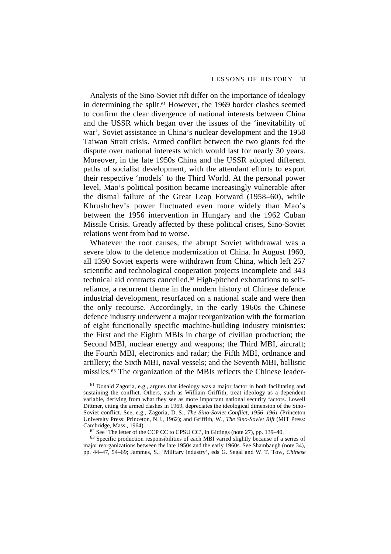Analysts of the Sino-Soviet rift differ on the importance of ideology in determining the split.61 However, the 1969 border clashes seemed to confirm the clear divergence of national interests between China and the USSR which began over the issues of the 'inevitability of war', Soviet assistance in China's nuclear development and the 1958 Taiwan Strait crisis. Armed conflict between the two giants fed the dispute over national interests which would last for nearly 30 years. Moreover, in the late 1950s China and the USSR adopted different paths of socialist development, with the attendant efforts to export their respective 'models' to the Third World. At the personal power level, Mao's political position became increasingly vulnerable after the dismal failure of the Great Leap Forward (1958–60), while Khrushchev's power fluctuated even more widely than Mao's between the 1956 intervention in Hungary and the 1962 Cuban Missile Crisis. Greatly affected by these political crises, Sino-Soviet relations went from bad to worse.

Whatever the root causes, the abrupt Soviet withdrawal was a severe blow to the defence modernization of China. In August 1960, all 1390 Soviet experts were withdrawn from China, which left 257 scientific and technological cooperation projects incomplete and 343 technical aid contracts cancelled.62 High-pitched exhortations to selfreliance, a recurrent theme in the modern history of Chinese defence industrial development, resurfaced on a national scale and were then the only recourse. Accordingly, in the early 1960s the Chinese defence industry underwent a major reorganization with the formation of eight functionally specific machine-building industry ministries: the First and the Eighth MBIs in charge of civilian production; the Second MBI, nuclear energy and weapons; the Third MBI, aircraft; the Fourth MBI, electronics and radar; the Fifth MBI, ordnance and artillery; the Sixth MBI, naval vessels; and the Seventh MBI, ballistic missiles.63 The organization of the MBIs reflects the Chinese leader-

61 Donald Zagoria, e.g., argues that ideology was a major factor in both facilitating and sustaining the conflict. Others, such as William Griffith, treat ideology as a dependent variable, deriving from what they see as more important national security factors. Lowell Dittmer, citing the armed clashes in 1969, depreciates the ideological dimension of the Sino-Soviet conflict. See, e.g., Zagoria, D. S., *The Sino-Soviet Conflict, 1956–1961* (Princeton University Press: Princeton, N.J., 1962); and Griffith, W., *The Sino-Soviet Rift* (MIT Press: Cambridge, Mass., 1964).

62 See 'The letter of the CCP CC to CPSU CC', in Gittings (note 27), pp. 139–40.

63 Specific production responsibilities of each MBI varied slightly because of a series of major reorganizations between the late 1950s and the early 1960s. See Shambaugh (note 34), pp. 44–47, 54–69; Jammes, S., 'Military industry', eds G. Segal and W. T. Tow, *Chinese*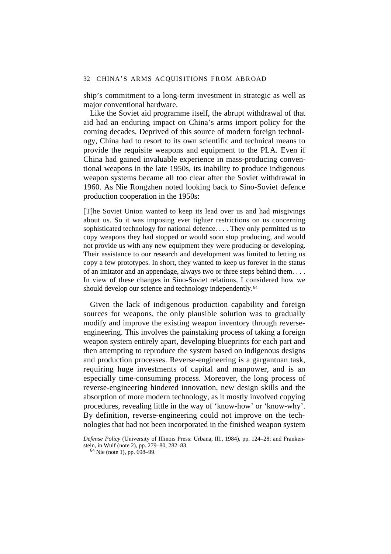ship's commitment to a long-term investment in strategic as well as major conventional hardware.

Like the Soviet aid programme itself, the abrupt withdrawal of that aid had an enduring impact on China's arms import policy for the coming decades. Deprived of this source of modern foreign technology, China had to resort to its own scientific and technical means to provide the requisite weapons and equipment to the PLA. Even if China had gained invaluable experience in mass-producing conventional weapons in the late 1950s, its inability to produce indigenous weapon systems became all too clear after the Soviet withdrawal in 1960. As Nie Rongzhen noted looking back to Sino-Soviet defence production cooperation in the 1950s:

[T]he Soviet Union wanted to keep its lead over us and had misgivings about us. So it was imposing ever tighter restrictions on us concerning sophisticated technology for national defence. . . . They only permitted us to copy weapons they had stopped or would soon stop producing, and would not provide us with any new equipment they were producing or developing. Their assistance to our research and development was limited to letting us copy a few prototypes. In short, they wanted to keep us forever in the status of an imitator and an appendage, always two or three steps behind them. . . . In view of these changes in Sino-Soviet relations, I considered how we should develop our science and technology independently.<sup>64</sup>

Given the lack of indigenous production capability and foreign sources for weapons, the only plausible solution was to gradually modify and improve the existing weapon inventory through reverseengineering. This involves the painstaking process of taking a foreign weapon system entirely apart, developing blueprints for each part and then attempting to reproduce the system based on indigenous designs and production processes. Reverse-engineering is a gargantuan task, requiring huge investments of capital and manpower, and is an especially time-consuming process. Moreover, the long process of reverse-engineering hindered innovation, new design skills and the absorption of more modern technology, as it mostly involved copying procedures, revealing little in the way of 'know-how' or 'know-why'. By definition, reverse-engineering could not improve on the technologies that had not been incorporated in the finished weapon system

*Defense Policy* (University of Illinois Press: Urbana, Ill., 1984), pp. 124–28; and Frankenstein, in Wulf (note 2), pp. 279–80, 282–83.

<sup>64</sup> Nie (note 1), pp. 698–99.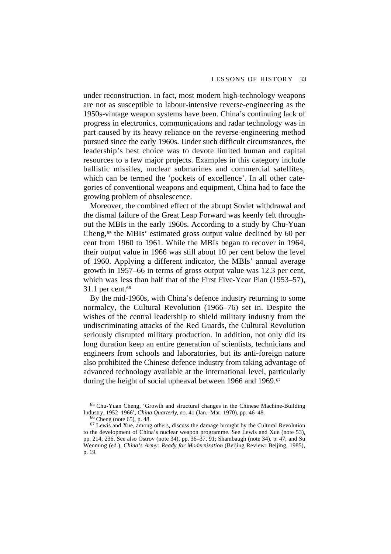under reconstruction. In fact, most modern high-technology weapons are not as susceptible to labour-intensive reverse-engineering as the 1950s-vintage weapon systems have been. China's continuing lack of progress in electronics, communications and radar technology was in part caused by its heavy reliance on the reverse-engineering method pursued since the early 1960s. Under such difficult circumstances, the leadership's best choice was to devote limited human and capital resources to a few major projects. Examples in this category include ballistic missiles, nuclear submarines and commercial satellites, which can be termed the 'pockets of excellence'. In all other categories of conventional weapons and equipment, China had to face the growing problem of obsolescence.

Moreover, the combined effect of the abrupt Soviet withdrawal and the dismal failure of the Great Leap Forward was keenly felt throughout the MBIs in the early 1960s. According to a study by Chu-Yuan Cheng,65 the MBIs' estimated gross output value declined by 60 per cent from 1960 to 1961. While the MBIs began to recover in 1964, their output value in 1966 was still about 10 per cent below the level of 1960. Applying a different indicator, the MBIs' annual average growth in 1957–66 in terms of gross output value was 12.3 per cent, which was less than half that of the First Five-Year Plan (1953–57), 31.1 per cent.66

By the mid-1960s, with China's defence industry returning to some normalcy, the Cultural Revolution (1966–76) set in. Despite the wishes of the central leadership to shield military industry from the undiscriminating attacks of the Red Guards, the Cultural Revolution seriously disrupted military production. In addition, not only did its long duration keep an entire generation of scientists, technicians and engineers from schools and laboratories, but its anti-foreign nature also prohibited the Chinese defence industry from taking advantage of advanced technology available at the international level, particularly during the height of social upheaval between 1966 and 1969.<sup>67</sup>

<sup>65</sup> Chu-Yuan Cheng, 'Growth and structural changes in the Chinese Machine-Building Industry, 1952–1966', *China Quarterly*, no. 41 (Jan.–Mar. 1970), pp. 46–48.

<sup>66</sup> Cheng (note 65), p. 48.

 $67$  Lewis and Xue, among others, discuss the damage brought by the Cultural Revolution to the development of China's nuclear weapon programme. See Lewis and Xue (note 53), pp. 214, 236. See also Ostrov (note 34), pp. 36–37, 91; Shambaugh (note 34), p. 47; and Su Wenming (ed.), *China's Army: Ready for Modernization* (Beijing Review: Beijing, 1985), p. 19.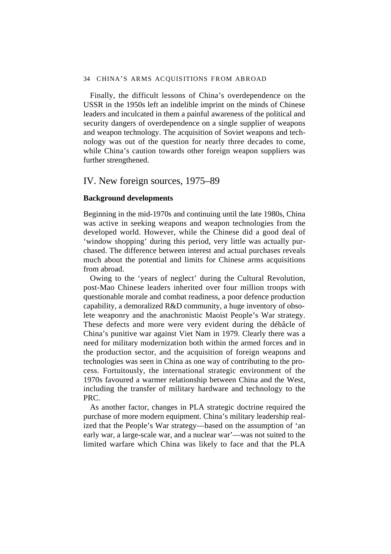## 34 CHINA'S ARMS ACQUISITIONS FROM ABROAD

Finally, the difficult lessons of China's overdependence on the USSR in the 1950s left an indelible imprint on the minds of Chinese leaders and inculcated in them a painful awareness of the political and security dangers of overdependence on a single supplier of weapons and weapon technology. The acquisition of Soviet weapons and technology was out of the question for nearly three decades to come, while China's caution towards other foreign weapon suppliers was further strengthened.

# IV. New foreign sources, 1975–89

## **Background developments**

Beginning in the mid-1970s and continuing until the late 1980s, China was active in seeking weapons and weapon technologies from the developed world. However, while the Chinese did a good deal of 'window shopping' during this period, very little was actually purchased. The difference between interest and actual purchases reveals much about the potential and limits for Chinese arms acquisitions from abroad.

Owing to the 'years of neglect' during the Cultural Revolution, post-Mao Chinese leaders inherited over four million troops with questionable morale and combat readiness, a poor defence production capability, a demoralized R&D community, a huge inventory of obsolete weaponry and the anachronistic Maoist People's War strategy. These defects and more were very evident during the débâcle of China's punitive war against Viet Nam in 1979. Clearly there was a need for military modernization both within the armed forces and in the production sector, and the acquisition of foreign weapons and technologies was seen in China as one way of contributing to the process. Fortuitously, the international strategic environment of the 1970s favoured a warmer relationship between China and the West, including the transfer of military hardware and technology to the PRC.

As another factor, changes in PLA strategic doctrine required the purchase of more modern equipment. China's military leadership realized that the People's War strategy—based on the assumption of 'an early war, a large-scale war, and a nuclear war'—was not suited to the limited warfare which China was likely to face and that the PLA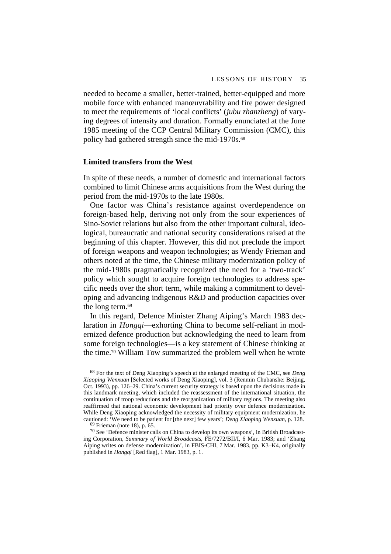needed to become a smaller, better-trained, better-equipped and more mobile force with enhanced manœuvrability and fire power designed to meet the requirements of 'local conflicts' (*jubu zhanzheng*) of varying degrees of intensity and duration. Formally enunciated at the June 1985 meeting of the CCP Central Military Commission (CMC), this policy had gathered strength since the mid-1970s.<sup>68</sup>

#### **Limited transfers from the West**

In spite of these needs, a number of domestic and international factors combined to limit Chinese arms acquisitions from the West during the period from the mid-1970s to the late 1980s.

One factor was China's resistance against overdependence on foreign-based help, deriving not only from the sour experiences of Sino-Soviet relations but also from the other important cultural, ideological, bureaucratic and national security considerations raised at the beginning of this chapter. However, this did not preclude the import of foreign weapons and weapon technologies; as Wendy Frieman and others noted at the time, the Chinese military modernization policy of the mid-1980s pragmatically recognized the need for a 'two-track' policy which sought to acquire foreign technologies to address specific needs over the short term, while making a commitment to developing and advancing indigenous R&D and production capacities over the long term.69

In this regard, Defence Minister Zhang Aiping's March 1983 declaration in *Hongqi*—exhorting China to become self-reliant in modernized defence production but acknowledging the need to learn from some foreign technologies—is a key statement of Chinese thinking at the time.70 William Tow summarized the problem well when he wrote

68 For the text of Deng Xiaoping's speech at the enlarged meeting of the CMC, see *Deng Xiaoping Wenxuan* [Selected works of Deng Xiaoping], vol. 3 (Renmin Chubanshe: Beijing, Oct. 1993), pp. 126–29. China's current security strategy is based upon the decisions made in this landmark meeting, which included the reassessment of the international situation, the continuation of troop reductions and the reorganization of military regions. The meeting also reaffirmed that national economic development had priority over defence modernization. While Deng Xiaoping acknowledged the necessity of military equipment modernization, he cautioned: 'We need to be patient for [the next] few years'; *Deng Xiaoping Wenxuan,* p. 128.

69 Frieman (note 18), p. 65.

70 See 'Defence minister calls on China to develop its own weapons', in British Broadcasting Corporation, *Summary of World Broadcasts*, FE/7272/BII/I, 6 Mar. 1983; and 'Zhang Aiping writes on defense modernization', in FBIS-CHI, 7 Mar. 1983, pp. K3–K4, originally published in *Hongqi* [Red flag], 1 Mar. 1983, p. 1.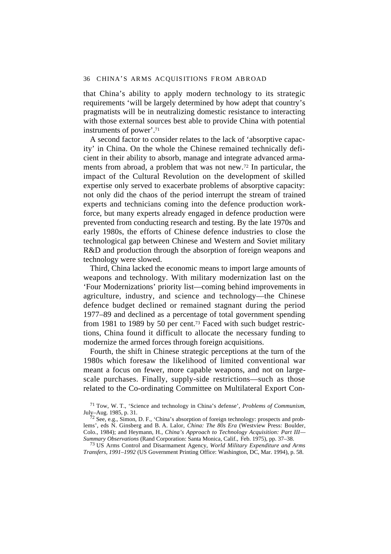that China's ability to apply modern technology to its strategic requirements 'will be largely determined by how adept that country's pragmatists will be in neutralizing domestic resistance to interacting with those external sources best able to provide China with potential instruments of power'.71

A second factor to consider relates to the lack of 'absorptive capacity' in China. On the whole the Chinese remained technically deficient in their ability to absorb, manage and integrate advanced armaments from abroad, a problem that was not new.72 In particular, the impact of the Cultural Revolution on the development of skilled expertise only served to exacerbate problems of absorptive capacity: not only did the chaos of the period interrupt the stream of trained experts and technicians coming into the defence production workforce, but many experts already engaged in defence production were prevented from conducting research and testing. By the late 1970s and early 1980s, the efforts of Chinese defence industries to close the technological gap between Chinese and Western and Soviet military R&D and production through the absorption of foreign weapons and technology were slowed.

Third, China lacked the economic means to import large amounts of weapons and technology. With military modernization last on the 'Four Modernizations' priority list—coming behind improvements in agriculture, industry, and science and technology—the Chinese defence budget declined or remained stagnant during the period 1977–89 and declined as a percentage of total government spending from 1981 to 1989 by 50 per cent.73 Faced with such budget restrictions, China found it difficult to allocate the necessary funding to modernize the armed forces through foreign acquisitions.

Fourth, the shift in Chinese strategic perceptions at the turn of the 1980s which foresaw the likelihood of limited conventional war meant a focus on fewer, more capable weapons, and not on largescale purchases. Finally, supply-side restrictions—such as those related to the Co-ordinating Committee on Multilateral Export Con-

73 US Arms Control and Disarmament Agency, *World Military Expenditure and Arms Transfers, 1991–1992* (US Government Printing Office: Washington, DC, Mar. 1994), p. 58.

<sup>71</sup> Tow, W. T., 'Science and technology in China's defense', *Problems of Communism*, July–Aug. 1985, p. 31.

 $72$  See, e.g., Simon, D. F., 'China's absorption of foreign technology: prospects and problems', eds N. Ginsberg and B. A. Lalor, *China: The 80s Era* (Westview Press: Boulder, Colo., 1984); and Heymann, H., *China's Approach to Technology Acquisition: Part III— Summary Observations* (Rand Corporation: Santa Monica, Calif., Feb. 1975), pp. 37–38.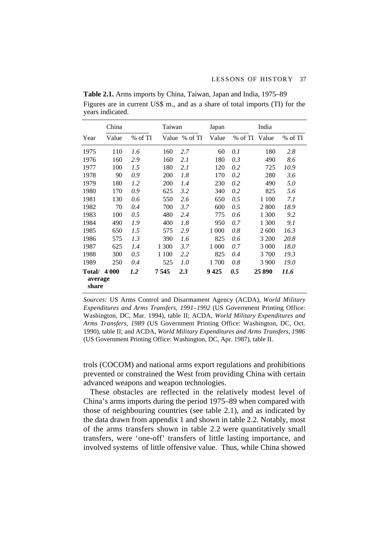| China                      |       | Taiwan  |       | Japan   |         | India         |        |         |
|----------------------------|-------|---------|-------|---------|---------|---------------|--------|---------|
| Year                       | Value | % of TI | Value | % of TI | Value   | % of TI Value |        | % of TI |
| 1975                       | 110   | 1.6     | 160   | 2.7     | 60      | 0.1           | 180    | 2.8     |
| 1976                       | 160   | 2.9     | 160   | 2.1     | 180     | 0.3           | 490    | 8.6     |
| 1977                       | 100   | 1.5     | 180   | 2.1     | 120     | 0.2           | 725    | 10.9    |
| 1978                       | 90    | 0.9     | 200   | 1.8     | 170     | 0.2           | 280    | 3.6     |
| 1979                       | 180   | 1.2     | 200   | 1.4     | 230     | 0.2           | 490    | 5.0     |
| 1980                       | 170   | 0.9     | 625   | 3.2     | 340     | 0.2           | 825    | 5.6     |
| 1981                       | 130   | 0.6     | 550   | 2.6     | 650     | 0.5           | 1 100  | 7.1     |
| 1982                       | 70    | 0.4     | 700   | 3.7     | 600     | 0.5           | 2800   | 18.9    |
| 1983                       | 100   | 0.5     | 480   | 2.4     | 775     | 0.6           | 1 300  | 9.2     |
| 1984                       | 490   | 1.9     | 400   | 1.8     | 950     | 0.7           | 1 300  | 9.1     |
| 1985                       | 650   | 1.5     | 575   | 2.9     | 1 0 0 0 | 0.8           | 2600   | 16.3    |
| 1986                       | 575   | 1.3     | 390   | 1.6     | 825     | 0.6           | 3 200  | 20.8    |
| 1987                       | 625   | 1.4     | 1 300 | 3.7     | 1 000   | 0.7           | 3 000  | 18.0    |
| 1988                       | 300   | 0.5     | 1 100 | 2.2     | 825     | 0.4           | 3700   | 19.3    |
| 1989                       | 250   | 0.4     | 525   | 1.0     | 1700    | 0.8           | 3 900  | 19.0    |
| Total/<br>average<br>share | 4 000 | 1.2     | 7545  | 2.3     | 9425    | 0.5           | 25 890 | 11.6    |

**Table 2.1.** Arms imports by China, Taiwan, Japan and India, 1975–89 Figures are in current US\$ m., and as a share of total imports (TI) for the years indicated.

*Sources:* US Arms Control and Disarmament Agency (ACDA), *World Military Expenditures and Arms Transfers, 1991–1992* (US Government Printing Office: Washington, DC, Mar. 1994), table II; ACDA, *World Military Expenditures and Arms Transfers, 1989* (US Government Printing Office: Washington, DC, Oct. 1990), table II; and ACDA, *World Military Expenditures and Arms Transfers, 1986* (US Government Printing Office: Washington, DC, Apr. 1987), table II.

trols (COCOM) and national arms export regulations and prohibitions prevented or constrained the West from providing China with certain advanced weapons and weapon technologies.

These obstacles are reflected in the relatively modest level of China's arms imports during the period 1975–89 when compared with those of neighbouring countries (see table 2.1), and as indicated by the data drawn from appendix 1 and shown in table 2.2. Notably, most of the arms transfers shown in table 2.2 were quantitatively small transfers, were 'one-off' transfers of little lasting importance, and involved systems of little offensive value. Thus, while China showed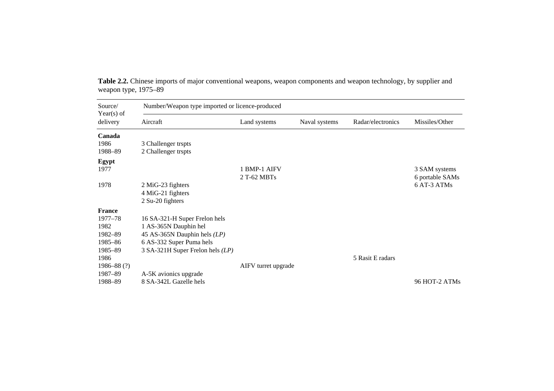**Table 2.2.** Chinese imports of major conventional weapons, weapon components and weapon technology, by supplier and weapon type, 1975–89

| Source/<br>Year(s) of | Number/Weapon type imported or licence-produced |                     |               |                   |                 |  |  |
|-----------------------|-------------------------------------------------|---------------------|---------------|-------------------|-----------------|--|--|
| delivery              | Aircraft                                        | Land systems        | Naval systems | Radar/electronics | Missiles/Other  |  |  |
| Canada                |                                                 |                     |               |                   |                 |  |  |
| 1986                  | 3 Challenger trspts                             |                     |               |                   |                 |  |  |
| 1988-89               | 2 Challenger trspts                             |                     |               |                   |                 |  |  |
| Egypt                 |                                                 |                     |               |                   |                 |  |  |
| 1977                  |                                                 | 1 BMP-1 AIFV        |               |                   | 3 SAM systems   |  |  |
|                       |                                                 | 2 T-62 MBTs         |               |                   | 6 portable SAMs |  |  |
| 1978                  | 2 MiG-23 fighters                               |                     |               |                   | 6 AT-3 ATMs     |  |  |
|                       | 4 MiG-21 fighters                               |                     |               |                   |                 |  |  |
|                       | 2 Su-20 fighters                                |                     |               |                   |                 |  |  |
| <b>France</b>         |                                                 |                     |               |                   |                 |  |  |
| 1977–78               | 16 SA-321-H Super Frelon hels                   |                     |               |                   |                 |  |  |
| 1982                  | 1 AS-365N Dauphin hel                           |                     |               |                   |                 |  |  |
| 1982-89               | 45 AS-365N Dauphin hels (LP)                    |                     |               |                   |                 |  |  |
| 1985-86               | 6 AS-332 Super Puma hels                        |                     |               |                   |                 |  |  |
| 1985-89               | 3 SA-321H Super Frelon hels (LP)                |                     |               |                   |                 |  |  |
| 1986                  |                                                 |                     |               | 5 Rasit E radars  |                 |  |  |
| $1986 - 88(?)$        |                                                 | AIFV turret upgrade |               |                   |                 |  |  |
| 1987–89               | A-5K avionics upgrade                           |                     |               |                   |                 |  |  |
| 1988-89               | 8 SA-342L Gazelle hels                          |                     |               |                   | 96 HOT-2 ATMs   |  |  |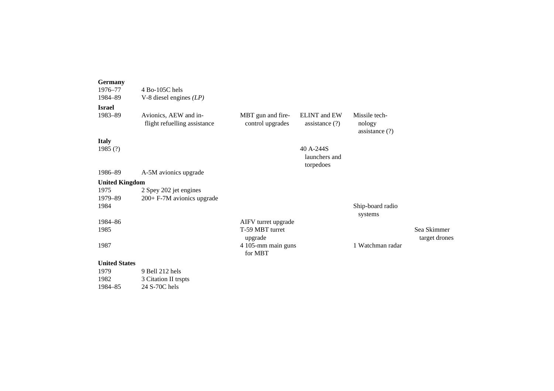| <b>Germany</b>        |                                                       |                                       |                                              |                                           |                              |
|-----------------------|-------------------------------------------------------|---------------------------------------|----------------------------------------------|-------------------------------------------|------------------------------|
| 1976-77               | $4$ Bo-105C hels                                      |                                       |                                              |                                           |                              |
| 1984-89               | V-8 diesel engines $(LP)$                             |                                       |                                              |                                           |                              |
| <b>Israel</b>         |                                                       |                                       |                                              |                                           |                              |
| 1983-89               | Avionics, AEW and in-<br>flight refuelling assistance | MBT gun and fire-<br>control upgrades | <b>ELINT</b> and <b>EW</b><br>assistance (?) | Missile tech-<br>nology<br>assistance (?) |                              |
| <b>Italy</b>          |                                                       |                                       |                                              |                                           |                              |
| 1985(?)               |                                                       |                                       | 40 A-244S<br>launchers and<br>torpedoes      |                                           |                              |
| 1986-89               | A-5M avionics upgrade                                 |                                       |                                              |                                           |                              |
| <b>United Kingdom</b> |                                                       |                                       |                                              |                                           |                              |
| 1975                  | 2 Spey 202 jet engines                                |                                       |                                              |                                           |                              |
| 1979-89               | 200+ F-7M avionics upgrade                            |                                       |                                              |                                           |                              |
| 1984                  |                                                       |                                       |                                              | Ship-board radio<br>systems               |                              |
| 1984-86               |                                                       | AIFV turret upgrade                   |                                              |                                           |                              |
| 1985                  |                                                       | T-59 MBT turret<br>upgrade            |                                              |                                           | Sea Skimmer<br>target drones |
| 1987                  |                                                       | 4 105-mm main guns<br>for MBT         |                                              | 1 Watchman radar                          |                              |
| <b>United States</b>  |                                                       |                                       |                                              |                                           |                              |
| 1979                  | 9 Bell 212 hels                                       |                                       |                                              |                                           |                              |
| 1982                  | 3 Citation II trspts                                  |                                       |                                              |                                           |                              |

1984–85 24 S-70C hels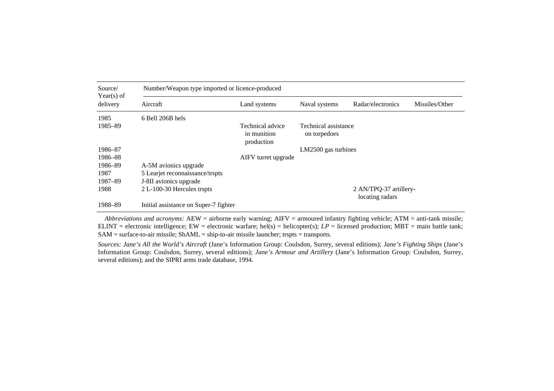| Source/<br>Year(s) of<br>delivery | Number/Weapon type imported or licence-produced |                                               |                                      |                                           |                |  |  |
|-----------------------------------|-------------------------------------------------|-----------------------------------------------|--------------------------------------|-------------------------------------------|----------------|--|--|
|                                   | Aircraft                                        | Land systems                                  | Naval systems                        | Radar/electronics                         | Missiles/Other |  |  |
| 1985                              | 6 Bell 206B hels                                |                                               |                                      |                                           |                |  |  |
| 1985-89                           |                                                 | Technical advice<br>in munition<br>production | Technical assistance<br>on torpedoes |                                           |                |  |  |
| 1986-87                           |                                                 |                                               | LM2500 gas turbines                  |                                           |                |  |  |
| 1986-88                           |                                                 | AIFV turret upgrade                           |                                      |                                           |                |  |  |
| 1986-89                           | A-5M avionics upgrade                           |                                               |                                      |                                           |                |  |  |
| 1987                              | 5 Learjet reconnaissance/trspts                 |                                               |                                      |                                           |                |  |  |
| 1987-89                           | J-8II avionics upgrade                          |                                               |                                      |                                           |                |  |  |
| 1988                              | 2 L-100-30 Hercules trspts                      |                                               |                                      | 2 AN/TPQ-37 artillery-<br>locating radars |                |  |  |
| 1988-89                           | Initial assistance on Super-7 fighter           |                                               |                                      |                                           |                |  |  |

*Abbreviations and acronyms:* AEW = airborne early warning; AIFV = armoured infantry fighting vehicle; ATM = anti-tank missile; ELINT = electronic intelligence; EW = electronic warfare; hel(s) = helicopter(s);  $LP =$  licensed production; MBT = main battle tank;  $SAM = surface-to-air missile; ShAML = ship-to-air missile launch; trspts = transports.$ 

*Sources: Jane's All the World's Aircraft* (Jane's Information Group: Coulsdon, Surrey, several editions); *Jane's Fighting Ships* (Jane's Information Group: Coulsdon, Surrey, several editions); *Jane's Armour and Artillery* (Jane's Information Group: Coulsdon, Surrey, several editions); and the SIPRI arms trade database, 1994.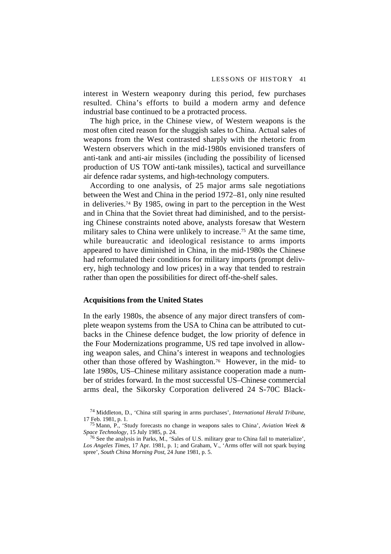interest in Western weaponry during this period, few purchases resulted. China's efforts to build a modern army and defence industrial base continued to be a protracted process.

The high price, in the Chinese view, of Western weapons is the most often cited reason for the sluggish sales to China. Actual sales of weapons from the West contrasted sharply with the rhetoric from Western observers which in the mid-1980s envisioned transfers of anti-tank and anti-air missiles (including the possibility of licensed production of US TOW anti-tank missiles), tactical and surveillance air defence radar systems, and high-technology computers.

According to one analysis, of 25 major arms sale negotiations between the West and China in the period 1972–81, only nine resulted in deliveries.74 By 1985, owing in part to the perception in the West and in China that the Soviet threat had diminished, and to the persisting Chinese constraints noted above, analysts foresaw that Western military sales to China were unlikely to increase.75 At the same time, while bureaucratic and ideological resistance to arms imports appeared to have diminished in China, in the mid-1980s the Chinese had reformulated their conditions for military imports (prompt delivery, high technology and low prices) in a way that tended to restrain rather than open the possibilities for direct off-the-shelf sales.

## **Acquisitions from the United States**

In the early 1980s, the absence of any major direct transfers of complete weapon systems from the USA to China can be attributed to cutbacks in the Chinese defence budget, the low priority of defence in the Four Modernizations programme, US red tape involved in allowing weapon sales, and China's interest in weapons and technologies other than those offered by Washington.76 However, in the mid- to late 1980s, US–Chinese military assistance cooperation made a number of strides forward. In the most successful US–Chinese commercial arms deal, the Sikorsky Corporation delivered 24 S-70C Black-

<sup>74</sup> Middleton, D., 'China still sparing in arms purchases', *International Herald Tribune*, 17 Feb. 1981, p. 1.

<sup>75</sup> Mann, P., 'Study forecasts no change in weapons sales to China', *Aviation Week & Space Technology*, 15 July 1985, p. 24.

 $76$  See the analysis in Parks, M., 'Sales of U.S. military gear to China fail to materialize', *Los Angeles Times*, 17 Apr. 1981, p. 1; and Graham, V., 'Arms offer will not spark buying spree', *South China Morning Post*, 24 June 1981, p. 5.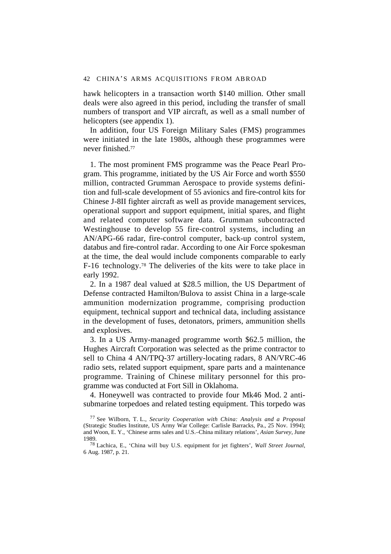hawk helicopters in a transaction worth \$140 million. Other small deals were also agreed in this period, including the transfer of small numbers of transport and VIP aircraft, as well as a small number of helicopters (see appendix 1).

In addition, four US Foreign Military Sales (FMS) programmes were initiated in the late 1980s, although these programmes were never finished.<sup>77</sup>

1. The most prominent FMS programme was the Peace Pearl Program. This programme, initiated by the US Air Force and worth \$550 million, contracted Grumman Aerospace to provide systems definition and full-scale development of 55 avionics and fire-control kits for Chinese J-8II fighter aircraft as well as provide management services, operational support and support equipment, initial spares, and flight and related computer software data. Grumman subcontracted Westinghouse to develop 55 fire-control systems, including an AN/APG-66 radar, fire-control computer, back-up control system, databus and fire-control radar. According to one Air Force spokesman at the time, the deal would include components comparable to early F-16 technology.78 The deliveries of the kits were to take place in early 1992.

2. In a 1987 deal valued at \$28.5 million, the US Department of Defense contracted Hamilton/Bulova to assist China in a large-scale ammunition modernization programme, comprising production equipment, technical support and technical data, including assistance in the development of fuses, detonators, primers, ammunition shells and explosives.

3. In a US Army-managed programme worth \$62.5 million, the Hughes Aircraft Corporation was selected as the prime contractor to sell to China 4 AN/TPQ-37 artillery-locating radars, 8 AN/VRC-46 radio sets, related support equipment, spare parts and a maintenance programme. Training of Chinese military personnel for this programme was conducted at Fort Sill in Oklahoma.

4. Honeywell was contracted to provide four Mk46 Mod. 2 antisubmarine torpedoes and related testing equipment. This torpedo was

<sup>77</sup> See Wilborn, T. L., *Security Cooperation with China: Analysis and a Proposal* (Strategic Studies Institute, US Army War College: Carlisle Barracks, Pa., 25 Nov. 1994); and Woon, E. Y., 'Chinese arms sales and U.S.–China military relations', *Asian Survey*, June 1989.

<sup>78</sup> Lachica, E., 'China will buy U.S. equipment for jet fighters', *Wall Street Journal*, 6 Aug. 1987, p. 21.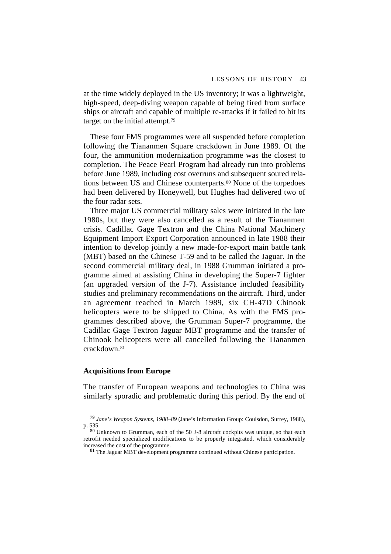at the time widely deployed in the US inventory; it was a lightweight, high-speed, deep-diving weapon capable of being fired from surface ships or aircraft and capable of multiple re-attacks if it failed to hit its target on the initial attempt.79

These four FMS programmes were all suspended before completion following the Tiananmen Square crackdown in June 1989. Of the four, the ammunition modernization programme was the closest to completion. The Peace Pearl Program had already run into problems before June 1989, including cost overruns and subsequent soured relations between US and Chinese counterparts.<sup>80</sup> None of the torpedoes had been delivered by Honeywell, but Hughes had delivered two of the four radar sets.

Three major US commercial military sales were initiated in the late 1980s, but they were also cancelled as a result of the Tiananmen crisis. Cadillac Gage Textron and the China National Machinery Equipment Import Export Corporation announced in late 1988 their intention to develop jointly a new made-for-export main battle tank (MBT) based on the Chinese T-59 and to be called the Jaguar. In the second commercial military deal, in 1988 Grumman initiated a programme aimed at assisting China in developing the Super-7 fighter (an upgraded version of the J-7). Assistance included feasibility studies and preliminary recommendations on the aircraft. Third, under an agreement reached in March 1989, six CH-47D Chinook helicopters were to be shipped to China. As with the FMS programmes described above, the Grumman Super-7 programme, the Cadillac Gage Textron Jaguar MBT programme and the transfer of Chinook helicopters were all cancelled following the Tiananmen crackdown.81

#### **Acquisitions from Europe**

The transfer of European weapons and technologies to China was similarly sporadic and problematic during this period. By the end of

<sup>79</sup> *Jane's Weapon Systems, 1988–89* (Jane's Information Group: Coulsdon, Surrey, 1988), p. 535.

<sup>80</sup> Unknown to Grumman, each of the 50 J-8 aircraft cockpits was unique, so that each retrofit needed specialized modifications to be properly integrated, which considerably increased the cost of the programme.

<sup>&</sup>lt;sup>81</sup> The Jaguar MBT development programme continued without Chinese participation.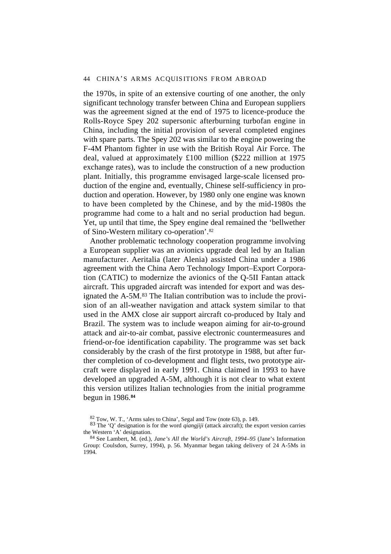the 1970s, in spite of an extensive courting of one another, the only significant technology transfer between China and European suppliers was the agreement signed at the end of 1975 to licence-produce the Rolls-Royce Spey 202 supersonic afterburning turbofan engine in China, including the initial provision of several completed engines with spare parts. The Spey 202 was similar to the engine powering the F-4M Phantom fighter in use with the British Royal Air Force. The deal, valued at approximately £100 million (\$222 million at 1975 exchange rates), was to include the construction of a new production plant. Initially, this programme envisaged large-scale licensed production of the engine and, eventually, Chinese self-sufficiency in production and operation. However, by 1980 only one engine was known to have been completed by the Chinese, and by the mid-1980s the programme had come to a halt and no serial production had begun. Yet, up until that time, the Spey engine deal remained the 'bellwether of Sino-Western military co-operation'.82

Another problematic technology cooperation programme involving a European supplier was an avionics upgrade deal led by an Italian manufacturer. Aeritalia (later Alenia) assisted China under a 1986 agreement with the China Aero Technology Import–Export Corporation (CATIC) to modernize the avionics of the Q-5II Fantan attack aircraft. This upgraded aircraft was intended for export and was designated the A-5M.83 The Italian contribution was to include the provision of an all-weather navigation and attack system similar to that used in the AMX close air support aircraft co-produced by Italy and Brazil. The system was to include weapon aiming for air-to-ground attack and air-to-air combat, passive electronic countermeasures and friend-or-foe identification capability. The programme was set back considerably by the crash of the first prototype in 1988, but after further completion of co-development and flight tests, two prototype aircraft were displayed in early 1991. China claimed in 1993 to have developed an upgraded A-5M, although it is not clear to what extent this version utilizes Italian technologies from the initial programme begun in 1986.**<sup>84</sup>**

<sup>82</sup> Tow, W. T., 'Arms sales to China', Segal and Tow (note 63), p. 149.

<sup>83</sup> The 'Q' designation is for the word *qiangjiji* (attack aircraft); the export version carries the Western 'A' designation.

<sup>84</sup> See Lambert, M. (ed.), *Jane's All the World's Aircraft, 1994–95* (Jane's Information Group: Coulsdon, Surrey, 1994), p. 56. Myanmar began taking delivery of 24 A-5Ms in 1994.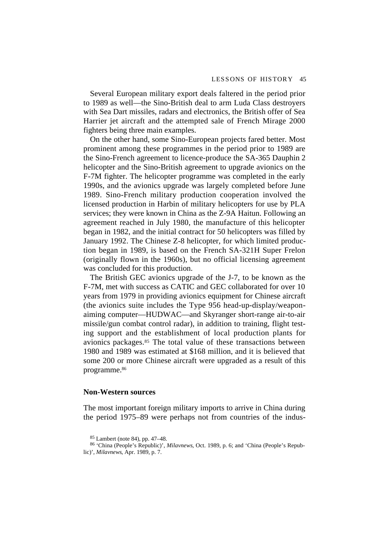Several European military export deals faltered in the period prior to 1989 as well—the Sino-British deal to arm Luda Class destroyers with Sea Dart missiles, radars and electronics, the British offer of Sea Harrier jet aircraft and the attempted sale of French Mirage 2000 fighters being three main examples.

On the other hand, some Sino-European projects fared better. Most prominent among these programmes in the period prior to 1989 are the Sino-French agreement to licence-produce the SA-365 Dauphin 2 helicopter and the Sino-British agreement to upgrade avionics on the F-7M fighter. The helicopter programme was completed in the early 1990s, and the avionics upgrade was largely completed before June 1989. Sino-French military production cooperation involved the licensed production in Harbin of military helicopters for use by PLA services; they were known in China as the Z-9A Haitun. Following an agreement reached in July 1980, the manufacture of this helicopter began in 1982, and the initial contract for 50 helicopters was filled by January 1992. The Chinese Z-8 helicopter, for which limited production began in 1989, is based on the French SA-321H Super Frelon (originally flown in the 1960s), but no official licensing agreement was concluded for this production.

The British GEC avionics upgrade of the J-7, to be known as the F-7M, met with success as CATIC and GEC collaborated for over 10 years from 1979 in providing avionics equipment for Chinese aircraft (the avionics suite includes the Type 956 head-up-display/weaponaiming computer—HUDWAC—and Skyranger short-range air-to-air missile/gun combat control radar), in addition to training, flight testing support and the establishment of local production plants for avionics packages.85 The total value of these transactions between 1980 and 1989 was estimated at \$168 million, and it is believed that some 200 or more Chinese aircraft were upgraded as a result of this programme.86

#### **Non-Western sources**

The most important foreign military imports to arrive in China during the period 1975–89 were perhaps not from countries of the indus-

<sup>85</sup> Lambert (note 84), pp. 47–48.

<sup>86 &#</sup>x27;China (People's Republic)', *Milavnews*, Oct. 1989, p. 6; and 'China (People's Republic)', *Milavnews*, Apr. 1989, p. 7.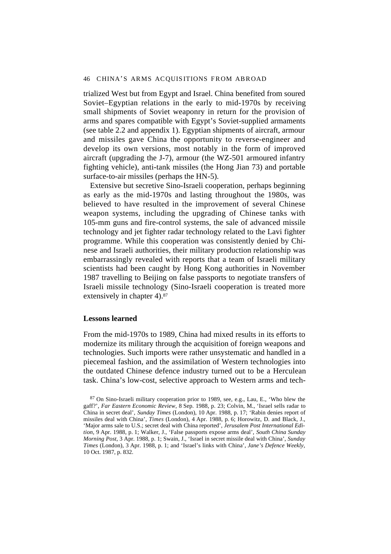trialized West but from Egypt and Israel. China benefited from soured Soviet–Egyptian relations in the early to mid-1970s by receiving small shipments of Soviet weaponry in return for the provision of arms and spares compatible with Egypt's Soviet-supplied armaments (see table 2.2 and appendix 1). Egyptian shipments of aircraft, armour and missiles gave China the opportunity to reverse-engineer and develop its own versions, most notably in the form of improved aircraft (upgrading the J-7), armour (the WZ-501 armoured infantry fighting vehicle), anti-tank missiles (the Hong Jian 73) and portable surface-to-air missiles (perhaps the HN-5).

Extensive but secretive Sino-Israeli cooperation, perhaps beginning as early as the mid-1970s and lasting throughout the 1980s, was believed to have resulted in the improvement of several Chinese weapon systems, including the upgrading of Chinese tanks with 105-mm guns and fire-control systems, the sale of advanced missile technology and jet fighter radar technology related to the Lavi fighter programme. While this cooperation was consistently denied by Chinese and Israeli authorities, their military production relationship was embarrassingly revealed with reports that a team of Israeli military scientists had been caught by Hong Kong authorities in November 1987 travelling to Beijing on false passports to negotiate transfers of Israeli missile technology (Sino-Israeli cooperation is treated more extensively in chapter 4).<sup>87</sup>

### **Lessons learned**

From the mid-1970s to 1989, China had mixed results in its efforts to modernize its military through the acquisition of foreign weapons and technologies. Such imports were rather unsystematic and handled in a piecemeal fashion, and the assimilation of Western technologies into the outdated Chinese defence industry turned out to be a Herculean task. China's low-cost, selective approach to Western arms and tech-

<sup>87</sup> On Sino-Israeli military cooperation prior to 1989, see, e.g., Lau, E., 'Who blew the gaff?', *Far Eastern Economic Review*, 8 Sep. 1988, p. 23; Colvin, M., 'Israel sells radar to China in secret deal', *Sunday Times* (London), 10 Apr. 1988, p. 17; 'Rabin denies report of missiles deal with China', *Times* (London), 4 Apr. 1988, p. 6; Horowitz, D. and Black, J., 'Major arms sale to U.S.; secret deal with China reported', *Jerusalem Post International Edition*, 9 Apr. 1988, p. 1; Walker, J., 'False passports expose arms deal', *South China Sunday Morning Post*, 3 Apr. 1988, p. 1; Swain, J., 'Israel in secret missile deal with China', *Sunday Times* (London), 3 Apr. 1988, p. 1; and 'Israel's links with China', *Jane's Defence Weekly*, 10 Oct. 1987, p. 832.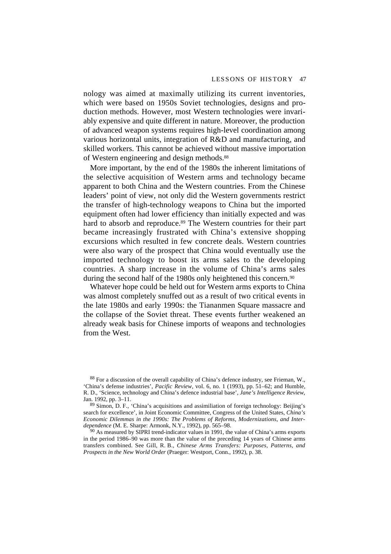nology was aimed at maximally utilizing its current inventories, which were based on 1950s Soviet technologies, designs and production methods. However, most Western technologies were invariably expensive and quite different in nature. Moreover, the production of advanced weapon systems requires high-level coordination among various horizontal units, integration of R&D and manufacturing, and skilled workers. This cannot be achieved without massive importation of Western engineering and design methods.88

More important, by the end of the 1980s the inherent limitations of the selective acquisition of Western arms and technology became apparent to both China and the Western countries. From the Chinese leaders' point of view, not only did the Western governments restrict the transfer of high-technology weapons to China but the imported equipment often had lower efficiency than initially expected and was hard to absorb and reproduce.<sup>89</sup> The Western countries for their part became increasingly frustrated with China's extensive shopping excursions which resulted in few concrete deals. Western countries were also wary of the prospect that China would eventually use the imported technology to boost its arms sales to the developing countries. A sharp increase in the volume of China's arms sales during the second half of the 1980s only heightened this concern.<sup>90</sup>

Whatever hope could be held out for Western arms exports to China was almost completely snuffed out as a result of two critical events in the late 1980s and early 1990s: the Tiananmen Square massacre and the collapse of the Soviet threat. These events further weakened an already weak basis for Chinese imports of weapons and technologies from the West.

88 For a discussion of the overall capability of China's defence industry, see Frieman, W., 'China's defense industries', *Pacific Review*, vol. 6, no. 1 (1993), pp. 51–62; and Humble, R. D., 'Science, technology and China's defence industrial base', *Jane's Intelligence Review*, Jan. 1992, pp. 3–11.

89 Simon, D. F., 'China's acquisitions and assimiliation of foreign technology: Beijing's search for excellence', in Joint Economic Committee, Congress of the United States, *China's Economic Dilemmas in the 1990s: The Problems of Reforms, Modernizations, and Interdependence* (M. E. Sharpe: Armonk, N.Y., 1992), pp. 565–98.

<sup>90</sup> As measured by SIPRI trend-indicator values in 1991, the value of China's arms exports in the period 1986–90 was more than the value of the preceding 14 years of Chinese arms transfers combined. See Gill, R. B., *Chinese Arms Transfers: Purposes, Patterns, and Prospects in the New World Order* (Praeger: Westport, Conn., 1992), p. 38.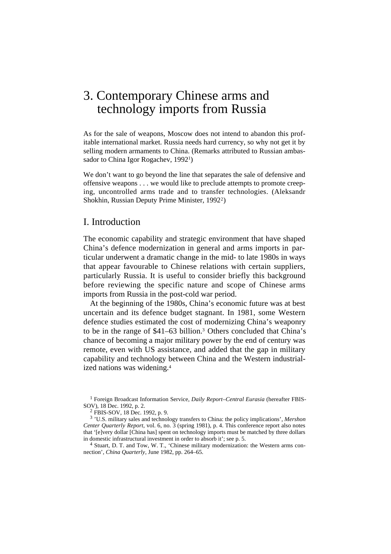# 3. Contemporary Chinese arms and technology imports from Russia

As for the sale of weapons, Moscow does not intend to abandon this profitable international market. Russia needs hard currency, so why not get it by selling modern armaments to China. (Remarks attributed to Russian ambassador to China Igor Rogachev, 19921)

We don't want to go beyond the line that separates the sale of defensive and offensive weapons . . . we would like to preclude attempts to promote creeping, uncontrolled arms trade and to transfer technologies. (Aleksandr Shokhin, Russian Deputy Prime Minister, 19922)

# I. Introduction

The economic capability and strategic environment that have shaped China's defence modernization in general and arms imports in particular underwent a dramatic change in the mid- to late 1980s in ways that appear favourable to Chinese relations with certain suppliers, particularly Russia. It is useful to consider briefly this background before reviewing the specific nature and scope of Chinese arms imports from Russia in the post-cold war period.

At the beginning of the 1980s, China's economic future was at best uncertain and its defence budget stagnant. In 1981, some Western defence studies estimated the cost of modernizing China's weaponry to be in the range of \$41–63 billion.3 Others concluded that China's chance of becoming a major military power by the end of century was remote, even with US assistance, and added that the gap in military capability and technology between China and the Western industrialized nations was widening.4

<sup>1</sup> Foreign Broadcast Information Service, *Daily Report–Central Eurasia* (hereafter FBIS-SOV), 18 Dec. 1992, p. 2.

<sup>2</sup> FBIS-SOV, 18 Dec. 1992, p. 9.

<sup>3 &#</sup>x27;U.S. military sales and technology transfers to China: the policy implications', *Mershon Center Quarterly Report*, vol. 6, no. 3 (spring 1981), p. 4. This conference report also notes that '[e]very dollar [China has] spent on technology imports must be matched by three dollars in domestic infrastructural investment in order to absorb it'; see p. 5.

<sup>4</sup> Stuart, D. T. and Tow, W. T., 'Chinese military modernization: the Western arms connection', *China Quarterly*, June 1982, pp. 264–65.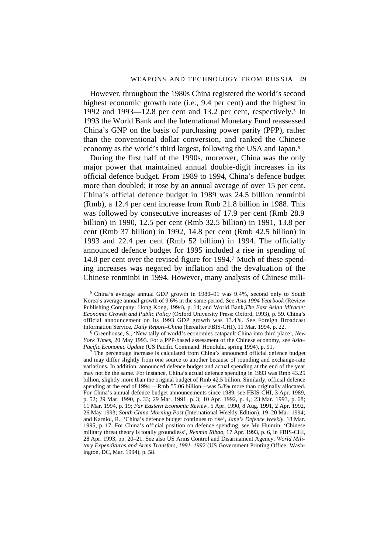However, throughout the 1980s China registered the world's second highest economic growth rate (i.e., 9.4 per cent) and the highest in 1992 and 1993—12.8 per cent and 13.2 per cent, respectively.<sup>5</sup> In 1993 the World Bank and the International Monetary Fund reassessed China's GNP on the basis of purchasing power parity (PPP), rather than the conventional dollar conversion, and ranked the Chinese economy as the world's third largest, following the USA and Japan.6

During the first half of the 1990s, moreover, China was the only major power that maintained annual double-digit increases in its official defence budget. From 1989 to 1994, China's defence budget more than doubled; it rose by an annual average of over 15 per cent. China's official defence budget in 1989 was 24.5 billion renminbi (Rmb), a 12.4 per cent increase from Rmb 21.8 billion in 1988. This was followed by consecutive increases of 17.9 per cent (Rmb 28.9 billion) in 1990, 12.5 per cent (Rmb 32.5 billion) in 1991, 13.8 per cent (Rmb 37 billion) in 1992, 14.8 per cent (Rmb 42.5 billion) in 1993 and 22.4 per cent (Rmb 52 billion) in 1994. The officially announced defence budget for 1995 included a rise in spending of 14.8 per cent over the revised figure for 1994.7 Much of these spending increases was negated by inflation and the devaluation of the Chinese renminbi in 1994. However, many analysts of Chinese mili-

5 China's average annual GDP growth in 1980–91 was 9.4%, second only to South Korea's average annual growth of 9.6% in the same period. See *Asia 1994 Yearbook* (Review Publishing Company: Hong Kong, 1994), p. 14; and World Bank,*The East Asian Miracle: Economic Growth and Public Policy* (Oxford University Press: Oxford, 1993), p. 59. China's official announcement on its 1993 GDP growth was 13.4%. See Foreign Broadcast Information Service, *Daily Report–China* (hereafter FBIS-CHI), 11 Mar. 1994, p. 22.

6 Greenhouse, S., 'New tally of world's economies catapault China into third place', *New York Times*, 20 May 1993. For a PPP-based assessment of the Chinese economy, see *Asia– Pacific Economic Update* (US Pacific Command: Honolulu, spring 1994), p. 91.

 $<sup>7</sup>$  The percentage increase is calculated from China's announced official defence budget</sup> and may differ slightly from one source to another because of rounding and exchange-rate variations. In addition, announced defence budget and actual spending at the end of the year may not be the same. For instance, China's actual defence spending in 1993 was Rmb 43.25 billion, slightly more than the original budget of Rmb 42.5 billion. Similarly, official defence spending at the end of 1994 —Rmb 55.06 billion—was 5.8% more than originally allocated. For China's annual defence budget announcements since 1989, see FBIS-CHI, 3 Apr. 1989, p. 52; 29 Mar. 1990, p. 33; 29 Mar. 1991, p. 3; 10 Apr. 1992, p. 4,; 23 Mar. 1993, p. 68; 11 Mar. 1994, p. 19; *Far Eastern Economic Review*, 5 Apr. 1990, 8 Aug. 1991, 2 Apr. 1992, 26 May 1993; *South China Morning Post* (International Weekly Edition), 19–20 Mar. 1994; and Karniol, R., 'China's defence budget continues to rise', *Jane's Defence Weekly*, 18 Mar. 1995, p. 17. For China's official position on defence spending, see Mu Huimin, 'Chinese military threat theory is totally groundless', *Renmin Ribao*, 17 Apr. 1993, p. 6, in FBIS-CHI, 28 Apr. 1993, pp. 20–21. See also US Arms Control and Disarmament Agency, *World Military Expenditures and Arms Transfers, 1991–1992* (US Government Printing Office: Washington, DC, Mar. 1994), p. 58.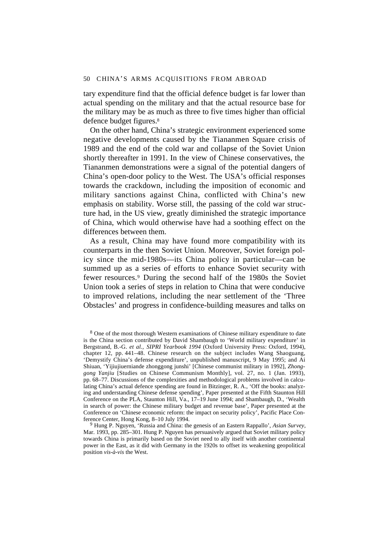tary expenditure find that the official defence budget is far lower than actual spending on the military and that the actual resource base for the military may be as much as three to five times higher than official defence budget figures.8

On the other hand, China's strategic environment experienced some negative developments caused by the Tiananmen Square crisis of 1989 and the end of the cold war and collapse of the Soviet Union shortly thereafter in 1991. In the view of Chinese conservatives, the Tiananmen demonstrations were a signal of the potential dangers of China's open-door policy to the West. The USA's official responses towards the crackdown, including the imposition of economic and military sanctions against China, conflicted with China's new emphasis on stability. Worse still, the passing of the cold war structure had, in the US view, greatly diminished the strategic importance of China, which would otherwise have had a soothing effect on the differences between them.

As a result, China may have found more compatibility with its counterparts in the then Soviet Union. Moreover, Soviet foreign policy since the mid-1980s—its China policy in particular—can be summed up as a series of efforts to enhance Soviet security with fewer resources.9 During the second half of the 1980s the Soviet Union took a series of steps in relation to China that were conducive to improved relations, including the near settlement of the 'Three Obstacles' and progress in confidence-building measures and talks on

<sup>8</sup> One of the most thorough Western examinations of Chinese military expenditure to date is the China section contributed by David Shambaugh to 'World military expenditure' in Bergstrand, B.-G. *et al., SIPRI Yearbook 1994* (Oxford University Press: Oxford, 1994), chapter 12, pp. 441–48. Chinese research on the subject includes Wang Shaoguang, 'Demystify China's defense expenditure', unpublished manuscript, 9 May 1995; and Ai Shiuan, 'Yijiujiuerniande zhonggong junshi' [Chinese communist military in 1992], *Zhonggong Yanjiu* [Studies on Chinese Communism Monthly], vol. 27, no. 1 (Jan. 1993), pp. 68–77. Discussions of the complexities and methodological problems involved in calculating China's actual defence spending are found in Bitzinger, R. A., 'Off the books: analyzing and understanding Chinese defense spending', Paper presented at the Fifth Staunton Hill Conference on the PLA, Staunton Hill, Va., 17–19 June 1994; and Shambaugh, D., 'Wealth in search of power: the Chinese military budget and revenue base', Paper presented at the Conference on 'Chinese economic reform: the impact on security policy', Pacific Place Conference Center, Hong Kong, 8–10 July 1994.

<sup>9</sup> Hung P. Nguyen, 'Russia and China: the genesis of an Eastern Rappallo', *Asian Survey*, Mar. 1993, pp. 285–301. Hung P. Nguyen has persuasively argued that Soviet military policy towards China is primarily based on the Soviet need to ally itself with another continental power in the East, as it did with Germany in the 1920s to offset its weakening geopolitical position *vis-à-vis* the West.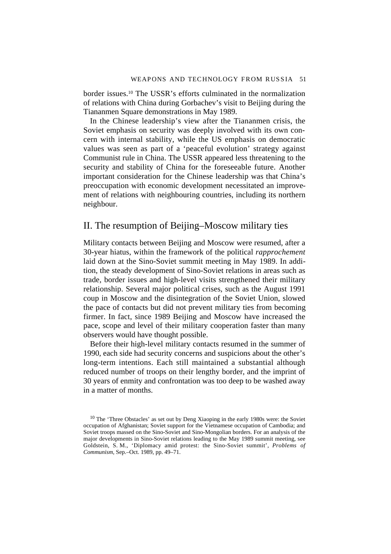border issues.10 The USSR's efforts culminated in the normalization of relations with China during Gorbachev's visit to Beijing during the Tiananmen Square demonstrations in May 1989.

In the Chinese leadership's view after the Tiananmen crisis, the Soviet emphasis on security was deeply involved with its own concern with internal stability, while the US emphasis on democratic values was seen as part of a 'peaceful evolution' strategy against Communist rule in China. The USSR appeared less threatening to the security and stability of China for the foreseeable future. Another important consideration for the Chinese leadership was that China's preoccupation with economic development necessitated an improvement of relations with neighbouring countries, including its northern neighbour.

# II. The resumption of Beijing–Moscow military ties

Military contacts between Beijing and Moscow were resumed, after a 30-year hiatus, within the framework of the political *rapprochement* laid down at the Sino-Soviet summit meeting in May 1989. In addition, the steady development of Sino-Soviet relations in areas such as trade, border issues and high-level visits strengthened their military relationship. Several major political crises, such as the August 1991 coup in Moscow and the disintegration of the Soviet Union, slowed the pace of contacts but did not prevent military ties from becoming firmer. In fact, since 1989 Beijing and Moscow have increased the pace, scope and level of their military cooperation faster than many observers would have thought possible.

Before their high-level military contacts resumed in the summer of 1990, each side had security concerns and suspicions about the other's long-term intentions. Each still maintained a substantial although reduced number of troops on their lengthy border, and the imprint of 30 years of enmity and confrontation was too deep to be washed away in a matter of months.

 $10$  The 'Three Obstacles' as set out by Deng Xiaoping in the early 1980s were: the Soviet occupation of Afghanistan; Soviet support for the Vietnamese occupation of Cambodia; and Soviet troops massed on the Sino-Soviet and Sino-Mongolian borders. For an analysis of the major developments in Sino-Soviet relations leading to the May 1989 summit meeting, see Goldstein, S. M., 'Diplomacy amid protest: the Sino-Soviet summit', *Problems of Communism*, Sep.–Oct. 1989, pp. 49–71.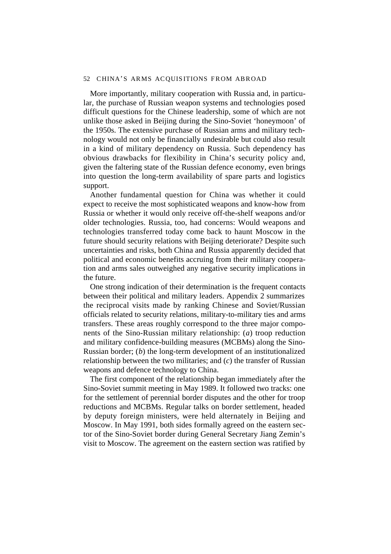#### 52 CHINA'S ARMS ACQUISITIONS FROM ABROAD

More importantly, military cooperation with Russia and, in particular, the purchase of Russian weapon systems and technologies posed difficult questions for the Chinese leadership, some of which are not unlike those asked in Beijing during the Sino-Soviet 'honeymoon' of the 1950s. The extensive purchase of Russian arms and military technology would not only be financially undesirable but could also result in a kind of military dependency on Russia. Such dependency has obvious drawbacks for flexibility in China's security policy and, given the faltering state of the Russian defence economy, even brings into question the long-term availability of spare parts and logistics support.

Another fundamental question for China was whether it could expect to receive the most sophisticated weapons and know-how from Russia or whether it would only receive off-the-shelf weapons and/or older technologies. Russia, too, had concerns: Would weapons and technologies transferred today come back to haunt Moscow in the future should security relations with Beijing deteriorate? Despite such uncertainties and risks, both China and Russia apparently decided that political and economic benefits accruing from their military cooperation and arms sales outweighed any negative security implications in the future.

One strong indication of their determination is the frequent contacts between their political and military leaders. Appendix 2 summarizes the reciprocal visits made by ranking Chinese and Soviet/Russian officials related to security relations, military-to-military ties and arms transfers. These areas roughly correspond to the three major components of the Sino-Russian military relationship: (*a*) troop reduction and military confidence-building measures (MCBMs) along the Sino-Russian border; (*b*) the long-term development of an institutionalized relationship between the two militaries; and (*c*) the transfer of Russian weapons and defence technology to China.

The first component of the relationship began immediately after the Sino-Soviet summit meeting in May 1989. It followed two tracks: one for the settlement of perennial border disputes and the other for troop reductions and MCBMs. Regular talks on border settlement, headed by deputy foreign ministers, were held alternately in Beijing and Moscow. In May 1991, both sides formally agreed on the eastern sector of the Sino-Soviet border during General Secretary Jiang Zemin's visit to Moscow. The agreement on the eastern section was ratified by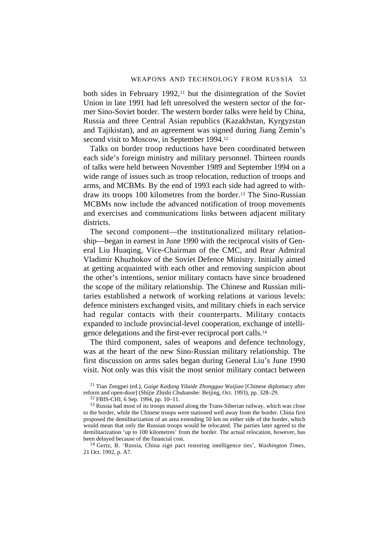both sides in February 1992,<sup>11</sup> but the disintegration of the Soviet Union in late 1991 had left unresolved the western sector of the former Sino-Soviet border. The western border talks were held by China, Russia and three Central Asian republics (Kazakhstan, Kyrgyzstan and Tajikistan), and an agreement was signed during Jiang Zemin's second visit to Moscow, in September 1994.<sup>12</sup>

Talks on border troop reductions have been coordinated between each side's foreign ministry and military personnel. Thirteen rounds of talks were held between November 1989 and September 1994 on a wide range of issues such as troop relocation, reduction of troops and arms, and MCBMs. By the end of 1993 each side had agreed to withdraw its troops 100 kilometres from the border.13 The Sino-Russian MCBMs now include the advanced notification of troop movements and exercises and communications links between adjacent military districts.

The second component—the institutionalized military relationship—began in earnest in June 1990 with the reciprocal visits of General Liu Huaqing, Vice-Chairman of the CMC, and Rear Admiral Vladimir Khuzhokov of the Soviet Defence Ministry. Initially aimed at getting acquainted with each other and removing suspicion about the other's intentions, senior military contacts have since broadened the scope of the military relationship. The Chinese and Russian militaries established a network of working relations at various levels: defence ministers exchanged visits, and military chiefs in each service had regular contacts with their counterparts. Military contacts expanded to include provincial-level cooperation, exchange of intelligence delegations and the first-ever reciprocal port calls.14

The third component, sales of weapons and defence technology, was at the heart of the new Sino-Russian military relationship. The first discussion on arms sales began during General Liu's June 1990 visit. Not only was this visit the most senior military contact between

11 Tian Zengpei (ed.), *Gaige Kaifang Yilaide Zhongguo Waijiao* [Chinese diplomacy after reform and open-door] (Shijie Zhishi Chubanshe: Beijing, Oct. 1993), pp. 328–29.

12 FBIS-CHI, 6 Sep. 1994, pp. 10–11.

<sup>13</sup> Russia had most of its troops massed along the Trans-Siberian railway, which was close to the border, while the Chinese troops were stationed well away from the border. China first proposed the demilitarization of an area extending 50 km on either side of the border, which would mean that only the Russian troops would be relocated. The parties later agreed to the demilitarization 'up to 100 kilometres' from the border. The actual relocation, however, has been delayed because of the financial cost.

14 Gertz, B. 'Russia, China sign pact restoring intelligence ties', *Washington Times*, 21 Oct. 1992, p. A7.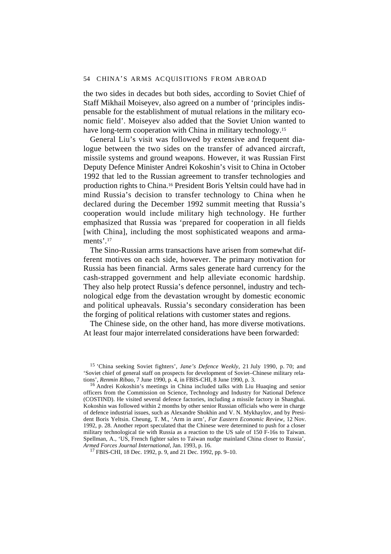the two sides in decades but both sides, according to Soviet Chief of Staff Mikhail Moiseyev, also agreed on a number of 'principles indispensable for the establishment of mutual relations in the military economic field'. Moiseyev also added that the Soviet Union wanted to have long-term cooperation with China in military technology.<sup>15</sup>

General Liu's visit was followed by extensive and frequent dialogue between the two sides on the transfer of advanced aircraft, missile systems and ground weapons. However, it was Russian First Deputy Defence Minister Andrei Kokoshin's visit to China in October 1992 that led to the Russian agreement to transfer technologies and production rights to China.16 President Boris Yeltsin could have had in mind Russia's decision to transfer technology to China when he declared during the December 1992 summit meeting that Russia's cooperation would include military high technology. He further emphasized that Russia was 'prepared for cooperation in all fields [with China], including the most sophisticated weapons and armaments'.17

The Sino-Russian arms transactions have arisen from somewhat different motives on each side, however. The primary motivation for Russia has been financial. Arms sales generate hard currency for the cash-strapped government and help alleviate economic hardship. They also help protect Russia's defence personnel, industry and technological edge from the devastation wrought by domestic economic and political upheavals. Russia's secondary consideration has been the forging of political relations with customer states and regions.

The Chinese side, on the other hand, has more diverse motivations. At least four major interrelated considerations have been forwarded:

15 'China seeking Soviet fighters', *Jane's Defence Weekly*, 21 July 1990, p. 70; and 'Soviet chief of general staff on prospects for development of Soviet–Chinese military relations', *Renmin Ribao*, 7 June 1990, p. 4, in FBIS-CHI, 8 June 1990, p. 3.

16 Andrei Kokoshin's meetings in China included talks with Liu Huaqing and senior officers from the Commission on Science, Technology and Industry for National Defence (COSTIND). He visited several defence factories, including a missile factory in Shanghai. Kokoshin was followed within 2 months by other senior Russian officials who were in charge of defence industrial issues, such as Alexandre Shokhin and V. N. Mykhaylov, and by President Boris Yeltsin. Cheung, T. M., 'Arm in arm', *Far Eastern Economic Review*, 12 Nov. 1992, p. 28. Another report speculated that the Chinese were determined to push for a closer military technological tie with Russia as a reaction to the US sale of 150 F-16s to Taiwan. Spellman, A., 'US, French fighter sales to Taiwan nudge mainland China closer to Russia', *Armed Forces Journal International*, Jan. 1993, p. 16.

17 FBIS-CHI, 18 Dec. 1992, p. 9, and 21 Dec. 1992, pp. 9–10.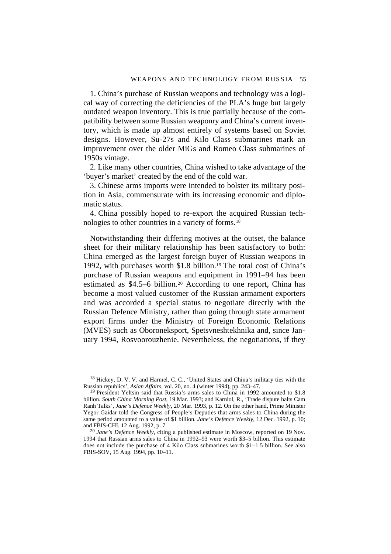1. China's purchase of Russian weapons and technology was a logical way of correcting the deficiencies of the PLA's huge but largely outdated weapon inventory. This is true partially because of the compatibility between some Russian weaponry and China's current inventory, which is made up almost entirely of systems based on Soviet designs. However, Su-27s and Kilo Class submarines mark an improvement over the older MiGs and Romeo Class submarines of 1950s vintage.

2. Like many other countries, China wished to take advantage of the 'buyer's market' created by the end of the cold war.

3. Chinese arms imports were intended to bolster its military position in Asia, commensurate with its increasing economic and diplomatic status.

4. China possibly hoped to re-export the acquired Russian technologies to other countries in a variety of forms.18

Notwithstanding their differing motives at the outset, the balance sheet for their military relationship has been satisfactory to both: China emerged as the largest foreign buyer of Russian weapons in 1992, with purchases worth \$1.8 billion.19 The total cost of China's purchase of Russian weapons and equipment in 1991–94 has been estimated as \$4.5–6 billion.20 According to one report, China has become a most valued customer of the Russian armament exporters and was accorded a special status to negotiate directly with the Russian Defence Ministry, rather than going through state armament export firms under the Ministry of Foreign Economic Relations (MVES) such as Oboroneksport, Spetsvneshtekhnika and, since January 1994, Rosvoorouzhenie. Nevertheless, the negotiations, if they

<sup>18</sup> Hickey, D. V. V. and Harmel, C. C., 'United States and China's military ties with the Russian republics', *Asian Affairs*, vol. 20, no. 4 (winter 1994), pp. 243–47.

<sup>19</sup> President Yeltsin said that Russia's arms sales to China in 1992 amounted to \$1.8 billion. *South China Morning Post*, 19 Mar. 1993; and Karniol, R., 'Trade dispute halts Cam Ranh Talks', *Jane's Defence Weekly*, 20 Mar. 1993, p. 12. On the other hand, Prime Minister Yegor Gaidar told the Congress of People's Deputies that arms sales to China during the same period amounted to a value of \$1 billion. *Jane's Defence Weekly*, 12 Dec. 1992, p. 10; and FBIS-CHI, 12 Aug. 1992, p. 7.

<sup>20</sup> *Jane's Defence Weekly*, citing a published estimate in Moscow, reported on 19 Nov. 1994 that Russian arms sales to China in 1992–93 were worth \$3–5 billion. This estimate does not include the purchase of 4 Kilo Class submarines worth \$1–1.5 billion. See also FBIS-SOV, 15 Aug. 1994, pp. 10–11.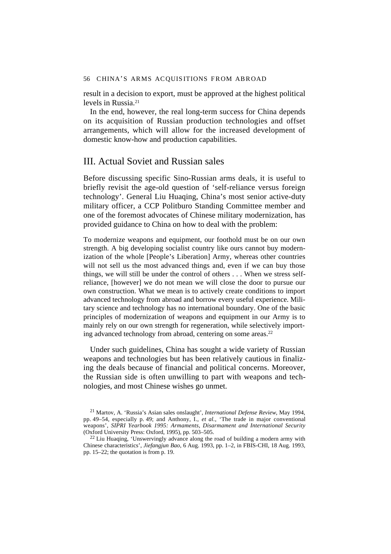result in a decision to export, must be approved at the highest political levels in Russia.21

In the end, however, the real long-term success for China depends on its acquisition of Russian production technologies and offset arrangements, which will allow for the increased development of domestic know-how and production capabilities.

# III. Actual Soviet and Russian sales

Before discussing specific Sino-Russian arms deals, it is useful to briefly revisit the age-old question of 'self-reliance versus foreign technology'. General Liu Huaqing, China's most senior active-duty military officer, a CCP Politburo Standing Committee member and one of the foremost advocates of Chinese military modernization, has provided guidance to China on how to deal with the problem:

To modernize weapons and equipment, our foothold must be on our own strength. A big developing socialist country like ours cannot buy modernization of the whole [People's Liberation] Army, whereas other countries will not sell us the most advanced things and, even if we can buy those things, we will still be under the control of others . . . When we stress selfreliance, [however] we do not mean we will close the door to pursue our own construction. What we mean is to actively create conditions to import advanced technology from abroad and borrow every useful experience. Military science and technology has no international boundary. One of the basic principles of modernization of weapons and equipment in our Army is to mainly rely on our own strength for regeneration, while selectively importing advanced technology from abroad, centering on some areas.<sup>22</sup>

Under such guidelines, China has sought a wide variety of Russian weapons and technologies but has been relatively cautious in finalizing the deals because of financial and political concerns. Moreover, the Russian side is often unwilling to part with weapons and technologies, and most Chinese wishes go unmet.

<sup>21</sup> Martov, A. 'Russia's Asian sales onslaught', *International Defense Review*, May 1994, pp. 49–54, especially p. 49; and Anthony, I., *et al.*, 'The trade in major conventional weapons', *SIPRI Yearbook 1995: Armaments, Disarmament and International Security* (Oxford University Press: Oxford, 1995), pp. 503–505.

 $22$  Liu Huaqing, 'Unswervingly advance along the road of building a modern army with Chinese characteristics', *Jiefangjun Bao*, 6 Aug. 1993, pp. 1–2, in FBIS-CHI, 18 Aug. 1993, pp. 15–22; the quotation is from p. 19.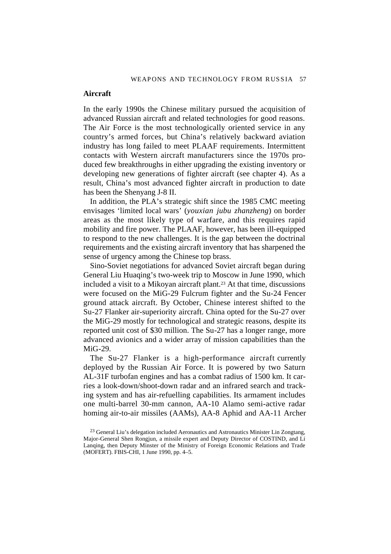## **Aircraft**

In the early 1990s the Chinese military pursued the acquisition of advanced Russian aircraft and related technologies for good reasons. The Air Force is the most technologically oriented service in any country's armed forces, but China's relatively backward aviation industry has long failed to meet PLAAF requirements. Intermittent contacts with Western aircraft manufacturers since the 1970s produced few breakthroughs in either upgrading the existing inventory or developing new generations of fighter aircraft (see chapter 4). As a result, China's most advanced fighter aircraft in production to date has been the Shenyang J-8 II.

In addition, the PLA's strategic shift since the 1985 CMC meeting envisages 'limited local wars' (*youxian jubu zhanzheng*) on border areas as the most likely type of warfare, and this requires rapid mobility and fire power. The PLAAF, however, has been ill-equipped to respond to the new challenges. It is the gap between the doctrinal requirements and the existing aircraft inventory that has sharpened the sense of urgency among the Chinese top brass.

Sino-Soviet negotiations for advanced Soviet aircraft began during General Liu Huaqing's two-week trip to Moscow in June 1990, which included a visit to a Mikoyan aircraft plant.23 At that time, discussions were focused on the MiG-29 Fulcrum fighter and the Su-24 Fencer ground attack aircraft. By October, Chinese interest shifted to the Su-27 Flanker air-superiority aircraft. China opted for the Su-27 over the MiG-29 mostly for technological and strategic reasons, despite its reported unit cost of \$30 million. The Su-27 has a longer range, more advanced avionics and a wider array of mission capabilities than the MiG-29.

The Su-27 Flanker is a high-performance aircraft currently deployed by the Russian Air Force. It is powered by two Saturn AL-31F turbofan engines and has a combat radius of 1500 km. It carries a look-down/shoot-down radar and an infrared search and tracking system and has air-refuelling capabilities. Its armament includes one multi-barrel 30-mm cannon, AA-10 Alamo semi-active radar homing air-to-air missiles (AAMs), AA-8 Aphid and AA-11 Archer

<sup>&</sup>lt;sup>23</sup> General Liu's delegation included Aeronautics and Astronautics Minister Lin Zongtang, Major-General Shen Rongjun, a missile expert and Deputy Director of COSTIND, and Li Lanqing, then Deputy Minster of the Ministry of Foreign Economic Relations and Trade (MOFERT). FBIS-CHI, 1 June 1990, pp. 4–5.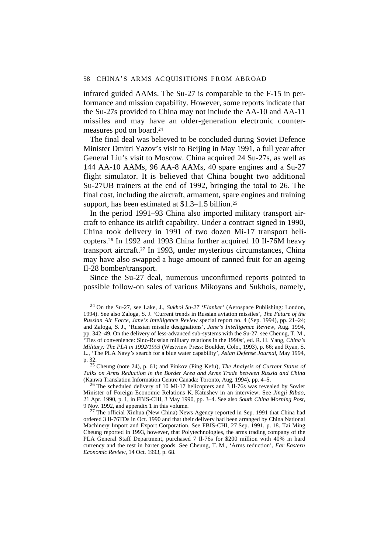infrared guided AAMs. The Su-27 is comparable to the F-15 in performance and mission capability. However, some reports indicate that the Su-27s provided to China may not include the AA-10 and AA-11 missiles and may have an older-generation electronic countermeasures pod on board.24

The final deal was believed to be concluded during Soviet Defence Minister Dmitri Yazov's visit to Beijing in May 1991, a full year after General Liu's visit to Moscow. China acquired 24 Su-27s, as well as 144 AA-10 AAMs, 96 AA-8 AAMs, 40 spare engines and a Su-27 flight simulator. It is believed that China bought two additional Su-27UB trainers at the end of 1992, bringing the total to 26. The final cost, including the aircraft, armament, spare engines and training support, has been estimated at  $$1.3-1.5$  billion.<sup>25</sup>

In the period 1991–93 China also imported military transport aircraft to enhance its airlift capability. Under a contract signed in 1990, China took delivery in 1991 of two dozen Mi-17 transport helicopters.26 In 1992 and 1993 China further acquired 10 Il-76M heavy transport aircraft.27 In 1993, under mysterious circumstances, China may have also swapped a huge amount of canned fruit for an ageing Il-28 bomber/transport.

Since the Su-27 deal, numerous unconfirmed reports pointed to possible follow-on sales of various Mikoyans and Sukhois, namely,

25 Cheung (note 24), p. 61; and Pinkov (Ping Kefu), *The Analysis of Current Status of Talks on Arms Reduction in the Border Area and Arms Trade between Russia and China* (Kanwa Translation Information Centre Canada: Toronto, Aug. 1994), pp. 4–5.

<sup>26</sup> The scheduled delivery of 10 Mi-17 helicopters and 3 Il-76s was revealed by Soviet Minister of Foreign Economic Relations K. Katushev in an interview. See *Jingji Ribao*, 21 Apr. 1990, p. 1, in FBIS-CHI, 3 May 1990, pp. 3–4. See also *South China Morning Post*, 9 Nov. 1992, and appendix 1 in this volume.

<sup>27</sup> The official Xinhua (New China) News Agency reported in Sep. 1991 that China had ordered 3 Il-76TDs in Oct. 1990 and that their delivery had been arranged by China National Machinery Import and Export Corporation. See FBIS-CHI, 27 Sep. 1991, p. 18. Tai Ming Cheung reported in 1993, however, that Polytechnologies, the arms trading company of the PLA General Staff Department, purchased 7 Il-76s for \$200 million with 40% in hard currency and the rest in barter goods. See Cheung, T. M., 'Arms reduction', *Far Eastern Economic Review*, 14 Oct. 1993, p. 68.

<sup>24</sup> On the Su-27, see Lake, J., *Sukhoi Su-27 'Flanker'* (Aerospace Publishing: London, 1994). See also Zaloga, S. J. 'Current trends in Russian aviation missiles', *The Future of the Russian Air Force*, *Jane's Intelligence Review* special report no. 4 (Sep. 1994), pp. 21–24; and Zaloga, S. J., 'Russian missile designations', *Jane's Intelligence Review*, Aug. 1994, pp. 342–49. On the delivery of less-advanced sub-systems with the Su-27, see Cheung, T. M., 'Ties of convenience: Sino-Russian military relations in the 1990s', ed. R. H. Yang, *China's Military: The PLA in 1992/1993* (Westview Press: Boulder, Colo., 1993), p. 66; and Ryan, S. L., 'The PLA Navy's search for a blue water capability', *Asian Defense Journal*, May 1994, p. 32.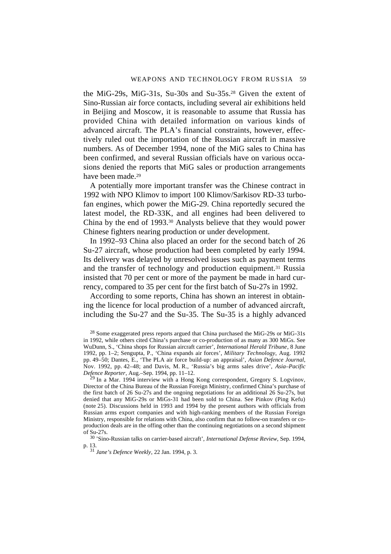the MiG-29s, MiG-31s, Su-30s and Su-35s.28 Given the extent of Sino-Russian air force contacts, including several air exhibitions held in Beijing and Moscow, it is reasonable to assume that Russia has provided China with detailed information on various kinds of advanced aircraft. The PLA's financial constraints, however, effectively ruled out the importation of the Russian aircraft in massive numbers. As of December 1994, none of the MiG sales to China has been confirmed, and several Russian officials have on various occasions denied the reports that MiG sales or production arrangements have been made.<sup>29</sup>

A potentially more important transfer was the Chinese contract in 1992 with NPO Klimov to import 100 Klimov/Sarkisov RD-33 turbofan engines, which power the MiG-29. China reportedly secured the latest model, the RD-33K, and all engines had been delivered to China by the end of 1993.30 Analysts believe that they would power Chinese fighters nearing production or under development.

In 1992–93 China also placed an order for the second batch of 26 Su-27 aircraft, whose production had been completed by early 1994. Its delivery was delayed by unresolved issues such as payment terms and the transfer of technology and production equipment.31 Russia insisted that 70 per cent or more of the payment be made in hard currency, compared to 35 per cent for the first batch of Su-27s in 1992.

According to some reports, China has shown an interest in obtaining the licence for local production of a number of advanced aircraft, including the Su-27 and the Su-35. The Su-35 is a highly advanced

<sup>29</sup> In a Mar. 1994 interview with a Hong Kong correspondent, Gregory S. Logvinov, Director of the China Bureau of the Russian Foreign Ministry, confirmed China's purchase of the first batch of 26 Su-27s and the ongoing negotiations for an additional 26 Su-27s, but denied that any MiG-29s or MiGs-31 had been sold to China. See Pinkov (Ping Kefu) (note 25). Discussions held in 1993 and 1994 by the present authors with officials from Russian arms export companies and with high-ranking members of the Russian Foreign Ministry, responsible for relations with China, also confirm that no follow-on transfers or coproduction deals are in the offing other than the continuing negotiations on a second shipment of Su-27s.

30 'Sino-Russian talks on carrier-based aircraft', *International Defense Review*, Sep. 1994, p. 13.

<sup>31</sup> *Jane's Defence Weekly*, 22 Jan. 1994, p. 3.

<sup>&</sup>lt;sup>28</sup> Some exaggerated press reports argued that China purchased the MiG-29s or MiG-31s in 1992, while others cited China's purchase or co-production of as many as 300 MiGs. See WuDunn, S., 'China shops for Russian aircraft carrier', *International Herald Tribune*, 8 June 1992, pp. 1–2; Sengupta, P., 'China expands air forces', *Military Technology*, Aug. 1992 pp. 49–50; Dantes, E., 'The PLA air force build-up: an appraisal', *Asian Defence Journal*, Nov. 1992, pp. 42–48; and Davis, M. R., 'Russia's big arms sales drive', *Asia–Pacific Defence Reporter*, Aug.–Sep. 1994, pp. 11–12.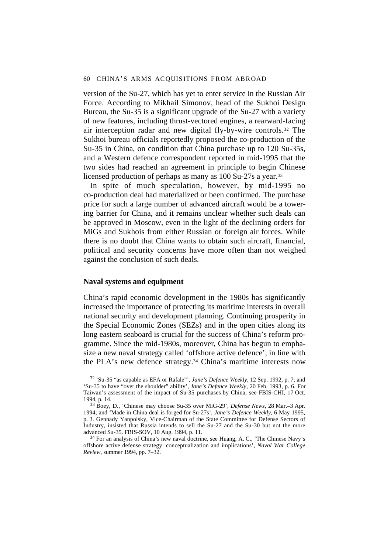version of the Su-27, which has yet to enter service in the Russian Air Force. According to Mikhail Simonov, head of the Sukhoi Design Bureau, the Su-35 is a significant upgrade of the Su-27 with a variety of new features, including thrust-vectored engines, a rearward-facing air interception radar and new digital fly-by-wire controls.32 The Sukhoi bureau officials reportedly proposed the co-production of the Su-35 in China, on condition that China purchase up to 120 Su-35s, and a Western defence correspondent reported in mid-1995 that the two sides had reached an agreement in principle to begin Chinese licensed production of perhaps as many as 100 Su-27s a year.<sup>33</sup>

In spite of much speculation, however, by mid-1995 no co-production deal had materialized or been confirmed. The purchase price for such a large number of advanced aircraft would be a towering barrier for China, and it remains unclear whether such deals can be approved in Moscow, even in the light of the declining orders for MiGs and Sukhois from either Russian or foreign air forces. While there is no doubt that China wants to obtain such aircraft, financial, political and security concerns have more often than not weighed against the conclusion of such deals.

#### **Naval systems and equipment**

China's rapid economic development in the 1980s has significantly increased the importance of protecting its maritime interests in overall national security and development planning. Continuing prosperity in the Special Economic Zones (SEZs) and in the open cities along its long eastern seaboard is crucial for the success of China's reform programme. Since the mid-1980s, moreover, China has begun to emphasize a new naval strategy called 'offshore active defence', in line with the PLA's new defence strategy.34 China's maritime interests now

32 'Su-35 "as capable as EFA or Rafale"', *Jane's Defence Weekly*, 12 Sep. 1992, p. 7; and 'Su-35 to have "over the shoulder" ability', *Jane's Defence Weekly*, 20 Feb. 1993, p. 6. For Taiwan's assessment of the impact of Su-35 purchases by China, see FBIS-CHI, 17 Oct. 1994, p. 14.

33 Boey, D., 'Chinese may choose Su-35 over MiG-29', *Defense News*, 28 Mar.–3 Apr. 1994; and 'Made in China deal is forged for Su-27s', *Jane's Defence Weekly*, 6 May 1995, p. 3. Gennady Yanpolsky, Vice-Chairman of the State Committee for Defense Sectors of Industry, insisted that Russia intends to sell the Su-27 and the Su-30 but not the more advanced Su-35. FBIS-SOV, 10 Aug. 1994, p. 11.

<sup>34</sup> For an analysis of China's new naval doctrine, see Huang, A. C., 'The Chinese Navy's offshore active defense strategy: conceptualization and implications', *Naval War College Review*, summer 1994, pp. 7–32.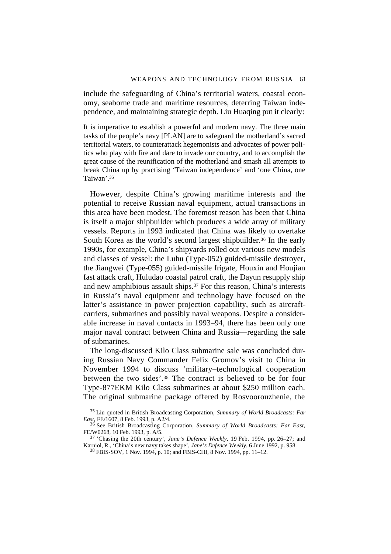include the safeguarding of China's territorial waters, coastal economy, seaborne trade and maritime resources, deterring Taiwan independence, and maintaining strategic depth. Liu Huaqing put it clearly:

It is imperative to establish a powerful and modern navy. The three main tasks of the people's navy [PLAN] are to safeguard the motherland's sacred territorial waters, to counterattack hegemonists and advocates of power politics who play with fire and dare to invade our country, and to accomplish the great cause of the reunification of the motherland and smash all attempts to break China up by practising 'Taiwan independence' and 'one China, one Taiwan' 35

However, despite China's growing maritime interests and the potential to receive Russian naval equipment, actual transactions in this area have been modest. The foremost reason has been that China is itself a major shipbuilder which produces a wide array of military vessels. Reports in 1993 indicated that China was likely to overtake South Korea as the world's second largest shipbuilder.<sup>36</sup> In the early 1990s, for example, China's shipyards rolled out various new models and classes of vessel: the Luhu (Type-052) guided-missile destroyer, the Jiangwei (Type-055) guided-missile frigate, Houxin and Houjian fast attack craft, Huludao coastal patrol craft, the Dayun resupply ship and new amphibious assault ships.37 For this reason, China's interests in Russia's naval equipment and technology have focused on the latter's assistance in power projection capability, such as aircraftcarriers, submarines and possibly naval weapons. Despite a considerable increase in naval contacts in 1993–94, there has been only one major naval contract between China and Russia—regarding the sale of submarines.

The long-discussed Kilo Class submarine sale was concluded during Russian Navy Commander Felix Gromov's visit to China in November 1994 to discuss 'military–technological cooperation between the two sides'.38 The contract is believed to be for four Type-877EKM Kilo Class submarines at about \$250 million each. The original submarine package offered by Rosvoorouzhenie, the

37 'Chasing the 20th century', *Jane's Defence Weekly*, 19 Feb. 1994, pp. 26–27; and Karniol, R., 'China's new navy takes shape', *Jane's Defence Weekly*, 6 June 1992, p. 958.

38 FBIS-SOV, 1 Nov. 1994, p. 10; and FBIS-CHI, 8 Nov. 1994, pp. 11–12.

<sup>35</sup> Liu quoted in British Broadcasting Corporation, *Summary of World Broadcasts: Far East*, FE/1607, 8 Feb. 1993, p. A2/4.

<sup>36</sup> See British Broadcasting Corporation, *Summary of World Broadcasts: Far East*, FE/W0268, 10 Feb. 1993, p. A/5.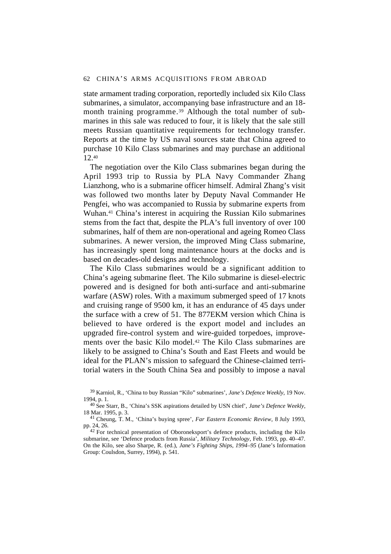state armament trading corporation, reportedly included six Kilo Class submarines, a simulator, accompanying base infrastructure and an 18 month training programme.<sup>39</sup> Although the total number of submarines in this sale was reduced to four, it is likely that the sale still meets Russian quantitative requirements for technology transfer. Reports at the time by US naval sources state that China agreed to purchase 10 Kilo Class submarines and may purchase an additional 12.40

The negotiation over the Kilo Class submarines began during the April 1993 trip to Russia by PLA Navy Commander Zhang Lianzhong, who is a submarine officer himself. Admiral Zhang's visit was followed two months later by Deputy Naval Commander He Pengfei, who was accompanied to Russia by submarine experts from Wuhan.41 China's interest in acquiring the Russian Kilo submarines stems from the fact that, despite the PLA's full inventory of over 100 submarines, half of them are non-operational and ageing Romeo Class submarines. A newer version, the improved Ming Class submarine, has increasingly spent long maintenance hours at the docks and is based on decades-old designs and technology.

The Kilo Class submarines would be a significant addition to China's ageing submarine fleet. The Kilo submarine is diesel-electric powered and is designed for both anti-surface and anti-submarine warfare (ASW) roles. With a maximum submerged speed of 17 knots and cruising range of 9500 km, it has an endurance of 45 days under the surface with a crew of 51. The 877EKM version which China is believed to have ordered is the export model and includes an upgraded fire-control system and wire-guided torpedoes, improvements over the basic Kilo model.<sup>42</sup> The Kilo Class submarines are likely to be assigned to China's South and East Fleets and would be ideal for the PLAN's mission to safeguard the Chinese-claimed territorial waters in the South China Sea and possibly to impose a naval

<sup>39</sup> Karniol, R., 'China to buy Russian "Kilo" submarines', *Jane's Defence Weekly*, 19 Nov. 1994, p. 1.

<sup>40</sup> See Starr, B., 'China's SSK aspirations detailed by USN chief', *Jane's Defence Weekly*, 18 Mar. 1995, p. 3.

<sup>41</sup> Cheung, T. M., 'China's buying spree', *Far Eastern Economic Review*, 8 July 1993, pp. 24, 26.

<sup>&</sup>lt;sup>42</sup> For technical presentation of Oboroneksport's defence products, including the Kilo submarine, see 'Defence products from Russia', *Military Technology*, Feb. 1993, pp. 40–47. On the Kilo, see also Sharpe, R. (ed.), *Jane's Fighting Ships, 1994–95* (Jane's Information Group: Coulsdon, Surrey, 1994), p. 541.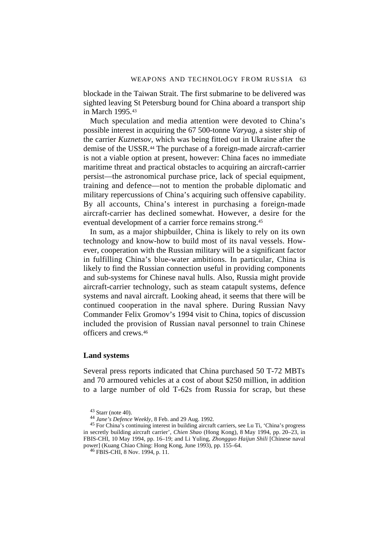blockade in the Taiwan Strait. The first submarine to be delivered was sighted leaving St Petersburg bound for China aboard a transport ship in March 1995.43

Much speculation and media attention were devoted to China's possible interest in acquiring the 67 500-tonne *Varyag*, a sister ship of the carrier *Kuznetsov*, which was being fitted out in Ukraine after the demise of the USSR.44 The purchase of a foreign-made aircraft-carrier is not a viable option at present, however: China faces no immediate maritime threat and practical obstacles to acquiring an aircraft-carrier persist—the astronomical purchase price, lack of special equipment, training and defence—not to mention the probable diplomatic and military repercussions of China's acquiring such offensive capability. By all accounts, China's interest in purchasing a foreign-made aircraft-carrier has declined somewhat. However, a desire for the eventual development of a carrier force remains strong.45

In sum, as a major shipbuilder, China is likely to rely on its own technology and know-how to build most of its naval vessels. However, cooperation with the Russian military will be a significant factor in fulfilling China's blue-water ambitions. In particular, China is likely to find the Russian connection useful in providing components and sub-systems for Chinese naval hulls. Also, Russia might provide aircraft-carrier technology, such as steam catapult systems, defence systems and naval aircraft. Looking ahead, it seems that there will be continued cooperation in the naval sphere. During Russian Navy Commander Felix Gromov's 1994 visit to China, topics of discussion included the provision of Russian naval personnel to train Chinese officers and crews.46

### **Land systems**

Several press reports indicated that China purchased 50 T-72 MBTs and 70 armoured vehicles at a cost of about \$250 million, in addition to a large number of old T-62s from Russia for scrap, but these

 $43$  Starr (note 40).

<sup>44</sup> *Jane's Defence Weekly*, 8 Feb. and 29 Aug. 1992.

<sup>45</sup> For China's continuing interest in building aircraft carriers, see Lu Ti, 'China's progress in secretly building aircraft carrier', *Chien Shao* (Hong Kong), 8 May 1994, pp. 20–23, in FBIS-CHI, 10 May 1994, pp. 16–19; and Li Yuling, *Zhongguo Haijun Shili* [Chinese naval power] (Kuang Chiao Ching: Hong Kong, June 1993), pp. 155–64.

<sup>46</sup> FBIS-CHI, 8 Nov. 1994, p. 11.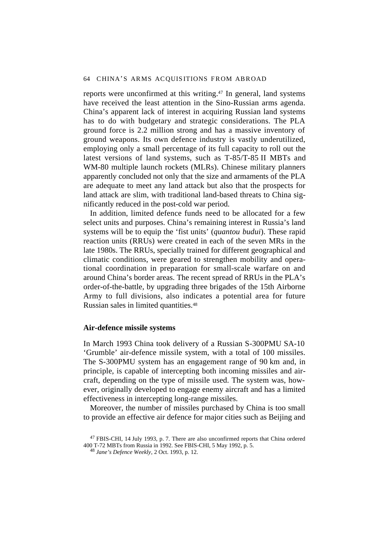reports were unconfirmed at this writing.47 In general, land systems have received the least attention in the Sino-Russian arms agenda. China's apparent lack of interest in acquiring Russian land systems has to do with budgetary and strategic considerations. The PLA ground force is 2.2 million strong and has a massive inventory of ground weapons. Its own defence industry is vastly underutilized, employing only a small percentage of its full capacity to roll out the latest versions of land systems, such as T-85/T-85 II MBTs and WM-80 multiple launch rockets (MLRs). Chinese military planners apparently concluded not only that the size and armaments of the PLA are adequate to meet any land attack but also that the prospects for land attack are slim, with traditional land-based threats to China significantly reduced in the post-cold war period.

In addition, limited defence funds need to be allocated for a few select units and purposes. China's remaining interest in Russia's land systems will be to equip the 'fist units' (*quantou budui*). These rapid reaction units (RRUs) were created in each of the seven MRs in the late 1980s. The RRUs, specially trained for different geographical and climatic conditions, were geared to strengthen mobility and operational coordination in preparation for small-scale warfare on and around China's border areas. The recent spread of RRUs in the PLA's order-of-the-battle, by upgrading three brigades of the 15th Airborne Army to full divisions, also indicates a potential area for future Russian sales in limited quantities.48

## **Air-defence missile systems**

In March 1993 China took delivery of a Russian S-300PMU SA-10 'Grumble' air-defence missile system, with a total of 100 missiles. The S-300PMU system has an engagement range of 90 km and, in principle, is capable of intercepting both incoming missiles and aircraft, depending on the type of missile used. The system was, however, originally developed to engage enemy aircraft and has a limited effectiveness in intercepting long-range missiles.

Moreover, the number of missiles purchased by China is too small to provide an effective air defence for major cities such as Beijing and

<sup>&</sup>lt;sup>47</sup> FBIS-CHI, 14 July 1993, p. 7. There are also unconfirmed reports that China ordered 400 T-72 MBTs from Russia in 1992. See FBIS-CHI, 5 May 1992, p. 5.

<sup>48</sup> *Jane's Defence Weekly*, 2 Oct. 1993, p. 12.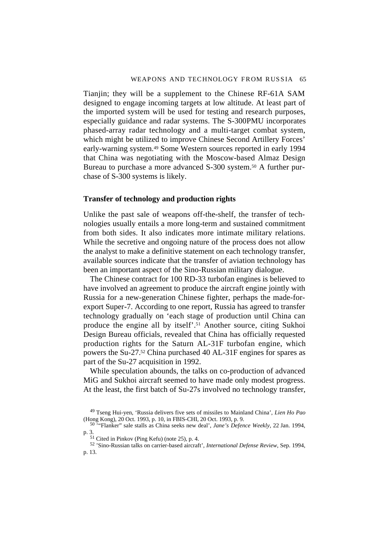Tianjin; they will be a supplement to the Chinese RF-61A SAM designed to engage incoming targets at low altitude. At least part of the imported system will be used for testing and research purposes, especially guidance and radar systems. The S-300PMU incorporates phased-array radar technology and a multi-target combat system, which might be utilized to improve Chinese Second Artillery Forces' early-warning system.<sup>49</sup> Some Western sources reported in early 1994 that China was negotiating with the Moscow-based Almaz Design Bureau to purchase a more advanced S-300 system.<sup>50</sup> A further purchase of S-300 systems is likely.

## **Transfer of technology and production rights**

Unlike the past sale of weapons off-the-shelf, the transfer of technologies usually entails a more long-term and sustained commitment from both sides. It also indicates more intimate military relations. While the secretive and ongoing nature of the process does not allow the analyst to make a definitive statement on each technology transfer, available sources indicate that the transfer of aviation technology has been an important aspect of the Sino-Russian military dialogue.

The Chinese contract for 100 RD-33 turbofan engines is believed to have involved an agreement to produce the aircraft engine jointly with Russia for a new-generation Chinese fighter, perhaps the made-forexport Super-7. According to one report, Russia has agreed to transfer technology gradually on 'each stage of production until China can produce the engine all by itself'.51 Another source, citing Sukhoi Design Bureau officials, revealed that China has officially requested production rights for the Saturn AL-31F turbofan engine, which powers the Su-27.52 China purchased 40 AL-31F engines for spares as part of the Su-27 acquisition in 1992.

While speculation abounds, the talks on co-production of advanced MiG and Sukhoi aircraft seemed to have made only modest progress. At the least, the first batch of Su-27s involved no technology transfer,

52 'Sino-Russian talks on carrier-based aircraft', *International Defense Review*, Sep. 1994, p. 13.

<sup>49</sup> Tseng Hui-yen, 'Russia delivers five sets of missiles to Mainland China', *Lien Ho Pao* (Hong Kong), 20 Oct. 1993, p. 10, in FBIS-CHI, 20 Oct. 1993, p. 9.

<sup>50 &#</sup>x27;"Flanker" sale stalls as China seeks new deal', *Jane's Defence Weekly*, 22 Jan. 1994, p. 3.

<sup>51</sup> Cited in Pinkov (Ping Kefu) (note 25), p. 4.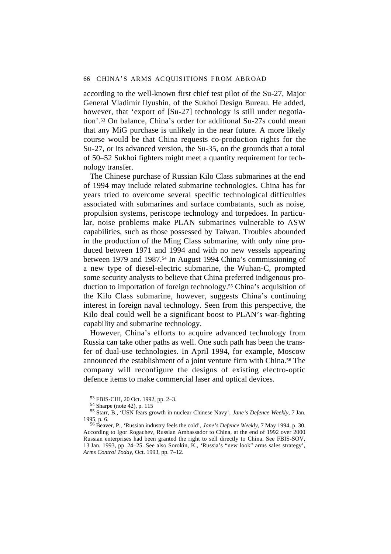according to the well-known first chief test pilot of the Su-27, Major General Vladimir Ilyushin, of the Sukhoi Design Bureau. He added, however, that 'export of [Su-27] technology is still under negotiation'.53 On balance, China's order for additional Su-27s could mean that any MiG purchase is unlikely in the near future. A more likely course would be that China requests co-production rights for the Su-27, or its advanced version, the Su-35, on the grounds that a total of 50–52 Sukhoi fighters might meet a quantity requirement for technology transfer.

The Chinese purchase of Russian Kilo Class submarines at the end of 1994 may include related submarine technologies. China has for years tried to overcome several specific technological difficulties associated with submarines and surface combatants, such as noise, propulsion systems, periscope technology and torpedoes. In particular, noise problems make PLAN submarines vulnerable to ASW capabilities, such as those possessed by Taiwan. Troubles abounded in the production of the Ming Class submarine, with only nine produced between 1971 and 1994 and with no new vessels appearing between 1979 and 1987.54 In August 1994 China's commissioning of a new type of diesel-electric submarine, the Wuhan-C, prompted some security analysts to believe that China preferred indigenous production to importation of foreign technology.55 China's acquisition of the Kilo Class submarine, however, suggests China's continuing interest in foreign naval technology. Seen from this perspective, the Kilo deal could well be a significant boost to PLAN's war-fighting capability and submarine technology.

However, China's efforts to acquire advanced technology from Russia can take other paths as well. One such path has been the transfer of dual-use technologies. In April 1994, for example, Moscow announced the establishment of a joint venture firm with China.56 The company will reconfigure the designs of existing electro-optic defence items to make commercial laser and optical devices.

<sup>53</sup> FBIS-CHI, 20 Oct. 1992, pp. 2–3.

<sup>54</sup> Sharpe (note 42), p. 115

<sup>55</sup> Starr, B., 'USN fears growth in nuclear Chinese Navy', *Jane's Defence Weekly*, 7 Jan. 1995, p. 6.

<sup>56</sup> Beaver, P., 'Russian industry feels the cold', *Jane's Defence Weekly*, 7 May 1994, p. 30. According to Igor Rogachev, Russian Ambassador to China, at the end of 1992 over 2000 Russian enterprises had been granted the right to sell directly to China. See FBIS-SOV, 13 Jan. 1993, pp. 24–25. See also Sorokin, K., 'Russia's "new look" arms sales strategy', *Arms Control Today*, Oct. 1993, pp. 7–12.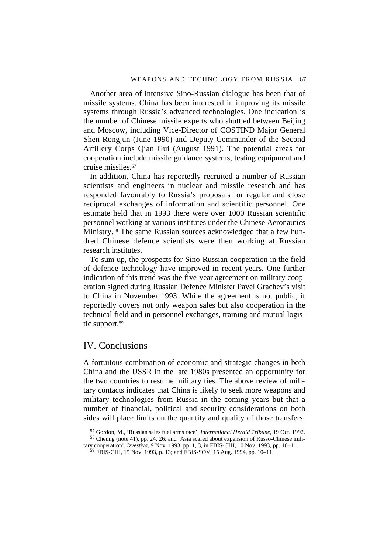Another area of intensive Sino-Russian dialogue has been that of missile systems. China has been interested in improving its missile systems through Russia's advanced technologies. One indication is the number of Chinese missile experts who shuttled between Beijing and Moscow, including Vice-Director of COSTIND Major General Shen Rongjun (June 1990) and Deputy Commander of the Second Artillery Corps Qian Gui (August 1991). The potential areas for cooperation include missile guidance systems, testing equipment and cruise missiles.57

In addition, China has reportedly recruited a number of Russian scientists and engineers in nuclear and missile research and has responded favourably to Russia's proposals for regular and close reciprocal exchanges of information and scientific personnel. One estimate held that in 1993 there were over 1000 Russian scientific personnel working at various institutes under the Chinese Aeronautics Ministry.58 The same Russian sources acknowledged that a few hundred Chinese defence scientists were then working at Russian research institutes.

To sum up, the prospects for Sino-Russian cooperation in the field of defence technology have improved in recent years. One further indication of this trend was the five-year agreement on military cooperation signed during Russian Defence Minister Pavel Grachev's visit to China in November 1993. While the agreement is not public, it reportedly covers not only weapon sales but also cooperation in the technical field and in personnel exchanges, training and mutual logistic support.59

## IV. Conclusions

A fortuitous combination of economic and strategic changes in both China and the USSR in the late 1980s presented an opportunity for the two countries to resume military ties. The above review of military contacts indicates that China is likely to seek more weapons and military technologies from Russia in the coming years but that a number of financial, political and security considerations on both sides will place limits on the quantity and quality of those transfers.

<sup>57</sup> Gordon, M., 'Russian sales fuel arms race', *International Herald Tribune*, 19 Oct. 1992. 58 Cheung (note 41), pp. 24, 26; and 'Asia scared about expansion of Russo-Chinese mili-

tary cooperation', *Izvestiya*, 9 Nov. 1993, pp. 1, 3, in FBIS-CHI, 10 Nov. 1993, pp. 10–11.

<sup>59</sup> FBIS-CHI, 15 Nov. 1993, p. 13; and FBIS-SOV, 15 Aug. 1994, pp. 10–11.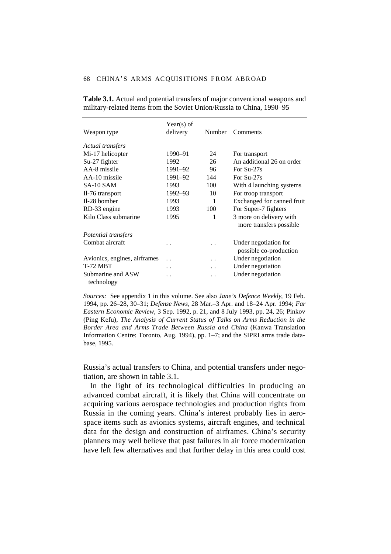|                              | Year(s) of |        |                            |
|------------------------------|------------|--------|----------------------------|
| Weapon type                  | delivery   | Number | Comments                   |
| Actual transfers             |            |        |                            |
| Mi-17 helicopter             | 1990-91    | 24     | For transport              |
| Su-27 fighter                | 1992       | 26     | An additional 26 on order  |
| AA-8 missile                 | 1991-92    | 96     | For Su-27s                 |
| AA-10 missile                | 1991-92    | 144    | For $Su-27s$               |
| SA-10 SAM                    | 1993       | 100    | With 4 launching systems   |
| Il-76 transport              | 1992–93    | 10     | For troop transport        |
| Il-28 bomber                 | 1993       |        | Exchanged for canned fruit |
| RD-33 engine                 | 1993       | 100    | For Super-7 fighters       |
| Kilo Class submarine         | 1995       | 1      | 3 more on delivery with    |
|                              |            |        | more transfers possible    |
| Potential transfers          |            |        |                            |
| Combat aircraft              |            |        | Under negotiation for      |
|                              |            |        | possible co-production     |
| Avionics, engines, airframes |            | . .    | Under negotiation          |
| <b>T-72 MBT</b>              |            |        | Under negotiation          |
| Submarine and ASW            |            |        | Under negotiation          |
| technology                   |            |        |                            |

**Table 3.1.** Actual and potential transfers of major conventional weapons and military-related items from the Soviet Union/Russia to China, 1990–95

*Sources:* See appendix 1 in this volume. See also *Jane's Defence Weekly*, 19 Feb. 1994, pp. 26–28, 30–31; *Defense News*, 28 Mar.–3 Apr. and 18–24 Apr. 1994; *Far Eastern Economic Review*, 3 Sep. 1992, p. 21, and 8 July 1993, pp. 24, 26; Pinkov (Ping Kefu), *The Analysis of Current Status of Talks on Arms Reduction in the Border Area and Arms Trade Between Russia and China* (Kanwa Translation Information Centre: Toronto, Aug. 1994), pp. 1–7; and the SIPRI arms trade database, 1995.

Russia's actual transfers to China, and potential transfers under negotiation, are shown in table 3.1.

In the light of its technological difficulties in producing an advanced combat aircraft, it is likely that China will concentrate on acquiring various aerospace technologies and production rights from Russia in the coming years. China's interest probably lies in aerospace items such as avionics systems, aircraft engines, and technical data for the design and construction of airframes. China's security planners may well believe that past failures in air force modernization have left few alternatives and that further delay in this area could cost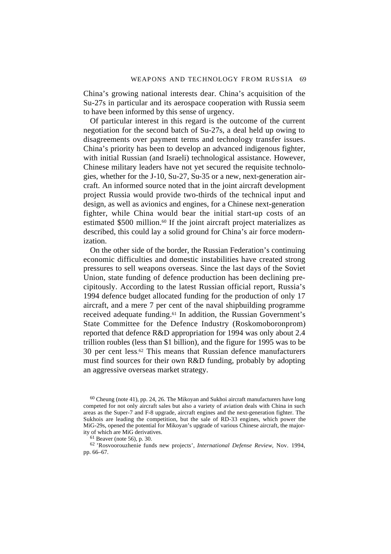China's growing national interests dear. China's acquisition of the Su-27s in particular and its aerospace cooperation with Russia seem to have been informed by this sense of urgency.

Of particular interest in this regard is the outcome of the current negotiation for the second batch of Su-27s, a deal held up owing to disagreements over payment terms and technology transfer issues. China's priority has been to develop an advanced indigenous fighter, with initial Russian (and Israeli) technological assistance. However, Chinese military leaders have not yet secured the requisite technologies, whether for the J-10, Su-27, Su-35 or a new, next-generation aircraft. An informed source noted that in the joint aircraft development project Russia would provide two-thirds of the technical input and design, as well as avionics and engines, for a Chinese next-generation fighter, while China would bear the initial start-up costs of an estimated \$500 million.60 If the joint aircraft project materializes as described, this could lay a solid ground for China's air force modernization.

On the other side of the border, the Russian Federation's continuing economic difficulties and domestic instabilities have created strong pressures to sell weapons overseas. Since the last days of the Soviet Union, state funding of defence production has been declining precipitously. According to the latest Russian official report, Russia's 1994 defence budget allocated funding for the production of only 17 aircraft, and a mere 7 per cent of the naval shipbuilding programme received adequate funding.61 In addition, the Russian Government's State Committee for the Defence Industry (Roskomoboronprom) reported that defence R&D appropriation for 1994 was only about 2.4 trillion roubles (less than \$1 billion), and the figure for 1995 was to be 30 per cent less. 62 This means that Russian defence manufacturers must find sources for their own R&D funding, probably by adopting an aggressive overseas market strategy.

 $60$  Cheung (note 41), pp. 24, 26. The Mikoyan and Sukhoi aircraft manufacturers have long competed for not only aircraft sales but also a variety of aviation deals with China in such areas as the Super-7 and F-8 upgrade, aircraft engines and the next-generation fighter. The Sukhois are leading the competition, but the sale of RD-33 engines, which power the MiG-29s, opened the potential for Mikoyan's upgrade of various Chinese aircraft, the majority of which are MiG derivatives.

 $61$  Beaver (note 56), p. 30.

62 'Rosvoorouzhenie funds new projects', *International Defense Review*, Nov. 1994, pp. 66–67.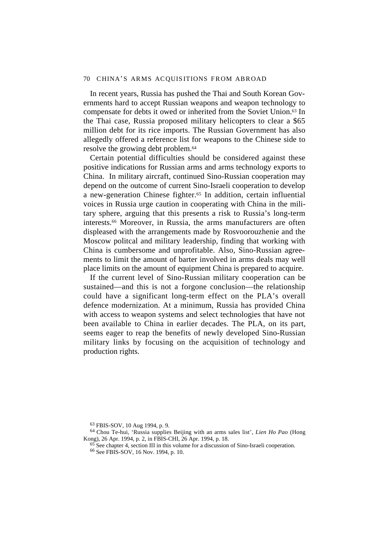In recent years, Russia has pushed the Thai and South Korean Governments hard to accept Russian weapons and weapon technology to compensate for debts it owed or inherited from the Soviet Union.63 In the Thai case, Russia proposed military helicopters to clear a \$65 million debt for its rice imports. The Russian Government has also allegedly offered a reference list for weapons to the Chinese side to resolve the growing debt problem.64

Certain potential difficulties should be considered against these positive indications for Russian arms and arms technology exports to China. In military aircraft, continued Sino-Russian cooperation may depend on the outcome of current Sino-Israeli cooperation to develop a new-generation Chinese fighter.<sup>65</sup> In addition, certain influential voices in Russia urge caution in cooperating with China in the military sphere, arguing that this presents a risk to Russia's long-term interests.66 Moreover, in Russia, the arms manufacturers are often displeased with the arrangements made by Rosvoorouzhenie and the Moscow politcal and military leadership, finding that working with China is cumbersome and unprofitable. Also, Sino-Russian agreements to limit the amount of barter involved in arms deals may well place limits on the amount of equipment China is prepared to acquire.

If the current level of Sino-Russian military cooperation can be sustained—and this is not a forgone conclusion—the relationship could have a significant long-term effect on the PLA's overall defence modernization. At a minimum, Russia has provided China with access to weapon systems and select technologies that have not been available to China in earlier decades. The PLA, on its part, seems eager to reap the benefits of newly developed Sino-Russian military links by focusing on the acquisition of technology and production rights.

<sup>63</sup> FBIS-SOV, 10 Aug 1994, p. 9.

<sup>64</sup> Chou Te-hui, 'Russia supplies Beijing with an arms sales list', *Lien Ho Pao* (Hong Kong), 26 Apr. 1994, p. 2, in FBIS-CHI, 26 Apr. 1994, p. 18.

<sup>65</sup> See chapter 4, section III in this volume for a discussion of Sino-Israeli cooperation. 66 See FBIS-SOV, 16 Nov. 1994, p. 10.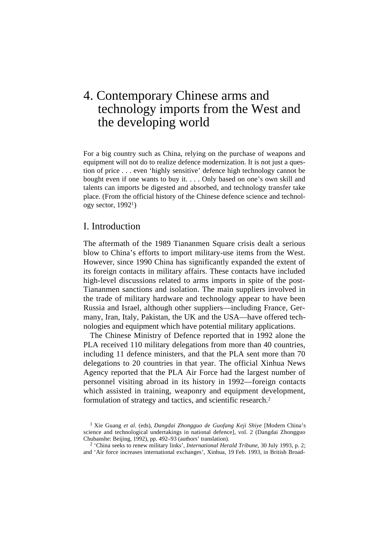# 4. Contemporary Chinese arms and technology imports from the West and the developing world

For a big country such as China, relying on the purchase of weapons and equipment will not do to realize defence modernization. It is not just a question of price . . . even 'highly sensitive' defence high technology cannot be bought even if one wants to buy it. . . . Only based on one's own skill and talents can imports be digested and absorbed, and technology transfer take place. (From the official history of the Chinese defence science and technology sector, 19921)

## I. Introduction

The aftermath of the 1989 Tiananmen Square crisis dealt a serious blow to China's efforts to import military-use items from the West. However, since 1990 China has significantly expanded the extent of its foreign contacts in military affairs. These contacts have included high-level discussions related to arms imports in spite of the post-Tiananmen sanctions and isolation. The main suppliers involved in the trade of military hardware and technology appear to have been Russia and Israel, although other suppliers—including France, Germany, Iran, Italy, Pakistan, the UK and the USA—have offered technologies and equipment which have potential military applications.

The Chinese Ministry of Defence reported that in 1992 alone the PLA received 110 military delegations from more than 40 countries, including 11 defence ministers, and that the PLA sent more than 70 delegations to 20 countries in that year. The official Xinhua News Agency reported that the PLA Air Force had the largest number of personnel visiting abroad in its history in 1992—foreign contacts which assisted in training, weaponry and equipment development, formulation of strategy and tactics, and scientific research.<sup>2</sup>

<sup>1</sup> Xie Guang *et al.* (eds), *Dangdai Zhongguo de Guofang Keji Shiye* [Modern China's science and technological undertakings in national defence], vol. 2 (Dangdai Zhongguo Chubanshe: Beijing, 1992), pp. 492–93 (authors' translation).

<sup>2 &#</sup>x27;China seeks to renew military links', *International Herald Tribune*, 30 July 1993, p. 2; and 'Air force increases international exchanges', Xinhua, 19 Feb. 1993, in British Broad-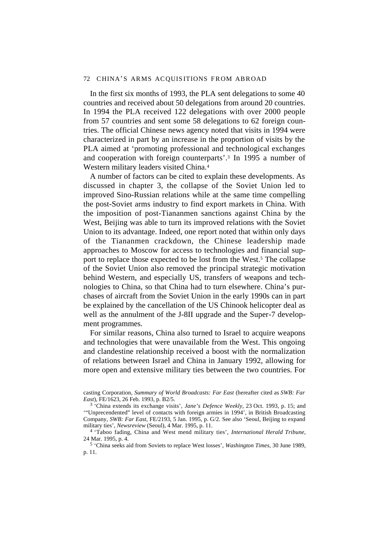### 72 CHINA'S ARMS ACQUISITIONS FROM ABROAD

In the first six months of 1993, the PLA sent delegations to some 40 countries and received about 50 delegations from around 20 countries. In 1994 the PLA received 122 delegations with over 2000 people from 57 countries and sent some 58 delegations to 62 foreign countries. The official Chinese news agency noted that visits in 1994 were characterized in part by an increase in the proportion of visits by the PLA aimed at 'promoting professional and technological exchanges and cooperation with foreign counterparts'.3 In 1995 a number of Western military leaders visited China.4

A number of factors can be cited to explain these developments. As discussed in chapter 3, the collapse of the Soviet Union led to improved Sino-Russian relations while at the same time compelling the post-Soviet arms industry to find export markets in China. With the imposition of post-Tiananmen sanctions against China by the West, Beijing was able to turn its improved relations with the Soviet Union to its advantage. Indeed, one report noted that within only days of the Tiananmen crackdown, the Chinese leadership made approaches to Moscow for access to technologies and financial support to replace those expected to be lost from the West.<sup>5</sup> The collapse of the Soviet Union also removed the principal strategic motivation behind Western, and especially US, transfers of weapons and technologies to China, so that China had to turn elsewhere. China's purchases of aircraft from the Soviet Union in the early 1990s can in part be explained by the cancellation of the US Chinook helicopter deal as well as the annulment of the J-8II upgrade and the Super-7 development programmes.

For similar reasons, China also turned to Israel to acquire weapons and technologies that were unavailable from the West. This ongoing and clandestine relationship received a boost with the normalization of relations between Israel and China in January 1992, allowing for more open and extensive military ties between the two countries. For

casting Corporation, *Summary of World Broadcasts: Far East* (hereafter cited as *SWB: Far East*), FE/1623, 26 Feb. 1993, p. B2/5.

<sup>3 &#</sup>x27;China extends its exchange visits', *Jane's Defence Weekly*, 23 Oct. 1993, p. 15; and '"Unprecendented" level of contacts with foreign armies in 1994', in British Broadcasting Company, *SWB: Far East*, FE/2193, 5 Jan. 1995, p. G/2. See also 'Seoul, Beijing to expand military ties', *Newsreview* (Seoul), 4 Mar. 1995, p. 11.

<sup>4 &#</sup>x27;Taboo fading, China and West mend military ties', *International Herald Tribune*, 24 Mar. 1995, p. 4.

<sup>5 &#</sup>x27;China seeks aid from Soviets to replace West losses', *Washington Times*, 30 June 1989, p. 11.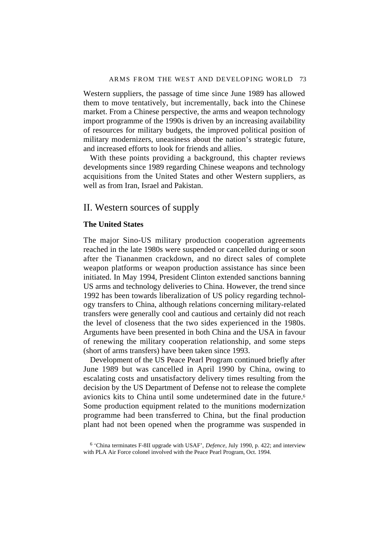Western suppliers, the passage of time since June 1989 has allowed them to move tentatively, but incrementally, back into the Chinese market. From a Chinese perspective, the arms and weapon technology import programme of the 1990s is driven by an increasing availability of resources for military budgets, the improved political position of military modernizers, uneasiness about the nation's strategic future, and increased efforts to look for friends and allies.

With these points providing a background, this chapter reviews developments since 1989 regarding Chinese weapons and technology acquisitions from the United States and other Western suppliers, as well as from Iran, Israel and Pakistan.

# II. Western sources of supply

## **The United States**

The major Sino-US military production cooperation agreements reached in the late 1980s were suspended or cancelled during or soon after the Tiananmen crackdown, and no direct sales of complete weapon platforms or weapon production assistance has since been initiated. In May 1994, President Clinton extended sanctions banning US arms and technology deliveries to China. However, the trend since 1992 has been towards liberalization of US policy regarding technology transfers to China, although relations concerning military-related transfers were generally cool and cautious and certainly did not reach the level of closeness that the two sides experienced in the 1980s. Arguments have been presented in both China and the USA in favour of renewing the military cooperation relationship, and some steps (short of arms transfers) have been taken since 1993.

Development of the US Peace Pearl Program continued briefly after June 1989 but was cancelled in April 1990 by China, owing to escalating costs and unsatisfactory delivery times resulting from the decision by the US Department of Defense not to release the complete avionics kits to China until some undetermined date in the future.6 Some production equipment related to the munitions modernization programme had been transferred to China, but the final production plant had not been opened when the programme was suspended in

<sup>6 &#</sup>x27;China terminates F-8II upgrade with USAF', *Defence*, July 1990, p. 422; and interview with PLA Air Force colonel involved with the Peace Pearl Program, Oct. 1994.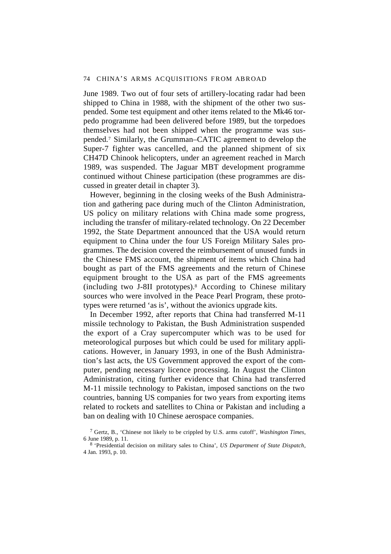June 1989. Two out of four sets of artillery-locating radar had been shipped to China in 1988, with the shipment of the other two suspended. Some test equipment and other items related to the Mk46 torpedo programme had been delivered before 1989, but the torpedoes themselves had not been shipped when the programme was suspended.7 Similarly, the Grumman–CATIC agreement to develop the Super-7 fighter was cancelled, and the planned shipment of six CH47D Chinook helicopters, under an agreement reached in March 1989, was suspended. The Jaguar MBT development programme continued without Chinese participation (these programmes are discussed in greater detail in chapter 3).

However, beginning in the closing weeks of the Bush Administration and gathering pace during much of the Clinton Administration, US policy on military relations with China made some progress, including the transfer of military-related technology. On 22 December 1992, the State Department announced that the USA would return equipment to China under the four US Foreign Military Sales programmes. The decision covered the reimbursement of unused funds in the Chinese FMS account, the shipment of items which China had bought as part of the FMS agreements and the return of Chinese equipment brought to the USA as part of the FMS agreements (including two J-8II prototypes).8 According to Chinese military sources who were involved in the Peace Pearl Program, these prototypes were returned 'as is', without the avionics upgrade kits.

In December 1992, after reports that China had transferred M-11 missile technology to Pakistan, the Bush Administration suspended the export of a Cray supercomputer which was to be used for meteorological purposes but which could be used for military applications. However, in January 1993, in one of the Bush Administration's last acts, the US Government approved the export of the computer, pending necessary licence processing. In August the Clinton Administration, citing further evidence that China had transferred M-11 missile technology to Pakistan, imposed sanctions on the two countries, banning US companies for two years from exporting items related to rockets and satellites to China or Pakistan and including a ban on dealing with 10 Chinese aerospace companies.

<sup>7</sup> Gertz, B., 'Chinese not likely to be crippled by U.S. arms cutoff', *Washington Times*, 6 June 1989, p. 11.

<sup>8 &#</sup>x27;Presidential decision on military sales to China', *US Department of State Dispatch*, 4 Jan. 1993, p. 10.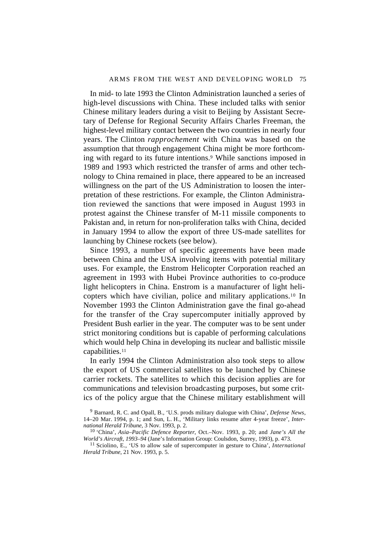In mid- to late 1993 the Clinton Administration launched a series of high-level discussions with China. These included talks with senior Chinese military leaders during a visit to Beijing by Assistant Secretary of Defense for Regional Security Affairs Charles Freeman, the highest-level military contact between the two countries in nearly four years. The Clinton *rapprochement* with China was based on the assumption that through engagement China might be more forthcoming with regard to its future intentions.9 While sanctions imposed in 1989 and 1993 which restricted the transfer of arms and other technology to China remained in place, there appeared to be an increased willingness on the part of the US Administration to loosen the interpretation of these restrictions. For example, the Clinton Administration reviewed the sanctions that were imposed in August 1993 in protest against the Chinese transfer of M-11 missile components to Pakistan and, in return for non-proliferation talks with China, decided in January 1994 to allow the export of three US-made satellites for launching by Chinese rockets (see below).

Since 1993, a number of specific agreements have been made between China and the USA involving items with potential military uses. For example, the Enstrom Helicopter Corporation reached an agreement in 1993 with Hubei Province authorities to co-produce light helicopters in China. Enstrom is a manufacturer of light helicopters which have civilian, police and military applications.10 In November 1993 the Clinton Administration gave the final go-ahead for the transfer of the Cray supercomputer initially approved by President Bush earlier in the year. The computer was to be sent under strict monitoring conditions but is capable of performing calculations which would help China in developing its nuclear and ballistic missile capabilities.11

In early 1994 the Clinton Administration also took steps to allow the export of US commercial satellites to be launched by Chinese carrier rockets. The satellites to which this decision applies are for communications and television broadcasting purposes, but some critics of the policy argue that the Chinese military establishment will

<sup>9</sup> Barnard, R. C. and Opall, B., 'U.S. prods military dialogue with China', *Defense News*, 14–20 Mar. 1994, p. 1; and Sun, L. H., 'Military links resume after 4-year freeze', *International Herald Tribune*, 3 Nov. 1993, p. 2.

<sup>10 &#</sup>x27;China', *Asia–Pacific Defence Reporter*, Oct.–Nov. 1993, p. 20; and *Jane's All the World's Aircraft, 1993–94* (Jane's Information Group: Coulsdon, Surrey, 1993), p. 473.

<sup>11</sup> Sciolino, E., 'US to allow sale of supercomputer in gesture to China', *International Herald Tribune*, 21 Nov. 1993, p. 5.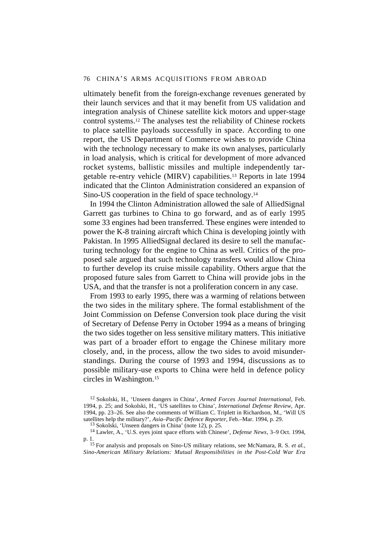ultimately benefit from the foreign-exchange revenues generated by their launch services and that it may benefit from US validation and integration analysis of Chinese satellite kick motors and upper-stage control systems.12 The analyses test the reliability of Chinese rockets to place satellite payloads successfully in space. According to one report, the US Department of Commerce wishes to provide China with the technology necessary to make its own analyses, particularly in load analysis, which is critical for development of more advanced rocket systems, ballistic missiles and multiple independently targetable re-entry vehicle (MIRV) capabilities.13 Reports in late 1994 indicated that the Clinton Administration considered an expansion of Sino-US cooperation in the field of space technology.14

In 1994 the Clinton Administration allowed the sale of AlliedSignal Garrett gas turbines to China to go forward, and as of early 1995 some 33 engines had been transferred. These engines were intended to power the K-8 training aircraft which China is developing jointly with Pakistan. In 1995 AlliedSignal declared its desire to sell the manufacturing technology for the engine to China as well. Critics of the proposed sale argued that such technology transfers would allow China to further develop its cruise missile capability. Others argue that the proposed future sales from Garrett to China will provide jobs in the USA, and that the transfer is not a proliferation concern in any case.

From 1993 to early 1995, there was a warming of relations between the two sides in the military sphere. The formal establishment of the Joint Commission on Defense Conversion took place during the visit of Secretary of Defense Perry in October 1994 as a means of bringing the two sides together on less sensitive military matters. This initiative was part of a broader effort to engage the Chinese military more closely, and, in the process, allow the two sides to avoid misunderstandings. During the course of 1993 and 1994, discussions as to possible military-use exports to China were held in defence policy circles in Washington.15

12 Sokolski, H., 'Unseen dangers in China', *Armed Forces Journal International*, Feb. 1994, p. 25; and Sokolski, H., 'US satellites to China', *International Defense Review*, Apr. 1994, pp. 23–26. See also the comments of William C. Triplett in Richardson, M., 'Will US satellites help the military?', *Asia–Pacific Defence Reporter,* Feb.–Mar. 1994, p. 29.

<sup>13</sup> Sokolski, 'Unseen dangers in China' (note 12), p. 25.

14 Lawler, A., 'U.S. eyes joint space efforts with Chinese', *Defense News*, 3–9 Oct. 1994, p. 1.

<sup>15</sup> For analysis and proposals on Sino-US military relations, see McNamara, R. S. *et al., Sino-American Military Relations: Mutual Responsibilities in the Post-Cold War Era*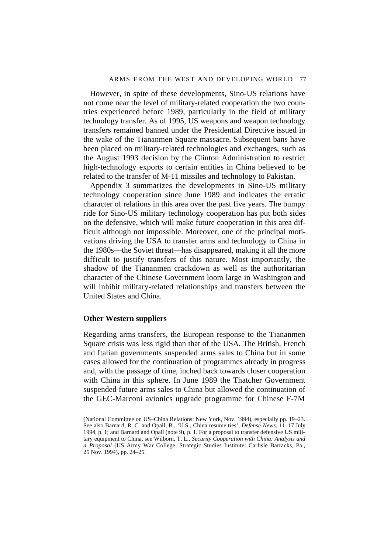However, in spite of these developments, Sino-US relations have not come near the level of military-related cooperation the two countries experienced before 1989, particularly in the field of military technology transfer. As of 1995, US weapons and weapon technology transfers remained banned under the Presidential Directive issued in the wake of the Tiananmen Square massacre. Subsequent bans have been placed on military-related technologies and exchanges, such as the August 1993 decision by the Clinton Administration to restrict high-technology exports to certain entities in China believed to be related to the transfer of M-11 missiles and technology to Pakistan.

Appendix 3 summarizes the developments in Sino-US military technology cooperation since June 1989 and indicates the erratic character of relations in this area over the past five years. The bumpy ride for Sino-US military technology cooperation has put both sides on the defensive, which will make future cooperation in this area difficult although not impossible. Moreover, one of the principal motivations driving the USA to transfer arms and technology to China in the 1980s—the Soviet threat—has disappeared, making it all the more difficult to justify transfers of this nature. Most importantly, the shadow of the Tiananmen crackdown as well as the authoritarian character of the Chinese Government loom large in Washington and will inhibit military-related relationships and transfers between the United States and China.

## **Other Western suppliers**

Regarding arms transfers, the European response to the Tiananmen Square crisis was less rigid than that of the USA. The British, French and Italian governments suspended arms sales to China but in some cases allowed for the continuation of programmes already in progress and, with the passage of time, inched back towards closer cooperation with China in this sphere. In June 1989 the Thatcher Government suspended future arms sales to China but allowed the continuation of the GEC-Marconi avionics upgrade programme for Chinese F-7M

<sup>(</sup>National Committee on US–China Relations: New York, Nov. 1994), especially pp. 19–23. See also Barnard, R. C. and Opall, B., 'U.S., China resume ties', *Defense News*, 11–17 July 1994, p. 1; and Barnard and Opall (note 9), p. 1. For a proposal to transfer defensive US military equipment to China, see Wilborn, T. L., *Security Cooperation with China: Analysis and a Proposal* (US Army War College, Strategic Studies Institute: Carlisle Barracks, Pa., 25 Nov. 1994), pp. 24–25.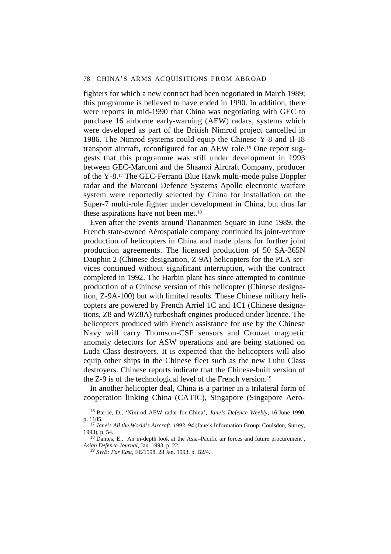fighters for which a new contract had been negotiated in March 1989; this programme is believed to have ended in 1990. In addition, there were reports in mid-1990 that China was negotiating with GEC to purchase 16 airborne early-warning (AEW) radars, systems which were developed as part of the British Nimrod project cancelled in 1986. The Nimrod systems could equip the Chinese Y-8 and Il-18 transport aircraft, reconfigured for an AEW role.16 One report suggests that this programme was still under development in 1993 between GEC-Marconi and the Shaanxi Aircraft Company, producer of the Y-8.17 The GEC-Ferranti Blue Hawk multi-mode pulse Doppler radar and the Marconi Defence Systems Apollo electronic warfare system were reportedly selected by China for installation on the Super-7 multi-role fighter under development in China, but thus far these aspirations have not been met.<sup>18</sup>

Even after the events around Tiananmen Square in June 1989, the French state-owned Aérospatiale company continued its joint-venture production of helicopters in China and made plans for further joint production agreements. The licensed production of 50 SA-365N Dauphin 2 (Chinese designation, Z-9A) helicopters for the PLA services continued without significant interruption, with the contract completed in 1992. The Harbin plant has since attempted to continue production of a Chinese version of this helicopter (Chinese designation, Z-9A-100) but with limited results. These Chinese military helicopters are powered by French Arriel 1C and 1C1 (Chinese designations, Z8 and WZ8A) turboshaft engines produced under licence. The helicopters produced with French assistance for use by the Chinese Navy will carry Thomson-CSF sensors and Crouzet magnetic anomaly detectors for ASW operations and are being stationed on Luda Class destroyers. It is expected that the helicopters will also equip other ships in the Chinese fleet such as the new Luhu Class destroyers. Chinese reports indicate that the Chinese-built version of the Z-9 is of the technological level of the French version.19

In another helicopter deal, China is a partner in a trilateral form of cooperation linking China (CATIC), Singapore (Singapore Aero-

<sup>19</sup> *SWB: Far East*, FE/1598, 28 Jan. 1993, p. B2/4.

<sup>16</sup> Barrie, D., 'Nimrod AEW radar for China', *Jane's Defence Weekly*, 16 June 1990, p. 1185.

<sup>17</sup> *Jane's All the World's Aircraft, 1993–94* (Jane's Information Group: Coulsdon, Surrey, 1993), p. 54.

<sup>&</sup>lt;sup>18</sup> Dantes, E., 'An in-depth look at the Asia–Pacific air forces and future procurement', *Asian Defence Journal*, Jan. 1993, p. 22.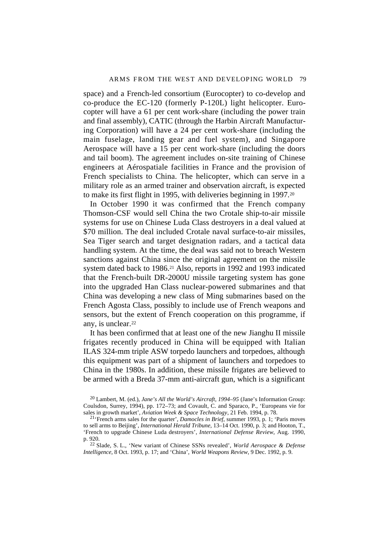space) and a French-led consortium (Eurocopter) to co-develop and co-produce the EC-120 (formerly P-120L) light helicopter. Eurocopter will have a 61 per cent work-share (including the power train and final assembly), CATIC (through the Harbin Aircraft Manufacturing Corporation) will have a 24 per cent work-share (including the main fuselage, landing gear and fuel system), and Singapore Aerospace will have a 15 per cent work-share (including the doors and tail boom). The agreement includes on-site training of Chinese engineers at Aérospatiale facilities in France and the provision of French specialists to China. The helicopter, which can serve in a military role as an armed trainer and observation aircraft, is expected to make its first flight in 1995, with deliveries beginning in 1997.20

In October 1990 it was confirmed that the French company Thomson-CSF would sell China the two Crotale ship-to-air missile systems for use on Chinese Luda Class destroyers in a deal valued at \$70 million. The deal included Crotale naval surface-to-air missiles, Sea Tiger search and target designation radars, and a tactical data handling system. At the time, the deal was said not to breach Western sanctions against China since the original agreement on the missile system dated back to 1986.<sup>21</sup> Also, reports in 1992 and 1993 indicated that the French-built DR-2000U missile targeting system has gone into the upgraded Han Class nuclear-powered submarines and that China was developing a new class of Ming submarines based on the French Agosta Class, possibly to include use of French weapons and sensors, but the extent of French cooperation on this programme, if any, is unclear.<sup>22</sup>

It has been confirmed that at least one of the new Jianghu II missile frigates recently produced in China will be equipped with Italian ILAS 324-mm triple ASW torpedo launchers and torpedoes, although this equipment was part of a shipment of launchers and torpedoes to China in the 1980s. In addition, these missile frigates are believed to be armed with a Breda 37-mm anti-aircraft gun, which is a significant

20 Lambert, M. (ed.), *Jane's All the World's Aircraft, 1994–95* (Jane's Information Group: Coulsdon, Surrey, 1994), pp. 172–73; and Covault, C. and Sparaco, P., 'Europeans vie for sales in growth market', *Aviation Week & Space Technology*, 21 Feb. 1994, p. 78.

21'French arms sales for the quarter', *Damocles in Brief*, summer 1993, p. 1; 'Paris moves to sell arms to Beijing', *International Herald Tribune*, 13–14 Oct. 1990, p. 3; and Hooton, T., 'French to upgrade Chinese Luda destroyers', *International Defense Review*, Aug. 1990, p. 920.

22 Slade, S. L., 'New variant of Chinese SSNs revealed', *World Aerospace & Defense Intelligence*, 8 Oct. 1993, p. 17; and 'China', *World Weapons Review*, 9 Dec. 1992, p. 9.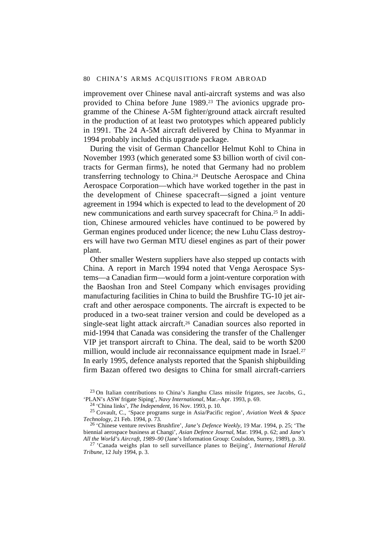improvement over Chinese naval anti-aircraft systems and was also provided to China before June 1989.23 The avionics upgrade programme of the Chinese A-5M fighter/ground attack aircraft resulted in the production of at least two prototypes which appeared publicly in 1991. The 24 A-5M aircraft delivered by China to Myanmar in 1994 probably included this upgrade package.

During the visit of German Chancellor Helmut Kohl to China in November 1993 (which generated some \$3 billion worth of civil contracts for German firms), he noted that Germany had no problem transferring technology to China.24 Deutsche Aerospace and China Aerospace Corporation—which have worked together in the past in the development of Chinese spacecraft—signed a joint venture agreement in 1994 which is expected to lead to the development of 20 new communications and earth survey spacecraft for China.25 In addition, Chinese armoured vehicles have continued to be powered by German engines produced under licence; the new Luhu Class destroyers will have two German MTU diesel engines as part of their power plant.

Other smaller Western suppliers have also stepped up contacts with China. A report in March 1994 noted that Venga Aerospace Systems—a Canadian firm—would form a joint-venture corporation with the Baoshan Iron and Steel Company which envisages providing manufacturing facilities in China to build the Brushfire TG-10 jet aircraft and other aerospace components. The aircraft is expected to be produced in a two-seat trainer version and could be developed as a single-seat light attack aircraft.26 Canadian sources also reported in mid-1994 that Canada was considering the transfer of the Challenger VIP jet transport aircraft to China. The deal, said to be worth \$200 million, would include air reconnaissance equipment made in Israel.<sup>27</sup> In early 1995, defence analysts reported that the Spanish shipbuilding firm Bazan offered two designs to China for small aircraft-carriers

<sup>23</sup> On Italian contributions to China's Jianghu Class missile frigates, see Jacobs, G., 'PLAN's ASW frigate Siping', *Navy International*, Mar.–Apr. 1993, p. 69.

24 'China links', *The Independent*, 16 Nov. 1993, p. 10.

25 Covault, C., 'Space programs surge in Asia/Pacific region', *Aviation Week & Space Technology*, 21 Feb. 1994, p. 73.

26 'Chinese venture revives Brushfire', *Jane's Defence Weekly*, 19 Mar. 1994, p. 25; 'The biennial aerospace business at Changi', *Asian Defence Journal*, Mar. 1994, p. 62; and *Jane's All the World's Aircraft, 1989–90* (Jane's Information Group: Coulsdon, Surrey, 1989), p. 30.

27 'Canada weighs plan to sell surveillance planes to Beijing', *International Herald Tribune*, 12 July 1994, p. 3.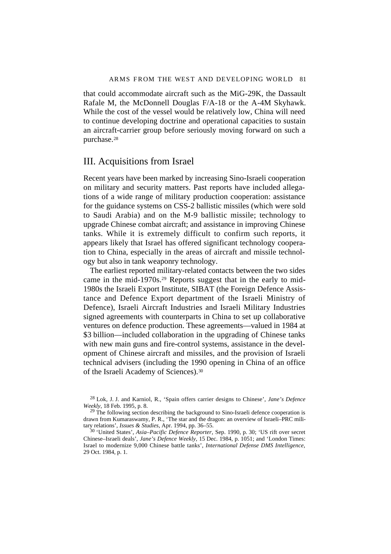that could accommodate aircraft such as the MiG-29K, the Dassault Rafale M, the McDonnell Douglas F/A-18 or the A-4M Skyhawk. While the cost of the vessel would be relatively low, China will need to continue developing doctrine and operational capacities to sustain an aircraft-carrier group before seriously moving forward on such a purchase.28

## III. Acquisitions from Israel

Recent years have been marked by increasing Sino-Israeli cooperation on military and security matters. Past reports have included allegations of a wide range of military production cooperation: assistance for the guidance systems on CSS-2 ballistic missiles (which were sold to Saudi Arabia) and on the M-9 ballistic missile; technology to upgrade Chinese combat aircraft; and assistance in improving Chinese tanks. While it is extremely difficult to confirm such reports, it appears likely that Israel has offered significant technology cooperation to China, especially in the areas of aircraft and missile technology but also in tank weaponry technology.

The earliest reported military-related contacts between the two sides came in the mid-1970s.29 Reports suggest that in the early to mid-1980s the Israeli Export Institute, SIBAT (the Foreign Defence Assistance and Defence Export department of the Israeli Ministry of Defence), Israeli Aircraft Industries and Israeli Military Industries signed agreements with counterparts in China to set up collaborative ventures on defence production. These agreements—valued in 1984 at \$3 billion—included collaboration in the upgrading of Chinese tanks with new main guns and fire-control systems, assistance in the development of Chinese aircraft and missiles, and the provision of Israeli technical advisers (including the 1990 opening in China of an office of the Israeli Academy of Sciences).30

<sup>28</sup> Lok, J. J. and Karniol, R., 'Spain offers carrier designs to Chinese', *Jane's Defence Weekly*, 18 Feb. 1995, p. 8.

 $^{29}$  The following section describing the background to Sino-Israeli defence cooperation is drawn from Kumaraswamy, P. R., 'The star and the dragon: an overview of Israeli–PRC military relations', *Issues & Studies*, Apr. 1994, pp. 36–55.

<sup>30 &#</sup>x27;United States', *Asia–Pacific Defence Reporter,* Sep. 1990, p. 30; 'US rift over secret Chinese–Israeli deals', *Jane's Defence Weekly*, 15 Dec. 1984, p. 1051; and 'London Times: Israel to modernize 9,000 Chinese battle tanks', *International Defense DMS Intelligence*, 29 Oct. 1984, p. 1.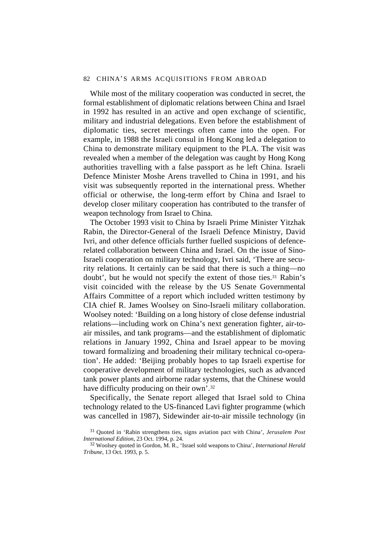#### 82 CHINA'S ARMS ACQUISITIONS FROM ABROAD

While most of the military cooperation was conducted in secret, the formal establishment of diplomatic relations between China and Israel in 1992 has resulted in an active and open exchange of scientific, military and industrial delegations. Even before the establishment of diplomatic ties, secret meetings often came into the open. For example, in 1988 the Israeli consul in Hong Kong led a delegation to China to demonstrate military equipment to the PLA. The visit was revealed when a member of the delegation was caught by Hong Kong authorities travelling with a false passport as he left China. Israeli Defence Minister Moshe Arens travelled to China in 1991, and his visit was subsequently reported in the international press. Whether official or otherwise, the long-term effort by China and Israel to develop closer military cooperation has contributed to the transfer of weapon technology from Israel to China.

The October 1993 visit to China by Israeli Prime Minister Yitzhak Rabin, the Director-General of the Israeli Defence Ministry, David Ivri, and other defence officials further fuelled suspicions of defencerelated collaboration between China and Israel. On the issue of Sino-Israeli cooperation on military technology, Ivri said, 'There are security relations. It certainly can be said that there is such a thing—no doubt', but he would not specify the extent of those ties.<sup>31</sup> Rabin's visit coincided with the release by the US Senate Governmental Affairs Committee of a report which included written testimony by CIA chief R. James Woolsey on Sino-Israeli military collaboration. Woolsey noted: 'Building on a long history of close defense industrial relations—including work on China's next generation fighter, air-toair missiles, and tank programs—and the establishment of diplomatic relations in January 1992, China and Israel appear to be moving toward formalizing and broadening their military technical co-operation'. He added: 'Beijing probably hopes to tap Israeli expertise for cooperative development of military technologies, such as advanced tank power plants and airborne radar systems, that the Chinese would have difficulty producing on their own'.<sup>32</sup>

Specifically, the Senate report alleged that Israel sold to China technology related to the US-financed Lavi fighter programme (which was cancelled in 1987), Sidewinder air-to-air missile technology (in

<sup>31</sup> Quoted in 'Rabin strengthens ties, signs aviation pact with China', *Jerusalem Post International Edition*, 23 Oct. 1994, p. 24.

<sup>32</sup> Woolsey quoted in Gordon, M. R., 'Israel sold weapons to China', *International Herald Tribune*, 13 Oct. 1993, p. 5.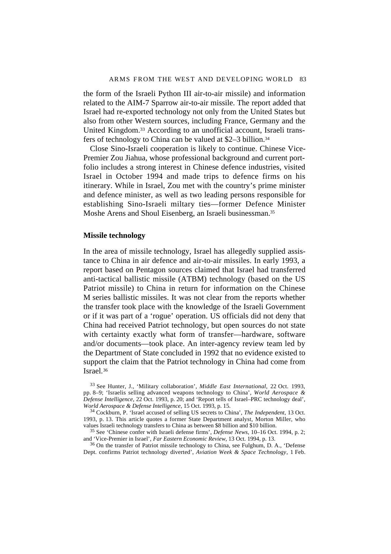the form of the Israeli Python III air-to-air missile) and information related to the AIM-7 Sparrow air-to-air missile. The report added that Israel had re-exported technology not only from the United States but also from other Western sources, including France, Germany and the United Kingdom.33 According to an unofficial account, Israeli transfers of technology to China can be valued at \$2–3 billion.34

Close Sino-Israeli cooperation is likely to continue. Chinese Vice-Premier Zou Jiahua, whose professional background and current portfolio includes a strong interest in Chinese defence industries, visited Israel in October 1994 and made trips to defence firms on his itinerary. While in Israel, Zou met with the country's prime minister and defence minister, as well as two leading persons responsible for establishing Sino-Israeli miltary ties—former Defence Minister Moshe Arens and Shoul Eisenberg, an Israeli businessman.<sup>35</sup>

### **Missile technology**

In the area of missile technology, Israel has allegedly supplied assistance to China in air defence and air-to-air missiles. In early 1993, a report based on Pentagon sources claimed that Israel had transferred anti-tactical ballistic missile (ATBM) technology (based on the US Patriot missile) to China in return for information on the Chinese M series ballistic missiles. It was not clear from the reports whether the transfer took place with the knowledge of the Israeli Government or if it was part of a 'rogue' operation. US officials did not deny that China had received Patriot technology, but open sources do not state with certainty exactly what form of transfer—hardware, software and/or documents—took place. An inter-agency review team led by the Department of State concluded in 1992 that no evidence existed to support the claim that the Patriot technology in China had come from Israel.36

36 On the transfer of Patriot missile technology to China, see Fulghum, D. A., 'Defense Dept. confirms Patriot technology diverted', *Aviation Week & Space Technology*, 1 Feb.

<sup>33</sup> See Hunter, J., 'Military collaboration', *Middle East International*, 22 Oct. 1993, pp. 8–9; 'Israelis selling advanced weapons technology to China', *World Aerospace & Defense Intelligence*, 22 Oct. 1993, p. 20; and 'Report tells of Israel–PRC technology deal', *World Aerospace & Defense Intelligence*, 15 Oct. 1993, p. 15.

<sup>34</sup> Cockburn, P. 'Israel accused of selling US secrets to China', *The Independent*, 13 Oct. 1993, p. 13. This article quotes a former State Department analyst, Morton Miller, who values Israeli technology transfers to China as between \$8 billion and \$10 billion.

<sup>35</sup> See 'Chinese confer with Israeli defense firms', *Defense News*, 10–16 Oct. 1994, p. 2; and 'Vice-Premier in Israel', *Far Eastern Economic Review*, 13 Oct. 1994, p. 13.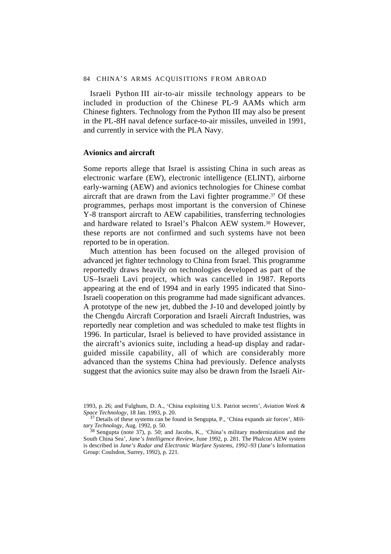#### 84 CHINA'S ARMS ACQUISITIONS FROM ABROAD

Israeli Python III air-to-air missile technology appears to be included in production of the Chinese PL-9 AAMs which arm Chinese fighters. Technology from the Python III may also be present in the PL-8H naval defence surface-to-air missiles, unveiled in 1991, and currently in service with the PLA Navy.

## **Avionics and aircraft**

Some reports allege that Israel is assisting China in such areas as electronic warfare (EW), electronic intelligence (ELINT), airborne early-warning (AEW) and avionics technologies for Chinese combat aircraft that are drawn from the Lavi fighter programme.37 Of these programmes, perhaps most important is the conversion of Chinese Y-8 transport aircraft to AEW capabilities, transferring technologies and hardware related to Israel's Phalcon AEW system.38 However, these reports are not confirmed and such systems have not been reported to be in operation.

Much attention has been focused on the alleged provision of advanced jet fighter technology to China from Israel. This programme reportedly draws heavily on technologies developed as part of the US–Israeli Lavi project, which was cancelled in 1987. Reports appearing at the end of 1994 and in early 1995 indicated that Sino-Israeli cooperation on this programme had made significant advances. A prototype of the new jet, dubbed the J-10 and developed jointly by the Chengdu Aircraft Corporation and Israeli Aircraft Industries, was reportedly near completion and was scheduled to make test flights in 1996. In particular, Israel is believed to have provided assistance in the aircraft's avionics suite, including a head-up display and radarguided missile capability, all of which are considerably more advanced than the systems China had previously. Defence analysts suggest that the avionics suite may also be drawn from the Israeli Air-

<sup>1993,</sup> p. 26; and Fulghum, D. A., 'China exploiting U.S. Patriot secrets', *Aviation Week & Space Technology*, 18 Jan. 1993, p. 20.

<sup>37</sup> Details of these systems can be found in Sengupta, P., 'China expands air forces', *Military Technology*, Aug. 1992, p. 50.

<sup>38</sup> Sengupta (note 37), p. 50; and Jacobs, K., 'China's military modernization and the South China Sea', *Jane's Intelligence Review*, June 1992, p. 281. The Phalcon AEW system is described in *Jane's Radar and Electronic Warfare Systems, 1992–93* (Jane's Information Group: Coulsdon, Surrey, 1992), p. 221.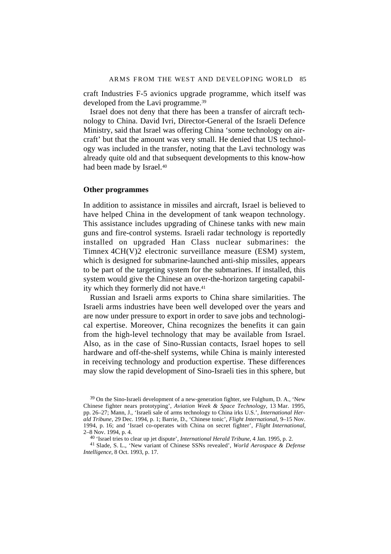craft Industries F-5 avionics upgrade programme, which itself was developed from the Lavi programme.<sup>39</sup>

Israel does not deny that there has been a transfer of aircraft technology to China. David Ivri, Director-General of the Israeli Defence Ministry, said that Israel was offering China 'some technology on aircraft' but that the amount was very small. He denied that US technology was included in the transfer, noting that the Lavi technology was already quite old and that subsequent developments to this know-how had been made by Israel.<sup>40</sup>

#### **Other programmes**

In addition to assistance in missiles and aircraft, Israel is believed to have helped China in the development of tank weapon technology. This assistance includes upgrading of Chinese tanks with new main guns and fire-control systems. Israeli radar technology is reportedly installed on upgraded Han Class nuclear submarines: the Timnex 4CH(V)2 electronic surveillance measure (ESM) system, which is designed for submarine-launched anti-ship missiles, appears to be part of the targeting system for the submarines. If installed, this system would give the Chinese an over-the-horizon targeting capability which they formerly did not have.<sup>41</sup>

Russian and Israeli arms exports to China share similarities. The Israeli arms industries have been well developed over the years and are now under pressure to export in order to save jobs and technological expertise. Moreover, China recognizes the benefits it can gain from the high-level technology that may be available from Israel. Also, as in the case of Sino-Russian contacts, Israel hopes to sell hardware and off-the-shelf systems, while China is mainly interested in receiving technology and production expertise. These differences may slow the rapid development of Sino-Israeli ties in this sphere, but

 $39$  On the Sino-Israeli development of a new-generation fighter, see Fulghum, D. A., 'New Chinese fighter nears prototyping', *Aviation Week & Space Technology*, 13 Mar. 1995, pp. 26–27; Mann, J., 'Israeli sale of arms technology to China irks U.S.', *International Herald Tribune*, 29 Dec. 1994, p. 1; Barrie, D., 'Chinese tonic', *Flight International*, 9–15 Nov. 1994, p. 16; and 'Israel co-operates with China on secret fighter', *Flight International*, 2–8 Nov. 1994, p. 4.

40 'Israel tries to clear up jet dispute', *International Herald Tribune*, 4 Jan. 1995, p. 2.

41 Slade, S. L., 'New variant of Chinese SSNs revealed', *World Aerospace & Defense Intelligence*, 8 Oct. 1993, p. 17.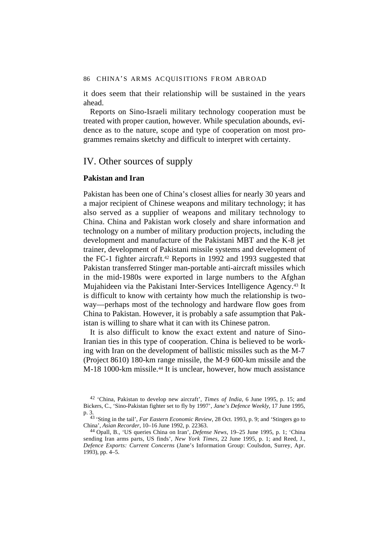it does seem that their relationship will be sustained in the years ahead.

Reports on Sino-Israeli military technology cooperation must be treated with proper caution, however. While speculation abounds, evidence as to the nature, scope and type of cooperation on most programmes remains sketchy and difficult to interpret with certainty.

# IV. Other sources of supply

## **Pakistan and Iran**

Pakistan has been one of China's closest allies for nearly 30 years and a major recipient of Chinese weapons and military technology; it has also served as a supplier of weapons and military technology to China. China and Pakistan work closely and share information and technology on a number of military production projects, including the development and manufacture of the Pakistani MBT and the K-8 jet trainer, development of Pakistani missile systems and development of the FC-1 fighter aircraft.42 Reports in 1992 and 1993 suggested that Pakistan transferred Stinger man-portable anti-aircraft missiles which in the mid-1980s were exported in large numbers to the Afghan Mujahideen via the Pakistani Inter-Services Intelligence Agency.43 It is difficult to know with certainty how much the relationship is twoway—perhaps most of the technology and hardware flow goes from China to Pakistan. However, it is probably a safe assumption that Pakistan is willing to share what it can with its Chinese patron.

It is also difficult to know the exact extent and nature of Sino-Iranian ties in this type of cooperation. China is believed to be working with Iran on the development of ballistic missiles such as the M-7 (Project 8610) 180-km range missile, the M-9 600-km missile and the M-18 1000-km missile.44 It is unclear, however, how much assistance

<sup>42 &#</sup>x27;China, Pakistan to develop new aircraft', *Times of India*, 6 June 1995, p. 15; and Bickers, C., 'Sino-Pakistan fighter set to fly by 1997', *Jane's Defence Weekly*, 17 June 1995, p. 3.

<sup>43</sup> 'Sting in the tail', *Far Eastern Economic Review*, 28 Oct. 1993, p. 9; and 'Stingers go to China', *Asian Recorder*, 10–16 June 1992, p. 22363.

<sup>44</sup> Opall, B., 'US queries China on Iran', *Defense News*, 19–25 June 1995, p. 1; 'China sending Iran arms parts, US finds', *New York Times*, 22 June 1995, p. 1; and Reed, J., *Defence Exports: Current Concerns* (Jane's Information Group: Coulsdon, Surrey, Apr. 1993), pp. 4–5.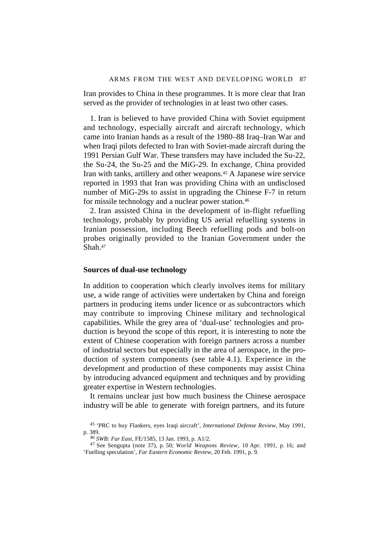Iran provides to China in these programmes. It is more clear that Iran served as the provider of technologies in at least two other cases.

1. Iran is believed to have provided China with Soviet equipment and technology, especially aircraft and aircraft technology, which came into Iranian hands as a result of the 1980–88 Iraq–Iran War and when Iraqi pilots defected to Iran with Soviet-made aircraft during the 1991 Persian Gulf War. These transfers may have included the Su-22, the Su-24, the Su-25 and the MiG-29. In exchange, China provided Iran with tanks, artillery and other weapons.45 A Japanese wire service reported in 1993 that Iran was providing China with an undisclosed number of MiG-29s to assist in upgrading the Chinese F-7 in return for missile technology and a nuclear power station.46

2. Iran assisted China in the development of in-flight refuelling technology, probably by providing US aerial refuelling systems in Iranian possession, including Beech refuelling pods and bolt-on probes originally provided to the Iranian Government under the Shah.47

#### **Sources of dual-use technology**

In addition to cooperation which clearly involves items for military use, a wide range of activities were undertaken by China and foreign partners in producing items under licence or as subcontractors which may contribute to improving Chinese military and technological capabilities. While the grey area of 'dual-use' technologies and production is beyond the scope of this report, it is interesting to note the extent of Chinese cooperation with foreign partners across a number of industrial sectors but especially in the area of aerospace, in the production of system components (see table 4.1). Experience in the development and production of these components may assist China by introducing advanced equipment and techniques and by providing greater expertise in Western technologies.

It remains unclear just how much business the Chinese aerospace industry will be able to generate with foreign partners, and its future

<sup>45 &#</sup>x27;PRC to buy Flankers, eyes Iraqi aircraft', *International Defense Review*, May 1991, p. 389.

<sup>46</sup> *SWB: Far East*, FE/1585, 13 Jan. 1993, p. A1/2.

<sup>47</sup> See Sengupta (note 37), p. 50; *World Weapons Review*, 10 Apr. 1991, p. 16; and 'Fuelling speculation', *Far Eastern Economic Review*, 20 Feb. 1991, p. 9.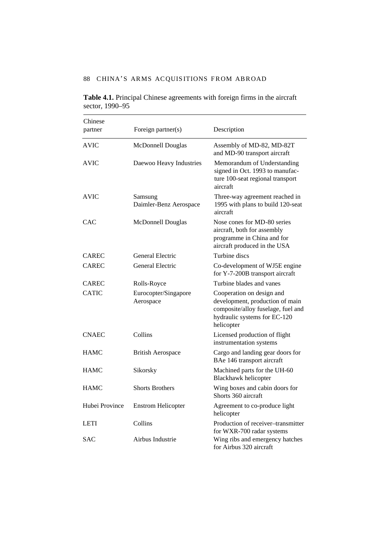í

| Chinese<br>partner | Foreign partner(s)                | Description                                                                                                                                      |
|--------------------|-----------------------------------|--------------------------------------------------------------------------------------------------------------------------------------------------|
| <b>AVIC</b>        | McDonnell Douglas                 | Assembly of MD-82, MD-82T<br>and MD-90 transport aircraft                                                                                        |
| AVIC               | Daewoo Heavy Industries           | Memorandum of Understanding<br>signed in Oct. 1993 to manufac-<br>ture 100-seat regional transport<br>aircraft                                   |
| <b>AVIC</b>        | Samsung<br>Daimler-Benz Aerospace | Three-way agreement reached in<br>1995 with plans to build 120-seat<br>aircraft                                                                  |
| CAC                | McDonnell Douglas                 | Nose cones for MD-80 series<br>aircraft, both for assembly<br>programme in China and for<br>aircraft produced in the USA                         |
| <b>CAREC</b>       | General Electric                  | Turbine discs                                                                                                                                    |
| <b>CAREC</b>       | General Electric                  | Co-development of WJ5E engine<br>for Y-7-200B transport aircraft                                                                                 |
| <b>CAREC</b>       | Rolls-Royce                       | Turbine blades and vanes                                                                                                                         |
| <b>CATIC</b>       | Eurocopter/Singapore<br>Aerospace | Cooperation on design and<br>development, production of main<br>composite/alloy fuselage, fuel and<br>hydraulic systems for EC-120<br>helicopter |
| <b>CNAEC</b>       | Collins                           | Licensed production of flight<br>instrumentation systems                                                                                         |
| <b>HAMC</b>        | <b>British Aerospace</b>          | Cargo and landing gear doors for<br>BAe 146 transport aircraft                                                                                   |
| <b>HAMC</b>        | Sikorsky                          | Machined parts for the UH-60<br>Blackhawk helicopter                                                                                             |
| <b>HAMC</b>        | <b>Shorts Brothers</b>            | Wing boxes and cabin doors for<br>Shorts 360 aircraft                                                                                            |
| Hubei Province     | <b>Enstrom Helicopter</b>         | Agreement to co-produce light<br>helicopter                                                                                                      |
| <b>LETI</b>        | Collins                           | Production of receiver-transmitter<br>for WXR-700 radar systems                                                                                  |
| <b>SAC</b>         | Airbus Industrie                  | Wing ribs and emergency hatches<br>for Airbus 320 aircraft                                                                                       |

**Table 4.1.** Principal Chinese agreements with foreign firms in the aircraft sector, 1990–95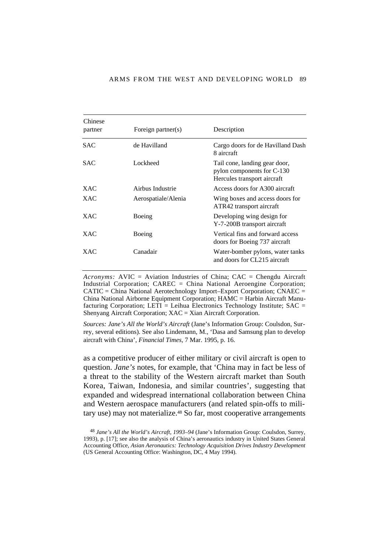| Chinese<br>partner | Foreign partner(s)  | Description                                                                                |
|--------------------|---------------------|--------------------------------------------------------------------------------------------|
| <b>SAC</b>         | de Havilland        | Cargo doors for de Havilland Dash<br>8 aircraft                                            |
| <b>SAC</b>         | Lockheed            | Tail cone, landing gear door,<br>pylon components for C-130<br>Hercules transport aircraft |
| <b>XAC</b>         | Airbus Industrie    | Access doors for A300 aircraft                                                             |
| XAC.               | Aerospatiale/Alenia | Wing boxes and access doors for<br>ATR42 transport aircraft                                |
| XAC.               | Boeing              | Developing wing design for<br>Y-7-200B transport aircraft                                  |
| <b>XAC</b>         | Boeing              | Vertical fins and forward access<br>doors for Boeing 737 aircraft                          |
| <b>XAC</b>         | Canadair            | Water-bomber pylons, water tanks<br>and doors for CL215 aircraft                           |

í

*Acronyms:* AVIC = Aviation Industries of China; CAC = Chengdu Aircraft Industrial Corporation; CAREC = China National Aeroengine Corporation; CATIC = China National Aerotechnology Import–Export Corporation; CNAEC = China National Airborne Equipment Corporation; HAMC = Harbin Aircraft Manufacturing Corporation; LETI = Leihua Electronics Technology Institute;  $SAC =$ Shenyang Aircraft Corporation; XAC = Xian Aircraft Corporation.

*Sources: Jane's All the World's Aircraft* (Jane's Information Group: Coulsdon, Surrey, several editions). See also Lindemann, M., 'Dasa and Samsung plan to develop aircraft with China', *Financial Times*, 7 Mar. 1995, p. 16.

as a competitive producer of either military or civil aircraft is open to question. *Jane's* notes, for example, that 'China may in fact be less of a threat to the stability of the Western aircraft market than South Korea, Taiwan, Indonesia, and similar countries', suggesting that expanded and widespread international collaboration between China and Western aerospace manufacturers (and related spin-offs to military use) may not materialize.<sup>48</sup> So far, most cooperative arrangements

<sup>48</sup> *Jane's All the World's Aircraft, 1993–94* (Jane's Information Group: Coulsdon, Surrey, 1993), p. [17]; see also the analysis of China's aeronautics industry in United States General Accounting Office, *Asian Aeronautics: Technology Acquisition Drives Industry Development* (US General Accounting Office: Washington, DC, 4 May 1994).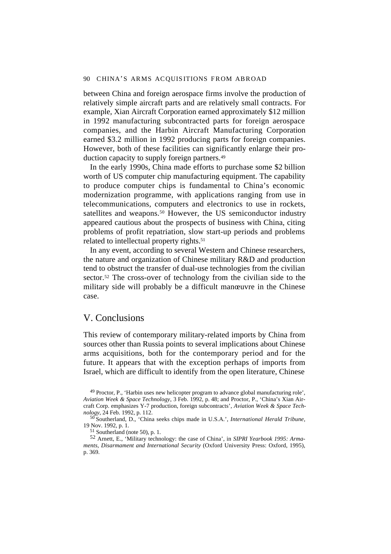between China and foreign aerospace firms involve the production of relatively simple aircraft parts and are relatively small contracts. For example, Xian Aircraft Corporation earned approximately \$12 million in 1992 manufacturing subcontracted parts for foreign aerospace companies, and the Harbin Aircraft Manufacturing Corporation earned \$3.2 million in 1992 producing parts for foreign companies. However, both of these facilities can significantly enlarge their production capacity to supply foreign partners.49

In the early 1990s, China made efforts to purchase some \$2 billion worth of US computer chip manufacturing equipment. The capability to produce computer chips is fundamental to China's economic modernization programme, with applications ranging from use in telecommunications, computers and electronics to use in rockets, satellites and weapons.<sup>50</sup> However, the US semiconductor industry appeared cautious about the prospects of business with China, citing problems of profit repatriation, slow start-up periods and problems related to intellectual property rights.51

In any event, according to several Western and Chinese researchers, the nature and organization of Chinese military R&D and production tend to obstruct the transfer of dual-use technologies from the civilian sector.<sup>52</sup> The cross-over of technology from the civilian side to the military side will probably be a difficult manœuvre in the Chinese case.

# V. Conclusions

This review of contemporary military-related imports by China from sources other than Russia points to several implications about Chinese arms acquisitions, both for the contemporary period and for the future. It appears that with the exception perhaps of imports from Israel, which are difficult to identify from the open literature, Chinese

<sup>&</sup>lt;sup>49</sup> Proctor, P., 'Harbin uses new helicopter program to advance global manufacturing role', *Aviation Week & Space Technology*, 3 Feb. 1992, p. 48; and Proctor, P., 'China's Xian Aircraft Corp. emphasizes Y-7 production, foreign subcontracts', *Aviation Week & Space Technology*, 24 Feb. 1992, p. 112.

<sup>50</sup> Southerland, D., 'China seeks chips made in U.S.A.', *International Herald Tribune*, 19 Nov. 1992, p. 1.<br><sup>51</sup> Southerland (note 50), p. 1.

<sup>&</sup>lt;sup>52</sup> Arnett, E., 'Military technology: the case of China', in *SIPRI Yearbook 1995: Armaments, Disarmament and International Security* (Oxford University Press: Oxford, 1995), p. 369.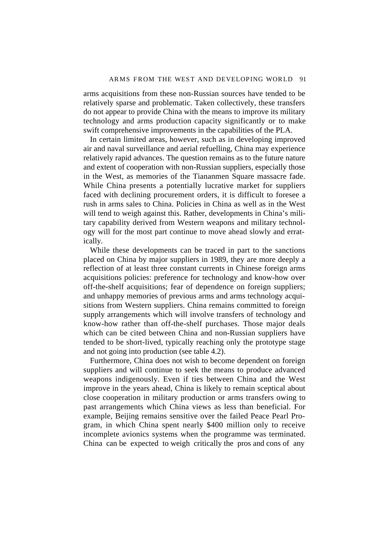arms acquisitions from these non-Russian sources have tended to be relatively sparse and problematic. Taken collectively, these transfers do not appear to provide China with the means to improve its military technology and arms production capacity significantly or to make swift comprehensive improvements in the capabilities of the PLA.

In certain limited areas, however, such as in developing improved air and naval surveillance and aerial refuelling, China may experience relatively rapid advances. The question remains as to the future nature and extent of cooperation with non-Russian suppliers, especially those in the West, as memories of the Tiananmen Square massacre fade. While China presents a potentially lucrative market for suppliers faced with declining procurement orders, it is difficult to foresee a rush in arms sales to China. Policies in China as well as in the West will tend to weigh against this. Rather, developments in China's military capability derived from Western weapons and military technology will for the most part continue to move ahead slowly and erratically.

While these developments can be traced in part to the sanctions placed on China by major suppliers in 1989, they are more deeply a reflection of at least three constant currents in Chinese foreign arms acquisitions policies: preference for technology and know-how over off-the-shelf acquisitions; fear of dependence on foreign suppliers; and unhappy memories of previous arms and arms technology acquisitions from Western suppliers. China remains committed to foreign supply arrangements which will involve transfers of technology and know-how rather than off-the-shelf purchases. Those major deals which can be cited between China and non-Russian suppliers have tended to be short-lived, typically reaching only the prototype stage and not going into production (see table 4.2).

Furthermore, China does not wish to become dependent on foreign suppliers and will continue to seek the means to produce advanced weapons indigenously. Even if ties between China and the West improve in the years ahead, China is likely to remain sceptical about close cooperation in military production or arms transfers owing to past arrangements which China views as less than beneficial. For example, Beijing remains sensitive over the failed Peace Pearl Program, in which China spent nearly \$400 million only to receive incomplete avionics systems when the programme was terminated. China can be expected to weigh critically the pros and cons of any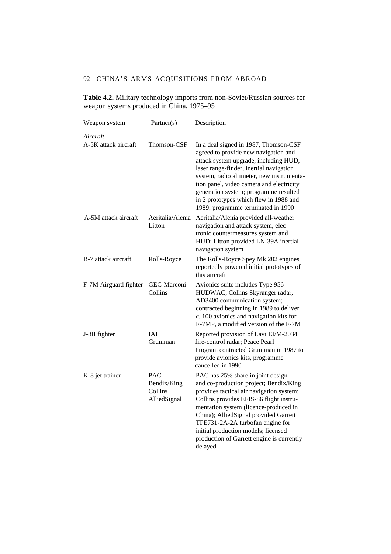## 92 CHINA'S ARMS ACQUISITIONS FROM ABROAD

| Weapon system                    | Partner(s)                                           | Description                                                                                                                                                                                                                                                                                                                                                                             |
|----------------------------------|------------------------------------------------------|-----------------------------------------------------------------------------------------------------------------------------------------------------------------------------------------------------------------------------------------------------------------------------------------------------------------------------------------------------------------------------------------|
| Aircraft<br>A-5K attack aircraft | Thomson-CSF                                          | In a deal signed in 1987, Thomson-CSF<br>agreed to provide new navigation and<br>attack system upgrade, including HUD,<br>laser range-finder, inertial navigation<br>system, radio altimeter, new instrumenta-<br>tion panel, video camera and electricity<br>generation system; programme resulted<br>in 2 prototypes which flew in 1988 and<br>1989; programme terminated in 1990     |
| A-5M attack aircraft             | Aeritalia/Alenia<br>Litton                           | Aeritalia/Alenia provided all-weather<br>navigation and attack system, elec-<br>tronic countermeasures system and<br>HUD; Litton provided LN-39A inertial<br>navigation system                                                                                                                                                                                                          |
| B-7 attack aircraft              | Rolls-Royce                                          | The Rolls-Royce Spey Mk 202 engines<br>reportedly powered initial prototypes of<br>this aircraft                                                                                                                                                                                                                                                                                        |
| F-7M Airguard fighter            | GEC-Marconi<br>Collins                               | Avionics suite includes Type 956<br>HUDWAC, Collins Skyranger radar,<br>AD3400 communication system;<br>contracted beginning in 1989 to deliver<br>$c. 100$ avionics and navigation kits for<br>F-7MP, a modified version of the F-7M                                                                                                                                                   |
| J-8II fighter                    | <b>IAI</b><br>Grumman                                | Reported provision of Lavi EI/M-2034<br>fire-control radar; Peace Pearl<br>Program contracted Grumman in 1987 to<br>provide avionics kits, programme<br>cancelled in 1990                                                                                                                                                                                                               |
| K-8 jet trainer                  | <b>PAC</b><br>Bendix/King<br>Collins<br>AlliedSignal | PAC has 25% share in joint design<br>and co-production project; Bendix/King<br>provides tactical air navigation system;<br>Collins provides EFIS-86 flight instru-<br>mentation system (licence-produced in<br>China); AlliedSignal provided Garrett<br>TFE731-2A-2A turbofan engine for<br>initial production models; licensed<br>production of Garrett engine is currently<br>delayed |

**Table 4.2.** Military technology imports from non-Soviet/Russian sources for weapon systems produced in China, 1975–95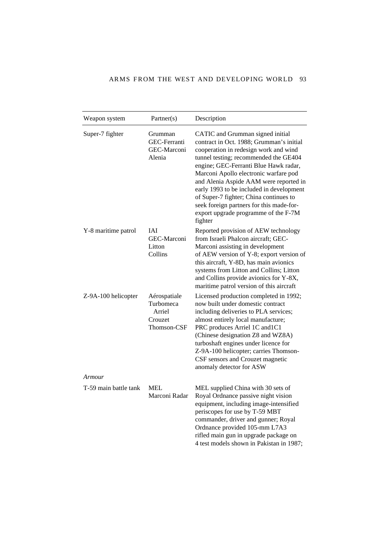| Weapon system         | Partner(s)                                                    | Description                                                                                                                                                                                                                                                                                                                                                                                                                                                                     |
|-----------------------|---------------------------------------------------------------|---------------------------------------------------------------------------------------------------------------------------------------------------------------------------------------------------------------------------------------------------------------------------------------------------------------------------------------------------------------------------------------------------------------------------------------------------------------------------------|
| Super-7 fighter       | Grumman<br>GEC-Ferranti<br>GEC-Marconi<br>Alenia              | CATIC and Grumman signed initial<br>contract in Oct. 1988; Grumman's initial<br>cooperation in redesign work and wind<br>tunnel testing; recommended the GE404<br>engine; GEC-Ferranti Blue Hawk radar,<br>Marconi Apollo electronic warfare pod<br>and Alenia Aspide AAM were reported in<br>early 1993 to be included in development<br>of Super-7 fighter; China continues to<br>seek foreign partners for this made-for-<br>export upgrade programme of the F-7M<br>fighter |
| Y-8 maritime patrol   | IAI<br>GEC-Marconi<br>Litton<br>Collins                       | Reported provision of AEW technology<br>from Israeli Phalcon aircraft; GEC-<br>Marconi assisting in development<br>of AEW version of Y-8; export version of<br>this aircraft, Y-8D, has main avionics<br>systems from Litton and Collins; Litton<br>and Collins provide avionics for Y-8X,<br>maritime patrol version of this aircraft                                                                                                                                          |
| Z-9A-100 helicopter   | Aérospatiale<br>Turbomeca<br>Arriel<br>Crouzet<br>Thomson-CSF | Licensed production completed in 1992;<br>now built under domestic contract<br>including deliveries to PLA services;<br>almost entirely local manufacture;<br>PRC produces Arriel 1C and 1C1<br>(Chinese designation Z8 and WZ8A)<br>turboshaft engines under licence for<br>Z-9A-100 helicopter; carries Thomson-<br>CSF sensors and Crouzet magnetic<br>anomaly detector for ASW                                                                                              |
| Armour                |                                                               |                                                                                                                                                                                                                                                                                                                                                                                                                                                                                 |
| T-59 main battle tank | <b>MEL</b><br>Marconi Radar                                   | MEL supplied China with 30 sets of<br>Royal Ordnance passive night vision<br>equipment, including image-intensified<br>periscopes for use by T-59 MBT<br>commander, driver and gunner; Royal<br>Ordnance provided 105-mm L7A3<br>rifled main gun in upgrade package on<br>4 test models shown in Pakistan in 1987;                                                                                                                                                              |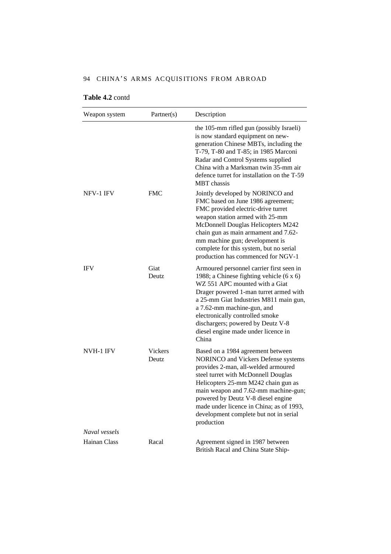| Weapon system | Partner(s)              | Description                                                                                                                                                                                                                                                                                                                                                                            |
|---------------|-------------------------|----------------------------------------------------------------------------------------------------------------------------------------------------------------------------------------------------------------------------------------------------------------------------------------------------------------------------------------------------------------------------------------|
|               |                         | the 105-mm rifled gun (possibly Israeli)<br>is now standard equipment on new-<br>generation Chinese MBTs, including the<br>T-79, T-80 and T-85; in 1985 Marconi<br>Radar and Control Systems supplied<br>China with a Marksman twin 35-mm air<br>defence turret for installation on the T-59<br><b>MBT</b> chassis                                                                     |
| NFV-1 IFV     | <b>FMC</b>              | Jointly developed by NORINCO and<br>FMC based on June 1986 agreement;<br>FMC provided electric-drive turret<br>weapon station armed with 25-mm<br>McDonnell Douglas Helicopters M242<br>chain gun as main armament and 7.62-<br>mm machine gun; development is<br>complete for this system, but no serial<br>production has commenced for NGV-1                                        |
| <b>IFV</b>    | Giat<br>Deutz           | Armoured personnel carrier first seen in<br>1988; a Chinese fighting vehicle $(6 \times 6)$<br>WZ 551 APC mounted with a Giat<br>Drager powered 1-man turret armed with<br>a 25-mm Giat Industries M811 main gun,<br>a 7.62-mm machine-gun, and<br>electronically controlled smoke<br>dischargers; powered by Deutz V-8<br>diesel engine made under licence in<br>China                |
| NVH-1 IFV     | <b>Vickers</b><br>Deutz | Based on a 1984 agreement between<br><b>NORINCO</b> and Vickers Defense systems<br>provides 2-man, all-welded armoured<br>steel turret with McDonnell Douglas<br>Helicopters 25-mm M242 chain gun as<br>main weapon and 7.62-mm machine-gun;<br>powered by Deutz V-8 diesel engine<br>made under licence in China; as of 1993,<br>development complete but not in serial<br>production |
| Naval vessels |                         |                                                                                                                                                                                                                                                                                                                                                                                        |
| Hainan Class  | Racal                   | Agreement signed in 1987 between<br>British Racal and China State Ship-                                                                                                                                                                                                                                                                                                                |

## **Table 4.2** contd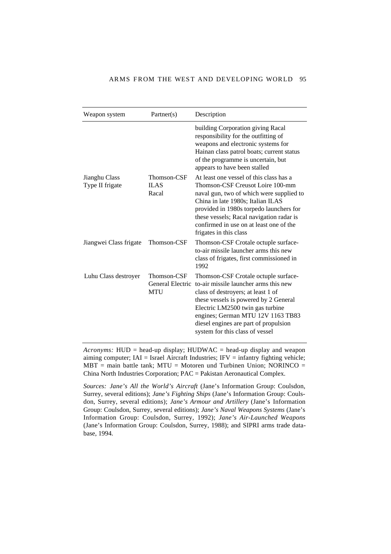| Weapon system                    | Partner(s)                          | Description                                                                                                                                                                                                                                                                                                                        |
|----------------------------------|-------------------------------------|------------------------------------------------------------------------------------------------------------------------------------------------------------------------------------------------------------------------------------------------------------------------------------------------------------------------------------|
|                                  |                                     | building Corporation giving Racal<br>responsibility for the outfitting of<br>weapons and electronic systems for<br>Hainan class patrol boats; current status<br>of the programme is uncertain, but<br>appears to have been stalled                                                                                                 |
| Jianghu Class<br>Type II frigate | Thomson-CSF<br><b>ILAS</b><br>Racal | At least one vessel of this class has a<br>Thomson-CSF Creusot Loire 100-mm<br>naval gun, two of which were supplied to<br>China in late 1980s; Italian ILAS<br>provided in 1980s torpedo launchers for<br>these vessels; Racal navigation radar is<br>confirmed in use on at least one of the<br>frigates in this class           |
| Jiangwei Class frigate           | Thomson-CSF                         | Thomson-CSF Crotale octuple surface-<br>to-air missile launcher arms this new<br>class of frigates, first commissioned in<br>1992                                                                                                                                                                                                  |
| Luhu Class destroyer             | Thomson-CSF<br><b>MTU</b>           | Thomson-CSF Crotale octuple surface-<br>General Electric to-air missile launcher arms this new<br>class of destroyers; at least 1 of<br>these vessels is powered by 2 General<br>Electric LM2500 twin gas turbine<br>engines; German MTU 12V 1163 TB83<br>diesel engines are part of propulsion<br>system for this class of vessel |

*Acronyms:*  $HUD = head-up display; HUDWAC = head-up display; and we are an example of the following equations:  $AD = A$  and  $AD = A$  and  $AD = A$ .$ aiming computer;  $IAI = Israel$  Aircraft Industries;  $IFV = infantry$  fighting vehicle;  $MBT$  = main battle tank; MTU = Motoren und Turbinen Union; NORINCO = China North Industries Corporation; PAC = Pakistan Aeronautical Complex.

*Sources: Jane's All the World's Aircraft* (Jane's Information Group: Coulsdon, Surrey, several editions); *Jane's Fighting Ships* (Jane's Information Group: Coulsdon, Surrey, several editions); *Jane's Armour and Artillery* (Jane's Information Group: Coulsdon, Surrey, several editions); *Jane's Naval Weapons Systems* (Jane's Information Group: Coulsdon, Surrey, 1992); *Jane's Air-Launched Weapons* (Jane's Information Group: Coulsdon, Surrey, 1988); and SIPRI arms trade database, 1994.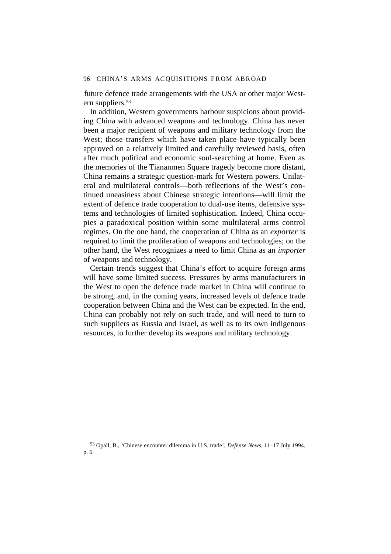future defence trade arrangements with the USA or other major Western suppliers.<sup>53</sup>

In addition, Western governments harbour suspicions about providing China with advanced weapons and technology. China has never been a major recipient of weapons and military technology from the West; those transfers which have taken place have typically been approved on a relatively limited and carefully reviewed basis, often after much political and economic soul-searching at home. Even as the memories of the Tiananmen Square tragedy become more distant, China remains a strategic question-mark for Western powers. Unilateral and multilateral controls—both reflections of the West's continued uneasiness about Chinese strategic intentions—will limit the extent of defence trade cooperation to dual-use items, defensive systems and technologies of limited sophistication. Indeed, China occupies a paradoxical position within some multilateral arms control regimes. On the one hand, the cooperation of China as an *exporter* is required to limit the proliferation of weapons and technologies; on the other hand, the West recognizes a need to limit China as an *importer* of weapons and technology.

Certain trends suggest that China's effort to acquire foreign arms will have some limited success. Pressures by arms manufacturers in the West to open the defence trade market in China will continue to be strong, and, in the coming years, increased levels of defence trade cooperation between China and the West can be expected. In the end, China can probably not rely on such trade, and will need to turn to such suppliers as Russia and Israel, as well as to its own indigenous resources, to further develop its weapons and military technology.

53 Opall, B., 'Chinese encounter dilemma in U.S. trade', *Defense News*, 11–17 July 1994, p. 6.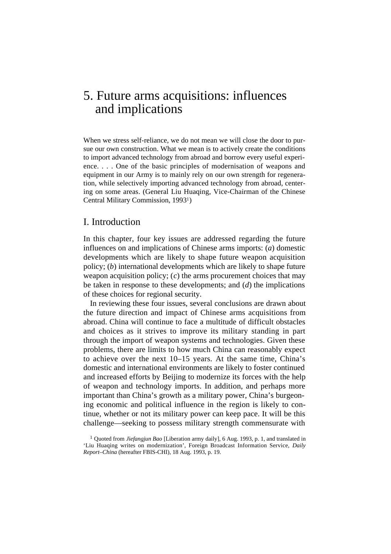# 5. Future arms acquisitions: influences and implications

When we stress self-reliance, we do not mean we will close the door to pursue our own construction. What we mean is to actively create the conditions to import advanced technology from abroad and borrow every useful experience. . . . One of the basic principles of modernisation of weapons and equipment in our Army is to mainly rely on our own strength for regeneration, while selectively importing advanced technology from abroad, centering on some areas. (General Liu Huaqing, Vice-Chairman of the Chinese Central Military Commission, 19931)

# I. Introduction

In this chapter, four key issues are addressed regarding the future influences on and implications of Chinese arms imports: (*a*) domestic developments which are likely to shape future weapon acquisition policy; (*b*) international developments which are likely to shape future weapon acquisition policy;  $(c)$  the arms procurement choices that may be taken in response to these developments; and (*d*) the implications of these choices for regional security.

In reviewing these four issues, several conclusions are drawn about the future direction and impact of Chinese arms acquisitions from abroad. China will continue to face a multitude of difficult obstacles and choices as it strives to improve its military standing in part through the import of weapon systems and technologies. Given these problems, there are limits to how much China can reasonably expect to achieve over the next 10–15 years. At the same time, China's domestic and international environments are likely to foster continued and increased efforts by Beijing to modernize its forces with the help of weapon and technology imports. In addition, and perhaps more important than China's growth as a military power, China's burgeoning economic and political influence in the region is likely to continue, whether or not its military power can keep pace. It will be this challenge—seeking to possess military strength commensurate with

<sup>1</sup> Quoted from *Jiefangjun Bao* [Liberation army daily], 6 Aug. 1993, p. 1, and translated in 'Liu Huaqing writes on modernization', Foreign Broadcast Information Service, *Daily Report–China* (hereafter FBIS-CHI), 18 Aug. 1993, p. 19.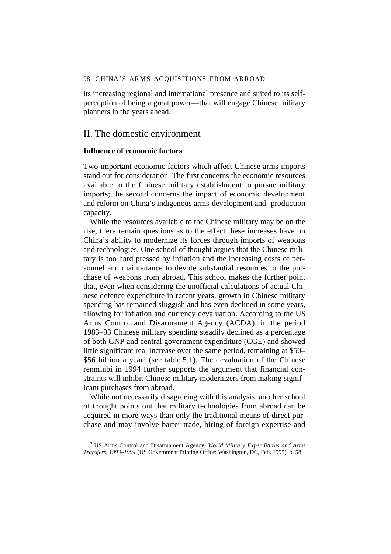its increasing regional and international presence and suited to its selfperception of being a great power—that will engage Chinese military planners in the years ahead.

# II. The domestic environment

## **Influence of economic factors**

Two important economic factors which affect Chinese arms imports stand out for consideration. The first concerns the economic resources available to the Chinese military establishment to pursue military imports; the second concerns the impact of economic development and reform on China's indigenous arms-development and -production capacity.

While the resources available to the Chinese military may be on the rise, there remain questions as to the effect these increases have on China's ability to modernize its forces through imports of weapons and technologies. One school of thought argues that the Chinese military is too hard pressed by inflation and the increasing costs of personnel and maintenance to devote substantial resources to the purchase of weapons from abroad. This school makes the further point that, even when considering the unofficial calculations of actual Chinese defence expenditure in recent years, growth in Chinese military spending has remained sluggish and has even declined in some years, allowing for inflation and currency devaluation. According to the US Arms Control and Disarmament Agency (ACDA), in the period 1983–93 Chinese military spending steadily declined as a percentage of both GNP and central government expenditure (CGE) and showed little significant real increase over the same period, remaining at \$50– \$56 billion a year<sup>2</sup> (see table 5.1). The devaluation of the Chinese renminbi in 1994 further supports the argument that financial constraints will inhibit Chinese military modernizers from making significant purchases from abroad.

While not necessarily disagreeing with this analysis, another school of thought points out that military technologies from abroad can be acquired in more ways than only the traditional means of direct purchase and may involve barter trade, hiring of foreign expertise and

<sup>2</sup> US Arms Control and Disarmament Agency, *World Military Expenditures and Arms Transfers, 1993–1994* (US Government Printing Office: Washington, DC, Feb. 1995), p. 58.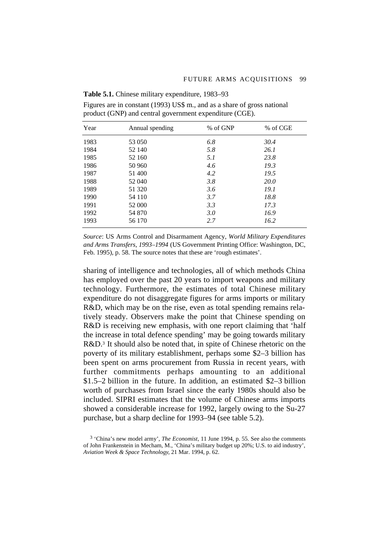| Year | Annual spending | % of GNP | % of CGE |
|------|-----------------|----------|----------|
| 1983 | 53 050          | 6.8      | 30.4     |
| 1984 | 52 140          | 5.8      | 26.1     |
| 1985 | 52 160          | 5.1      | 23.8     |
| 1986 | 50 960          | 4.6      | 19.3     |
| 1987 | 51 400          | 4.2      | 19.5     |
| 1988 | 52 040          | 3.8      | 20.0     |
| 1989 | 51 320          | 3.6      | 19.1     |
| 1990 | 54 110          | 3.7      | 18.8     |
| 1991 | 52 000          | 3.3      | 17.3     |
| 1992 | 54 870          | 3.0      | 16.9     |
| 1993 | 56 170          | 2.7      | 16.2     |

**Table 5.1.** Chinese military expenditure, 1983–93

Figures are in constant (1993) US\$ m., and as a share of gross national product (GNP) and central government expenditure (CGE).

*Source*: US Arms Control and Disarmament Agency, *World Military Expenditures and Arms Transfers, 1993–1994* (US Government Printing Office: Washington, DC, Feb. 1995), p. 58. The source notes that these are 'rough estimates'.

sharing of intelligence and technologies, all of which methods China has employed over the past 20 years to import weapons and military technology. Furthermore, the estimates of total Chinese military expenditure do not disaggregate figures for arms imports or military R&D, which may be on the rise, even as total spending remains relatively steady. Observers make the point that Chinese spending on R&D is receiving new emphasis, with one report claiming that 'half the increase in total defence spending' may be going towards military R&D.<sup>3</sup> It should also be noted that, in spite of Chinese rhetoric on the poverty of its military establishment, perhaps some \$2–3 billion has been spent on arms procurement from Russia in recent years, with further commitments perhaps amounting to an additional \$1.5–2 billion in the future. In addition, an estimated \$2–3 billion worth of purchases from Israel since the early 1980s should also be included. SIPRI estimates that the volume of Chinese arms imports showed a considerable increase for 1992, largely owing to the Su-27 purchase, but a sharp decline for 1993–94 (see table 5.2).

<sup>3 &#</sup>x27;China's new model army', *The Economist*, 11 June 1994, p. 55. See also the comments of John Frankenstein in Mecham, M., 'China's military budget up 20%; U.S. to aid industry', *Aviation Week & Space Technology*, 21 Mar. 1994, p. 62.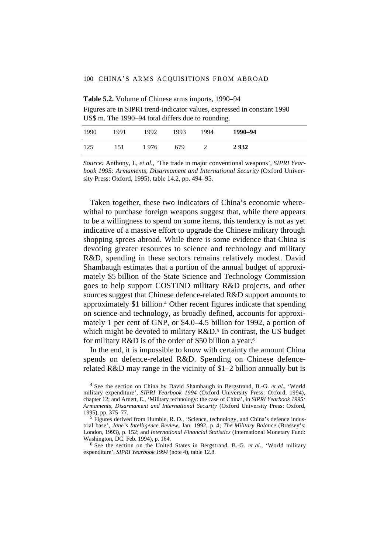| 1990 | 1991 | 1992 | 1993 | 1994          | 1990–94 |
|------|------|------|------|---------------|---------|
| 125  | 151  | 1976 | 679  | $\mathcal{D}$ | 2932    |

**Table 5.2.** Volume of Chinese arms imports, 1990–94

Figures are in SIPRI trend-indicator values, expressed in constant 1990  $U\&$  m. The 1990–94 total differs due to rounding.

Taken together, these two indicators of China's economic wherewithal to purchase foreign weapons suggest that, while there appears to be a willingness to spend on some items, this tendency is not as yet indicative of a massive effort to upgrade the Chinese military through shopping sprees abroad. While there is some evidence that China is devoting greater resources to science and technology and military R&D, spending in these sectors remains relatively modest. David Shambaugh estimates that a portion of the annual budget of approximately \$5 billion of the State Science and Technology Commission goes to help support COSTIND military R&D projects, and other sources suggest that Chinese defence-related R&D support amounts to approximately \$1 billion.4 Other recent figures indicate that spending on science and technology, as broadly defined, accounts for approximately 1 per cent of GNP, or \$4.0–4.5 billion for 1992, a portion of which might be devoted to military  $R&D$ <sup>5</sup> In contrast, the US budget for military R&D is of the order of \$50 billion a year.6

In the end, it is impossible to know with certainty the amount China spends on defence-related R&D. Spending on Chinese defencerelated R&D may range in the vicinity of \$1–2 billion annually but is

6 See the section on the United States in Bergstrand, B.-G. *et al*., 'World military expenditure', *SIPRI Yearbook 1994* (note 4), table 12.8.

*Source:* Anthony, I., *et al.,* 'The trade in major conventional weapons', *SIPRI Yearbook 1995: Armaments, Disarmament and International Security* (Oxford University Press: Oxford, 1995), table 14.2, pp. 494–95.

<sup>4</sup> See the section on China by David Shambaugh in Bergstrand, B.-G. *et al*., 'World military expenditure', *SIPRI Yearbook 1994* (Oxford University Press: Oxford, 1994), chapter 12; and Arnett, E., 'Military technology: the case of China', in *SIPRI Yearbook 1995: Armaments, Disarmament and International Security* (Oxford University Press: Oxford, 1995), pp. 375–77.

<sup>5</sup> Figures derived from Humble, R. D., 'Science, technology, and China's defence industrial base', *Jane's Intelligence Review*, Jan. 1992, p. 4; *The Military Balance* (Brassey's: London, 1993), p. 152; and *International Financial Statistics* (International Monetary Fund: Washington, DC, Feb. 1994), p. 164.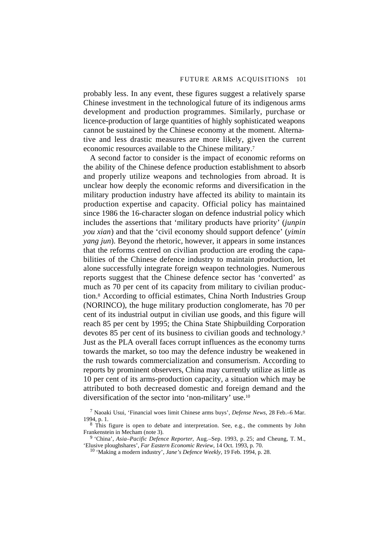probably less. In any event, these figures suggest a relatively sparse Chinese investment in the technological future of its indigenous arms development and production programmes. Similarly, purchase or licence-production of large quantities of highly sophisticated weapons cannot be sustained by the Chinese economy at the moment. Alternative and less drastic measures are more likely, given the current economic resources available to the Chinese military.7

A second factor to consider is the impact of economic reforms on the ability of the Chinese defence production establishment to absorb and properly utilize weapons and technologies from abroad. It is unclear how deeply the economic reforms and diversification in the military production industry have affected its ability to maintain its production expertise and capacity. Official policy has maintained since 1986 the 16-character slogan on defence industrial policy which includes the assertions that 'military products have priority' (*junpin you xian*) and that the 'civil economy should support defence' (*yimin yang jun*). Beyond the rhetoric, however, it appears in some instances that the reforms centred on civilian production are eroding the capabilities of the Chinese defence industry to maintain production, let alone successfully integrate foreign weapon technologies. Numerous reports suggest that the Chinese defence sector has 'converted' as much as 70 per cent of its capacity from military to civilian production.8 According to official estimates, China North Industries Group (NORINCO), the huge military production conglomerate, has 70 per cent of its industrial output in civilian use goods, and this figure will reach 85 per cent by 1995; the China State Shipbuilding Corporation devotes 85 per cent of its business to civilian goods and technology.9 Just as the PLA overall faces corrupt influences as the economy turns towards the market, so too may the defence industry be weakened in the rush towards commercialization and consumerism. According to reports by prominent observers, China may currently utilize as little as 10 per cent of its arms-production capacity, a situation which may be attributed to both decreased domestic and foreign demand and the diversification of the sector into 'non-military' use.10

<sup>7</sup> Naoaki Usui, 'Financial woes limit Chinese arms buys', *Defense News*, 28 Feb.–6 Mar. 1994, p. 1.

 $8 \text{ This figure is open to debate and interpretation. See, e.g., the comments by John.}$ Frankenstein in Mecham (note 3).

<sup>9 &#</sup>x27;China', *Asia–Pacific Defence Reporter*, Aug.–Sep. 1993, p. 25; and Cheung, T. M., 'Elusive ploughshares', *Far Eastern Economic Review*, 14 Oct. 1993, p. 70.

<sup>10 &#</sup>x27;Making a modern industry', *Jane's Defence Weekly*, 19 Feb. 1994, p. 28.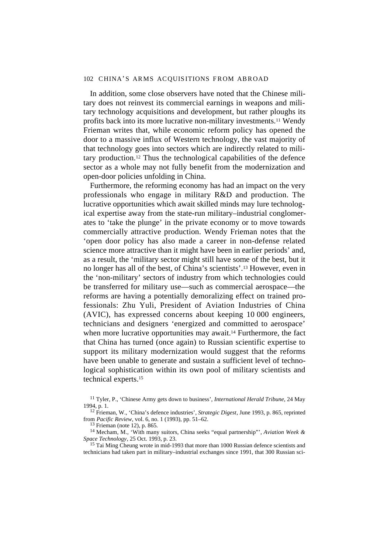In addition, some close observers have noted that the Chinese military does not reinvest its commercial earnings in weapons and military technology acquisitions and development, but rather ploughs its profits back into its more lucrative non-military investments.11 Wendy Frieman writes that, while economic reform policy has opened the door to a massive influx of Western technology, the vast majority of that technology goes into sectors which are indirectly related to military production.12 Thus the technological capabilities of the defence sector as a whole may not fully benefit from the modernization and open-door policies unfolding in China.

Furthermore, the reforming economy has had an impact on the very professionals who engage in military R&D and production. The lucrative opportunities which await skilled minds may lure technological expertise away from the state-run military–industrial conglomerates to 'take the plunge' in the private economy or to move towards commercially attractive production. Wendy Frieman notes that the 'open door policy has also made a career in non-defense related science more attractive than it might have been in earlier periods' and, as a result, the 'military sector might still have some of the best, but it no longer has all of the best, of China's scientists'.13 However, even in the 'non-military' sectors of industry from which technologies could be transferred for military use—such as commercial aerospace—the reforms are having a potentially demoralizing effect on trained professionals: Zhu Yuli, President of Aviation Industries of China (AVIC), has expressed concerns about keeping 10 000 engineers, technicians and designers 'energized and committed to aerospace' when more lucrative opportunities may await.<sup>14</sup> Furthermore, the fact that China has turned (once again) to Russian scientific expertise to support its military modernization would suggest that the reforms have been unable to generate and sustain a sufficient level of technological sophistication within its own pool of military scientists and technical experts.15

<sup>11</sup> Tyler, P., 'Chinese Army gets down to business', *International Herald Tribune*, 24 May 1994, p. 1.

<sup>12</sup> Frieman, W., 'China's defence industries', *Strategic Digest*, June 1993, p. 865, reprinted from *Pacific Review,* vol. 6, no. 1 (1993), pp. 51–62.

<sup>&</sup>lt;sup>14</sup> Mecham, M., 'With many suitors, China seeks "equal partnership"', *Aviation Week & Space Technology*, 25 Oct. 1993, p. 23.

<sup>&</sup>lt;sup>15</sup> Tai Ming Cheung wrote in mid-1993 that more than 1000 Russian defence scientists and technicians had taken part in military–industrial exchanges since 1991, that 300 Russian sci-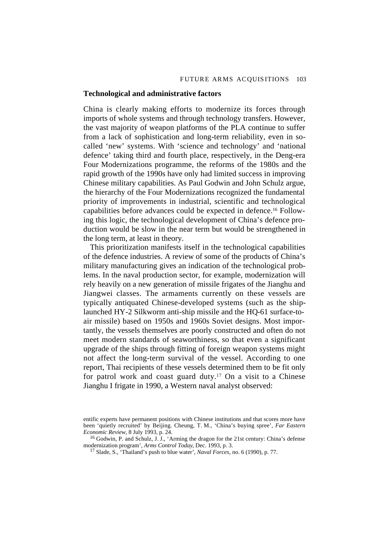### **Technological and administrative factors**

China is clearly making efforts to modernize its forces through imports of whole systems and through technology transfers. However, the vast majority of weapon platforms of the PLA continue to suffer from a lack of sophistication and long-term reliability, even in socalled 'new' systems. With 'science and technology' and 'national defence' taking third and fourth place, respectively, in the Deng-era Four Modernizations programme, the reforms of the 1980s and the rapid growth of the 1990s have only had limited success in improving Chinese military capabilities. As Paul Godwin and John Schulz argue, the hierarchy of the Four Modernizations recognized the fundamental priority of improvements in industrial, scientific and technological capabilities before advances could be expected in defence.16 Following this logic, the technological development of China's defence production would be slow in the near term but would be strengthened in the long term, at least in theory.

This prioritization manifests itself in the technological capabilities of the defence industries. A review of some of the products of China's military manufacturing gives an indication of the technological problems. In the naval production sector, for example, modernization will rely heavily on a new generation of missile frigates of the Jianghu and Jiangwei classes. The armaments currently on these vessels are typically antiquated Chinese-developed systems (such as the shiplaunched HY-2 Silkworm anti-ship missile and the HQ-61 surface-toair missile) based on 1950s and 1960s Soviet designs. Most importantly, the vessels themselves are poorly constructed and often do not meet modern standards of seaworthiness, so that even a significant upgrade of the ships through fitting of foreign weapon systems might not affect the long-term survival of the vessel. According to one report, Thai recipients of these vessels determined them to be fit only for patrol work and coast guard duty.<sup>17</sup> On a visit to a Chinese Jianghu I frigate in 1990, a Western naval analyst observed:

entific experts have permanent positions with Chinese institutions and that scores more have been 'quietly recruited' by Beijing. Cheung, T. M., 'China's buying spree', *Far Eastern Economic Review*, 8 July 1993, p. 24.

<sup>&</sup>lt;sup>16</sup> Godwin, P. and Schulz, J. J., 'Arming the dragon for the 21st century: China's defense modernization program', *Arms Control Today*, Dec. 1993, p. 3.

<sup>17</sup> Slade, S., 'Thailand's push to blue water', *Naval Forces*, no. 6 (1990), p. 77.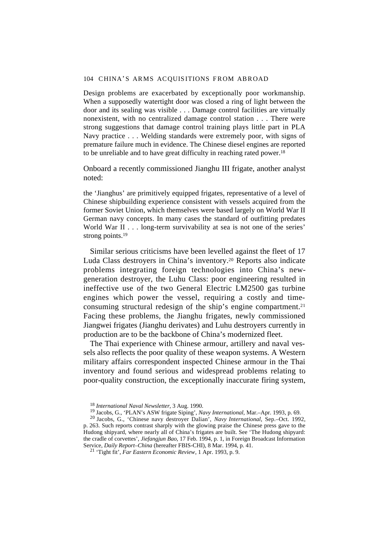Design problems are exacerbated by exceptionally poor workmanship. When a supposedly watertight door was closed a ring of light between the door and its sealing was visible . . . Damage control facilities are virtually nonexistent, with no centralized damage control station . . . There were strong suggestions that damage control training plays little part in PLA Navy practice . . . Welding standards were extremely poor, with signs of premature failure much in evidence. The Chinese diesel engines are reported to be unreliable and to have great difficulty in reaching rated power.18

Onboard a recently commissioned Jianghu III frigate, another analyst noted:

the 'Jianghus' are primitively equipped frigates, representative of a level of Chinese shipbuilding experience consistent with vessels acquired from the former Soviet Union, which themselves were based largely on World War II German navy concepts. In many cases the standard of outfitting predates World War II . . . long-term survivability at sea is not one of the series' strong points.<sup>19</sup>

Similar serious criticisms have been levelled against the fleet of 17 Luda Class destroyers in China's inventory.20 Reports also indicate problems integrating foreign technologies into China's newgeneration destroyer, the Luhu Class: poor engineering resulted in ineffective use of the two General Electric LM2500 gas turbine engines which power the vessel, requiring a costly and timeconsuming structural redesign of the ship's engine compartment.<sup>21</sup> Facing these problems, the Jianghu frigates, newly commissioned Jiangwei frigates (Jianghu derivates) and Luhu destroyers currently in production are to be the backbone of China's modernized fleet.

The Thai experience with Chinese armour, artillery and naval vessels also reflects the poor quality of these weapon systems. A Western military affairs correspondent inspected Chinese armour in the Thai inventory and found serious and widespread problems relating to poor-quality construction, the exceptionally inaccurate firing system,

<sup>18</sup> *International Naval Newsletter*, 3 Aug. 1990.

<sup>19</sup> Jacobs, G., 'PLAN's ASW frigate Siping', *Navy International*, Mar.–Apr. 1993, p. 69.

<sup>20</sup> Jacobs, G., 'Chinese navy destroyer Dalian', *Navy International*, Sep.–Oct. 1992, p. 263. Such reports contrast sharply with the glowing praise the Chinese press gave to the Hudong shipyard, where nearly all of China's frigates are built. See 'The Hudong shipyard: the cradle of corvettes', *Jiefangjun Bao*, 17 Feb. 1994, p. 1, in Foreign Broadcast Information Service, *Daily Report–China* (hereafter FBIS-CHI), 8 Mar. 1994, p. 41.

<sup>21 &#</sup>x27;Tight fit', *Far Eastern Economic Review*, 1 Apr. 1993, p. 9.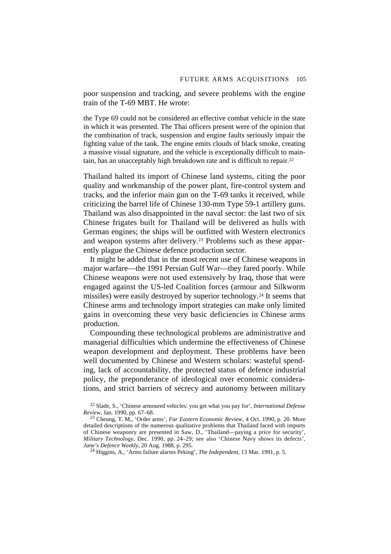poor suspension and tracking, and severe problems with the engine train of the T-69 MBT. He wrote:

the Type 69 could not be considered an effective combat vehicle in the state in which it was presented. The Thai officers present were of the opinion that the combination of track, suspension and engine faults seriously impair the fighting value of the tank. The engine emits clouds of black smoke, creating a massive visual signature, and the vehicle is exceptionally difficult to maintain, has an unacceptably high breakdown rate and is difficult to repair.22

Thailand halted its import of Chinese land systems, citing the poor quality and workmanship of the power plant, fire-control system and tracks, and the inferior main gun on the T-69 tanks it received, while criticizing the barrel life of Chinese 130-mm Type 59-1 artillery guns. Thailand was also disappointed in the naval sector: the last two of six Chinese frigates built for Thailand will be delivered as hulls with German engines; the ships will be outfitted with Western electronics and weapon systems after delivery.23 Problems such as these apparently plague the Chinese defence production sector.

It might be added that in the most recent use of Chinese weapons in major warfare—the 1991 Persian Gulf War—they fared poorly. While Chinese weapons were not used extensively by Iraq, those that were engaged against the US-led Coalition forces (armour and Silkworm missiles) were easily destroyed by superior technology.24 It seems that Chinese arms and technology import strategies can make only limited gains in overcoming these very basic deficiencies in Chinese arms production.

Compounding these technological problems are administrative and managerial difficulties which undermine the effectiveness of Chinese weapon development and deployment. These problems have been well documented by Chinese and Western scholars: wasteful spending, lack of accountability, the protected status of defence industrial policy, the preponderance of ideological over economic considerations, and strict barriers of secrecy and autonomy between military

<sup>22</sup> Slade, S., 'Chinese armoured vehicles: you get what you pay for', *International Defense Review*, Jan. 1990, pp. 67–68.

<sup>23</sup> Cheung, T. M., 'Order arms', *Far Eastern Economic Review*, 4 Oct. 1990, p. 20. More detailed descriptions of the numerous qualitative problems that Thailand faced with imports of Chinese weaponry are presented in Saw, D., 'Thailand—paying a price for security', *Military Technology*, Dec. 1990, pp. 24–29; see also 'Chinese Navy shows its defects', *Jane's Defence Weekly*, 20 Aug. 1988, p. 295.

<sup>24</sup> Higgins, A., 'Arms failure alarms Peking', *The Independent,* 13 Mar. 1991, p. 5.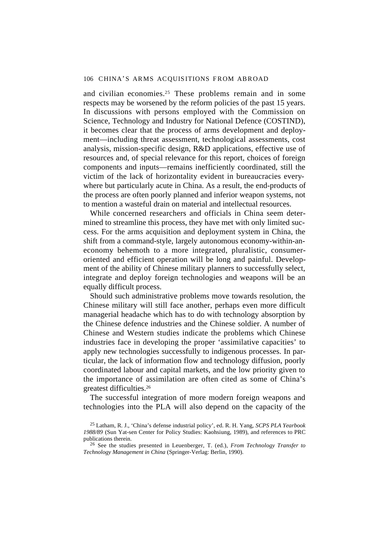and civilian economies.25 These problems remain and in some respects may be worsened by the reform policies of the past 15 years. In discussions with persons employed with the Commission on Science, Technology and Industry for National Defence (COSTIND), it becomes clear that the process of arms development and deployment—including threat assessment, technological assessments, cost analysis, mission-specific design, R&D applications, effective use of resources and, of special relevance for this report, choices of foreign components and inputs—remains inefficiently coordinated, still the victim of the lack of horizontality evident in bureaucracies everywhere but particularly acute in China. As a result, the end-products of the process are often poorly planned and inferior weapon systems, not to mention a wasteful drain on material and intellectual resources.

While concerned researchers and officials in China seem determined to streamline this process, they have met with only limited success. For the arms acquisition and deployment system in China, the shift from a command-style, largely autonomous economy-within-aneconomy behemoth to a more integrated, pluralistic, consumeroriented and efficient operation will be long and painful. Development of the ability of Chinese military planners to successfully select, integrate and deploy foreign technologies and weapons will be an equally difficult process.

Should such administrative problems move towards resolution, the Chinese military will still face another, perhaps even more difficult managerial headache which has to do with technology absorption by the Chinese defence industries and the Chinese soldier. A number of Chinese and Western studies indicate the problems which Chinese industries face in developing the proper 'assimilative capacities' to apply new technologies successfully to indigenous processes. In particular, the lack of information flow and technology diffusion, poorly coordinated labour and capital markets, and the low priority given to the importance of assimilation are often cited as some of China's greatest difficulties.26

The successful integration of more modern foreign weapons and technologies into the PLA will also depend on the capacity of the

<sup>25</sup> Latham, R. J., 'China's defense industrial policy', ed. R. H. Yang, *SCPS PLA Yearbook 1988/89* (Sun Yat-sen Center for Policy Studies: Kaohsiung, 1989), and references to PRC publications therein.

<sup>26</sup> See the studies presented in Leuenberger, T. (ed.), *From Technology Transfer to Technology Management in China* (Springer-Verlag: Berlin, 1990).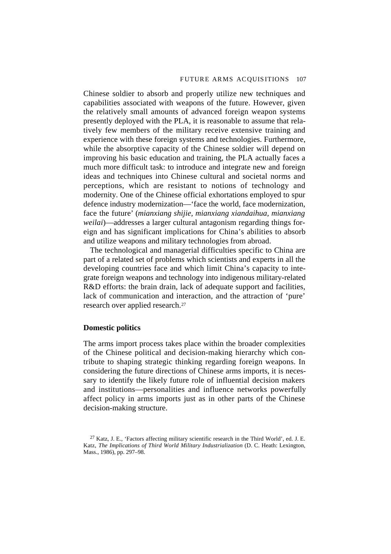Chinese soldier to absorb and properly utilize new techniques and capabilities associated with weapons of the future. However, given the relatively small amounts of advanced foreign weapon systems presently deployed with the PLA, it is reasonable to assume that relatively few members of the military receive extensive training and experience with these foreign systems and technologies. Furthermore, while the absorptive capacity of the Chinese soldier will depend on improving his basic education and training, the PLA actually faces a much more difficult task: to introduce and integrate new and foreign ideas and techniques into Chinese cultural and societal norms and perceptions, which are resistant to notions of technology and modernity. One of the Chinese official exhortations employed to spur defence industry modernization—'face the world, face modernization, face the future' (*mianxiang shijie, mianxiang xiandaihua, mianxiang weilai*)—addresses a larger cultural antagonism regarding things foreign and has significant implications for China's abilities to absorb and utilize weapons and military technologies from abroad.

The technological and managerial difficulties specific to China are part of a related set of problems which scientists and experts in all the developing countries face and which limit China's capacity to integrate foreign weapons and technology into indigenous military-related R&D efforts: the brain drain, lack of adequate support and facilities, lack of communication and interaction, and the attraction of 'pure' research over applied research.27

## **Domestic politics**

The arms import process takes place within the broader complexities of the Chinese political and decision-making hierarchy which contribute to shaping strategic thinking regarding foreign weapons. In considering the future directions of Chinese arms imports, it is necessary to identify the likely future role of influential decision makers and institutions—personalities and influence networks powerfully affect policy in arms imports just as in other parts of the Chinese decision-making structure.

<sup>27</sup> Katz, J. E., 'Factors affecting military scientific research in the Third World', ed. J. E. Katz, *The Implications of Third World Military Industrialization* (D. C. Heath: Lexington, Mass., 1986), pp. 297–98.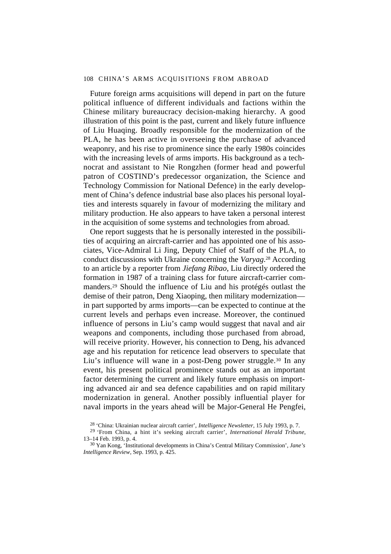Future foreign arms acquisitions will depend in part on the future political influence of different individuals and factions within the Chinese military bureaucracy decision-making hierarchy. A good illustration of this point is the past, current and likely future influence of Liu Huaqing. Broadly responsible for the modernization of the PLA, he has been active in overseeing the purchase of advanced weaponry, and his rise to prominence since the early 1980s coincides with the increasing levels of arms imports. His background as a technocrat and assistant to Nie Rongzhen (former head and powerful patron of COSTIND's predecessor organization, the Science and Technology Commission for National Defence) in the early development of China's defence industrial base also places his personal loyalties and interests squarely in favour of modernizing the military and military production. He also appears to have taken a personal interest in the acquisition of some systems and technologies from abroad.

One report suggests that he is personally interested in the possibilities of acquiring an aircraft-carrier and has appointed one of his associates, Vice-Admiral Li Jing, Deputy Chief of Staff of the PLA, to conduct discussions with Ukraine concerning the *Varyag*. 28 According to an article by a reporter from *Jiefang Ribao*, Liu directly ordered the formation in 1987 of a training class for future aircraft-carrier commanders.29 Should the influence of Liu and his protégés outlast the demise of their patron, Deng Xiaoping, then military modernization in part supported by arms imports—can be expected to continue at the current levels and perhaps even increase. Moreover, the continued influence of persons in Liu's camp would suggest that naval and air weapons and components, including those purchased from abroad, will receive priority. However, his connection to Deng, his advanced age and his reputation for reticence lead observers to speculate that Liu's influence will wane in a post-Deng power struggle.<sup>30</sup> In any event, his present political prominence stands out as an important factor determining the current and likely future emphasis on importing advanced air and sea defence capabilities and on rapid military modernization in general. Another possibly influential player for naval imports in the years ahead will be Major-General He Pengfei,

<sup>28 &#</sup>x27;China: Ukrainian nuclear aircraft carrier', *Intelligence Newsletter*, 15 July 1993, p. 7.

<sup>29 &#</sup>x27;From China, a hint it's seeking aircraft carrier', *International Herald Tribune*, 13–14 Feb. 1993, p. 4.

<sup>30</sup> Yan Kong, 'Institutional developments in China's Central Military Commission', *Jane's Intelligence Review*, Sep. 1993, p. 425.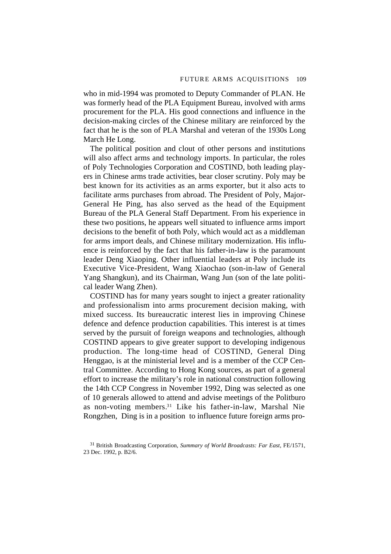who in mid-1994 was promoted to Deputy Commander of PLAN. He was formerly head of the PLA Equipment Bureau, involved with arms procurement for the PLA. His good connections and influence in the decision-making circles of the Chinese military are reinforced by the fact that he is the son of PLA Marshal and veteran of the 1930s Long March He Long.

The political position and clout of other persons and institutions will also affect arms and technology imports. In particular, the roles of Poly Technologies Corporation and COSTIND, both leading players in Chinese arms trade activities, bear closer scrutiny. Poly may be best known for its activities as an arms exporter, but it also acts to facilitate arms purchases from abroad. The President of Poly, Major-General He Ping, has also served as the head of the Equipment Bureau of the PLA General Staff Department. From his experience in these two positions, he appears well situated to influence arms import decisions to the benefit of both Poly, which would act as a middleman for arms import deals, and Chinese military modernization. His influence is reinforced by the fact that his father-in-law is the paramount leader Deng Xiaoping. Other influential leaders at Poly include its Executive Vice-President, Wang Xiaochao (son-in-law of General Yang Shangkun), and its Chairman, Wang Jun (son of the late political leader Wang Zhen).

COSTIND has for many years sought to inject a greater rationality and professionalism into arms procurement decision making, with mixed success. Its bureaucratic interest lies in improving Chinese defence and defence production capabilities. This interest is at times served by the pursuit of foreign weapons and technologies, although COSTIND appears to give greater support to developing indigenous production. The long-time head of COSTIND, General Ding Henggao, is at the ministerial level and is a member of the CCP Central Committee. According to Hong Kong sources, as part of a general effort to increase the military's role in national construction following the 14th CCP Congress in November 1992, Ding was selected as one of 10 generals allowed to attend and advise meetings of the Politburo as non-voting members.31 Like his father-in-law, Marshal Nie Rongzhen, Ding is in a position to influence future foreign arms pro-

<sup>31</sup> British Broadcasting Corporation, *Summary of World Broadcasts: Far East*, FE/1571, 23 Dec. 1992, p. B2/6.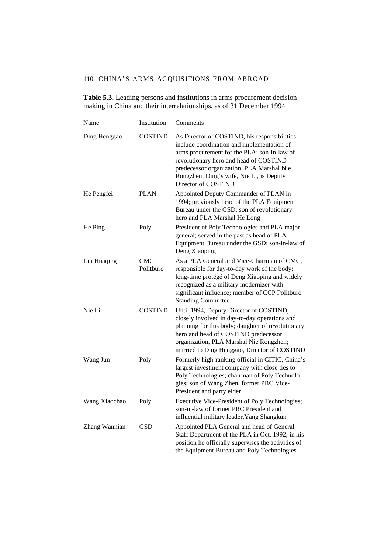| Name          | Institution      | Comments                                                                                                                                                                                                                                                                                            |
|---------------|------------------|-----------------------------------------------------------------------------------------------------------------------------------------------------------------------------------------------------------------------------------------------------------------------------------------------------|
| Ding Henggao  | <b>COSTIND</b>   | As Director of COSTIND, his responsibilities<br>include coordination and implementation of<br>arms procurement for the PLA; son-in-law of<br>revolutionary hero and head of COSTIND<br>predecessor organization, PLA Marshal Nie<br>Rongzhen; Ding's wife, Nie Li, is Deputy<br>Director of COSTIND |
| He Pengfei    | <b>PLAN</b>      | Appointed Deputy Commander of PLAN in<br>1994; previously head of the PLA Equipment<br>Bureau under the GSD; son of revolutionary<br>hero and PLA Marshal He Long                                                                                                                                   |
| He Ping       | Poly             | President of Poly Technologies and PLA major<br>general; served in the past as head of PLA<br>Equipment Bureau under the GSD; son-in-law of<br>Deng Xiaoping                                                                                                                                        |
| Liu Huaqing   | CMC<br>Politburo | As a PLA General and Vice-Chairman of CMC,<br>responsible for day-to-day work of the body;<br>long-time protégé of Deng Xiaoping and widely<br>recognized as a military modernizer with<br>significant influence; member of CCP Politburo<br><b>Standing Committee</b>                              |
| Nie Li        | COSTIND          | Until 1994, Deputy Director of COSTIND,<br>closely involved in day-to-day operations and<br>planning for this body; daughter of revolutionary<br>hero and head of COSTIND predecessor<br>organization, PLA Marshal Nie Rongzhen;<br>married to Ding Henggao, Director of COSTIND                    |
| Wang Jun      | Poly             | Formerly high-ranking official in CITIC, China's<br>largest investment company with close ties to<br>Poly Technologies; chairman of Poly Technolo-<br>gies; son of Wang Zhen, former PRC Vice-<br>President and party elder                                                                         |
| Wang Xiaochao | Poly             | Executive Vice-President of Poly Technologies;<br>son-in-law of former PRC President and<br>influential military leader, Yang Shangkun                                                                                                                                                              |
| Zhang Wannian | GSD              | Appointed PLA General and head of General<br>Staff Department of the PLA in Oct. 1992; in his<br>position he officially supervises the activities of<br>the Equipment Bureau and Poly Technologies                                                                                                  |

**Table 5.3.** Leading persons and institutions in arms procurement decision making in China and their interrelationships, as of 31 December 1994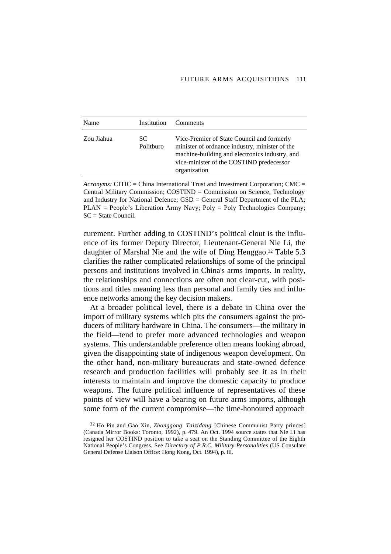| Name       | Institution     | Comments                                                                                                                                                                                                   |
|------------|-----------------|------------------------------------------------------------------------------------------------------------------------------------------------------------------------------------------------------------|
| Zou Jiahua | SС<br>Politburo | Vice-Premier of State Council and formerly<br>minister of ordnance industry, minister of the<br>machine-building and electronics industry, and<br>vice-minister of the COSTIND predecessor<br>organization |

*Acronyms:* CITIC = China International Trust and Investment Corporation; CMC = Central Military Commission; COSTIND = Commission on Science, Technology and Industry for National Defence; GSD = General Staff Department of the PLA;  $PLAN = People's Liberation Army Navy; Poly = Poly Technologies Company;$  $SC = State Council$ .

curement. Further adding to COSTIND's political clout is the influence of its former Deputy Director, Lieutenant-General Nie Li, the daughter of Marshal Nie and the wife of Ding Henggao.32 Table 5.3 clarifies the rather complicated relationships of some of the principal persons and institutions involved in China's arms imports. In reality, the relationships and connections are often not clear-cut, with positions and titles meaning less than personal and family ties and influence networks among the key decision makers.

At a broader political level, there is a debate in China over the import of military systems which pits the consumers against the producers of military hardware in China. The consumers—the military in the field—tend to prefer more advanced technologies and weapon systems. This understandable preference often means looking abroad, given the disappointing state of indigenous weapon development. On the other hand, non-military bureaucrats and state-owned defence research and production facilities will probably see it as in their interests to maintain and improve the domestic capacity to produce weapons. The future political influence of representatives of these points of view will have a bearing on future arms imports, although some form of the current compromise—the time-honoured approach

<sup>32</sup> Ho Pin and Gao Xin, *Zhonggong Taizidang* [Chinese Communist Party princes] (Canada Mirror Books: Toronto, 1992), p. 479. An Oct. 1994 source states that Nie Li has resigned her COSTIND position to take a seat on the Standing Committee of the Eighth National People's Congress. See *Directory of P.R.C. Military Personalities* (US Consulate General Defense Liaison Office: Hong Kong, Oct. 1994), p. iii.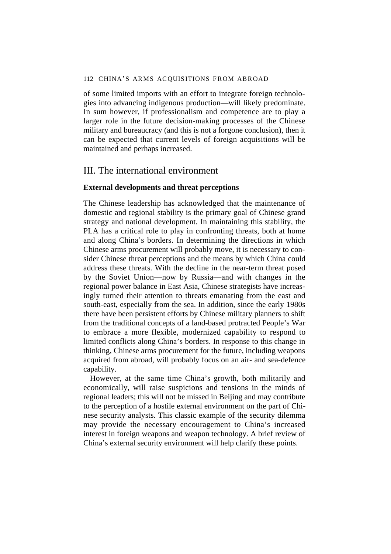of some limited imports with an effort to integrate foreign technologies into advancing indigenous production—will likely predominate. In sum however, if professionalism and competence are to play a larger role in the future decision-making processes of the Chinese military and bureaucracy (and this is not a forgone conclusion), then it can be expected that current levels of foreign acquisitions will be maintained and perhaps increased.

# III. The international environment

## **External developments and threat perceptions**

The Chinese leadership has acknowledged that the maintenance of domestic and regional stability is the primary goal of Chinese grand strategy and national development. In maintaining this stability, the PLA has a critical role to play in confronting threats, both at home and along China's borders. In determining the directions in which Chinese arms procurement will probably move, it is necessary to consider Chinese threat perceptions and the means by which China could address these threats. With the decline in the near-term threat posed by the Soviet Union—now by Russia—and with changes in the regional power balance in East Asia, Chinese strategists have increasingly turned their attention to threats emanating from the east and south-east, especially from the sea. In addition, since the early 1980s there have been persistent efforts by Chinese military planners to shift from the traditional concepts of a land-based protracted People's War to embrace a more flexible, modernized capability to respond to limited conflicts along China's borders. In response to this change in thinking, Chinese arms procurement for the future, including weapons acquired from abroad, will probably focus on an air- and sea-defence capability.

However, at the same time China's growth, both militarily and economically, will raise suspicions and tensions in the minds of regional leaders; this will not be missed in Beijing and may contribute to the perception of a hostile external environment on the part of Chinese security analysts. This classic example of the security dilemma may provide the necessary encouragement to China's increased interest in foreign weapons and weapon technology. A brief review of China's external security environment will help clarify these points.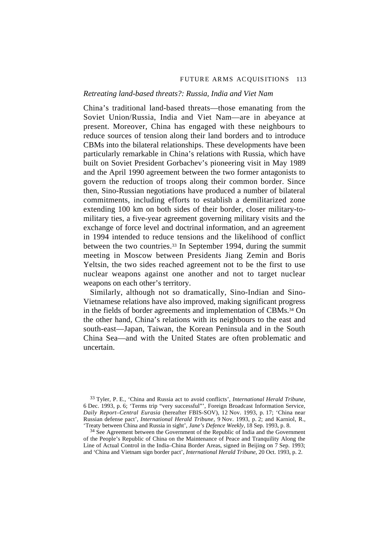## *Retreating land-based threats?: Russia, India and Viet Nam*

China's traditional land-based threats—those emanating from the Soviet Union/Russia, India and Viet Nam—are in abeyance at present. Moreover, China has engaged with these neighbours to reduce sources of tension along their land borders and to introduce CBMs into the bilateral relationships. These developments have been particularly remarkable in China's relations with Russia, which have built on Soviet President Gorbachev's pioneering visit in May 1989 and the April 1990 agreement between the two former antagonists to govern the reduction of troops along their common border. Since then, Sino-Russian negotiations have produced a number of bilateral commitments, including efforts to establish a demilitarized zone extending 100 km on both sides of their border, closer military-tomilitary ties, a five-year agreement governing military visits and the exchange of force level and doctrinal information, and an agreement in 1994 intended to reduce tensions and the likelihood of conflict between the two countries.33 In September 1994, during the summit meeting in Moscow between Presidents Jiang Zemin and Boris Yeltsin, the two sides reached agreement not to be the first to use nuclear weapons against one another and not to target nuclear weapons on each other's territory.

Similarly, although not so dramatically, Sino-Indian and Sino-Vietnamese relations have also improved, making significant progress in the fields of border agreements and implementation of CBMs.34 On the other hand, China's relations with its neighbours to the east and south-east—Japan, Taiwan, the Korean Peninsula and in the South China Sea—and with the United States are often problematic and uncertain.

33 Tyler, P. E., 'China and Russia act to avoid conflicts', *International Herald Tribune*, 6 Dec. 1993, p. 6; 'Terms trip "very successful"', Foreign Broadcast Information Service, *Daily Report–Central Eurasia* (hereafter FBIS-SOV), 12 Nov. 1993, p. 17; 'China near Russian defense pact', *International Herald Tribune*, 9 Nov. 1993, p. 2; and Karniol, R., 'Treaty between China and Russia in sight', *Jane's Defence Weekly,* 18 Sep. 1993, p. 8.

 $34$  See Agreement between the Government of the Republic of India and the Government of the People's Republic of China on the Maintenance of Peace and Tranquility Along the Line of Actual Control in the India–China Border Areas, signed in Beijing on 7 Sep. 1993; and 'China and Vietnam sign border pact', *International Herald Tribune*, 20 Oct. 1993, p. 2.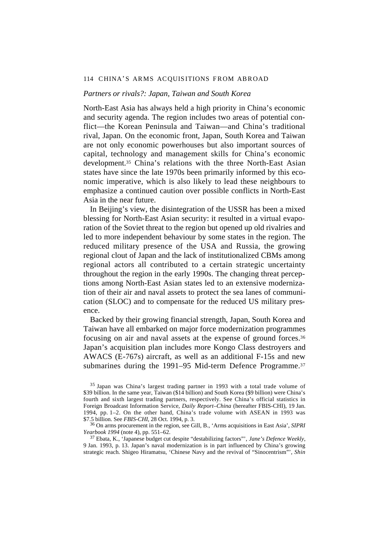## *Partners or rivals?: Japan, Taiwan and South Korea*

North-East Asia has always held a high priority in China's economic and security agenda. The region includes two areas of potential conflict—the Korean Peninsula and Taiwan—and China's traditional rival, Japan. On the economic front, Japan, South Korea and Taiwan are not only economic powerhouses but also important sources of capital, technology and management skills for China's economic development.35 China's relations with the three North-East Asian states have since the late 1970s been primarily informed by this economic imperative, which is also likely to lead these neighbours to emphasize a continued caution over possible conflicts in North-East Asia in the near future.

In Beijing's view, the disintegration of the USSR has been a mixed blessing for North-East Asian security: it resulted in a virtual evaporation of the Soviet threat to the region but opened up old rivalries and led to more independent behaviour by some states in the region. The reduced military presence of the USA and Russia, the growing regional clout of Japan and the lack of institutionalized CBMs among regional actors all contributed to a certain strategic uncertainty throughout the region in the early 1990s. The changing threat perceptions among North-East Asian states led to an extensive modernization of their air and naval assets to protect the sea lanes of communication (SLOC) and to compensate for the reduced US military presence.

Backed by their growing financial strength, Japan, South Korea and Taiwan have all embarked on major force modernization programmes focusing on air and naval assets at the expense of ground forces.36 Japan's acquisition plan includes more Kongo Class destroyers and AWACS (E-767s) aircraft, as well as an additional F-15s and new submarines during the 1991–95 Mid-term Defence Programme.<sup>37</sup>

<sup>35</sup> Japan was China's largest trading partner in 1993 with a total trade volume of \$39 billion. In the same year, Taiwan (\$14 billion) and South Korea (\$9 billion) were China's fourth and sixth largest trading partners, respectively. See China's official statistics in Foreign Broadcast Information Service, *Daily Report–China* (hereafter FBIS-CHI), 19 Jan. 1994, pp. 1–2. On the other hand, China's trade volume with ASEAN in 1993 was \$7.5 billion. See *FBIS-CHI*, 28 Oct. 1994, p. 3.

<sup>36</sup> On arms procurement in the region, see Gill, B., 'Arms acquisitions in East Asia', *SIPRI Yearbook 1994* (note 4), pp. 551–62.

<sup>37</sup> Ebata, K., 'Japanese budget cut despite "destabilizing factors"', *Jane's Defence Weekly*, 9 Jan. 1993, p. 13. Japan's naval modernization is in part influenced by China's growing strategic reach. Shigeo Hiramatsu, 'Chinese Navy and the revival of "Sinocentrism"', *Shin*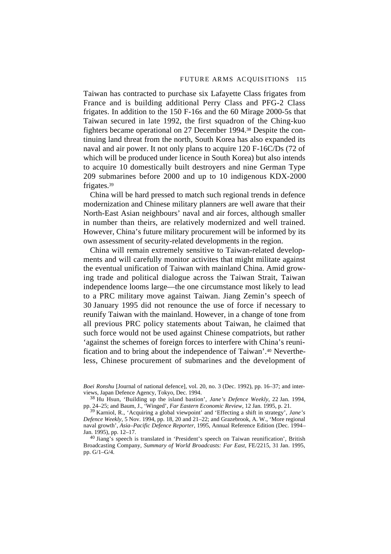Taiwan has contracted to purchase six Lafayette Class frigates from France and is building additional Perry Class and PFG-2 Class frigates. In addition to the 150 F-16s and the 60 Mirage 2000-5s that Taiwan secured in late 1992, the first squadron of the Ching-kuo fighters became operational on 27 December 1994.38 Despite the continuing land threat from the north, South Korea has also expanded its naval and air power. It not only plans to acquire 120 F-16C/Ds (72 of which will be produced under licence in South Korea) but also intends to acquire 10 domestically built destroyers and nine German Type 209 submarines before 2000 and up to 10 indigenous KDX-2000 frigates.39

China will be hard pressed to match such regional trends in defence modernization and Chinese military planners are well aware that their North-East Asian neighbours' naval and air forces, although smaller in number than theirs, are relatively modernized and well trained. However, China's future military procurement will be informed by its own assessment of security-related developments in the region.

China will remain extremely sensitive to Taiwan-related developments and will carefully monitor activites that might militate against the eventual unification of Taiwan with mainland China. Amid growing trade and political dialogue across the Taiwan Strait, Taiwan independence looms large—the one circumstance most likely to lead to a PRC military move against Taiwan. Jiang Zemin's speech of 30 January 1995 did not renounce the use of force if necessary to reunify Taiwan with the mainland. However, in a change of tone from all previous PRC policy statements about Taiwan, he claimed that such force would not be used against Chinese compatriots, but rather 'against the schemes of foreign forces to interfere with China's reunification and to bring about the independence of Taiwan'.40 Nevertheless, Chinese procurement of submarines and the development of

*Boei Ronshu* [Journal of national defence], vol. 20, no. 3 (Dec. 1992), pp. 16–37; and interviews, Japan Defence Agency, Tokyo, Dec. 1994.

38 Hu Hsun, 'Building up the island bastion', *Jane's Defence Weekly*, 22 Jan. 1994, pp. 24–25; and Baum, J., 'Winged', *Far Eastern Economic Review*, 12 Jan. 1995, p. 21.

39 Karniol, R., 'Acquiring a global viewpoint' and 'Effecting a shift in strategy', *Jane's Defence Weekly*, 5 Nov. 1994, pp. 18, 20 and 21–22; and Grazebrook, A. W., 'More regional naval growth', *Asia–Pacific Defence Reporter*, 1995, Annual Reference Edition (Dec. 1994– Jan. 1995), pp. 12–17.

<sup>40</sup> Jiang's speech is translated in 'President's speech on Taiwan reunification', British Broadcasting Company, *Summary of World Broadcasts: Far East*, FE/2215, 31 Jan. 1995, pp. G/1–G/4.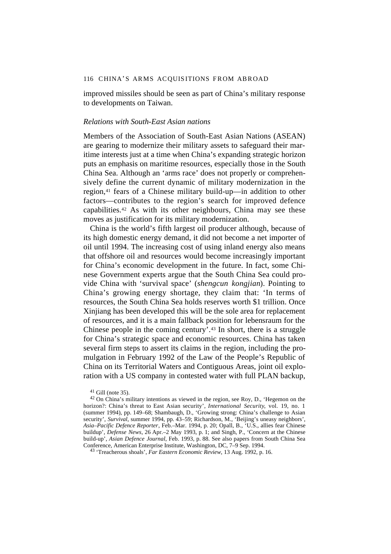improved missiles should be seen as part of China's military response to developments on Taiwan.

## *Relations with South-East Asian nations*

Members of the Association of South-East Asian Nations (ASEAN) are gearing to modernize their military assets to safeguard their maritime interests just at a time when China's expanding strategic horizon puts an emphasis on maritime resources, especially those in the South China Sea. Although an 'arms race' does not properly or comprehensively define the current dynamic of military modernization in the region,41 fears of a Chinese military build-up—in addition to other factors—contributes to the region's search for improved defence capabilities.42 As with its other neighbours, China may see these moves as justification for its military modernization.

China is the world's fifth largest oil producer although, because of its high domestic energy demand, it did not become a net importer of oil until 1994. The increasing cost of using inland energy also means that offshore oil and resources would become increasingly important for China's economic development in the future. In fact, some Chinese Government experts argue that the South China Sea could provide China with 'survival space' (*shengcun kongjian*). Pointing to China's growing energy shortage, they claim that: 'In terms of resources, the South China Sea holds reserves worth \$1 trillion. Once Xinjiang has been developed this will be the sole area for replacement of resources, and it is a main fallback position for lebensraum for the Chinese people in the coming century'.43 In short, there is a struggle for China's strategic space and economic resources. China has taken several firm steps to assert its claims in the region, including the promulgation in February 1992 of the Law of the People's Republic of China on its Territorial Waters and Contiguous Areas, joint oil exploration with a US company in contested water with full PLAN backup,

 $41$  Gill (note 35).

 $42$  On China's military intentions as viewed in the region, see Roy, D., 'Hegemon on the horizon?: China's threat to East Asian security', *International Security*, vol. 19, no. 1 (summer 1994), pp. 149–68; Shambaugh, D., 'Growing strong: China's challenge to Asian security', *Survival*, summer 1994, pp. 43–59; Richardson, M., 'Beijing's uneasy neighbors', *Asia–Pacific Defence Reporter*, Feb.–Mar. 1994, p. 20; Opall, B., 'U.S., allies fear Chinese buildup', *Defense News*, 26 Apr.–2 May 1993, p. 1; and Singh, P., 'Concern at the Chinese build-up', *Asian Defence Journal*, Feb. 1993, p. 88. See also papers from South China Sea Conference, American Enterprise Institute, Washington, DC, 7–9 Sep. 1994.

<sup>43 &#</sup>x27;Treacherous shoals', *Far Eastern Economic Review*, 13 Aug. 1992, p. 16.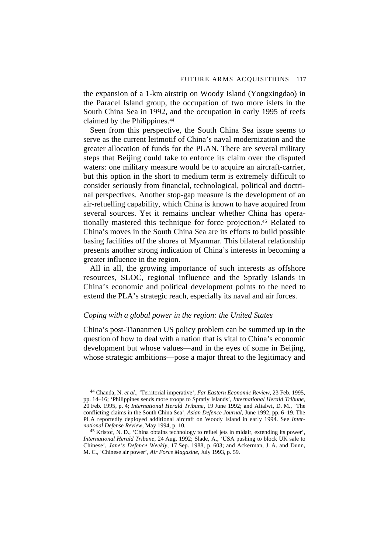the expansion of a 1-km airstrip on Woody Island (Yongxingdao) in the Paracel Island group, the occupation of two more islets in the South China Sea in 1992, and the occupation in early 1995 of reefs claimed by the Philippines.44

Seen from this perspective, the South China Sea issue seems to serve as the current leitmotif of China's naval modernization and the greater allocation of funds for the PLAN. There are several military steps that Beijing could take to enforce its claim over the disputed waters: one military measure would be to acquire an aircraft-carrier, but this option in the short to medium term is extremely difficult to consider seriously from financial, technological, political and doctrinal perspectives. Another stop-gap measure is the development of an air-refuelling capability, which China is known to have acquired from several sources. Yet it remains unclear whether China has operationally mastered this technique for force projection.45 Related to China's moves in the South China Sea are its efforts to build possible basing facilities off the shores of Myanmar. This bilateral relationship presents another strong indication of China's interests in becoming a greater influence in the region.

All in all, the growing importance of such interests as offshore resources, SLOC, regional influence and the Spratly Islands in China's economic and political development points to the need to extend the PLA's strategic reach, especially its naval and air forces.

## *Coping with a global power in the region: the United States*

China's post-Tiananmen US policy problem can be summed up in the question of how to deal with a nation that is vital to China's economic development but whose values—and in the eyes of some in Beijing. whose strategic ambitions—pose a major threat to the legitimacy and

44 Chanda, N. *et al*., 'Territorial imperative', *Far Eastern Economic Review*, 23 Feb. 1995, pp. 14–16; 'Philippines sends more troops to Spratly Islands', *International Herald Tribune*, 20 Feb. 1995, p. 4; *International Herald Tribune*, 19 June 1992; and Alialwi, D. M., 'The conflicting claims in the South China Sea', *Asian Defence Journal*, June 1992, pp. 6–19. The PLA reportedly deployed additional aircraft on Woody Island in early 1994. See *International Defense Review*, May 1994, p. 10.

45 Kristof, N. D., 'China obtains technology to refuel jets in midair, extending its power', *International Herald Tribune*, 24 Aug. 1992; Slade, A., 'USA pushing to block UK sale to Chinese', *Jane's Defence Weekly*, 17 Sep. 1988, p. 603; and Ackerman, J. A. and Dunn, M. C., 'Chinese air power', *Air Force Magazine*, July 1993, p. 59.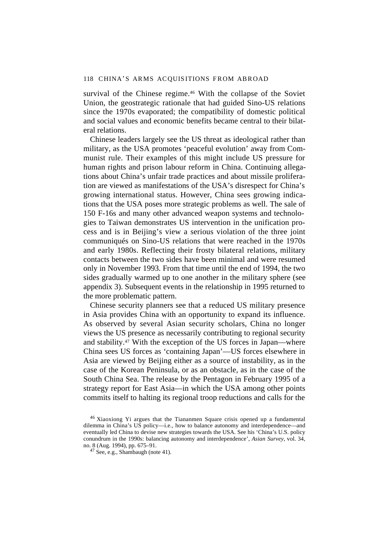survival of the Chinese regime.46 With the collapse of the Soviet Union, the geostrategic rationale that had guided Sino-US relations since the 1970s evaporated; the compatibility of domestic political and social values and economic benefits became central to their bilateral relations.

Chinese leaders largely see the US threat as ideological rather than military, as the USA promotes 'peaceful evolution' away from Communist rule. Their examples of this might include US pressure for human rights and prison labour reform in China. Continuing allegations about China's unfair trade practices and about missile proliferation are viewed as manifestations of the USA's disrespect for China's growing international status. However, China sees growing indications that the USA poses more strategic problems as well. The sale of 150 F-16s and many other advanced weapon systems and technologies to Taiwan demonstrates US intervention in the unification process and is in Beijing's view a serious violation of the three joint communiqués on Sino-US relations that were reached in the 1970s and early 1980s. Reflecting their frosty bilateral relations, military contacts between the two sides have been minimal and were resumed only in November 1993. From that time until the end of 1994, the two sides gradually warmed up to one another in the military sphere (see appendix 3). Subsequent events in the relationship in 1995 returned to the more problematic pattern.

Chinese security planners see that a reduced US military presence in Asia provides China with an opportunity to expand its influence. As observed by several Asian security scholars, China no longer views the US presence as necessarily contributing to regional security and stability.47 With the exception of the US forces in Japan—where China sees US forces as 'containing Japan'—US forces elsewhere in Asia are viewed by Beijing either as a source of instability, as in the case of the Korean Peninsula, or as an obstacle, as in the case of the South China Sea. The release by the Pentagon in February 1995 of a strategy report for East Asia—in which the USA among other points commits itself to halting its regional troop reductions and calls for the

<sup>46</sup> Xiaoxiong Yi argues that the Tiananmen Square crisis opened up a fundamental dilemma in China's US policy—i.e., how to balance autonomy and interdependence—and eventually led China to devise new strategies towards the USA. See his 'China's U.S. policy conundrum in the 1990s: balancing autonomy and interdependence', *Asian Survey*, vol. 34, no. 8 (Aug. 1994), pp. 675–91.

<sup>47</sup> See, e.g., Shambaugh (note 41).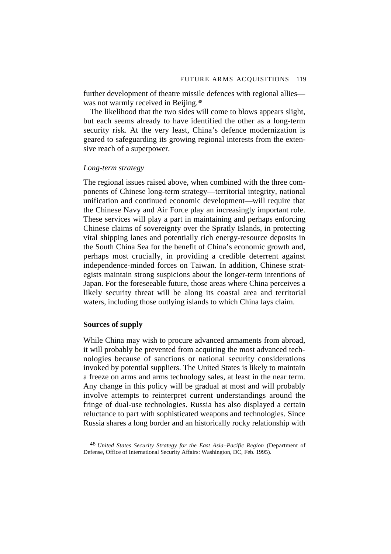further development of theatre missile defences with regional allies was not warmly received in Beijing.<sup>48</sup>

The likelihood that the two sides will come to blows appears slight, but each seems already to have identified the other as a long-term security risk. At the very least, China's defence modernization is geared to safeguarding its growing regional interests from the extensive reach of a superpower.

## *Long-term strategy*

The regional issues raised above, when combined with the three components of Chinese long-term strategy—territorial integrity, national unification and continued economic development—will require that the Chinese Navy and Air Force play an increasingly important role. These services will play a part in maintaining and perhaps enforcing Chinese claims of sovereignty over the Spratly Islands, in protecting vital shipping lanes and potentially rich energy-resource deposits in the South China Sea for the benefit of China's economic growth and, perhaps most crucially, in providing a credible deterrent against independence-minded forces on Taiwan. In addition, Chinese strategists maintain strong suspicions about the longer-term intentions of Japan. For the foreseeable future, those areas where China perceives a likely security threat will be along its coastal area and territorial waters, including those outlying islands to which China lays claim.

## **Sources of supply**

While China may wish to procure advanced armaments from abroad, it will probably be prevented from acquiring the most advanced technologies because of sanctions or national security considerations invoked by potential suppliers. The United States is likely to maintain a freeze on arms and arms technology sales, at least in the near term. Any change in this policy will be gradual at most and will probably involve attempts to reinterpret current understandings around the fringe of dual-use technologies. Russia has also displayed a certain reluctance to part with sophisticated weapons and technologies. Since Russia shares a long border and an historically rocky relationship with

<sup>48</sup> *United States Security Strategy for the East Asia–Pacific Region* (Department of Defense, Office of International Security Affairs: Washington, DC, Feb. 1995).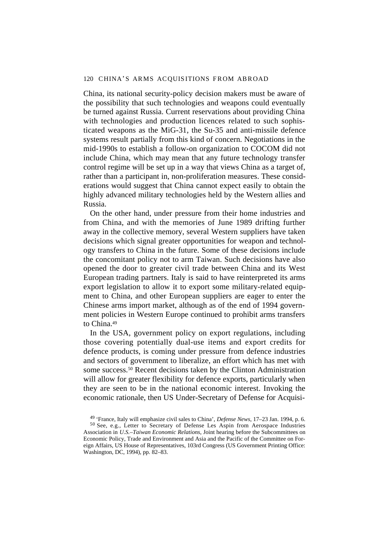China, its national security-policy decision makers must be aware of the possibility that such technologies and weapons could eventually be turned against Russia. Current reservations about providing China with technologies and production licences related to such sophisticated weapons as the MiG-31, the Su-35 and anti-missile defence systems result partially from this kind of concern. Negotiations in the mid-1990s to establish a follow-on organization to COCOM did not include China, which may mean that any future technology transfer control regime will be set up in a way that views China as a target of, rather than a participant in, non-proliferation measures. These considerations would suggest that China cannot expect easily to obtain the highly advanced military technologies held by the Western allies and Russia.

On the other hand, under pressure from their home industries and from China, and with the memories of June 1989 drifting further away in the collective memory, several Western suppliers have taken decisions which signal greater opportunities for weapon and technology transfers to China in the future. Some of these decisions include the concomitant policy not to arm Taiwan. Such decisions have also opened the door to greater civil trade between China and its West European trading partners. Italy is said to have reinterpreted its arms export legislation to allow it to export some military-related equipment to China, and other European suppliers are eager to enter the Chinese arms import market, although as of the end of 1994 government policies in Western Europe continued to prohibit arms transfers to China.<sup>49</sup>

In the USA, government policy on export regulations, including those covering potentially dual-use items and export credits for defence products, is coming under pressure from defence industries and sectors of government to liberalize, an effort which has met with some success.<sup>50</sup> Recent decisions taken by the Clinton Administration will allow for greater flexibility for defence exports, particularly when they are seen to be in the national economic interest. Invoking the economic rationale, then US Under-Secretary of Defense for Acquisi-

<sup>49 &#</sup>x27;France, Italy will emphasize civil sales to China', *Defense News*, 17–23 Jan. 1994, p. 6.

<sup>50</sup> See, e.g., Letter to Secretary of Defense Les Aspin from Aerospace Industries Association in *U.S.–Taiwan Economic Relations*, Joint hearing before the Subcommittees on Economic Policy, Trade and Environment and Asia and the Pacific of the Committee on Foreign Affairs, US House of Representatives, 103rd Congress (US Government Printing Office: Washington, DC, 1994), pp. 82–83.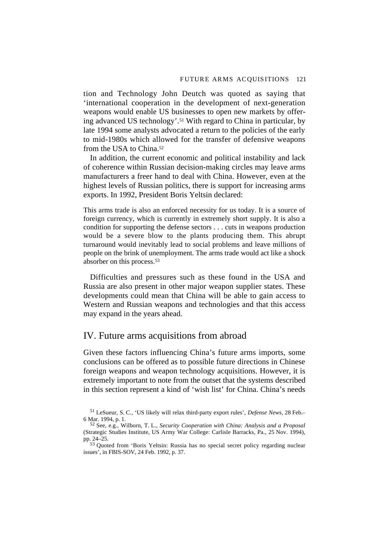tion and Technology John Deutch was quoted as saying that 'international cooperation in the development of next-generation weapons would enable US businesses to open new markets by offering advanced US technology'.51 With regard to China in particular, by late 1994 some analysts advocated a return to the policies of the early to mid-1980s which allowed for the transfer of defensive weapons from the USA to China.<sup>52</sup>

In addition, the current economic and political instability and lack of coherence within Russian decision-making circles may leave arms manufacturers a freer hand to deal with China. However, even at the highest levels of Russian politics, there is support for increasing arms exports. In 1992, President Boris Yeltsin declared:

This arms trade is also an enforced necessity for us today. It is a source of foreign currency, which is currently in extremely short supply. It is also a condition for supporting the defense sectors . . . cuts in weapons production would be a severe blow to the plants producing them. This abrupt turnaround would inevitably lead to social problems and leave millions of people on the brink of unemployment. The arms trade would act like a shock absorber on this process.<sup>53</sup>

Difficulties and pressures such as these found in the USA and Russia are also present in other major weapon supplier states. These developments could mean that China will be able to gain access to Western and Russian weapons and technologies and that this access may expand in the years ahead.

## IV. Future arms acquisitions from abroad

Given these factors influencing China's future arms imports, some conclusions can be offered as to possible future directions in Chinese foreign weapons and weapon technology acquisitions. However, it is extremely important to note from the outset that the systems described in this section represent a kind of 'wish list' for China. China's needs

<sup>51</sup> LeSueur, S. C., 'US likely will relax third-party export rules', *Defense News,* 28 Feb.– 6 Mar. 1994, p. 1.

<sup>52</sup> See, e.g., Wilborn, T. L., *Security Cooperation with China: Analysis and a Proposal* (Strategic Studies Institute, US Army War College: Carlisle Barracks, Pa., 25 Nov. 1994), pp. 24–25.

<sup>53</sup> Quoted from 'Boris Yeltsin: Russia has no special secret policy regarding nuclear issues', in FBIS-SOV, 24 Feb. 1992, p. 37.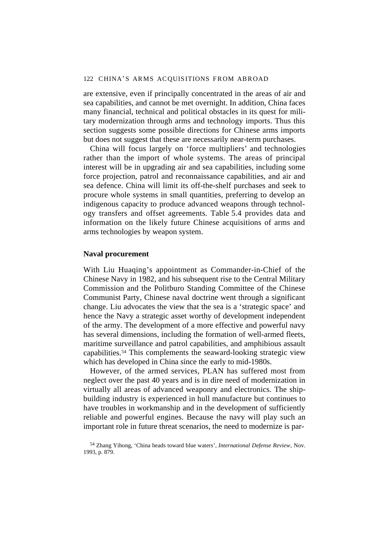are extensive, even if principally concentrated in the areas of air and sea capabilities, and cannot be met overnight. In addition, China faces many financial, technical and political obstacles in its quest for military modernization through arms and technology imports. Thus this section suggests some possible directions for Chinese arms imports but does not suggest that these are necessarily near-term purchases.

China will focus largely on 'force multipliers' and technologies rather than the import of whole systems. The areas of principal interest will be in upgrading air and sea capabilities, including some force projection, patrol and reconnaissance capabilities, and air and sea defence. China will limit its off-the-shelf purchases and seek to procure whole systems in small quantities, preferring to develop an indigenous capacity to produce advanced weapons through technology transfers and offset agreements. Table 5.4 provides data and information on the likely future Chinese acquisitions of arms and arms technologies by weapon system.

## **Naval procurement**

With Liu Huaqing's appointment as Commander-in-Chief of the Chinese Navy in 1982, and his subsequent rise to the Central Military Commission and the Politburo Standing Committee of the Chinese Communist Party, Chinese naval doctrine went through a significant change. Liu advocates the view that the sea is a 'strategic space' and hence the Navy a strategic asset worthy of development independent of the army. The development of a more effective and powerful navy has several dimensions, including the formation of well-armed fleets, maritime surveillance and patrol capabilities, and amphibious assault capabilities.54 This complements the seaward-looking strategic view which has developed in China since the early to mid-1980s.

However, of the armed services, PLAN has suffered most from neglect over the past 40 years and is in dire need of modernization in virtually all areas of advanced weaponry and electronics. The shipbuilding industry is experienced in hull manufacture but continues to have troubles in workmanship and in the development of sufficiently reliable and powerful engines. Because the navy will play such an important role in future threat scenarios, the need to modernize is par-

<sup>54</sup> Zhang Yihong, 'China heads toward blue waters', *International Defense Review*, Nov. 1993, p. 879.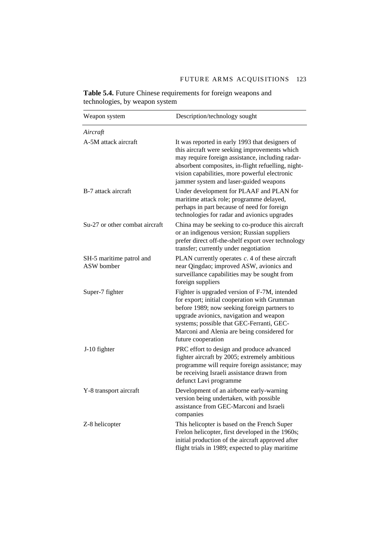| Weapon system                                 | Description/technology sought                                                                                                                                                                                                                                                                              |
|-----------------------------------------------|------------------------------------------------------------------------------------------------------------------------------------------------------------------------------------------------------------------------------------------------------------------------------------------------------------|
| Aircraft                                      |                                                                                                                                                                                                                                                                                                            |
| A-5M attack aircraft                          | It was reported in early 1993 that designers of<br>this aircraft were seeking improvements which<br>may require foreign assistance, including radar-<br>absorbent composites, in-flight refuelling, night-<br>vision capabilities, more powerful electronic<br>jammer system and laser-guided weapons      |
| B-7 attack aircraft                           | Under development for PLAAF and PLAN for<br>maritime attack role; programme delayed,<br>perhaps in part because of need for foreign<br>technologies for radar and avionics upgrades                                                                                                                        |
| Su-27 or other combat aircraft                | China may be seeking to co-produce this aircraft<br>or an indigenous version; Russian suppliers<br>prefer direct off-the-shelf export over technology<br>transfer; currently under negotiation                                                                                                             |
| SH-5 maritime patrol and<br><b>ASW</b> bomber | PLAN currently operates $c$ . 4 of these aircraft<br>near Qingdao; improved ASW, avionics and<br>surveillance capabilities may be sought from<br>foreign suppliers                                                                                                                                         |
| Super-7 fighter                               | Fighter is upgraded version of F-7M, intended<br>for export; initial cooperation with Grumman<br>before 1989; now seeking foreign partners to<br>upgrade avionics, navigation and weapon<br>systems; possible that GEC-Ferranti, GEC-<br>Marconi and Alenia are being considered for<br>future cooperation |
| J-10 fighter                                  | PRC effort to design and produce advanced<br>fighter aircraft by 2005; extremely ambitious<br>programme will require foreign assistance; may<br>be receiving Israeli assistance drawn from<br>defunct Lavi programme                                                                                       |
| Y-8 transport aircraft                        | Development of an airborne early-warning<br>version being undertaken, with possible<br>assistance from GEC-Marconi and Israeli<br>companies                                                                                                                                                                |
| Z-8 helicopter                                | This helicopter is based on the French Super<br>Frelon helicopter, first developed in the 1960s;<br>initial production of the aircraft approved after<br>flight trials in 1989; expected to play maritime                                                                                                  |

**Table 5.4.** Future Chinese requirements for foreign weapons and technologies, by weapon system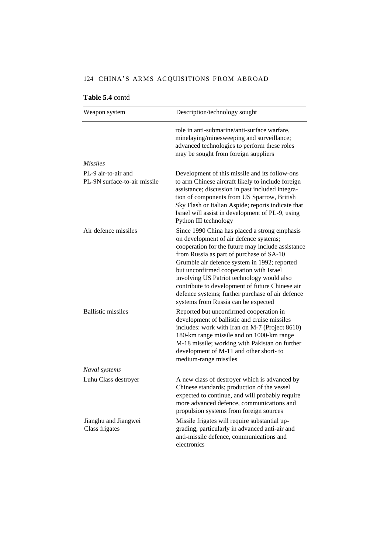| Weapon system                                       | Description/technology sought                                                                                                                                                                                                                                                                                                                                                                                                                                                   |
|-----------------------------------------------------|---------------------------------------------------------------------------------------------------------------------------------------------------------------------------------------------------------------------------------------------------------------------------------------------------------------------------------------------------------------------------------------------------------------------------------------------------------------------------------|
|                                                     | role in anti-submarine/anti-surface warfare,<br>minelaying/minesweeping and surveillance;<br>advanced technologies to perform these roles<br>may be sought from foreign suppliers                                                                                                                                                                                                                                                                                               |
| <b>Missiles</b>                                     |                                                                                                                                                                                                                                                                                                                                                                                                                                                                                 |
| PL-9 air-to-air and<br>PL-9N surface-to-air missile | Development of this missile and its follow-ons<br>to arm Chinese aircraft likely to include foreign<br>assistance; discussion in past included integra-<br>tion of components from US Sparrow, British<br>Sky Flash or Italian Aspide; reports indicate that<br>Israel will assist in development of PL-9, using<br>Python III technology                                                                                                                                       |
| Air defence missiles                                | Since 1990 China has placed a strong emphasis<br>on development of air defence systems;<br>cooperation for the future may include assistance<br>from Russia as part of purchase of SA-10<br>Grumble air defence system in 1992; reported<br>but unconfirmed cooperation with Israel<br>involving US Patriot technology would also<br>contribute to development of future Chinese air<br>defence systems; further purchase of air defence<br>systems from Russia can be expected |
| <b>Ballistic missiles</b>                           | Reported but unconfirmed cooperation in<br>development of ballistic and cruise missiles<br>includes: work with Iran on M-7 (Project 8610)<br>180-km range missile and on 1000-km range<br>M-18 missile; working with Pakistan on further<br>development of M-11 and other short- to<br>medium-range missiles                                                                                                                                                                    |
| Naval systems                                       |                                                                                                                                                                                                                                                                                                                                                                                                                                                                                 |
| Luhu Class destroyer                                | A new class of destroyer which is advanced by<br>Chinese standards; production of the vessel<br>expected to continue, and will probably require<br>more advanced defence, communications and<br>propulsion systems from foreign sources                                                                                                                                                                                                                                         |
| Jianghu and Jiangwei<br>Class frigates              | Missile frigates will require substantial up-<br>grading, particularly in advanced anti-air and<br>anti-missile defence, communications and<br>electronics                                                                                                                                                                                                                                                                                                                      |

## **Table 5.4** contd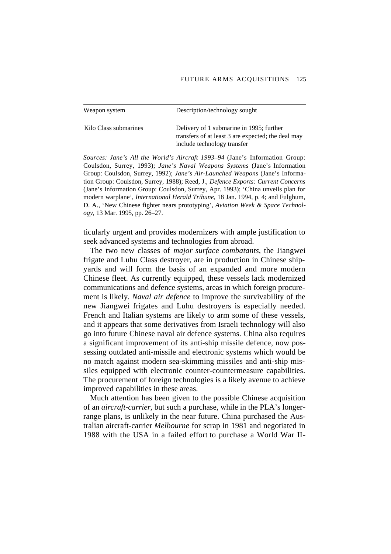| Weapon system         | Description/technology sought                                                                                                 |
|-----------------------|-------------------------------------------------------------------------------------------------------------------------------|
| Kilo Class submarines | Delivery of 1 submarine in 1995; further<br>transfers of at least 3 are expected; the deal may<br>include technology transfer |

*Sources: Jane's All the World's Aircraft 1993–94* (Jane's Information Group: Coulsdon, Surrey, 1993); *Jane's Naval Weapons Systems* (Jane's Information Group: Coulsdon, Surrey, 1992); *Jane's Air-Launched Weapons* (Jane's Information Group: Coulsdon, Surrey, 1988); Reed, J., *Defence Exports: Current Concerns* (Jane's Information Group: Coulsdon, Surrey, Apr. 1993); 'China unveils plan for modern warplane', *International Herald Tribune,* 18 Jan. 1994, p. 4; and Fulghum, D. A., 'New Chinese fighter nears prototyping', *Aviation Week & Space Technology*, 13 Mar. 1995, pp. 26–27.

ticularly urgent and provides modernizers with ample justification to seek advanced systems and technologies from abroad.

The two new classes of *major surface combatants*, the Jiangwei frigate and Luhu Class destroyer, are in production in Chinese shipyards and will form the basis of an expanded and more modern Chinese fleet. As currently equipped, these vessels lack modernized communications and defence systems, areas in which foreign procurement is likely. *Naval air defence* to improve the survivability of the new Jiangwei frigates and Luhu destroyers is especially needed. French and Italian systems are likely to arm some of these vessels, and it appears that some derivatives from Israeli technology will also go into future Chinese naval air defence systems. China also requires a significant improvement of its anti-ship missile defence, now possessing outdated anti-missile and electronic systems which would be no match against modern sea-skimming missiles and anti-ship missiles equipped with electronic counter-countermeasure capabilities. The procurement of foreign technologies is a likely avenue to achieve improved capabilities in these areas.

Much attention has been given to the possible Chinese acquisition of an *aircraft-carrier*, but such a purchase, while in the PLA's longerrange plans, is unlikely in the near future. China purchased the Australian aircraft-carrier *Melbourne* for scrap in 1981 and negotiated in 1988 with the USA in a failed effort to purchase a World War II-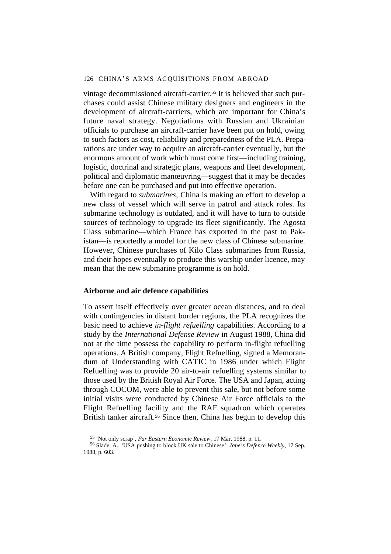vintage decommissioned aircraft-carrier.55 It is believed that such purchases could assist Chinese military designers and engineers in the development of aircraft-carriers, which are important for China's future naval strategy. Negotiations with Russian and Ukrainian officials to purchase an aircraft-carrier have been put on hold, owing to such factors as cost, reliability and preparedness of the PLA. Preparations are under way to acquire an aircraft-carrier eventually, but the enormous amount of work which must come first—including training, logistic, doctrinal and strategic plans, weapons and fleet development, political and diplomatic manœuvring—suggest that it may be decades before one can be purchased and put into effective operation.

With regard to *submarines*, China is making an effort to develop a new class of vessel which will serve in patrol and attack roles. Its submarine technology is outdated, and it will have to turn to outside sources of technology to upgrade its fleet significantly. The Agosta Class submarine—which France has exported in the past to Pakistan—is reportedly a model for the new class of Chinese submarine. However, Chinese purchases of Kilo Class submarines from Russia, and their hopes eventually to produce this warship under licence, may mean that the new submarine programme is on hold.

## **Airborne and air defence capabilities**

To assert itself effectively over greater ocean distances, and to deal with contingencies in distant border regions, the PLA recognizes the basic need to achieve *in-flight refuelling* capabilities. According to a study by the *International Defense Review* in August 1988, China did not at the time possess the capability to perform in-flight refuelling operations. A British company, Flight Refuelling, signed a Memorandum of Understanding with CATIC in 1986 under which Flight Refuelling was to provide 20 air-to-air refuelling systems similar to those used by the British Royal Air Force. The USA and Japan, acting through COCOM, were able to prevent this sale, but not before some initial visits were conducted by Chinese Air Force officials to the Flight Refuelling facility and the RAF squadron which operates British tanker aircraft.<sup>56</sup> Since then, China has begun to develop this

<sup>55 &#</sup>x27;Not only scrap', *Far Eastern Economic Review*, 17 Mar. 1988, p. 11.

<sup>56</sup> Slade, A., 'USA pushing to block UK sale to Chinese', *Jane's Defence Weekly*, 17 Sep. 1988, p. 603.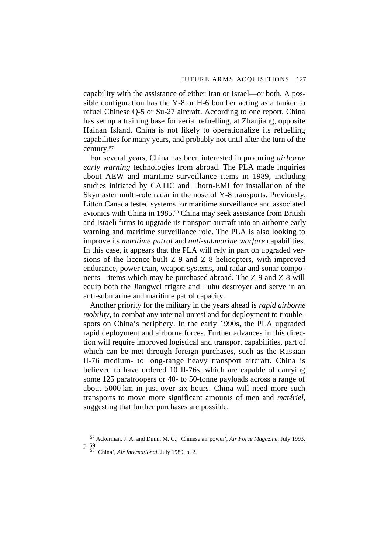capability with the assistance of either Iran or Israel—or both. A possible configuration has the Y-8 or H-6 bomber acting as a tanker to refuel Chinese Q-5 or Su-27 aircraft. According to one report, China has set up a training base for aerial refuelling, at Zhanjiang, opposite Hainan Island. China is not likely to operationalize its refuelling capabilities for many years, and probably not until after the turn of the century.57

For several years, China has been interested in procuring *airborne early warning* technologies from abroad. The PLA made inquiries about AEW and maritime surveillance items in 1989, including studies initiated by CATIC and Thorn-EMI for installation of the Skymaster multi-role radar in the nose of Y-8 transports. Previously, Litton Canada tested systems for maritime surveillance and associated avionics with China in 1985.58 China may seek assistance from British and Israeli firms to upgrade its transport aircraft into an airborne early warning and maritime surveillance role. The PLA is also looking to improve its *maritime patrol* and *anti-submarine warfare* capabilities. In this case, it appears that the PLA will rely in part on upgraded versions of the licence-built Z-9 and Z-8 helicopters, with improved endurance, power train, weapon systems, and radar and sonar components—items which may be purchased abroad. The Z-9 and Z-8 will equip both the Jiangwei frigate and Luhu destroyer and serve in an anti-submarine and maritime patrol capacity.

Another priority for the military in the years ahead is *rapid airborne mobility*, to combat any internal unrest and for deployment to troublespots on China's periphery. In the early 1990s, the PLA upgraded rapid deployment and airborne forces. Further advances in this direction will require improved logistical and transport capabilities, part of which can be met through foreign purchases, such as the Russian Il-76 medium- to long-range heavy transport aircraft. China is believed to have ordered 10 Il-76s, which are capable of carrying some 125 paratroopers or 40- to 50-tonne payloads across a range of about 5000 km in just over six hours. China will need more such transports to move more significant amounts of men and *matériel*, suggesting that further purchases are possible.

<sup>57</sup> Ackerman, J. A. and Dunn, M. C., 'Chinese air power', *Air Force Magazine*, July 1993, p. 59.

<sup>58 &#</sup>x27;China', *Air International*, July 1989, p. 2.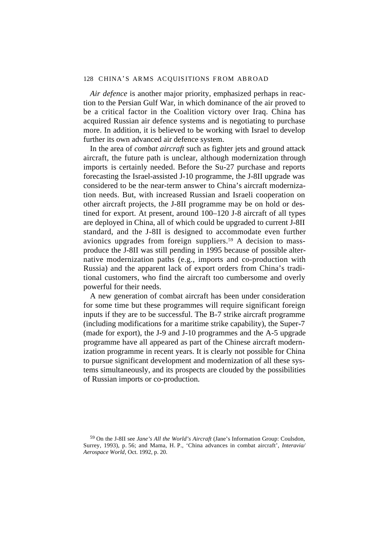*Air defence* is another major priority, emphasized perhaps in reaction to the Persian Gulf War, in which dominance of the air proved to be a critical factor in the Coalition victory over Iraq. China has acquired Russian air defence systems and is negotiating to purchase more. In addition, it is believed to be working with Israel to develop further its own advanced air defence system.

In the area of *combat aircraft* such as fighter jets and ground attack aircraft, the future path is unclear, although modernization through imports is certainly needed. Before the Su-27 purchase and reports forecasting the Israel-assisted J-10 programme, the J-8II upgrade was considered to be the near-term answer to China's aircraft modernization needs. But, with increased Russian and Israeli cooperation on other aircraft projects, the J-8II programme may be on hold or destined for export. At present, around 100–120 J-8 aircraft of all types are deployed in China, all of which could be upgraded to current J-8II standard, and the J-8II is designed to accommodate even further avionics upgrades from foreign suppliers.59 A decision to massproduce the J-8II was still pending in 1995 because of possible alternative modernization paths (e.g., imports and co-production with Russia) and the apparent lack of export orders from China's traditional customers, who find the aircraft too cumbersome and overly powerful for their needs.

A new generation of combat aircraft has been under consideration for some time but these programmes will require significant foreign inputs if they are to be successful. The B-7 strike aircraft programme (including modifications for a maritime strike capability), the Super-7 (made for export), the J-9 and J-10 programmes and the A-5 upgrade programme have all appeared as part of the Chinese aircraft modernization programme in recent years. It is clearly not possible for China to pursue significant development and modernization of all these systems simultaneously, and its prospects are clouded by the possibilities of Russian imports or co-production.

<sup>59</sup> On the J-8II see *Jane's All the World's Aircraft* (Jane's Information Group: Coulsdon, Surrey, 1993), p. 56; and Mama, H. P., 'China advances in combat aircraft', *Interavia/ Aerospace World*, Oct. 1992, p. 20.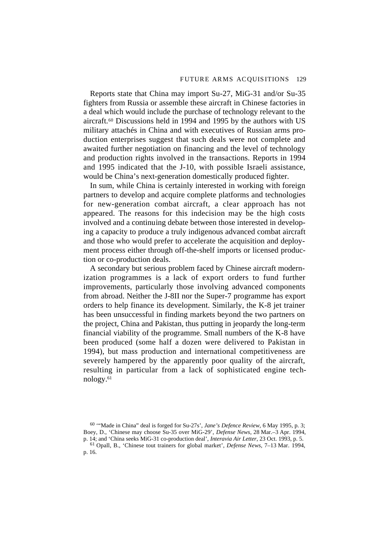Reports state that China may import Su-27, MiG-31 and/or Su-35 fighters from Russia or assemble these aircraft in Chinese factories in a deal which would include the purchase of technology relevant to the aircraft.60 Discussions held in 1994 and 1995 by the authors with US military attachés in China and with executives of Russian arms production enterprises suggest that such deals were not complete and awaited further negotiation on financing and the level of technology and production rights involved in the transactions. Reports in 1994 and 1995 indicated that the J-10, with possible Israeli assistance, would be China's next-generation domestically produced fighter.

In sum, while China is certainly interested in working with foreign partners to develop and acquire complete platforms and technologies for new-generation combat aircraft, a clear approach has not appeared. The reasons for this indecision may be the high costs involved and a continuing debate between those interested in developing a capacity to produce a truly indigenous advanced combat aircraft and those who would prefer to accelerate the acquisition and deployment process either through off-the-shelf imports or licensed production or co-production deals.

A secondary but serious problem faced by Chinese aircraft modernization programmes is a lack of export orders to fund further improvements, particularly those involving advanced components from abroad. Neither the J-8II nor the Super-7 programme has export orders to help finance its development. Similarly, the K-8 jet trainer has been unsuccessful in finding markets beyond the two partners on the project, China and Pakistan, thus putting in jeopardy the long-term financial viability of the programme. Small numbers of the K-8 have been produced (some half a dozen were delivered to Pakistan in 1994), but mass production and international competitiveness are severely hampered by the apparently poor quality of the aircraft, resulting in particular from a lack of sophisticated engine technology.61

<sup>60 &#</sup>x27;"Made in China" deal is forged for Su-27s', *Jane's Defence Review*, 6 May 1995, p. 3; Boey, D., 'Chinese may choose Su-35 over MiG-29', *Defense News*, 28 Mar.–3 Apr. 1994, p. 14; and 'China seeks MiG-31 co-production deal', *Interavia Air Letter*, 23 Oct. 1993, p. 5.

<sup>61</sup> Opall, B., 'Chinese tout trainers for global market', *Defense News,* 7–13 Mar. 1994, p. 16.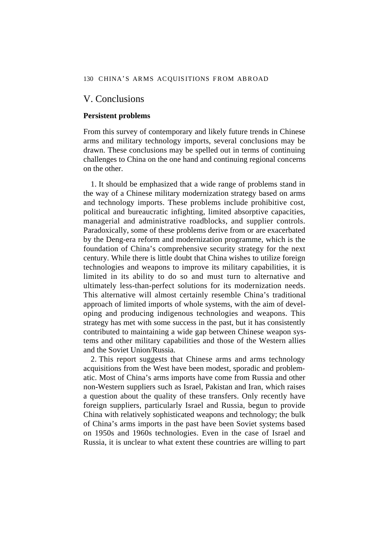## V. Conclusions

## **Persistent problems**

From this survey of contemporary and likely future trends in Chinese arms and military technology imports, several conclusions may be drawn. These conclusions may be spelled out in terms of continuing challenges to China on the one hand and continuing regional concerns on the other.

1. It should be emphasized that a wide range of problems stand in the way of a Chinese military modernization strategy based on arms and technology imports. These problems include prohibitive cost, political and bureaucratic infighting, limited absorptive capacities, managerial and administrative roadblocks, and supplier controls. Paradoxically, some of these problems derive from or are exacerbated by the Deng-era reform and modernization programme, which is the foundation of China's comprehensive security strategy for the next century. While there is little doubt that China wishes to utilize foreign technologies and weapons to improve its military capabilities, it is limited in its ability to do so and must turn to alternative and ultimately less-than-perfect solutions for its modernization needs. This alternative will almost certainly resemble China's traditional approach of limited imports of whole systems, with the aim of developing and producing indigenous technologies and weapons. This strategy has met with some success in the past, but it has consistently contributed to maintaining a wide gap between Chinese weapon systems and other military capabilities and those of the Western allies and the Soviet Union/Russia.

2. This report suggests that Chinese arms and arms technology acquisitions from the West have been modest, sporadic and problematic. Most of China's arms imports have come from Russia and other non-Western suppliers such as Israel, Pakistan and Iran, which raises a question about the quality of these transfers. Only recently have foreign suppliers, particularly Israel and Russia, begun to provide China with relatively sophisticated weapons and technology; the bulk of China's arms imports in the past have been Soviet systems based on 1950s and 1960s technologies. Even in the case of Israel and Russia, it is unclear to what extent these countries are willing to part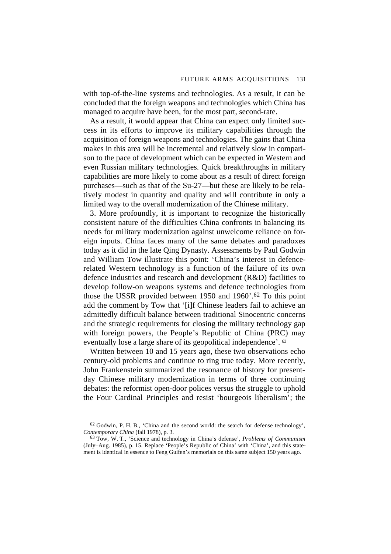with top-of-the-line systems and technologies. As a result, it can be concluded that the foreign weapons and technologies which China has managed to acquire have been, for the most part, second-rate.

As a result, it would appear that China can expect only limited success in its efforts to improve its military capabilities through the acquisition of foreign weapons and technologies. The gains that China makes in this area will be incremental and relatively slow in comparison to the pace of development which can be expected in Western and even Russian military technologies. Quick breakthroughs in military capabilities are more likely to come about as a result of direct foreign purchases—such as that of the Su-27—but these are likely to be relatively modest in quantity and quality and will contribute in only a limited way to the overall modernization of the Chinese military.

3. More profoundly, it is important to recognize the historically consistent nature of the difficulties China confronts in balancing its needs for military modernization against unwelcome reliance on foreign inputs. China faces many of the same debates and paradoxes today as it did in the late Qing Dynasty. Assessments by Paul Godwin and William Tow illustrate this point: 'China's interest in defencerelated Western technology is a function of the failure of its own defence industries and research and development (R&D) facilities to develop follow-on weapons systems and defence technologies from those the USSR provided between 1950 and 1960'.62 To this point add the comment by Tow that '[i]f Chinese leaders fail to achieve an admittedly difficult balance between traditional Sinocentric concerns and the strategic requirements for closing the military technology gap with foreign powers, the People's Republic of China (PRC) may eventually lose a large share of its geopolitical independence'. 63

Written between 10 and 15 years ago, these two observations echo century-old problems and continue to ring true today. More recently, John Frankenstein summarized the resonance of history for presentday Chinese military modernization in terms of three continuing debates: the reformist open-door polices versus the struggle to uphold the Four Cardinal Principles and resist 'bourgeois liberalism'; the

 $62$  Godwin, P. H. B., 'China and the second world: the search for defense technology'. *Contemporary China* (fall 1978), p. 3.

<sup>63</sup> Tow, W. T., 'Science and technology in China's defense', *Problems of Communism* (July–Aug. 1985), p. 15. Replace 'People's Republic of China' with 'China', and this statement is identical in essence to Feng Guifen's memorials on this same subject 150 years ago.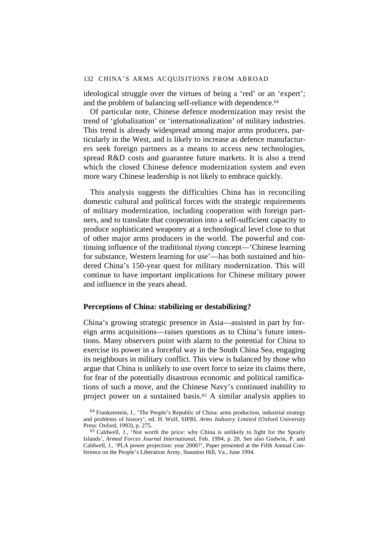ideological struggle over the virtues of being a 'red' or an 'expert'; and the problem of balancing self-reliance with dependence.<sup>64</sup>

Of particular note, Chinese defence modernization may resist the trend of 'globalization' or 'internationalization' of military industries. This trend is already widespread among major arms producers, particularly in the West, and is likely to increase as defence manufacturers seek foreign partners as a means to access new technologies, spread R&D costs and guarantee future markets. It is also a trend which the closed Chinese defence modernization system and even more wary Chinese leadership is not likely to embrace quickly.

This analysis suggests the difficulties China has in reconciling domestic cultural and political forces with the strategic requirements of military modernization, including cooperation with foreign partners, and to translate that cooperation into a self-sufficient capacity to produce sophisticated weaponry at a technological level close to that of other major arms producers in the world. The powerful and continuing influence of the traditional *tiyong* concept—'Chinese learning for substance, Western learning for use'—has both sustained and hindered China's 150-year quest for military modernization. This will continue to have important implications for Chinese military power and influence in the years ahead.

## **Perceptions of China: stabilizing or destabilizing?**

China's growing strategic presence in Asia—assisted in part by foreign arms acquisitions—raises questions as to China's future intentions. Many observers point with alarm to the potential for China to exercise its power in a forceful way in the South China Sea, engaging its neighbours in military conflict. This view is balanced by those who argue that China is unlikely to use overt force to seize its claims there, for fear of the potentially disastrous economic and political ramifications of such a move, and the Chinese Navy's continued inability to project power on a sustained basis.<sup>65</sup> A similar analysis applies to

 $64$  Frankenstein, J., 'The People's Republic of China: arms production, industrial strategy and problems of history', ed. H. Wulf, SIPRI, *Arms Industry Limited* (Oxford University Press: Oxford, 1993), p. 275.

<sup>65</sup> Caldwell, J., 'Not worth the price: why China is unlikely to fight for the Spratly Islands', *Armed Forces Journal International*, Feb. 1994, p. 20. See also Godwin, P. and Caldwell, J., 'PLA power projection: year 2000?', Paper presented at the Fifth Annual Conference on the People's Liberation Army, Staunton Hill, Va., June 1994.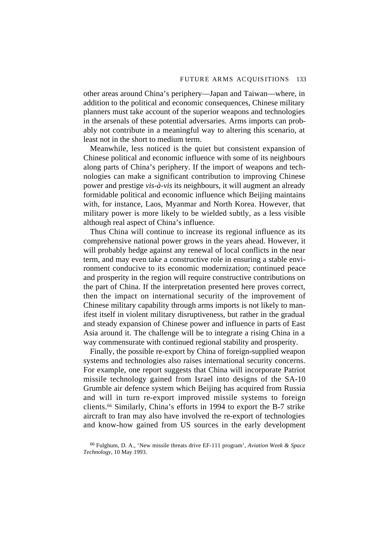other areas around China's periphery—Japan and Taiwan—where, in addition to the political and economic consequences, Chinese military planners must take account of the superior weapons and technologies in the arsenals of these potential adversaries. Arms imports can probably not contribute in a meaningful way to altering this scenario, at least not in the short to medium term.

Meanwhile, less noticed is the quiet but consistent expansion of Chinese political and economic influence with some of its neighbours along parts of China's periphery. If the import of weapons and technologies can make a significant contribution to improving Chinese power and prestige *vis-à-vis* its neighbours, it will augment an already formidable political and economic influence which Beijing maintains with, for instance, Laos, Myanmar and North Korea. However, that military power is more likely to be wielded subtly, as a less visible although real aspect of China's influence.

Thus China will continue to increase its regional influence as its comprehensive national power grows in the years ahead. However, it will probably hedge against any renewal of local conflicts in the near term, and may even take a constructive role in ensuring a stable environment conducive to its economic modernization; continued peace and prosperity in the region will require constructive contributions on the part of China. If the interpretation presented here proves correct, then the impact on international security of the improvement of Chinese military capability through arms imports is not likely to manifest itself in violent military disruptiveness, but rather in the gradual and steady expansion of Chinese power and influence in parts of East Asia around it. The challenge will be to integrate a rising China in a way commensurate with continued regional stability and prosperity.

Finally, the possible re-export by China of foreign-supplied weapon systems and technologies also raises international security concerns. For example, one report suggests that China will incorporate Patriot missile technology gained from Israel into designs of the SA-10 Grumble air defence system which Beijing has acquired from Russia and will in turn re-export improved missile systems to foreign clients.66 Similarly, China's efforts in 1994 to export the B-7 strike aircraft to Iran may also have involved the re-export of technologies and know-how gained from US sources in the early development

<sup>66</sup> Fulghum, D. A., 'New missile threats drive EF-111 program', *Aviation Week & Space Technology*, 10 May 1993.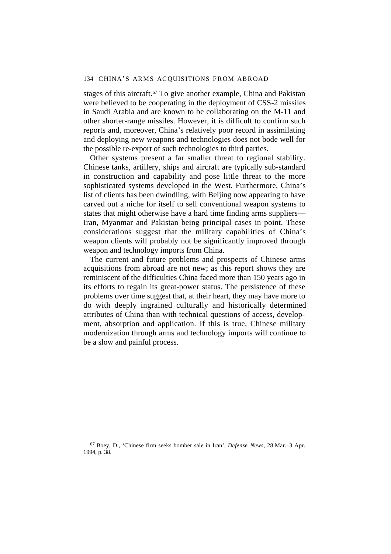stages of this aircraft.<sup>67</sup> To give another example, China and Pakistan were believed to be cooperating in the deployment of CSS-2 missiles in Saudi Arabia and are known to be collaborating on the M-11 and other shorter-range missiles. However, it is difficult to confirm such reports and, moreover, China's relatively poor record in assimilating and deploying new weapons and technologies does not bode well for the possible re-export of such technologies to third parties.

Other systems present a far smaller threat to regional stability. Chinese tanks, artillery, ships and aircraft are typically sub-standard in construction and capability and pose little threat to the more sophisticated systems developed in the West. Furthermore, China's list of clients has been dwindling, with Beijing now appearing to have carved out a niche for itself to sell conventional weapon systems to states that might otherwise have a hard time finding arms suppliers— Iran, Myanmar and Pakistan being principal cases in point. These considerations suggest that the military capabilities of China's weapon clients will probably not be significantly improved through weapon and technology imports from China.

The current and future problems and prospects of Chinese arms acquisitions from abroad are not new; as this report shows they are reminiscent of the difficulties China faced more than 150 years ago in its efforts to regain its great-power status. The persistence of these problems over time suggest that, at their heart, they may have more to do with deeply ingrained culturally and historically determined attributes of China than with technical questions of access, development, absorption and application. If this is true, Chinese military modernization through arms and technology imports will continue to be a slow and painful process.

<sup>67</sup> Boey, D., 'Chinese firm seeks bomber sale in Iran', *Defense News*, 28 Mar.–3 Apr. 1994, p. 38.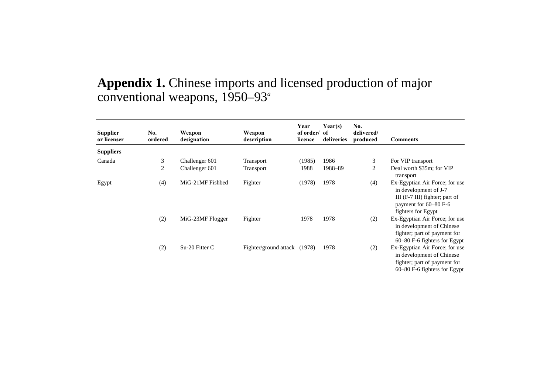## **Appendix 1.** Chinese imports and licensed production of major conventional weapons, 1950–93*<sup>a</sup>*

| <b>Supplier</b><br>or licenser | No.<br>ordered | Weapon<br>designation | Weapon<br>description        | Year<br>of order/<br>licence | Year(s)<br>-of<br>deliveries | No.<br>delivered/<br>produced | <b>Comments</b>                                                                                                                          |
|--------------------------------|----------------|-----------------------|------------------------------|------------------------------|------------------------------|-------------------------------|------------------------------------------------------------------------------------------------------------------------------------------|
| <b>Suppliers</b>               |                |                       |                              |                              |                              |                               |                                                                                                                                          |
| Canada                         | 3              | Challenger 601        | Transport                    | (1985)                       | 1986                         | 3                             | For VIP transport                                                                                                                        |
|                                | 2              | Challenger 601        | Transport                    | 1988                         | 1988-89                      | 2                             | Deal worth \$35m; for VIP<br>transport                                                                                                   |
| Egypt                          | (4)            | MiG-21MF Fishbed      | Fighter                      | (1978)                       | 1978                         | (4)                           | Ex-Egyptian Air Force; for use<br>in development of J-7<br>III (F-7 III) fighter; part of<br>payment for 60–80 F-6<br>fighters for Egypt |
|                                | (2)            | MiG-23MF Flogger      | Fighter                      | 1978                         | 1978                         | (2)                           | Ex-Egyptian Air Force; for use<br>in development of Chinese<br>fighter; part of payment for<br>$60-80$ F-6 fighters for Egypt            |
|                                | (2)            | Su-20 Fitter C        | Fighter/ground attack (1978) |                              | 1978                         | (2)                           | Ex-Egyptian Air Force; for use<br>in development of Chinese<br>fighter; part of payment for<br>60–80 F-6 fighters for Egypt              |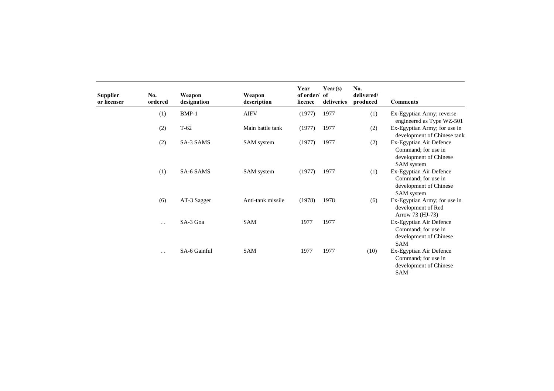| <b>Supplier</b><br>or licenser | No.<br>ordered       | Weapon<br>designation | Weapon<br>description | Year<br>of order/<br>licence | Year(s)<br>of<br>deliveries | No.<br>delivered/<br>produced | <b>Comments</b>                                                                        |
|--------------------------------|----------------------|-----------------------|-----------------------|------------------------------|-----------------------------|-------------------------------|----------------------------------------------------------------------------------------|
|                                | (1)                  | BMP-1                 | <b>AIFV</b>           | (1977)                       | 1977                        | (1)                           | Ex-Egyptian Army; reverse<br>engineered as Type WZ-501                                 |
|                                | (2)                  | $T-62$                | Main battle tank      | (1977)                       | 1977                        | (2)                           | Ex-Egyptian Army; for use in<br>development of Chinese tank                            |
|                                | (2)                  | SA-3 SAMS             | SAM system            | (1977)                       | 1977                        | (2)                           | Ex-Egyptian Air Defence<br>Command; for use in<br>development of Chinese<br>SAM system |
|                                | (1)                  | SA-6 SAMS             | SAM system            | (1977)                       | 1977                        | (1)                           | Ex-Egyptian Air Defence<br>Command: for use in<br>development of Chinese<br>SAM system |
|                                | (6)                  | AT-3 Sagger           | Anti-tank missile     | (1978)                       | 1978                        | (6)                           | Ex-Egyptian Army; for use in<br>development of Red<br>Arrow 73 (HJ-73)                 |
|                                | $\ddotsc$            | SA-3 Goa              | SAM                   | 1977                         | 1977                        |                               | Ex-Egyptian Air Defence<br>Command; for use in<br>development of Chinese<br><b>SAM</b> |
|                                | $\ddot{\phantom{0}}$ | SA-6 Gainful          | <b>SAM</b>            | 1977                         | 1977                        | (10)                          | Ex-Egyptian Air Defence<br>Command; for use in<br>development of Chinese<br><b>SAM</b> |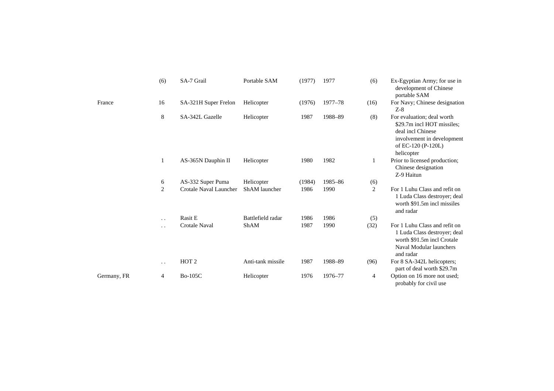|             | (6)            | SA-7 Grail             | Portable SAM      | (1977) | 1977    | (6)  | Ex-Egyptian Army; for use in<br>development of Chinese<br>portable SAM                                                                          |
|-------------|----------------|------------------------|-------------------|--------|---------|------|-------------------------------------------------------------------------------------------------------------------------------------------------|
| France      | 16             | SA-321H Super Frelon   | Helicopter        | (1976) | 1977-78 | (16) | For Navy; Chinese designation<br>$Z-8$                                                                                                          |
|             | 8              | SA-342L Gazelle        | Helicopter        | 1987   | 1988-89 | (8)  | For evaluation; deal worth<br>\$29.7m incl HOT missiles;<br>deal incl Chinese<br>involvement in development<br>of EC-120 (P-120L)<br>helicopter |
|             | $\mathbf{1}$   | AS-365N Dauphin II     | Helicopter        | 1980   | 1982    | 1    | Prior to licensed production;<br>Chinese designation<br>Z-9 Haitun                                                                              |
|             | 6              | AS-332 Super Puma      | Helicopter        | (1984) | 1985-86 | (6)  |                                                                                                                                                 |
|             | $\overline{2}$ | Crotale Naval Launcher | ShAM launcher     | 1986   | 1990    | 2    | For 1 Luhu Class and refit on<br>1 Luda Class destroyer; deal<br>worth \$91.5m incl missiles<br>and radar                                       |
|             | $\ddotsc$      | Rasit E                | Battlefield radar | 1986   | 1986    | (5)  |                                                                                                                                                 |
|             | $\ddotsc$      | <b>Crotale Naval</b>   | <b>ShAM</b>       | 1987   | 1990    | (32) | For 1 Luhu Class and refit on<br>1 Luda Class destroyer; deal<br>worth \$91.5m incl Crotale<br>Naval Modular launchers<br>and radar             |
|             | $\ddotsc$      | HOT <sub>2</sub>       | Anti-tank missile | 1987   | 1988-89 | (96) | For 8 SA-342L helicopters;<br>part of deal worth \$29.7m                                                                                        |
| Germany, FR | 4              | <b>Bo-105C</b>         | Helicopter        | 1976   | 1976-77 | 4    | Option on 16 more not used;<br>probably for civil use                                                                                           |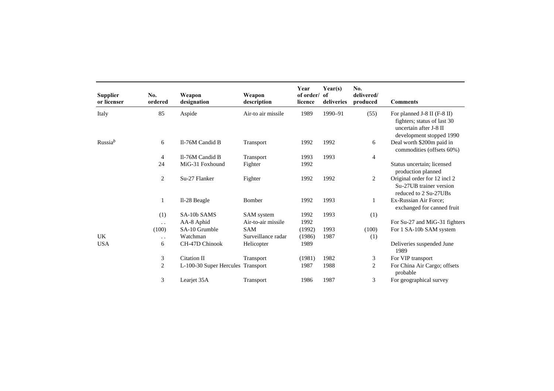| <b>Supplier</b><br>or licenser | No.<br>ordered       | Weapon<br>designation             | Weapon<br>description | Year<br>of order/ of<br>licence | Year(s)<br>deliveries | No.<br>delivered/<br>produced | <b>Comments</b>                                                                                                  |
|--------------------------------|----------------------|-----------------------------------|-----------------------|---------------------------------|-----------------------|-------------------------------|------------------------------------------------------------------------------------------------------------------|
| Italy                          | 85                   | Aspide                            | Air-to air missile    | 1989                            | 1990-91               | (55)                          | For planned J-8 II (F-8 II)<br>fighters; status of last 30<br>uncertain after J-8 II<br>development stopped 1990 |
| Russia <sup>b</sup>            | 6                    | Il-76M Candid B                   | Transport             | 1992                            | 1992                  | 6                             | Deal worth \$200m paid in<br>commodities (offsets 60%)                                                           |
|                                | $\overline{4}$       | Il-76M Candid B                   | Transport             | 1993                            | 1993                  | 4                             |                                                                                                                  |
|                                | 24                   | MiG-31 Foxhound                   | Fighter               | 1992                            |                       |                               | Status uncertain; licensed<br>production planned                                                                 |
|                                | $\overline{2}$       | Su-27 Flanker                     | Fighter               | 1992                            | 1992                  | 2                             | Original order for 12 incl 2<br>Su-27UB trainer version<br>reduced to 2 Su-27UBs                                 |
|                                | $\mathbf{1}$         | Il-28 Beagle                      | Bomber                | 1992                            | 1993                  | 1                             | Ex-Russian Air Force;<br>exchanged for canned fruit                                                              |
|                                | (1)                  | SA-10b SAMS                       | <b>SAM</b> system     | 1992                            | 1993                  | (1)                           |                                                                                                                  |
|                                | $\ddot{\phantom{a}}$ | AA-8 Aphid                        | Air-to-air missile    | 1992                            |                       |                               | For Su-27 and MiG-31 fighters                                                                                    |
|                                | (100)                | SA-10 Grumble                     | <b>SAM</b>            | (1992)                          | 1993                  | (100)                         | For 1 SA-10b SAM system                                                                                          |
| <b>UK</b>                      | $\ddotsc$            | Watchman                          | Surveillance radar    | (1986)                          | 1987                  | (1)                           |                                                                                                                  |
| <b>USA</b>                     | 6                    | CH-47D Chinook                    | Helicopter            | 1989                            |                       |                               | Deliveries suspended June<br>1989                                                                                |
|                                | 3                    | Citation II                       | Transport             | (1981)                          | 1982                  | 3                             | For VIP transport                                                                                                |
|                                | $\overline{c}$       | L-100-30 Super Hercules Transport |                       | 1987                            | 1988                  | 2                             | For China Air Cargo; offsets<br>probable                                                                         |
|                                | 3                    | Learjet 35A                       | Transport             | 1986                            | 1987                  | 3                             | For geographical survey                                                                                          |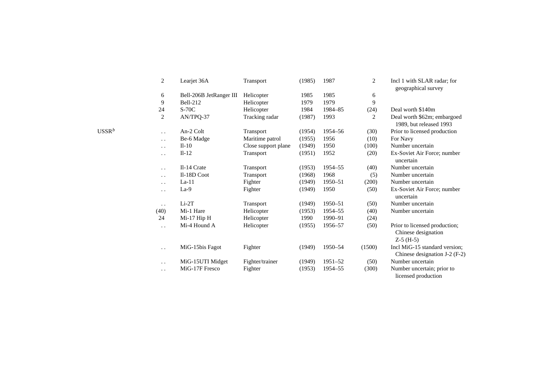|           | $\overline{c}$       | Learjet 36A             | Transport           | (1985) | 1987        | 2      | Incl 1 with SLAR radar; for<br>geographical survey                      |
|-----------|----------------------|-------------------------|---------------------|--------|-------------|--------|-------------------------------------------------------------------------|
|           | 6                    | Bell-206B JetRanger III | Helicopter          | 1985   | 1985        | 6      |                                                                         |
|           | 9                    | <b>Bell-212</b>         | Helicopter          | 1979   | 1979        | 9      |                                                                         |
|           | 24                   | $S-70C$                 | Helicopter          | 1984   | 1984-85     | (24)   | Deal worth \$140m                                                       |
|           | 2                    | AN/TPQ-37               | Tracking radar      | (1987) | 1993        | 2      | Deal worth \$62m; embargoed<br>1989, but released 1993                  |
| USSR $^b$ | $\ddot{\phantom{0}}$ | An-2 Colt               | Transport           | (1954) | 1954–56     | (30)   | Prior to licensed production                                            |
|           | $\ddot{\phantom{a}}$ | Be-6 Madge              | Maritime patrol     | (1955) | 1956        | (10)   | For Navy                                                                |
|           | $\ddot{\phantom{a}}$ | $II-10$                 | Close support plane | (1949) | 1950        | (100)  | Number uncertain                                                        |
|           | $\ddot{\phantom{0}}$ | $II-12$                 | Transport           | (1951) | 1952        | (20)   | Ex-Soviet Air Force; number<br>uncertain                                |
|           | $\ddot{\phantom{a}}$ | Il-14 Crate             | Transport           | (1953) | 1954-55     | (40)   | Number uncertain                                                        |
|           | $\ddotsc$            | Il-18D Coot             | Transport           | (1968) | 1968        | (5)    | Number uncertain                                                        |
|           | $\ddot{\phantom{0}}$ | $La-11$                 | Fighter             | (1949) | 1950-51     | (200)  | Number uncertain                                                        |
|           | $\ddotsc$            | $La-9$                  | Fighter             | (1949) | 1950        | (50)   | Ex-Soviet Air Force; number<br>uncertain                                |
|           | $\ddot{\phantom{0}}$ | $Li-2T$                 | Transport           | (1949) | 1950-51     | (50)   | Number uncertain                                                        |
|           | (40)                 | Mi-1 Hare               | Helicopter          | (1953) | 1954-55     | (40)   | Number uncertain                                                        |
|           | 24                   | Mi-17 Hip H             | Helicopter          | 1990   | 1990-91     | (24)   |                                                                         |
|           | $\ddotsc$            | Mi-4 Hound A            | Helicopter          | (1955) | 1956–57     | (50)   | Prior to licensed production;<br>Chinese designation<br>$Z-5$ (H $-5$ ) |
|           | $\ddot{\phantom{0}}$ | MiG-15bis Fagot         | Fighter             | (1949) | 1950–54     | (1500) | Incl MiG-15 standard version;<br>Chinese designation $J-2$ (F-2)        |
|           | $\ddot{\phantom{0}}$ | MiG-15UTI Midget        | Fighter/trainer     | (1949) | $1951 - 52$ | (50)   | Number uncertain                                                        |
|           | $\ddotsc$            | MiG-17F Fresco          | Fighter             | (1953) | 1954-55     | (300)  | Number uncertain; prior to<br>licensed production                       |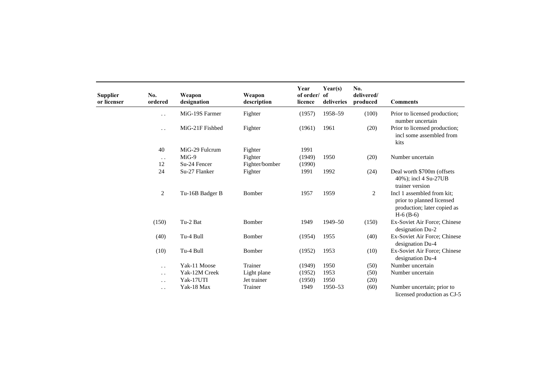| <b>Supplier</b><br>or licenser | No.<br>ordered       | Weapon<br>designation | Weapon<br>description | Year<br>of order/ of<br>licence | Year(s)<br>deliveries | No.<br>delivered/<br>produced | <b>Comments</b>                                                                                           |
|--------------------------------|----------------------|-----------------------|-----------------------|---------------------------------|-----------------------|-------------------------------|-----------------------------------------------------------------------------------------------------------|
|                                | $\ddot{\phantom{0}}$ | MiG-19S Farmer        | Fighter               | (1957)                          | 1958-59               | (100)                         | Prior to licensed production;<br>number uncertain                                                         |
|                                | $\ddot{\phantom{0}}$ | MiG-21F Fishbed       | Fighter               | (1961)                          | 1961                  | (20)                          | Prior to licensed production;<br>incl some assembled from<br>kits                                         |
|                                | 40                   | MiG-29 Fulcrum        | Fighter               | 1991                            |                       |                               |                                                                                                           |
|                                | $\ddotsc$            | $MiG-9$               | Fighter               | (1949)                          | 1950                  | (20)                          | Number uncertain                                                                                          |
|                                | 12                   | Su-24 Fencer          | Fighter/bomber        | (1990)                          |                       |                               |                                                                                                           |
|                                | 24                   | Su-27 Flanker         | Fighter               | 1991                            | 1992                  | (24)                          | Deal worth \$700m (offsets<br>40%); incl 4 Su-27UB<br>trainer version                                     |
|                                | 2                    | Tu-16B Badger B       | Bomber                | 1957                            | 1959                  | 2                             | Incl 1 assembled from kit:<br>prior to planned licensed<br>production; later copied as<br>$H-6$ ( $B-6$ ) |
|                                | (150)                | Tu-2 Bat              | Bomber                | 1949                            | 1949-50               | (150)                         | Ex-Soviet Air Force; Chinese<br>designation Du-2                                                          |
|                                | (40)                 | Tu-4 Bull             | Bomber                | (1954)                          | 1955                  | (40)                          | Ex-Soviet Air Force; Chinese<br>designation Du-4                                                          |
|                                | (10)                 | Tu-4 Bull             | Bomber                | (1952)                          | 1953                  | (10)                          | Ex-Soviet Air Force; Chinese<br>designation Du-4                                                          |
|                                | $\ddot{\phantom{a}}$ | Yak-11 Moose          | Trainer               | (1949)                          | 1950                  | (50)                          | Number uncertain                                                                                          |
|                                | $\ddot{\phantom{0}}$ | Yak-12M Creek         | Light plane           | (1952)                          | 1953                  | (50)                          | Number uncertain                                                                                          |
|                                | $\ddot{\phantom{0}}$ | Yak-17UTI             | Jet trainer           | (1950)                          | 1950                  | (20)                          |                                                                                                           |
|                                | $\ddot{\phantom{0}}$ | Yak-18 Max            | Trainer               | 1949                            | 1950-53               | (60)                          | Number uncertain; prior to<br>licensed production as CJ-5                                                 |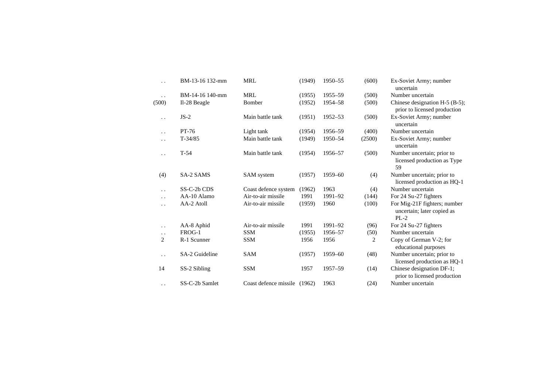| . .                  | BM-13-16 132-mm | <b>MRL</b>                   | (1949) | 1950-55 | (600)  | Ex-Soviet Army; number<br>uncertain                                  |
|----------------------|-----------------|------------------------------|--------|---------|--------|----------------------------------------------------------------------|
| $\ddot{\phantom{0}}$ | BM-14-16 140-mm | <b>MRL</b>                   | (1955) | 1955-59 | (500)  | Number uncertain                                                     |
| (500)                | Il-28 Beagle    | Bomber                       | (1952) | 1954-58 | (500)  | Chinese designation $H-5$ ( $B-5$ );<br>prior to licensed production |
| $\ddot{\phantom{0}}$ | $JS-2$          | Main battle tank             | (1951) | 1952-53 | (500)  | Ex-Soviet Army; number<br>uncertain                                  |
| . .                  | PT-76           | Light tank                   | (1954) | 1956-59 | (400)  | Number uncertain                                                     |
| . .                  | $T-34/85$       | Main battle tank             | (1949) | 1950-54 | (2500) | Ex-Soviet Army; number<br>uncertain                                  |
| $\ddot{\phantom{0}}$ | $T-54$          | Main battle tank             | (1954) | 1956-57 | (500)  | Number uncertain; prior to<br>licensed production as Type<br>59      |
| (4)                  | SA-2 SAMS       | <b>SAM</b> system            | (1957) | 1959-60 | (4)    | Number uncertain; prior to<br>licensed production as HQ-1            |
| $\ddot{\phantom{0}}$ | SS-C-2b CDS     | Coast defence system         | (1962) | 1963    | (4)    | Number uncertain                                                     |
| . .                  | AA-10 Alamo     | Air-to-air missile           | 1991   | 1991-92 | (144)  | For 24 Su-27 fighters                                                |
| $\ddot{\phantom{0}}$ | AA-2 Atoll      | Air-to-air missile           | (1959) | 1960    | (100)  | For Mig-21F fighters; number<br>uncertain; later copied as<br>$PL-2$ |
| $\ddot{\phantom{0}}$ | AA-8 Aphid      | Air-to-air missile           | 1991   | 1991-92 | (96)   | For 24 Su-27 fighters                                                |
| . .                  | FROG-1          | <b>SSM</b>                   | (1955) | 1956-57 | (50)   | Number uncertain                                                     |
| $\overline{2}$       | R-1 Scunner     | <b>SSM</b>                   | 1956   | 1956    | 2      | Copy of German V-2; for<br>educational purposes                      |
| $\ddot{\phantom{0}}$ | SA-2 Guideline  | <b>SAM</b>                   | (1957) | 1959-60 | (48)   | Number uncertain; prior to<br>licensed production as HQ-1            |
| 14                   | SS-2 Sibling    | <b>SSM</b>                   | 1957   | 1957-59 | (14)   | Chinese designation DF-1;<br>prior to licensed production            |
| $\ddot{\phantom{0}}$ | SS-C-2b Samlet  | Coast defence missile (1962) |        | 1963    | (24)   | Number uncertain                                                     |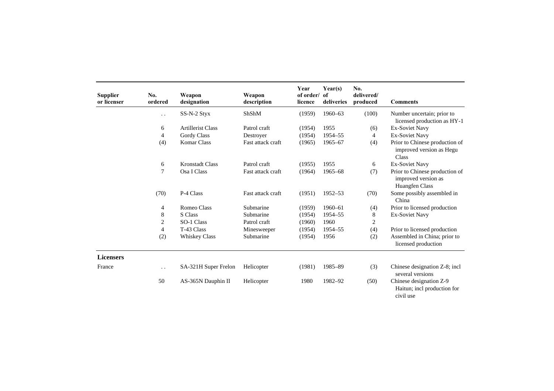| <b>Supplier</b><br>or licenser | No.<br>ordered       | Weapon<br>designation    | Weapon<br>description | Year<br>of order/ of<br>licence | Year(s)<br>deliveries | No.<br>delivered/<br>produced | <b>Comments</b>                                                         |
|--------------------------------|----------------------|--------------------------|-----------------------|---------------------------------|-----------------------|-------------------------------|-------------------------------------------------------------------------|
|                                | $\ddot{\phantom{0}}$ | SS-N-2 Styx              | ShShM                 | (1959)                          | 1960-63               | (100)                         | Number uncertain; prior to<br>licensed production as HY-1               |
|                                | 6                    | <b>Artillerist Class</b> | Patrol craft          | (1954)                          | 1955                  | (6)                           | Ex-Soviet Navy                                                          |
|                                | 4                    | Gordy Class              | Destroyer             | (1954)                          | 1954-55               | 4                             | Ex-Soviet Navy                                                          |
|                                | (4)                  | <b>Komar Class</b>       | Fast attack craft     | (1965)                          | $1965 - 67$           | (4)                           | Prior to Chinese production of<br>improved version as Hegu<br>Class     |
|                                | 6                    | <b>Kronstadt Class</b>   | Patrol craft          | (1955)                          | 1955                  | 6                             | Ex-Soviet Navy                                                          |
|                                | 7                    | Osa I Class              | Fast attack craft     | (1964)                          | 1965-68               | (7)                           | Prior to Chinese production of<br>improved version as<br>Huangfen Class |
|                                | (70)                 | P-4 Class                | Fast attack craft     | (1951)                          | 1952-53               | (70)                          | Some possibly assembled in<br>China                                     |
|                                | 4                    | Romeo Class              | Submarine             | (1959)                          | $1960 - 61$           | (4)                           | Prior to licensed production                                            |
|                                | 8                    | S Class                  | Submarine             | (1954)                          | 1954-55               | 8                             | <b>Ex-Soviet Navy</b>                                                   |
|                                | $\overline{c}$       | SO-1 Class               | Patrol craft          | (1960)                          | 1960                  | $\overline{2}$                |                                                                         |
|                                | 4                    | T-43 Class               | Minesweeper           | (1954)                          | 1954-55               | (4)                           | Prior to licensed production                                            |
|                                | (2)                  | <b>Whiskey Class</b>     | Submarine             | (1954)                          | 1956                  | (2)                           | Assembled in China; prior to<br>licensed production                     |
| <b>Licensers</b>               |                      |                          |                       |                                 |                       |                               |                                                                         |
| France                         | $\ddot{\phantom{0}}$ | SA-321H Super Frelon     | Helicopter            | (1981)                          | 1985-89               | (3)                           | Chinese designation Z-8; incl.<br>several versions                      |
|                                | 50                   | AS-365N Dauphin II       | Helicopter            | 1980                            | 1982-92               | (50)                          | Chinese designation Z-9<br>Haitun; incl production for<br>civil use     |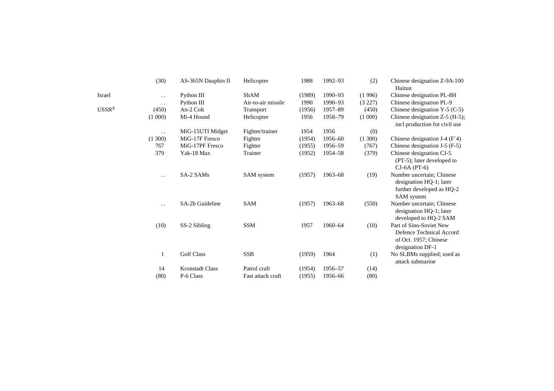|                   | (30)                 | AS-365N Dauphin II     | Helicopter         | 1988   | 1992-93     | (2)     | Chinese designation Z-9A-100<br>Haitun                                                           |
|-------------------|----------------------|------------------------|--------------------|--------|-------------|---------|--------------------------------------------------------------------------------------------------|
| Israel            | $\ddot{\phantom{0}}$ | Python III             | <b>ShAM</b>        | (1989) | 1990-93     | (1996)  | Chinese designation PL-8H                                                                        |
|                   | $\ddot{\phantom{0}}$ | Python III             | Air-to-air missile | 1990   | 1990-93     | (3 227) | Chinese designation PL-9                                                                         |
| $\mathrm{USSR}^b$ | (450)                | An-2 Colt              | Transport          | (1956) | 1957-89     | (450)   | Chinese designation $Y-5$ (C-5)                                                                  |
|                   | (1 000)              | Mi-4 Hound             | Helicopter         | 1956   | 1958-79     | (1000)  | Chinese designation $Z-5$ (H-5);<br>incl production for civil use                                |
|                   | $\ddot{\phantom{0}}$ | MiG-15UTI Midget       | Fighter/trainer    | 1954   | 1956        | (0)     |                                                                                                  |
|                   | (1300)               | MiG-17F Fresco         | Fighter            | (1954) | 1956-60     | (1300)  | Chinese designation $J-4$ ( $F2$ )                                                               |
|                   | 767                  | MiG-17PF Fresco        | Fighter            | (1955) | 1956-59     | (767)   | Chinese designation J-5 (F-5)                                                                    |
|                   | 379                  | Yak-18 Max             | Trainer            | (1952) | 1954-58     | (379)   | Chinese designation CJ-5<br>(PT-5); later developed to<br>$CI-6A$ (PT-6)                         |
|                   | $\ddot{\phantom{0}}$ | SA-2 SAMs              | SAM system         | (1957) | 1963-68     | (19)    | Number uncertain; Chinese<br>designation HQ-1; later<br>further developed as HQ-2<br>SAM system  |
|                   | $\ddot{\phantom{0}}$ | SA-2b Guideline        | SAM                | (1957) | $1963 - 68$ | (550)   | Number uncertain; Chinese<br>designation HQ-1; later<br>developed to HQ-2 SAM                    |
|                   | (10)                 | SS-2 Sibling           | SSM                | 1957   | 1960-64     | (10)    | Part of Sino-Soviet New<br>Defence Technical Accord<br>of Oct. 1957; Chinese<br>designation DF-1 |
|                   | 1                    | <b>Golf Class</b>      | SSB                | (1959) | 1964        | (1)     | No SLBMs supplied; used as<br>attack submarine                                                   |
|                   | 14                   | <b>Kronstadt Class</b> | Patrol craft       | (1954) | 1956–57     | (14)    |                                                                                                  |
|                   | (80)                 | P-6 Class              | Fast attack craft  | (1955) | 1956-66     | (80)    |                                                                                                  |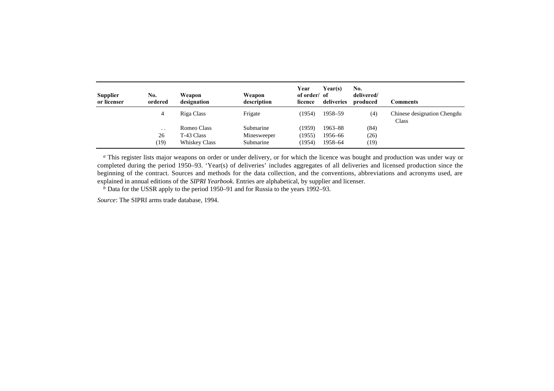| <b>Supplier</b><br>or licenser | No.<br>ordered | Weapon<br>designation | Weapon<br>description | Year<br>of order/ of<br>licence | Year(s)<br>deliveries | No.<br>delivered/<br>produced | Comments                             |
|--------------------------------|----------------|-----------------------|-----------------------|---------------------------------|-----------------------|-------------------------------|--------------------------------------|
|                                | 4              | Riga Class            | Frigate               | (1954)                          | 1958-59               | (4)                           | Chinese designation Chengdu<br>Class |
|                                | $\cdot$ .      | Romeo Class           | Submarine             | (1959)                          | 1963-88               | (84)                          |                                      |
|                                | 26             | T-43 Class            | Minesweeper           | (1955)                          | 1956–66               | (26)                          |                                      |
|                                | (19)           | <b>Whiskey Class</b>  | Submarine             | (1954)                          | 1958-64               | (19)                          |                                      |

*a* This register lists major weapons on order or under delivery, or for which the licence was bought and production was under way or completed during the period 1950–93. 'Year(s) of deliveries' includes aggregates of all deliveries and licensed production since the beginning of the contract. Sources and methods for the data collection, and the conventions, abbreviations and acronyms used, are explained in annual editions of the *SIPRI Yearbook.* Entries are alphabetical, by supplier and licenser.

*<sup>b</sup>* Data for the USSR apply to the period 1950–91 and for Russia to the years 1992–93.

*Source*: The SIPRI arms trade database, 1994.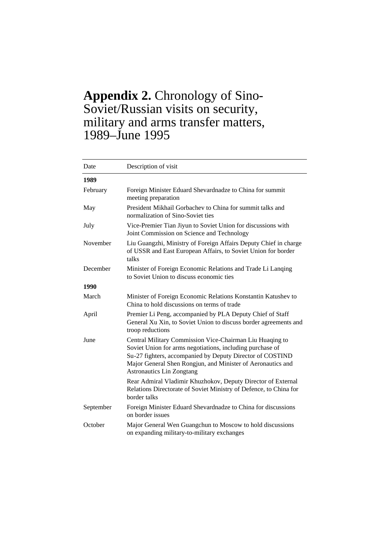## **Appendix 2.** Chronology of Sino-Soviet/Russian visits on security, military and arms transfer matters, 1989–June 1995

| Date      | Description of visit                                                                                                                                                                                                                                                                  |
|-----------|---------------------------------------------------------------------------------------------------------------------------------------------------------------------------------------------------------------------------------------------------------------------------------------|
| 1989      |                                                                                                                                                                                                                                                                                       |
| February  | Foreign Minister Eduard Shevardnadze to China for summit<br>meeting preparation                                                                                                                                                                                                       |
| May       | President Mikhail Gorbachev to China for summit talks and<br>normalization of Sino-Soviet ties                                                                                                                                                                                        |
| July      | Vice-Premier Tian Jiyun to Soviet Union for discussions with<br>Joint Commission on Science and Technology                                                                                                                                                                            |
| November  | Liu Guangzhi, Ministry of Foreign Affairs Deputy Chief in charge<br>of USSR and East European Affairs, to Soviet Union for border<br>talks                                                                                                                                            |
| December  | Minister of Foreign Economic Relations and Trade Li Lanqing<br>to Soviet Union to discuss economic ties                                                                                                                                                                               |
| 1990      |                                                                                                                                                                                                                                                                                       |
| March     | Minister of Foreign Economic Relations Konstantin Katushev to<br>China to hold discussions on terms of trade                                                                                                                                                                          |
| April     | Premier Li Peng, accompanied by PLA Deputy Chief of Staff<br>General Xu Xin, to Soviet Union to discuss border agreements and<br>troop reductions                                                                                                                                     |
| June      | Central Military Commission Vice-Chairman Liu Huaqing to<br>Soviet Union for arms negotiations, including purchase of<br>Su-27 fighters, accompanied by Deputy Director of COSTIND<br>Major General Shen Rongjun, and Minister of Aeronautics and<br><b>Astronautics Lin Zongtang</b> |
|           | Rear Admiral Vladimir Khuzhokov, Deputy Director of External<br>Relations Directorate of Soviet Ministry of Defence, to China for<br>border talks                                                                                                                                     |
| September | Foreign Minister Eduard Shevardnadze to China for discussions<br>on border issues                                                                                                                                                                                                     |
| October   | Major General Wen Guangchun to Moscow to hold discussions<br>on expanding military-to-military exchanges                                                                                                                                                                              |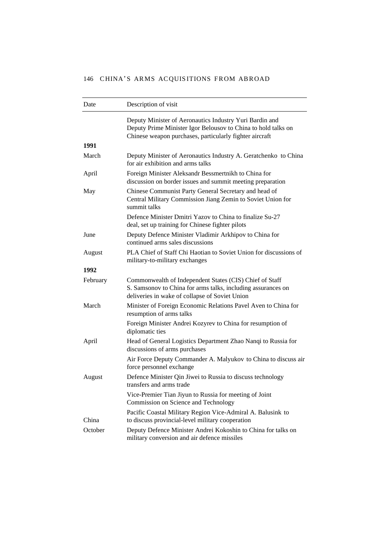| Date     | Description of visit                                                                                                                                                                |
|----------|-------------------------------------------------------------------------------------------------------------------------------------------------------------------------------------|
|          | Deputy Minister of Aeronautics Industry Yuri Bardin and<br>Deputy Prime Minister Igor Belousov to China to hold talks on<br>Chinese weapon purchases, particularly fighter aircraft |
| 1991     |                                                                                                                                                                                     |
| March    | Deputy Minister of Aeronautics Industry A. Geratchenko to China<br>for air exhibition and arms talks                                                                                |
| April    | Foreign Minister Aleksandr Bessmertnikh to China for<br>discussion on border issues and summit meeting preparation                                                                  |
| May      | Chinese Communist Party General Secretary and head of<br>Central Military Commission Jiang Zemin to Soviet Union for<br>summit talks                                                |
|          | Defence Minister Dmitri Yazov to China to finalize Su-27<br>deal, set up training for Chinese fighter pilots                                                                        |
| June     | Deputy Defence Minister Vladimir Arkhipov to China for<br>continued arms sales discussions                                                                                          |
| August   | PLA Chief of Staff Chi Haotian to Soviet Union for discussions of<br>military-to-military exchanges                                                                                 |
| 1992     |                                                                                                                                                                                     |
| February | Commonwealth of Independent States (CIS) Chief of Staff<br>S. Samsonov to China for arms talks, including assurances on<br>deliveries in wake of collapse of Soviet Union           |
| March    | Minister of Foreign Economic Relations Pavel Aven to China for<br>resumption of arms talks                                                                                          |
|          | Foreign Minister Andrei Kozyrev to China for resumption of<br>diplomatic ties                                                                                                       |
| April    | Head of General Logistics Department Zhao Nanqi to Russia for<br>discussions of arms purchases                                                                                      |
|          | Air Force Deputy Commander A. Malyukov to China to discuss air<br>force personnel exchange                                                                                          |
| August   | Defence Minister Qin Jiwei to Russia to discuss technology<br>transfers and arms trade                                                                                              |
|          | Vice-Premier Tian Jiyun to Russia for meeting of Joint<br>Commission on Science and Technology                                                                                      |
|          | Pacific Coastal Military Region Vice-Admiral A. Balusink to                                                                                                                         |
| China    | to discuss provincial-level military cooperation                                                                                                                                    |
| October  | Deputy Defence Minister Andrei Kokoshin to China for talks on<br>military conversion and air defence missiles                                                                       |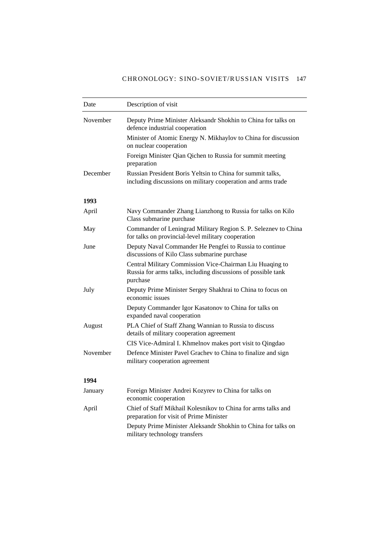| Date     | Description of visit                                                                                                                  |
|----------|---------------------------------------------------------------------------------------------------------------------------------------|
| November | Deputy Prime Minister Aleksandr Shokhin to China for talks on<br>defence industrial cooperation                                       |
|          | Minister of Atomic Energy N. Mikhaylov to China for discussion<br>on nuclear cooperation                                              |
|          | Foreign Minister Qian Qichen to Russia for summit meeting<br>preparation                                                              |
| December | Russian President Boris Yeltsin to China for summit talks,<br>including discussions on military cooperation and arms trade            |
| 1993     |                                                                                                                                       |
| April    | Navy Commander Zhang Lianzhong to Russia for talks on Kilo<br>Class submarine purchase                                                |
| May      | Commander of Leningrad Military Region S. P. Seleznev to China<br>for talks on provincial-level military cooperation                  |
| June     | Deputy Naval Commander He Pengfei to Russia to continue<br>discussions of Kilo Class submarine purchase                               |
|          | Central Military Commission Vice-Chairman Liu Huaqing to<br>Russia for arms talks, including discussions of possible tank<br>purchase |
| July     | Deputy Prime Minister Sergey Shakhrai to China to focus on<br>economic issues                                                         |
|          | Deputy Commander Igor Kasatonov to China for talks on<br>expanded naval cooperation                                                   |
| August   | PLA Chief of Staff Zhang Wannian to Russia to discuss<br>details of military cooperation agreement                                    |
|          | CIS Vice-Admiral I. Khmelnov makes port visit to Qingdao                                                                              |
| November | Defence Minister Pavel Grachev to China to finalize and sign<br>military cooperation agreement                                        |
| 1994     |                                                                                                                                       |
| January  | Foreign Minister Andrei Kozyrev to China for talks on<br>economic cooperation                                                         |
| April    | Chief of Staff Mikhail Kolesnikov to China for arms talks and<br>preparation for visit of Prime Minister                              |
|          | Deputy Prime Minister Aleksandr Shokhin to China for talks on<br>military technology transfers                                        |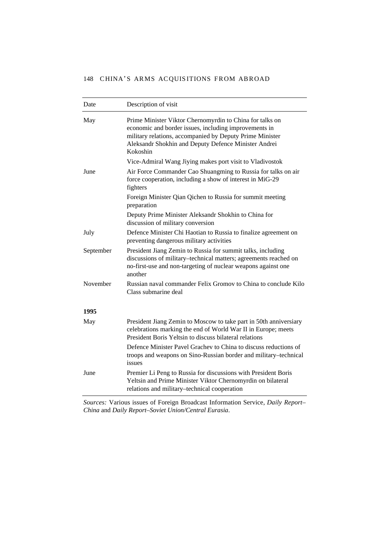| Date      | Description of visit                                                                                                                                                                                                                              |
|-----------|---------------------------------------------------------------------------------------------------------------------------------------------------------------------------------------------------------------------------------------------------|
| May       | Prime Minister Viktor Chernomyrdin to China for talks on<br>economic and border issues, including improvements in<br>military relations, accompanied by Deputy Prime Minister<br>Aleksandr Shokhin and Deputy Defence Minister Andrei<br>Kokoshin |
|           | Vice-Admiral Wang Jiying makes port visit to Vladivostok                                                                                                                                                                                          |
| June      | Air Force Commander Cao Shuangming to Russia for talks on air<br>force cooperation, including a show of interest in MiG-29<br>fighters                                                                                                            |
|           | Foreign Minister Qian Qichen to Russia for summit meeting<br>preparation                                                                                                                                                                          |
|           | Deputy Prime Minister Aleksandr Shokhin to China for<br>discussion of military conversion                                                                                                                                                         |
| July      | Defence Minister Chi Haotian to Russia to finalize agreement on<br>preventing dangerous military activities                                                                                                                                       |
| September | President Jiang Zemin to Russia for summit talks, including<br>discussions of military-technical matters; agreements reached on<br>no-first-use and non-targeting of nuclear weapons against one<br>another                                       |
| November  | Russian naval commander Felix Gromov to China to conclude Kilo<br>Class submarine deal                                                                                                                                                            |
| 1995      |                                                                                                                                                                                                                                                   |
| May       | President Jiang Zemin to Moscow to take part in 50th anniversiary<br>celebrations marking the end of World War II in Europe; meets<br>President Boris Yeltsin to discuss bilateral relations                                                      |
|           | Defence Minister Pavel Grachev to China to discuss reductions of<br>troops and weapons on Sino-Russian border and military-technical<br>issues                                                                                                    |
| June      | Premier Li Peng to Russia for discussions with President Boris<br>Yeltsin and Prime Minister Viktor Chernomyrdin on bilateral<br>relations and military-technical cooperation                                                                     |

*Sources:* Various issues of Foreign Broadcast Information Service, *Daily Report– China* and *Daily Report–Soviet Union/Central Eurasia*.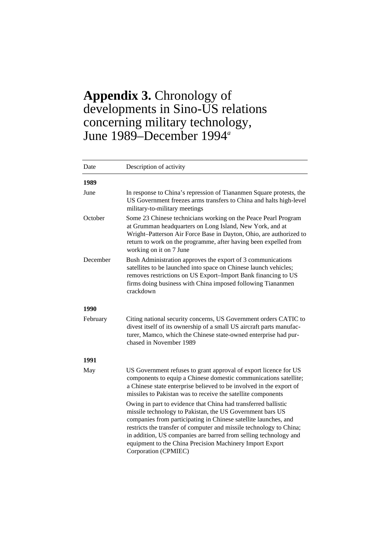## **Appendix 3.** Chronology of developments in Sino-US relations concerning military technology, June 1989–December 1994*<sup>a</sup>*

| Date     | Description of activity                                                                                                                                                                                                                                                                                                                                                                                                       |
|----------|-------------------------------------------------------------------------------------------------------------------------------------------------------------------------------------------------------------------------------------------------------------------------------------------------------------------------------------------------------------------------------------------------------------------------------|
| 1989     |                                                                                                                                                                                                                                                                                                                                                                                                                               |
| June     | In response to China's repression of Tiananmen Square protests, the<br>US Government freezes arms transfers to China and halts high-level<br>military-to-military meetings                                                                                                                                                                                                                                                    |
| October  | Some 23 Chinese technicians working on the Peace Pearl Program<br>at Grumman headquarters on Long Island, New York, and at<br>Wright-Patterson Air Force Base in Dayton, Ohio, are authorized to<br>return to work on the programme, after having been expelled from<br>working on it on 7 June                                                                                                                               |
| December | Bush Administration approves the export of 3 communications<br>satellites to be launched into space on Chinese launch vehicles;<br>removes restrictions on US Export-Import Bank financing to US<br>firms doing business with China imposed following Tiananmen<br>crackdown                                                                                                                                                  |
| 1990     |                                                                                                                                                                                                                                                                                                                                                                                                                               |
| February | Citing national security concerns, US Government orders CATIC to<br>divest itself of its ownership of a small US aircraft parts manufac-<br>turer, Mamco, which the Chinese state-owned enterprise had pur-<br>chased in November 1989                                                                                                                                                                                        |
| 1991     |                                                                                                                                                                                                                                                                                                                                                                                                                               |
| May      | US Government refuses to grant approval of export licence for US<br>components to equip a Chinese domestic communications satellite;<br>a Chinese state enterprise believed to be involved in the export of<br>missiles to Pakistan was to receive the satellite components                                                                                                                                                   |
|          | Owing in part to evidence that China had transferred ballistic<br>missile technology to Pakistan, the US Government bars US<br>companies from participating in Chinese satellite launches, and<br>restricts the transfer of computer and missile technology to China;<br>in addition, US companies are barred from selling technology and<br>equipment to the China Precision Machinery Import Export<br>Corporation (CPMIEC) |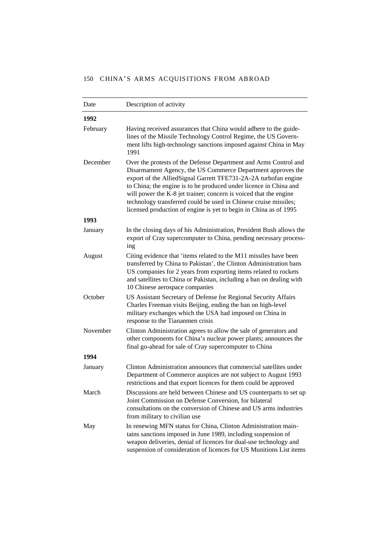| Date     | Description of activity                                                                                                                                                                                                                                                                                                                                                                                                                                                               |
|----------|---------------------------------------------------------------------------------------------------------------------------------------------------------------------------------------------------------------------------------------------------------------------------------------------------------------------------------------------------------------------------------------------------------------------------------------------------------------------------------------|
| 1992     |                                                                                                                                                                                                                                                                                                                                                                                                                                                                                       |
| February | Having received assurances that China would adhere to the guide-<br>lines of the Missile Technology Control Regime, the US Govern-<br>ment lifts high-technology sanctions imposed against China in May<br>1991                                                                                                                                                                                                                                                                       |
| December | Over the protests of the Defense Department and Arms Control and<br>Disarmament Agency, the US Commerce Department approves the<br>export of the AlliedSignal Garrett TFE731-2A-2A turbofan engine<br>to China; the engine is to be produced under licence in China and<br>will power the K-8 jet trainer; concern is voiced that the engine<br>technology transferred could be used in Chinese cruise missiles;<br>licensed production of engine is yet to begin in China as of 1995 |
| 1993     |                                                                                                                                                                                                                                                                                                                                                                                                                                                                                       |
| January  | In the closing days of his Administration, President Bush allows the<br>export of Cray supercomputer to China, pending necessary process-<br>ing                                                                                                                                                                                                                                                                                                                                      |
| August   | Citing evidence that 'items related to the M11 missiles have been<br>transferred by China to Pakistan', the Clinton Administration bans<br>US companies for 2 years from exporting items related to rockets<br>and satellites to China or Pakistan, including a ban on dealing with<br>10 Chinese aerospace companies                                                                                                                                                                 |
| October  | US Assistant Secretary of Defense for Regional Security Affairs<br>Charles Freeman visits Beijing, ending the ban on high-level<br>military exchanges which the USA had imposed on China in<br>response to the Tiananmen crisis                                                                                                                                                                                                                                                       |
| November | Clinton Administration agrees to allow the sale of generators and<br>other components for China's nuclear power plants; announces the<br>final go-ahead for sale of Cray supercomputer to China                                                                                                                                                                                                                                                                                       |
| 1994     |                                                                                                                                                                                                                                                                                                                                                                                                                                                                                       |
| January  | Clinton Administration announces that commercial satellites under<br>Department of Commerce auspices are not subject to August 1993<br>restrictions and that export licences for them could be approved                                                                                                                                                                                                                                                                               |
| March    | Discussions are held between Chinese and US counterparts to set up<br>Joint Commission on Defense Conversion, for bilateral<br>consultations on the conversion of Chinese and US arms industries<br>from military to civilian use                                                                                                                                                                                                                                                     |
| May      | In renewing MFN status for China, Clinton Administration main-<br>tains sanctions imposed in June 1989, including suspension of<br>weapon deliveries, denial of licences for dual-use technology and<br>suspension of consideration of licences for US Munitions List items                                                                                                                                                                                                           |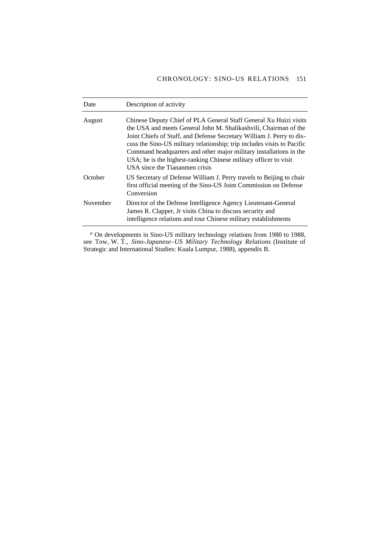| Date     | Description of activity                                                                                                                                                                                                                                                                                                                                                                                                                                               |
|----------|-----------------------------------------------------------------------------------------------------------------------------------------------------------------------------------------------------------------------------------------------------------------------------------------------------------------------------------------------------------------------------------------------------------------------------------------------------------------------|
| August   | Chinese Deputy Chief of PLA General Staff General Xu Huizi visits<br>the USA and meets General John M. Shalikashvili, Chairman of the<br>Joint Chiefs of Staff, and Defense Secretary William J. Perry to dis-<br>cuss the Sino-US military relationship; trip includes visits to Pacific<br>Command headquarters and other major military installations in the<br>USA; he is the highest-ranking Chinese military officer to visit<br>USA since the Tiananmen crisis |
| October  | US Secretary of Defense William J. Perry travels to Beijing to chair<br>first official meeting of the Sino-US Joint Commission on Defense<br>Conversion                                                                                                                                                                                                                                                                                                               |
| November | Director of the Defense Intelligence Agency Lieutenant-General<br>James R. Clapper, Jr visits China to discuss security and<br>intelligence relations and tour Chinese military establishments                                                                                                                                                                                                                                                                        |

*<sup>a</sup>* On developments in Sino-US military technology relations from 1980 to 1988, see Tow, W. T., *Sino-Japanese–US Military Technology Relations* (Institute of Strategic and International Studies: Kuala Lumpur, 1988), appendix B.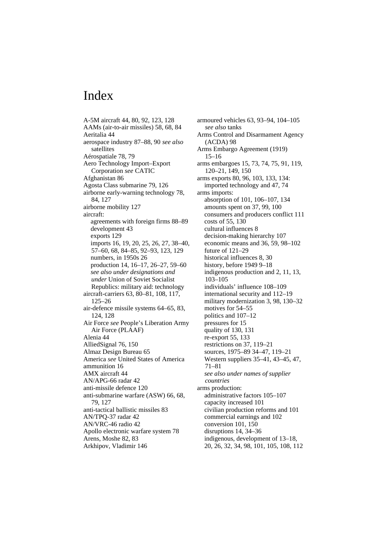## Index

A-5M aircraft 44, 80, 92, 123, 128 AAMs (air-to-air missiles) 58, 68, 84 Aeritalia 44 aerospace industry 87–88, 90 *see also* satellites Aérospatiale 78, 79 Aero Technology Import–Export Corporation *see* CATIC Afghanistan 86 Agosta Class submarine 79, 126 airborne early-warning technology 78, 84, 127 airborne mobility 127 aircraft: agreements with foreign firms 88–89 development 43 exports 129 imports 16, 19, 20, 25, 26, 27, 38–40, 57–60, 68, 84–85, 92–93, 123, 129 numbers, in 1950s 26 production 14, 16–17, 26–27, 59–60 *see also under designations and under* Union of Soviet Socialist Republics: military aid: technology aircraft-carriers 63, 80–81, 108, 117, 125–26 air-defence missile systems 64–65, 83, 124, 128 Air Force *see* People's Liberation Army Air Force (PLAAF) Alenia 44 AlliedSignal 76, 150 Almaz Design Bureau 65 America *see* United States of America ammunition 16 AMX aircraft 44 AN/APG-66 radar 42 anti-missile defence 120 anti-submarine warfare (ASW) 66, 68, 79, 127 anti-tactical ballistic missiles 83 AN/TPQ-37 radar 42 AN/VRC-46 radio 42 Apollo electronic warfare system 78 Arens, Moshe 82, 83 Arkhipov, Vladimir 146

armoured vehicles 63, 93–94, 104–105 *see also* tanks Arms Control and Disarmament Agency (ACDA) 98 Arms Embargo Agreement (1919) 15–16 arms embargoes 15, 73, 74, 75, 91, 119, 120–21, 149, 150 arms exports 80, 96, 103, 133, 134: imported technology and 47, 74 arms imports: absorption of 101, 106–107, 134 amounts spent on 37, 99, 100 consumers and producers conflict 111 costs of 55, 130 cultural influences 8 decision-making hierarchy 107 economic means and 36, 59, 98–102 future of 121–29 historical influences 8, 30 history, before 1949 9-18 indigenous production and 2, 11, 13, 103–105 individuals' influence 108–109 international security and 112–19 military modernization 3, 98, 130–32 motives for 54–55 politics and 107–12 pressures for 15 quality of 130, 131 re-export 55, 133 restrictions on 37, 119–21 sources, 1975–89 34–47, 119–21 Western suppliers 35–41, 43–45, 47, 71–81 *see also under names of supplier countries* arms production: administrative factors 105–107 capacity increased 101 civilian production reforms and 101 commercial earnings and 102 conversion 101, 150 disruptions 14, 34–36 indigenous, development of 13–18, 20, 26, 32, 34, 98, 101, 105, 108, 112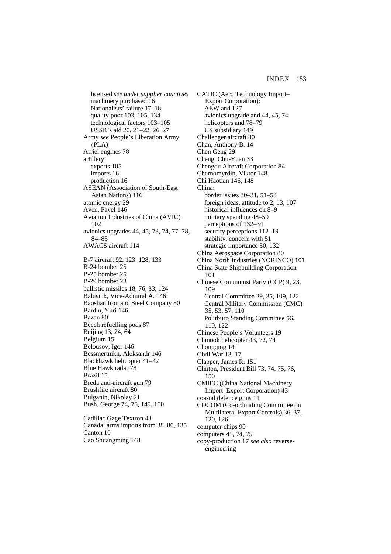licensed *see under supplier countries* machinery purchased 16 Nationalists' failure 17–18 quality poor 103, 105, 134 technological factors 103–105 USSR's aid 20, 21–22, 26, 27 Army *see* People's Liberation Army (PLA) Arriel engines 78 artillery: exports 105 imports 16 production 16 ASEAN (Association of South-East Asian Nations) 116 atomic energy 29 Aven, Pavel 146 Aviation Industries of China (AVIC) 102 avionics upgrades 44, 45, 73, 74, 77–78, 84–85 AWACS aircraft 114 B-7 aircraft 92, 123, 128, 133 B-24 bomber 25 B-25 bomber 25 B-29 bomber 28 ballistic missiles 18, 76, 83, 124 Balusink, Vice-Admiral A. 146 Baoshan Iron and Steel Company 80 Bardin, Yuri 146 Bazan 80 Beech refuelling pods 87 Beijing 13, 24, 64 Belgium 15 Belousov, Igor 146 Bessmertnikh, Aleksandr 146 Blackhawk helicopter 41–42 Blue Hawk radar 78 Brazil 15 Breda anti-aircraft gun 79 Brushfire aircraft 80 Bulganin, Nikolay 21 Bush, George 74, 75, 149, 150 Cadillac Gage Textron 43

Canada: arms imports from 38, 80, 135 Canton 10 Cao Shuangming 148

CATIC (Aero Technology Import– Export Corporation): AEW and 127 avionics upgrade and 44, 45, 74 helicopters and 78–79 US subsidiary 149 Challenger aircraft 80 Chan, Anthony B. 14 Chen Geng 29 Cheng, Chu-Yuan 33 Chengdu Aircraft Corporation 84 Chernomyrdin, Viktor 148 Chi Haotian 146, 148 China: border issues 30–31, 51–53 foreign ideas, attitude to 2, 13, 107 historical influences on 8–9 military spending 48–50 perceptions of 132–34 security perceptions 112–19 stability, concern with 51 strategic importance 50, 132 China Aerospace Corporation 80 China North Industries (NORINCO) 101 China State Shipbuilding Corporation 101 Chinese Communist Party (CCP) 9, 23, 109 Central Committee 29, 35, 109, 122 Central Military Commission (CMC) 35, 53, 57, 110 Politburo Standing Committee 56, 110, 122 Chinese People's Volunteers 19 Chinook helicopter 43, 72, 74 Chongqing 14 Civil War 13–17 Clapper, James R. 151 Clinton, President Bill 73, 74, 75, 76, 150 CMIEC (China National Machinery Import–Export Corporation) 43 coastal defence guns 11 COCOM (Co-ordinating Committee on Multilateral Export Controls) 36–37, 120, 126 computer chips 90 computers 45, 74, 75 copy-production 17 *see also* reverseengineering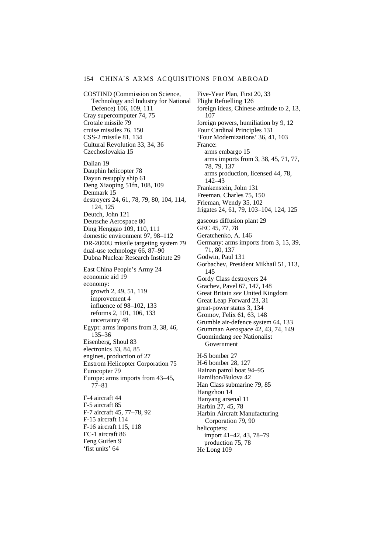COSTIND (Commission on Science, Technology and Industry for National Defence) 106, 109, 111 Cray supercomputer 74, 75 Crotale missile 79 cruise missiles 76, 150 CSS-2 missile 81, 134 Cultural Revolution 33, 34, 36 Czechoslovakia 15 Dalian 19 Dauphin helicopter 78 Dayun resupply ship 61 Deng Xiaoping 51fn, 108, 109 Denmark 15 destroyers 24, 61, 78, 79, 80, 104, 114, 124, 125 Deutch, John 121 Deutsche Aerospace 80 Ding Henggao 109, 110, 111 domestic environment 97, 98–112 DR-2000U missile targeting system 79 dual-use technology 66, 87–90 Dubna Nuclear Research Institute 29 East China People's Army 24 economic aid 19 economy: growth 2, 49, 51, 119 improvement 4 influence of 98–102, 133 reforms 2, 101, 106, 133 uncertainty 48 Egypt: arms imports from 3, 38, 46, 135–36 Eisenberg, Shoul 83 electronics 33, 84, 85 engines, production of 27 Enstrom Helicopter Corporation 75 Eurocopter 79 Europe: arms imports from 43–45, 77–81 F-4 aircraft 44 F-5 aircraft 85 F-7 aircraft 45, 77–78, 92 F-15 aircraft 114 F-16 aircraft 115, 118 FC-1 aircraft 86 Feng Guifen 9 'fist units' 64

Flight Refuelling 126 foreign ideas, Chinese attitude to 2, 13, 107 foreign powers, humiliation by 9, 12 Four Cardinal Principles 131 'Four Modernizations' 36, 41, 103 France: arms embargo 15 arms imports from 3, 38, 45, 71, 77, 78, 79, 137 arms production, licensed 44, 78, 142–43 Frankenstein, John 131 Freeman, Charles 75, 150 Frieman, Wendy 35, 102 frigates 24, 61, 79, 103–104, 124, 125 gaseous diffusion plant 29 GEC 45, 77, 78 Geratchenko, A. 146 Germany: arms imports from 3, 15, 39, 71, 80, 137 Godwin, Paul 131 Gorbachev, President Mikhail 51, 113, 145 Gordy Class destroyers 24 Grachev, Pavel 67, 147, 148 Great Britain *see* United Kingdom Great Leap Forward 23, 31 great-power status 3, 134 Gromov, Felix 61, 63, 148 Grumble air-defence system 64, 133 Grumman Aerospace 42, 43, 74, 149 Guomindang *see* Nationalist Government H-5 bomber 27 H-6 bomber 28, 127 Hainan patrol boat 94–95 Hamilton/Bulova 42 Han Class submarine 79, 85 Hangzhou 14 Hanyang arsenal 11 Harbin 27, 45, 78 Harbin Aircraft Manufacturing Corporation 79, 90 helicopters: import 41–42, 43, 78–79 production 75, 78 He Long 109

Five-Year Plan, First 20, 33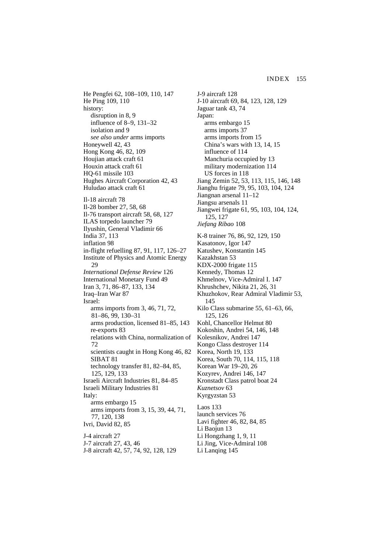He Pengfei 62, 108–109, 110, 147 He Ping 109, 110 history: disruption in 8, 9 influence of 8–9, 131–32 isolation and 9 *see also under* arms imports Honeywell 42, 43 Hong Kong 46, 82, 109 Houjian attack craft 61 Houxin attack craft 61 HQ-61 missile 103 Hughes Aircraft Corporation 42, 43 Huludao attack craft 61 Il-18 aircraft 78 Il-28 bomber 27, 58, 68 Il-76 transport aircraft 58, 68, 127 ILAS torpedo launcher 79 Ilyushin, General Vladimir 66 India 37, 113 inflation 98 in-flight refuelling 87, 91, 117, 126–27 Institute of Physics and Atomic Energy 29 *International Defense Review* 126 International Monetary Fund 49 Iran 3, 71, 86–87, 133, 134 Iraq–Iran War 87 Israel: arms imports from 3, 46, 71, 72, 81–86, 99, 130–31 arms production, licensed 81–85, 143 re-exports 83 relations with China, normalization of 72 scientists caught in Hong Kong 46, 82 SIBAT 81 technology transfer 81, 82–84, 85, 125, 129, 133 Israeli Aircraft Industries 81, 84–85 Israeli Military Industries 81 Italy: arms embargo 15 arms imports from 3, 15, 39, 44, 71, 77, 120, 138 Ivri, David 82, 85 J-4 aircraft 27 J-7 aircraft 27, 43, 46 J-8 aircraft 42, 57, 74, 92, 128, 129

J-9 aircraft 128 J-10 aircraft 69, 84, 123, 128, 129 Jaguar tank 43, 74 Japan: arms embargo 15 arms imports 37 arms imports from 15 China's wars with 13, 14, 15 influence of 114 Manchuria occupied by 13 military modernization 114 US forces in 118 Jiang Zemin 52, 53, 113, 115, 146, 148 Jianghu frigate 79, 95, 103, 104, 124 Jiangnan arsenal 11–12 Jiangsu arsenals 11 Jiangwei frigate 61, 95, 103, 104, 124, 125, 127 *Jiefang Ribao* 108 K-8 trainer 76, 86, 92, 129, 150 Kasatonov, Igor 147 Katushev, Konstantin 145 Kazakhstan 53 KDX-2000 frigate 115 Kennedy, Thomas 12 Khmelnov, Vice-Admiral I. 147 Khrushchev, Nikita 21, 26, 31 Khuzhokov, Rear Admiral Vladimir 53, 145 Kilo Class submarine 55, 61–63, 66, 125, 126 Kohl, Chancellor Helmut 80 Kokoshin, Andrei 54, 146, 148 Kolesnikov, Andrei 147 Kongo Class destroyer 114 Korea, North 19, 133 Korea, South 70, 114, 115, 118 Korean War 19–20, 26 Kozyrev, Andrei 146, 147 Kronstadt Class patrol boat 24 *Kuznetsov* 63 Kyrgyzstan 53 Laos 133 launch services 76 Lavi fighter 46, 82, 84, 85 Li Baojun 13 Li Hongzhang 1, 9, 11 Li Jing, Vice-Admiral 108

Li Lanqing 145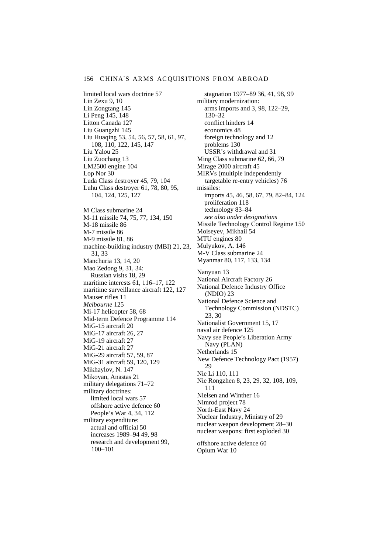limited local wars doctrine 57 Lin Zexu 9, 10 Lin Zongtang 145 Li Peng 145, 148 Litton Canada 127 Liu Guangzhi 145 Liu Huaqing 53, 54, 56, 57, 58, 61, 97, 108, 110, 122, 145, 147 Liu Yalou 25 Liu Zuochang 13 LM2500 engine 104 Lop Nor 30 Luda Class destroyer 45, 79, 104 Luhu Class destroyer 61, 78, 80, 95, 104, 124, 125, 127 M Class submarine 24 M-11 missile 74, 75, 77, 134, 150 M-18 missile 86 M-7 missile 86 M-9 missile 81, 86 machine-building industry (MBI) 21, 23, 31, 33 Manchuria 13, 14, 20 Mao Zedong 9, 31, 34: Russian visits 18, 29 maritime interests 61, 116–17, 122 maritime surveillance aircraft 122, 127 Mauser rifles 11 *Melbourne* 125 Mi-17 helicopter 58, 68 Mid-term Defence Programme 114 MiG-15 aircraft 20 MiG-17 aircraft 26, 27 MiG-19 aircraft 27 MiG-21 aircraft 27 MiG-29 aircraft 57, 59, 87 MiG-31 aircraft 59, 120, 129 Mikhaylov, N. 147 Mikoyan, Anastas 21 military delegations 71–72 military doctrines: limited local wars 57 offshore active defence 60 People's War 4, 34, 112 military expenditure: actual and official 50 increases 1989–94 49, 98 research and development 99, 100–101

stagnation 1977–89 36, 41, 98, 99 military modernization: arms imports and 3, 98, 122–29, 130–32 conflict hinders 14 economics 48 foreign technology and 12 problems 130 USSR's withdrawal and 31 Ming Class submarine 62, 66, 79 Mirage 2000 aircraft 45 MIRVs (multiple independently targetable re-entry vehicles) 76 missiles: imports 45, 46, 58, 67, 79, 82–84, 124 proliferation 118 technology 83–84 *see also under designations* Missile Technology Control Regime 150 Moiseyev, Mikhail 54 MTU engines 80 Mulyukov, A. 146 M-V Class submarine 24 Myanmar 80, 117, 133, 134 Nanyuan 13 National Aircraft Factory 26 National Defence Industry Office (NDIO) 23 National Defence Science and Technology Commission (NDSTC) 23, 30 Nationalist Government 15, 17 naval air defence 125 Navy *see* People's Liberation Army Navy (PLAN) Netherlands 15 New Defence Technology Pact (1957) 29 Nie Li 110, 111 Nie Rongzhen 8, 23, 29, 32, 108, 109, 111 Nielsen and Winther 16 Nimrod project 78 North-East Navy 24 Nuclear Industry, Ministry of 29 nuclear weapon development 28–30 nuclear weapons: first exploded 30 offshore active defence 60 Opium War 10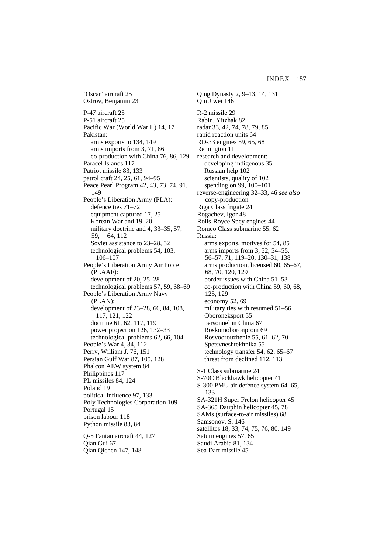'Oscar' aircraft 25 Ostrov, Benjamin 23 P-47 aircraft 25 P-51 aircraft 25 Pacific War (World War II) 14, 17 Pakistan: arms exports to 134, 149 arms imports from 3, 71, 86 co-production with China 76, 86, 129 Paracel Islands 117 Patriot missile 83, 133 patrol craft 24, 25, 61, 94–95 Peace Pearl Program 42, 43, 73, 74, 91, 149 People's Liberation Army (PLA): defence ties 71–72 equipment captured 17, 25 Korean War and 19–20 military doctrine and 4, 33–35, 57, 59, 64, 112 Soviet assistance to 23–28, 32 technological problems 54, 103, 106–107 People's Liberation Army Air Force (PLAAF): development of 20, 25–28 technological problems 57, 59, 68–69 People's Liberation Army Navy (PLAN): development of 23–28, 66, 84, 108, 117, 121, 122 doctrine 61, 62, 117, 119 power projection 126, 132–33 technological problems 62, 66, 104 People's War 4, 34, 112 Perry, William J. 76, 151 Persian Gulf War 87, 105, 128 Phalcon AEW system 84 Philippines 117 PL missiles 84, 124 Poland 19 political influence 97, 133 Poly Technologies Corporation 109 Portugal 15 prison labour 118 Python missile 83, 84 Q-5 Fantan aircraft 44, 127 Qian Gui 67 Qian Qichen 147, 148

Qing Dynasty 2, 9–13, 14, 131 Qin Jiwei 146 R-2 missile 29 Rabin, Yitzhak 82 radar 33, 42, 74, 78, 79, 85 rapid reaction units 64 RD-33 engines 59, 65, 68 Remington 11 research and development: developing indigenous 35 Russian help 102 scientists, quality of 102 spending on 99, 100–101 reverse-engineering 32–33, 46 *see also* copy-production Riga Class frigate 24 Rogachev, Igor 48 Rolls-Royce Spey engines 44 Romeo Class submarine 55, 62 Russia: arms exports, motives for 54, 85 arms imports from 3, 52, 54–55, 56–57, 71, 119–20, 130–31, 138 arms production, licensed 60, 65–67, 68, 70, 120, 129 border issues with China 51–53 co-production with China 59, 60, 68, 125, 129 economy 52, 69 military ties with resumed 51–56 Oboroneksport 55 personnel in China 67 Roskomoboronprom 69 Rosvoorouzhenie 55, 61–62, 70 Spetsvneshtekhnika 55 technology transfer 54, 62, 65–67 threat from declined 112, 113 S-1 Class submarine 24 S-70C Blackhawk helicopter 41 S-300 PMU air defence system 64–65, 133 SA-321H Super Frelon helicopter 45 SA-365 Dauphin helicopter 45, 78 SAMs (surface-to-air missiles) 68 Samsonov, S. 146 satellites 18, 33, 74, 75, 76, 80, 149 Saturn engines 57, 65 Saudi Arabia 81, 134

Sea Dart missile 45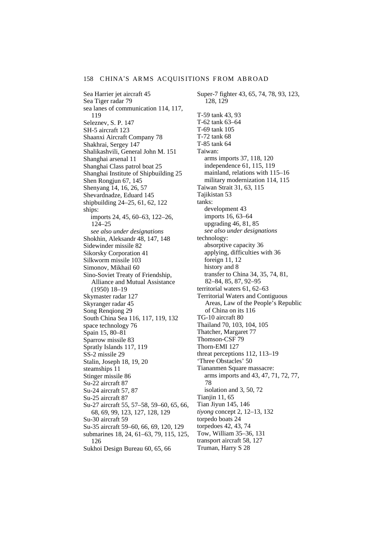Sea Harrier jet aircraft 45 Sea Tiger radar 79 sea lanes of communication 114, 117, 119 Seleznev, S. P. 147 SH-5 aircraft 123 Shaanxi Aircraft Company 78 Shakhrai, Sergey 147 Shalikashvili, General John M. 151 Shanghai arsenal 11 Shanghai Class patrol boat 25 Shanghai Institute of Shipbuilding 25 Shen Rongjun 67, 145 Shenyang 14, 16, 26, 57 Shevardnadze, Eduard 145 shipbuilding 24–25, 61, 62, 122 ships: imports 24, 45, 60–63, 122–26, 124–25 *see also under designations* Shokhin, Aleksandr 48, 147, 148 Sidewinder missile 82 Sikorsky Corporation 41 Silkworm missile 103 Simonov, Mikhail 60 Sino-Soviet Treaty of Friendship, Alliance and Mutual Assistance (1950) 18–19 Skymaster radar 127 Skyranger radar 45 Song Renqiong 29 South China Sea 116, 117, 119, 132 space technology 76 Spain 15, 80–81 Sparrow missile 83 Spratly Islands 117, 119 SS-2 missile 29 Stalin, Joseph 18, 19, 20 steamships 11 Stinger missile 86 Su-22 aircraft 87 Su-24 aircraft 57, 87 Su-25 aircraft 87 Su-27 aircraft 55, 57–58, 59–60, 65, 66, 68, 69, 99, 123, 127, 128, 129 Su-30 aircraft 59 Su-35 aircraft 59–60, 66, 69, 120, 129 submarines 18, 24, 61–63, 79, 115, 125, 126 Sukhoi Design Bureau 60, 65, 66

Super-7 fighter 43, 65, 74, 78, 93, 123, 128, 129 T-59 tank 43, 93 T-62 tank 63–64 T-69 tank 105 T-72 tank 68 T-85 tank 64 Taiwan: arms imports 37, 118, 120 independence 61, 115, 119 mainland, relations with 115–16 military modernization 114, 115 Taiwan Strait 31, 63, 115 Tajikistan 53 tanks: development 43 imports 16, 63–64 upgrading 46, 81, 85 *see also under designations* technology: absorptive capacity 36 applying, difficulties with 36 foreign 11, 12 history and 8 transfer to China 34, 35, 74, 81, 82–84, 85, 87, 92–95 territorial waters 61, 62–63 Territorial Waters and Contiguous Areas, Law of the People's Republic of China on its 116 TG-10 aircraft 80 Thailand 70, 103, 104, 105 Thatcher, Margaret 77 Thomson-CSF 79 Thorn-EMI 127 threat perceptions 112, 113–19 'Three Obstacles' 50 Tiananmen Square massacre: arms imports and 43, 47, 71, 72, 77, 78 isolation and 3, 50, 72 Tianjin 11, 65 Tian Jiyun 145, 146 *tiyong* concept 2, 12–13, 132 torpedo boats 24 torpedoes 42, 43, 74 Tow, William 35–36, 131 transport aircraft 58, 127 Truman, Harry S 28